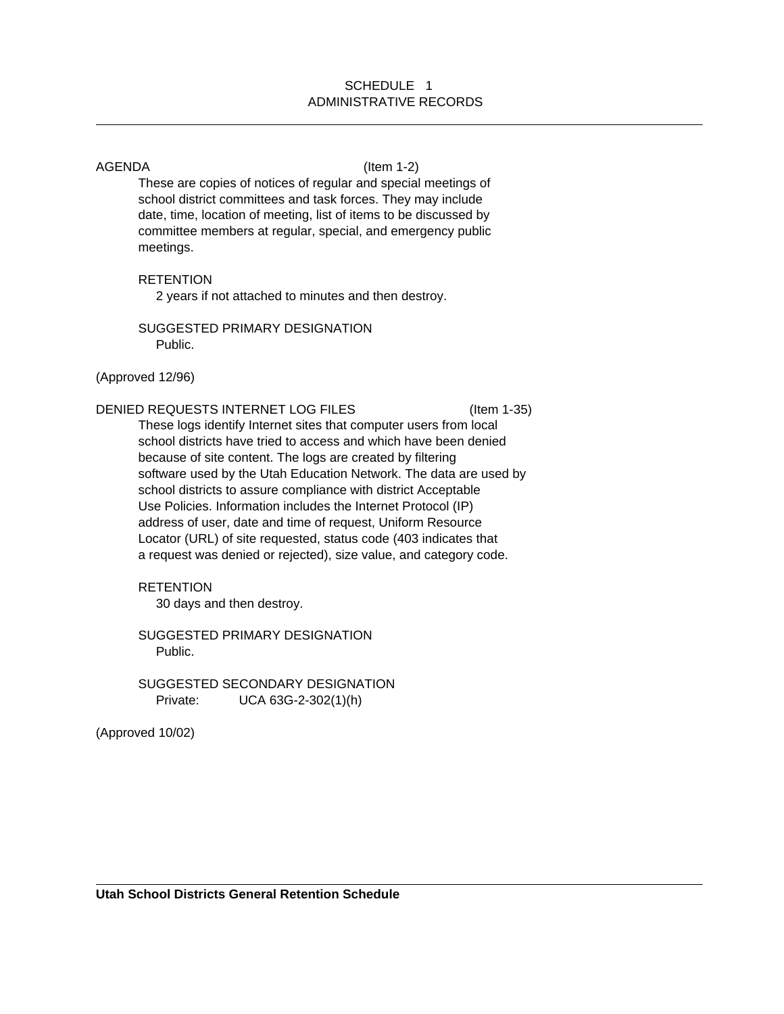AGENDA (Item 1-2)

 These are copies of notices of regular and special meetings of school district committees and task forces. They may include date, time, location of meeting, list of items to be discussed by committee members at regular, special, and emergency public meetings.

#### RETENTION

2 years if not attached to minutes and then destroy.

 SUGGESTED PRIMARY DESIGNATION Public.

#### (Approved 12/96)

# DENIED REQUESTS INTERNET LOG FILES (Item 1-35) These logs identify Internet sites that computer users from local school districts have tried to access and which have been denied because of site content. The logs are created by filtering software used by the Utah Education Network. The data are used by school districts to assure compliance with district Acceptable Use Policies. Information includes the Internet Protocol (IP) address of user, date and time of request, Uniform Resource Locator (URL) of site requested, status code (403 indicates that a request was denied or rejected), size value, and category code.

**RETENTION** 

30 days and then destroy.

 SUGGESTED PRIMARY DESIGNATION Public.

 SUGGESTED SECONDARY DESIGNATION Private: UCA 63G-2-302(1)(h)

(Approved 10/02)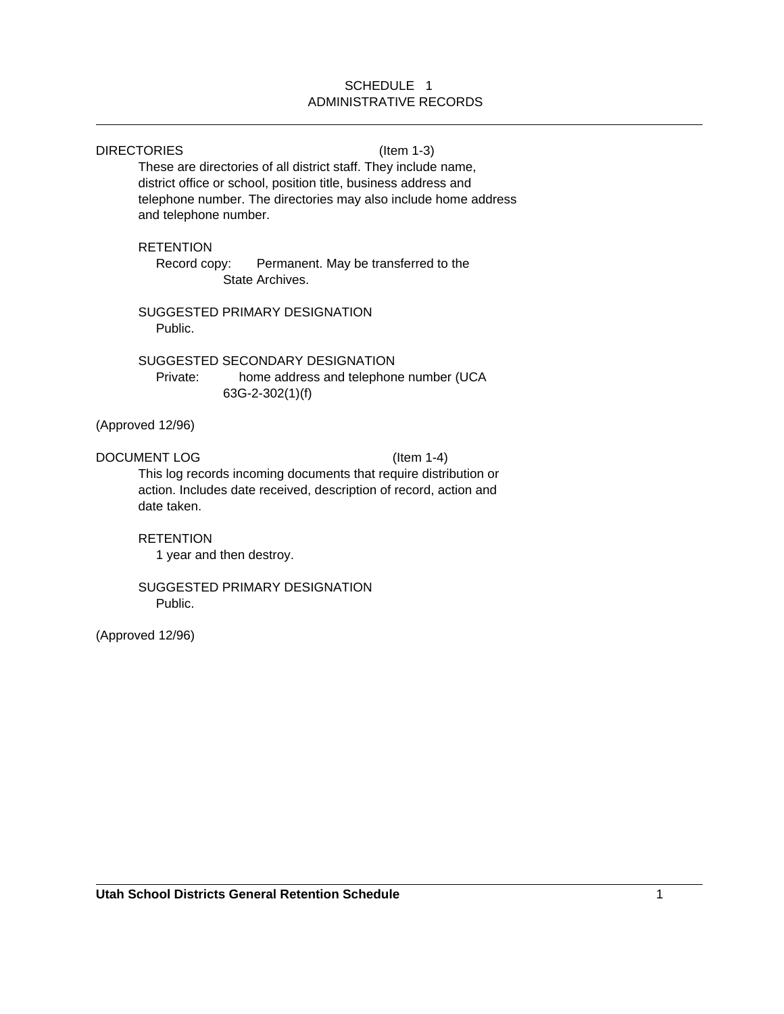| <b>DIRECTORIES</b><br>(Item 1-3)<br>These are directories of all district staff. They include name,<br>district office or school, position title, business address and<br>telephone number. The directories may also include home address<br>and telephone number. |  |
|--------------------------------------------------------------------------------------------------------------------------------------------------------------------------------------------------------------------------------------------------------------------|--|
| <b>RETENTION</b><br>Record copy: Permanent. May be transferred to the<br>State Archives.                                                                                                                                                                           |  |
| SUGGESTED PRIMARY DESIGNATION<br>Public.                                                                                                                                                                                                                           |  |
| SUGGESTED SECONDARY DESIGNATION<br>Private:<br>home address and telephone number (UCA<br>$63G-2-302(1)(f)$                                                                                                                                                         |  |
| (Approved 12/96)                                                                                                                                                                                                                                                   |  |
| $($ ltem 1-4 $)$<br>DOCUMENT LOG<br>This log records incoming documents that require distribution or<br>action. Includes date received, description of record, action and<br>date taken.                                                                           |  |
| <b>RETENTION</b><br>1 year and then destroy.                                                                                                                                                                                                                       |  |
| SUGGESTED PRIMARY DESIGNATION<br>Public.                                                                                                                                                                                                                           |  |
| (Approved 12/96)                                                                                                                                                                                                                                                   |  |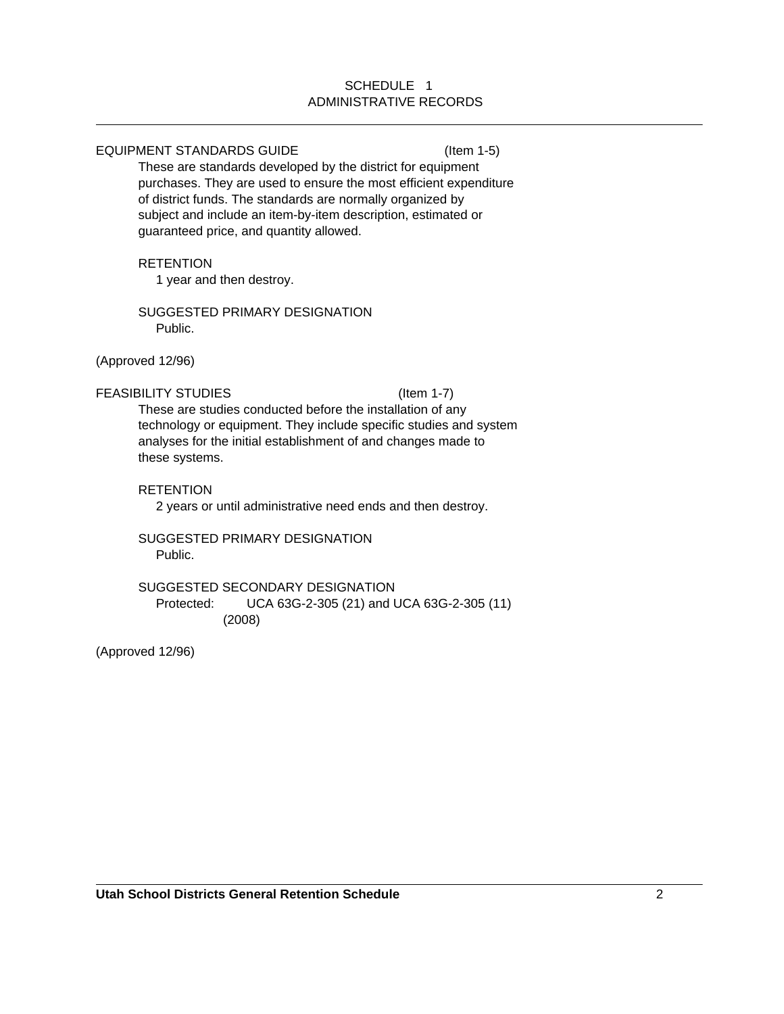#### EQUIPMENT STANDARDS GUIDE (Item 1-5)

 These are standards developed by the district for equipment purchases. They are used to ensure the most efficient expenditure of district funds. The standards are normally organized by subject and include an item-by-item description, estimated or guaranteed price, and quantity allowed.

#### **RETENTION**

1 year and then destroy.

#### SUGGESTED PRIMARY DESIGNATION Public.

(Approved 12/96)

#### FEASIBILITY STUDIES (Item 1-7)

 These are studies conducted before the installation of any technology or equipment. They include specific studies and system analyses for the initial establishment of and changes made to these systems.

#### **RETENTION**

2 years or until administrative need ends and then destroy.

#### SUGGESTED PRIMARY DESIGNATION Public.

 SUGGESTED SECONDARY DESIGNATION Protected: UCA 63G-2-305 (21) and UCA 63G-2-305 (11) (2008)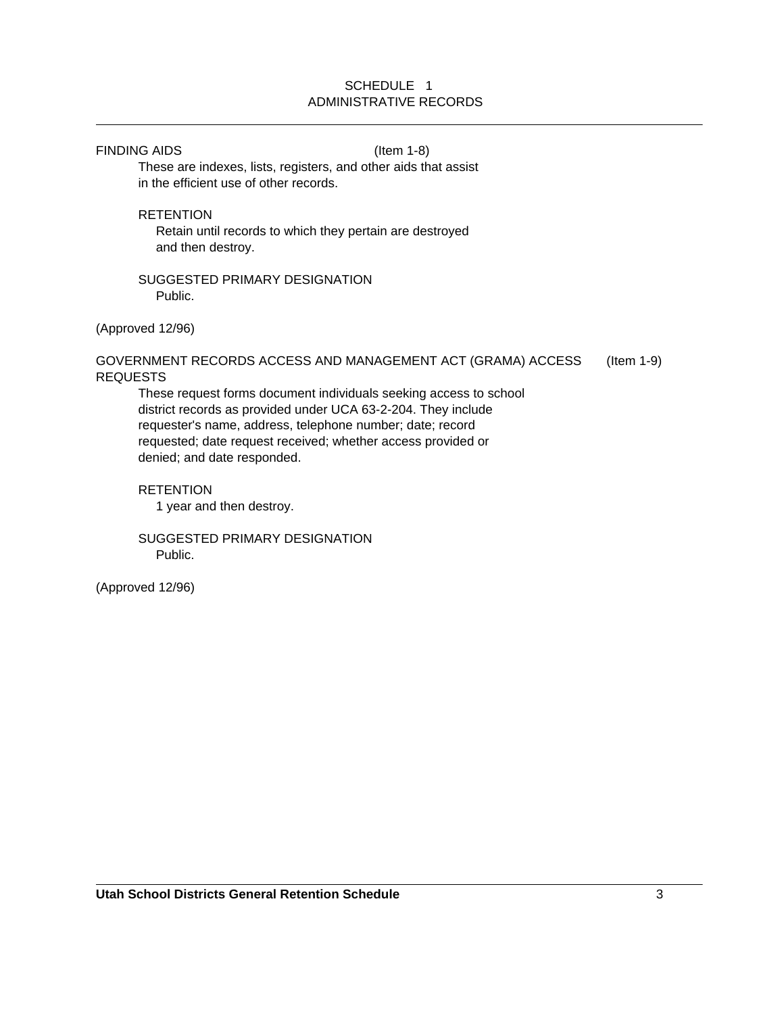#### FINDING AIDS (Item 1-8)

 These are indexes, lists, registers, and other aids that assist in the efficient use of other records.

#### RETENTION

 Retain until records to which they pertain are destroyed and then destroy.

#### SUGGESTED PRIMARY DESIGNATION Public.

(Approved 12/96)

# GOVERNMENT RECORDS ACCESS AND MANAGEMENT ACT (GRAMA) ACCESS (Item 1-9) REQUESTS

 These request forms document individuals seeking access to school district records as provided under UCA 63-2-204. They include requester's name, address, telephone number; date; record requested; date request received; whether access provided or denied; and date responded.

#### **RETENTION**

1 year and then destroy.

 SUGGESTED PRIMARY DESIGNATION Public.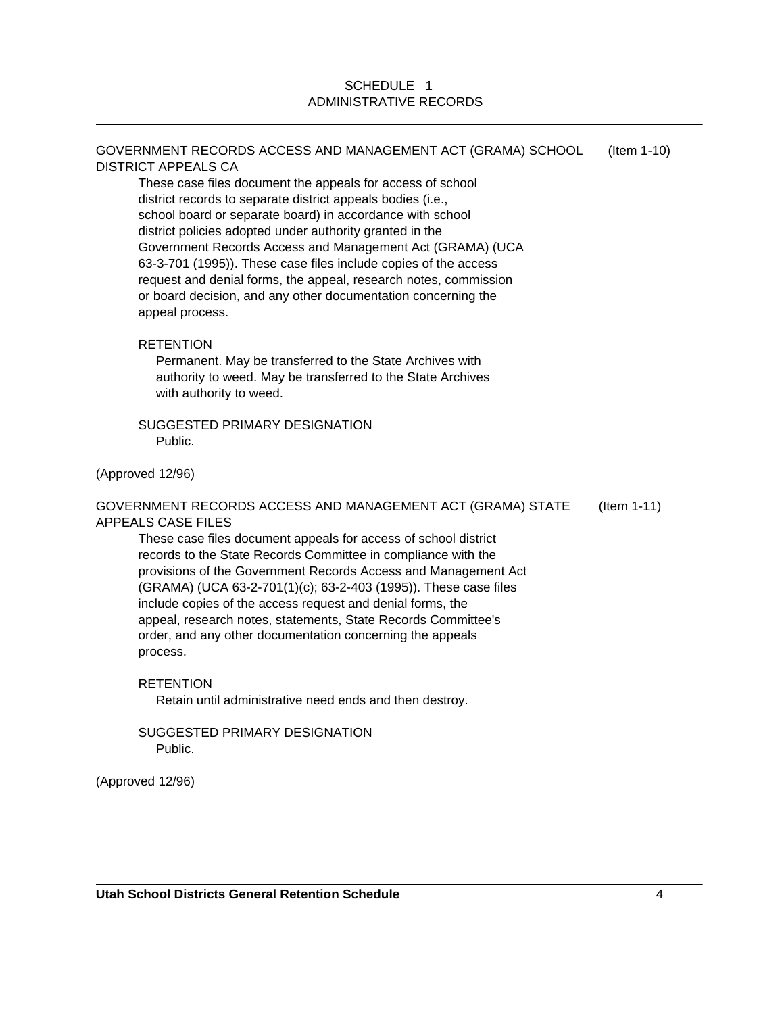GOVERNMENT RECORDS ACCESS AND MANAGEMENT ACT (GRAMA) SCHOOL DISTRICT APPEALS CA (Item 1-10)

 These case files document the appeals for access of school district records to separate district appeals bodies (i.e., school board or separate board) in accordance with school district policies adopted under authority granted in the Government Records Access and Management Act (GRAMA) (UCA 63-3-701 (1995)). These case files include copies of the access request and denial forms, the appeal, research notes, commission or board decision, and any other documentation concerning the appeal process.

#### **RETENTION**

 Permanent. May be transferred to the State Archives with authority to weed. May be transferred to the State Archives with authority to weed.

 SUGGESTED PRIMARY DESIGNATION Public.

#### (Approved 12/96)

#### GOVERNMENT RECORDS ACCESS AND MANAGEMENT ACT (GRAMA) STATE APPEALS CASE FILES (Item 1-11)

 These case files document appeals for access of school district records to the State Records Committee in compliance with the provisions of the Government Records Access and Management Act (GRAMA) (UCA 63-2-701(1)(c); 63-2-403 (1995)). These case files include copies of the access request and denial forms, the appeal, research notes, statements, State Records Committee's order, and any other documentation concerning the appeals process.

#### **RETENTION**

Retain until administrative need ends and then destroy.

#### SUGGESTED PRIMARY DESIGNATION Public.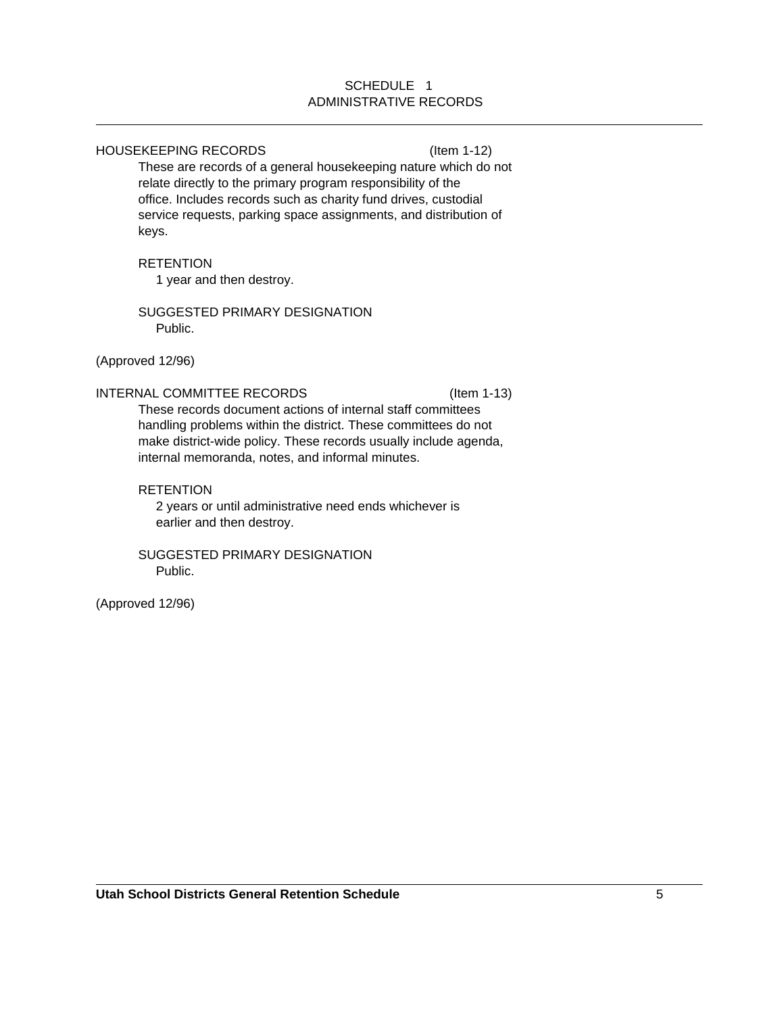#### HOUSEKEEPING RECORDS (Item 1-12)

 These are records of a general housekeeping nature which do not relate directly to the primary program responsibility of the office. Includes records such as charity fund drives, custodial service requests, parking space assignments, and distribution of keys.

#### **RETENTION**

1 year and then destroy.

#### SUGGESTED PRIMARY DESIGNATION Public.

(Approved 12/96)

#### INTERNAL COMMITTEE RECORDS (Item 1-13)

 These records document actions of internal staff committees handling problems within the district. These committees do not make district-wide policy. These records usually include agenda, internal memoranda, notes, and informal minutes.

#### **RETENTION**

 2 years or until administrative need ends whichever is earlier and then destroy.

 SUGGESTED PRIMARY DESIGNATION Public.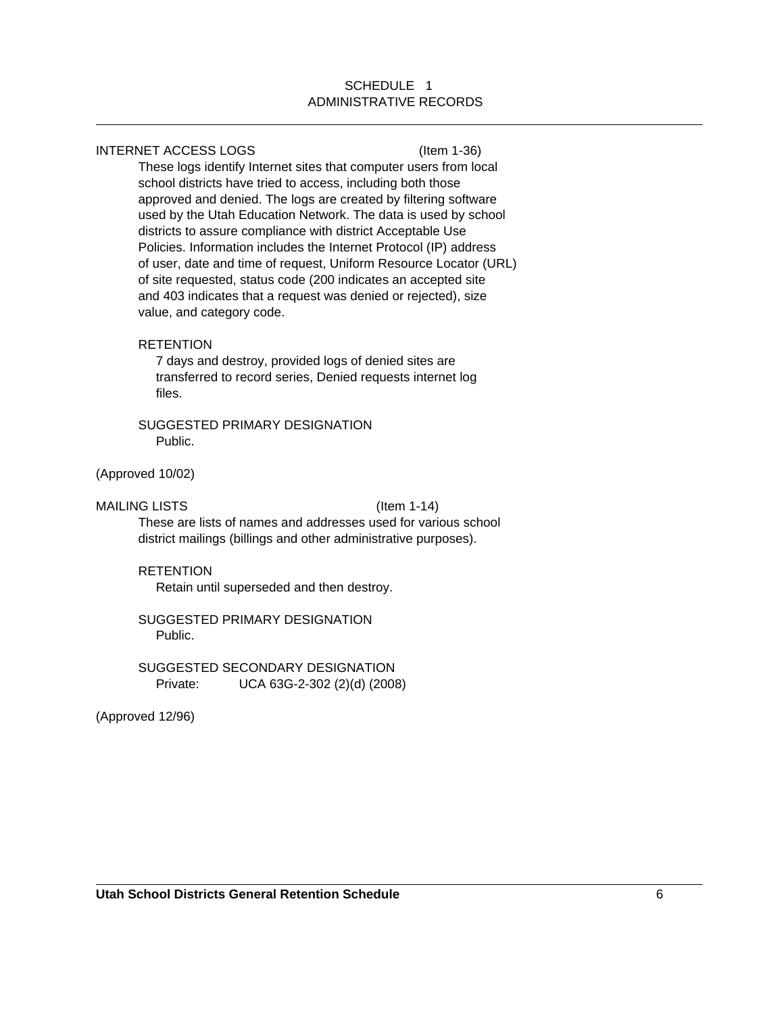#### INTERNET ACCESS LOGS (Item 1-36)

 These logs identify Internet sites that computer users from local school districts have tried to access, including both those approved and denied. The logs are created by filtering software used by the Utah Education Network. The data is used by school districts to assure compliance with district Acceptable Use Policies. Information includes the Internet Protocol (IP) address of user, date and time of request, Uniform Resource Locator (URL) of site requested, status code (200 indicates an accepted site and 403 indicates that a request was denied or rejected), size value, and category code.

#### **RETENTION**

 7 days and destroy, provided logs of denied sites are transferred to record series, Denied requests internet log files.

 SUGGESTED PRIMARY DESIGNATION Public.

(Approved 10/02)

#### MAILING LISTS (Item 1-14)

 These are lists of names and addresses used for various school district mailings (billings and other administrative purposes).

 RETENTION Retain until superseded and then destroy.

 SUGGESTED PRIMARY DESIGNATION Public.

 SUGGESTED SECONDARY DESIGNATION Private: UCA 63G-2-302 (2)(d) (2008)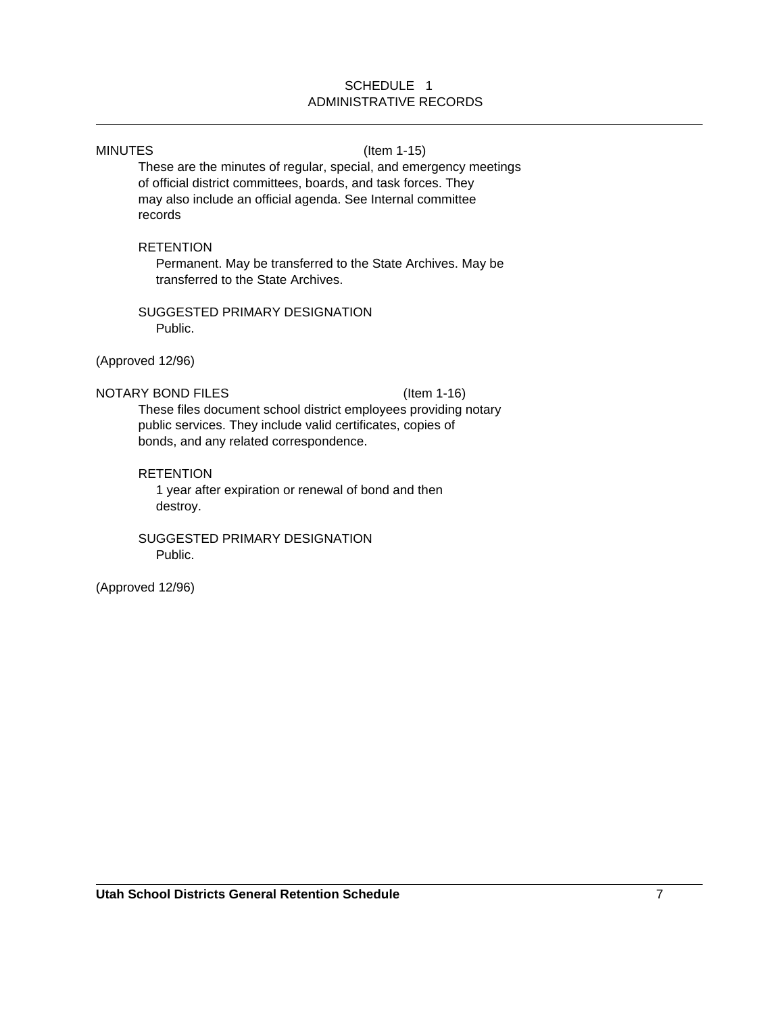## MINUTES (Item 1-15)

 These are the minutes of regular, special, and emergency meetings of official district committees, boards, and task forces. They may also include an official agenda. See Internal committee records

#### **RETENTION**

 Permanent. May be transferred to the State Archives. May be transferred to the State Archives.

#### SUGGESTED PRIMARY DESIGNATION Public.

(Approved 12/96)

#### NOTARY BOND FILES (Item 1-16)

 These files document school district employees providing notary public services. They include valid certificates, copies of bonds, and any related correspondence.

# **RETENTION**

 1 year after expiration or renewal of bond and then destroy.

 SUGGESTED PRIMARY DESIGNATION Public.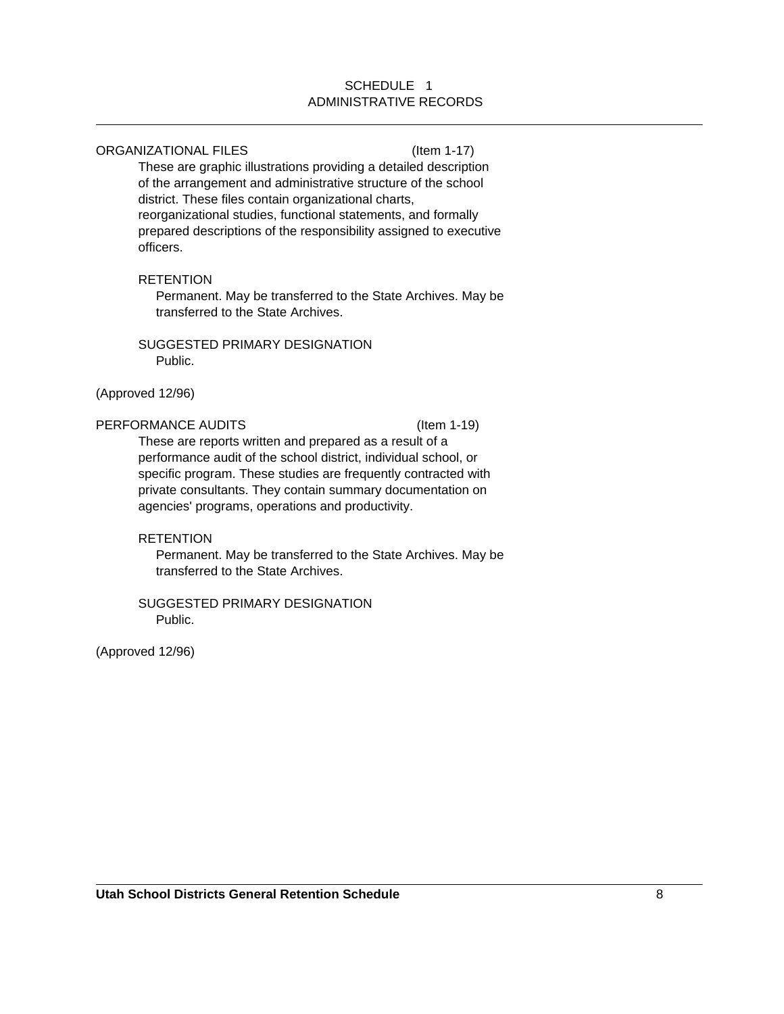## ORGANIZATIONAL FILES (Item 1-17)

 These are graphic illustrations providing a detailed description of the arrangement and administrative structure of the school district. These files contain organizational charts, reorganizational studies, functional statements, and formally prepared descriptions of the responsibility assigned to executive officers.

#### **RETENTION**

 Permanent. May be transferred to the State Archives. May be transferred to the State Archives.

 SUGGESTED PRIMARY DESIGNATION Public.

(Approved 12/96)

#### PERFORMANCE AUDITS (Item 1-19)

 These are reports written and prepared as a result of a performance audit of the school district, individual school, or specific program. These studies are frequently contracted with private consultants. They contain summary documentation on agencies' programs, operations and productivity.

# RETENTION

 Permanent. May be transferred to the State Archives. May be transferred to the State Archives.

#### SUGGESTED PRIMARY DESIGNATION Public.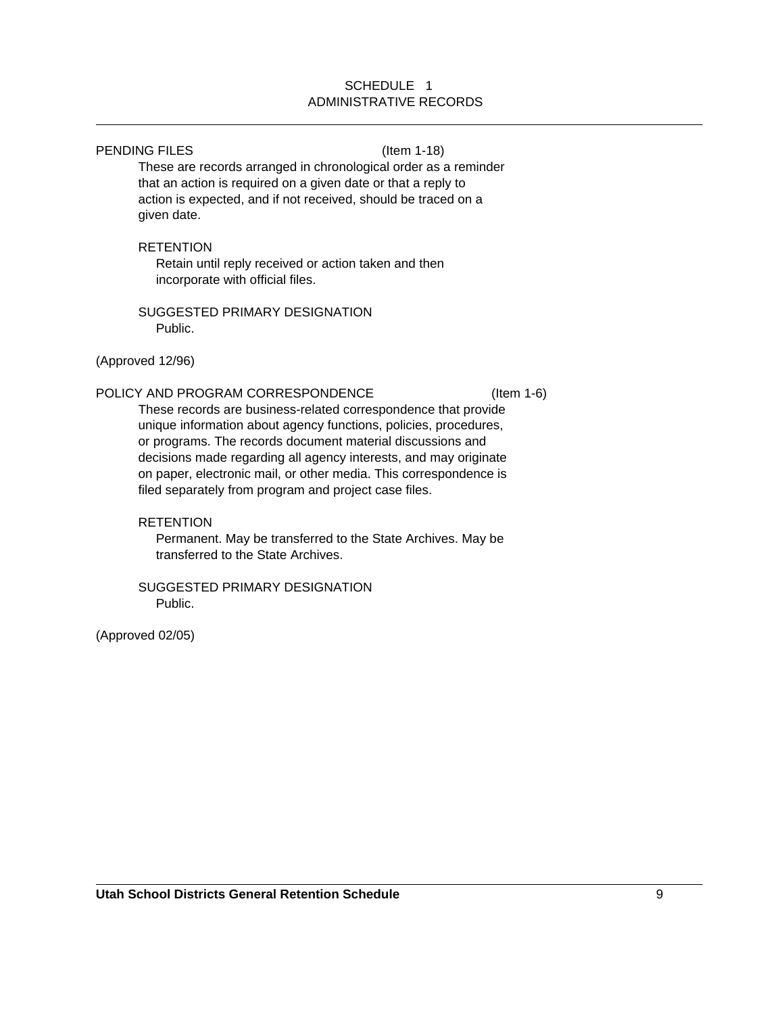#### PENDING FILES (Item 1-18)

 These are records arranged in chronological order as a reminder that an action is required on a given date or that a reply to action is expected, and if not received, should be traced on a given date.

#### **RETENTION**

 Retain until reply received or action taken and then incorporate with official files.

#### SUGGESTED PRIMARY DESIGNATION Public.

(Approved 12/96)

#### POLICY AND PROGRAM CORRESPONDENCE (Item 1-6)

 These records are business-related correspondence that provide unique information about agency functions, policies, procedures, or programs. The records document material discussions and decisions made regarding all agency interests, and may originate on paper, electronic mail, or other media. This correspondence is filed separately from program and project case files.

#### RETENTION

 Permanent. May be transferred to the State Archives. May be transferred to the State Archives.

#### SUGGESTED PRIMARY DESIGNATION Public.

(Approved 02/05)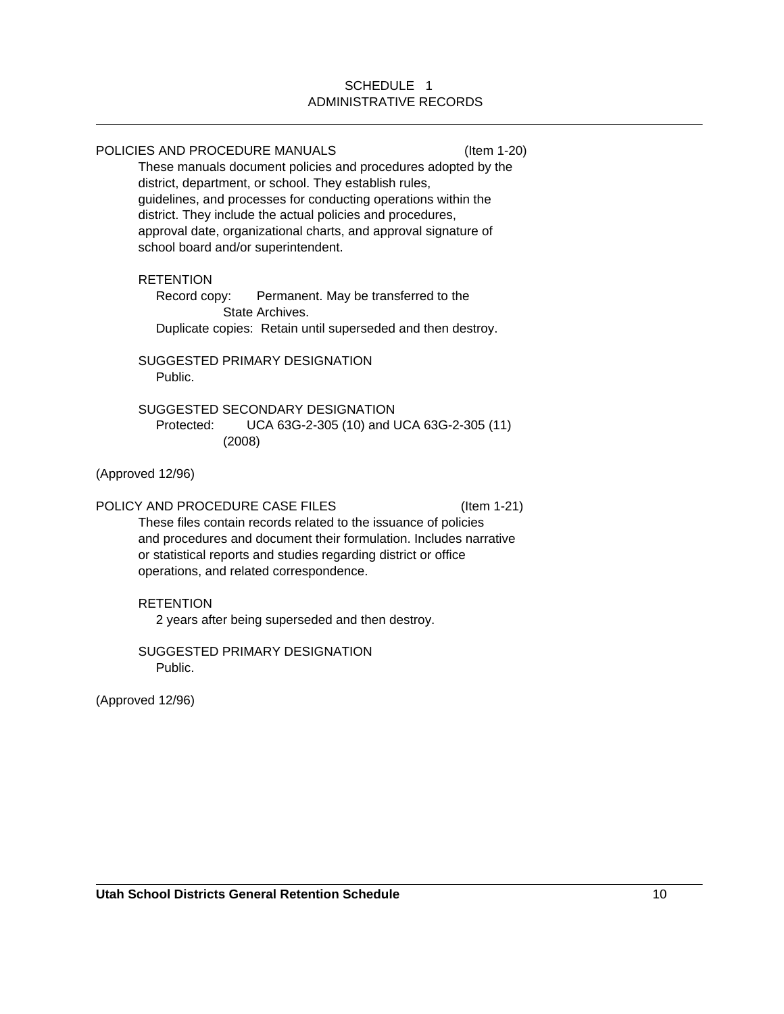| POLICIES AND PROCEDURE MANUALS<br>(Item 1-20)<br>These manuals document policies and procedures adopted by the<br>district, department, or school. They establish rules,<br>guidelines, and processes for conducting operations within the<br>district. They include the actual policies and procedures,<br>approval date, organizational charts, and approval signature of<br>school board and/or superintendent. |
|--------------------------------------------------------------------------------------------------------------------------------------------------------------------------------------------------------------------------------------------------------------------------------------------------------------------------------------------------------------------------------------------------------------------|
| <b>RETENTION</b><br>Record copy:<br>Permanent. May be transferred to the<br>State Archives.<br>Duplicate copies: Retain until superseded and then destroy.                                                                                                                                                                                                                                                         |
| SUGGESTED PRIMARY DESIGNATION<br>Public.                                                                                                                                                                                                                                                                                                                                                                           |
| SUGGESTED SECONDARY DESIGNATION<br>UCA 63G-2-305 (10) and UCA 63G-2-305 (11)<br>Protected:<br>(2008)                                                                                                                                                                                                                                                                                                               |
| (Approved 12/96)                                                                                                                                                                                                                                                                                                                                                                                                   |
| POLICY AND PROCEDURE CASE FILES<br>(Item 1-21)<br>These files contain records related to the issuance of policies<br>and procedures and document their formulation. Includes narrative<br>or statistical reports and studies regarding district or office<br>operations, and related correspondence.                                                                                                               |
| <b>RETENTION</b><br>2 years after being superseded and then destroy.                                                                                                                                                                                                                                                                                                                                               |
| SUGGESTED PRIMARY DESIGNATION<br>Public.                                                                                                                                                                                                                                                                                                                                                                           |
| (Approved 12/96)                                                                                                                                                                                                                                                                                                                                                                                                   |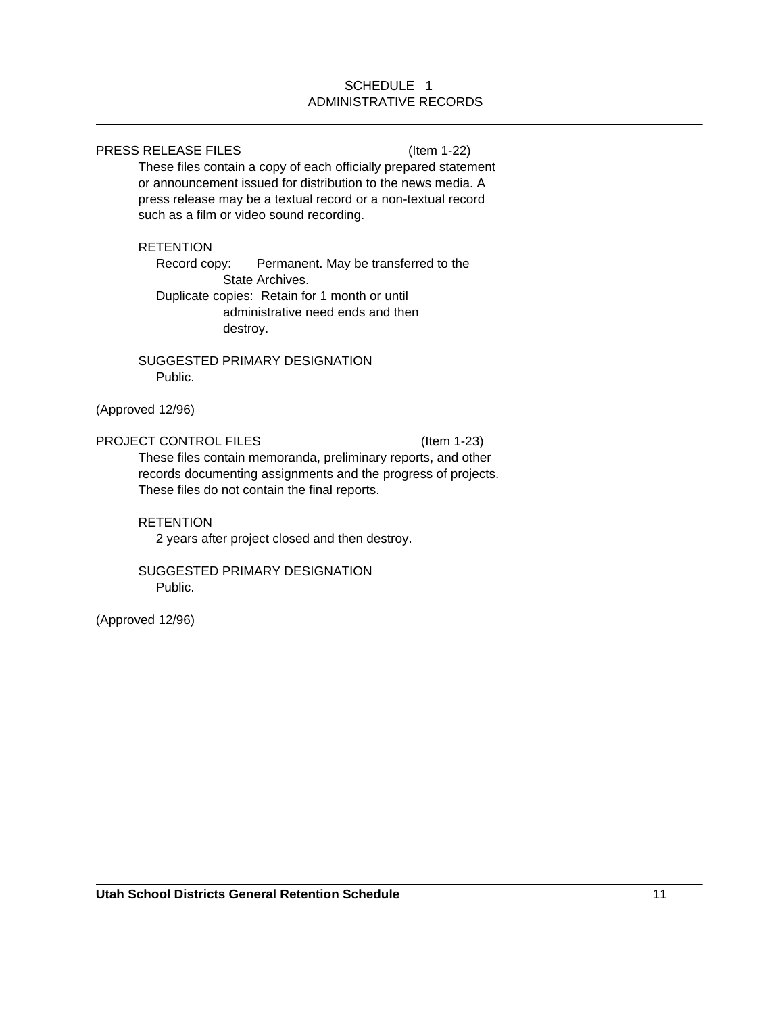PRESS RELEASE FILES (Item 1-22) These files contain a copy of each officially prepared statement or announcement issued for distribution to the news media. A press release may be a textual record or a non-textual record such as a film or video sound recording.

### **RETENTION**

 Record copy: Permanent. May be transferred to the State Archives. Duplicate copies: Retain for 1 month or until administrative need ends and then destroy.

 SUGGESTED PRIMARY DESIGNATION Public.

(Approved 12/96)

# PROJECT CONTROL FILES (Item 1-23)

 These files contain memoranda, preliminary reports, and other records documenting assignments and the progress of projects. These files do not contain the final reports.

RETENTION

2 years after project closed and then destroy.

#### SUGGESTED PRIMARY DESIGNATION Public.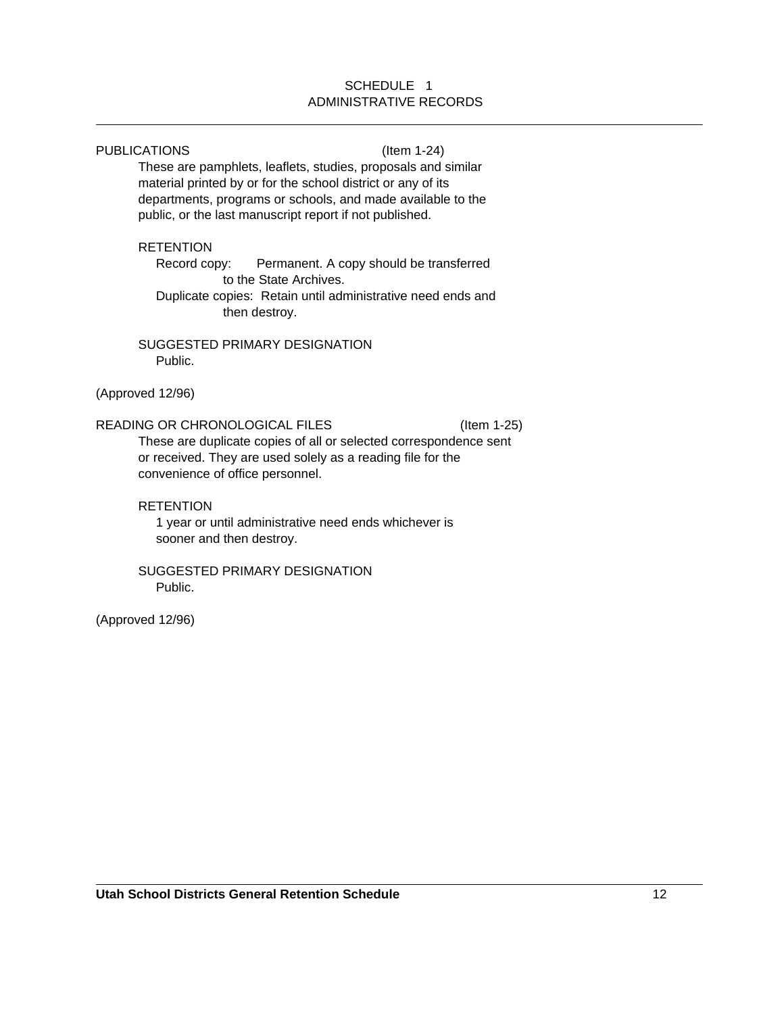#### PUBLICATIONS (Item 1-24)

 These are pamphlets, leaflets, studies, proposals and similar material printed by or for the school district or any of its departments, programs or schools, and made available to the public, or the last manuscript report if not published.

#### **RETENTION**

 Record copy: Permanent. A copy should be transferred to the State Archives.

 Duplicate copies: Retain until administrative need ends and then destroy.

 SUGGESTED PRIMARY DESIGNATION Public.

(Approved 12/96)

#### READING OR CHRONOLOGICAL FILES (Item 1-25)

 These are duplicate copies of all or selected correspondence sent or received. They are used solely as a reading file for the convenience of office personnel.

## **RETENTION**

 1 year or until administrative need ends whichever is sooner and then destroy.

#### SUGGESTED PRIMARY DESIGNATION Public.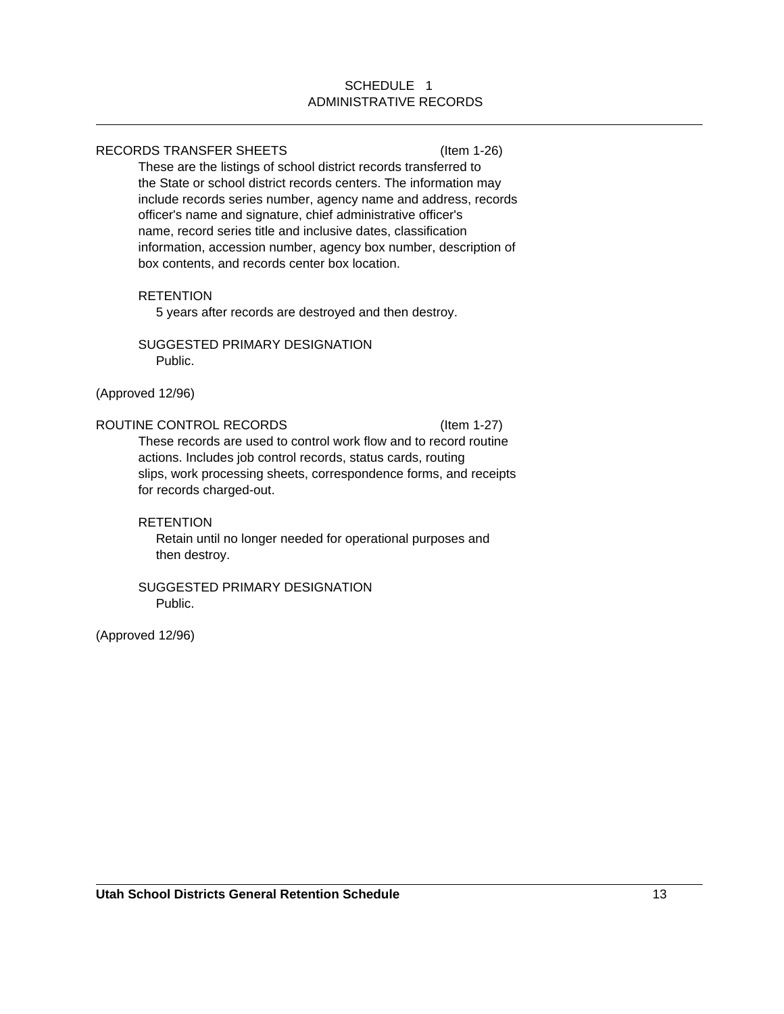#### RECORDS TRANSFER SHEETS (Item 1-26)

 These are the listings of school district records transferred to the State or school district records centers. The information may include records series number, agency name and address, records officer's name and signature, chief administrative officer's name, record series title and inclusive dates, classification information, accession number, agency box number, description of box contents, and records center box location.

#### **RETENTION**

5 years after records are destroyed and then destroy.

 SUGGESTED PRIMARY DESIGNATION Public.

(Approved 12/96)

#### ROUTINE CONTROL RECORDS (Item 1-27)

 These records are used to control work flow and to record routine actions. Includes job control records, status cards, routing slips, work processing sheets, correspondence forms, and receipts for records charged-out.

#### **RETENTION**

 Retain until no longer needed for operational purposes and then destroy.

#### SUGGESTED PRIMARY DESIGNATION Public.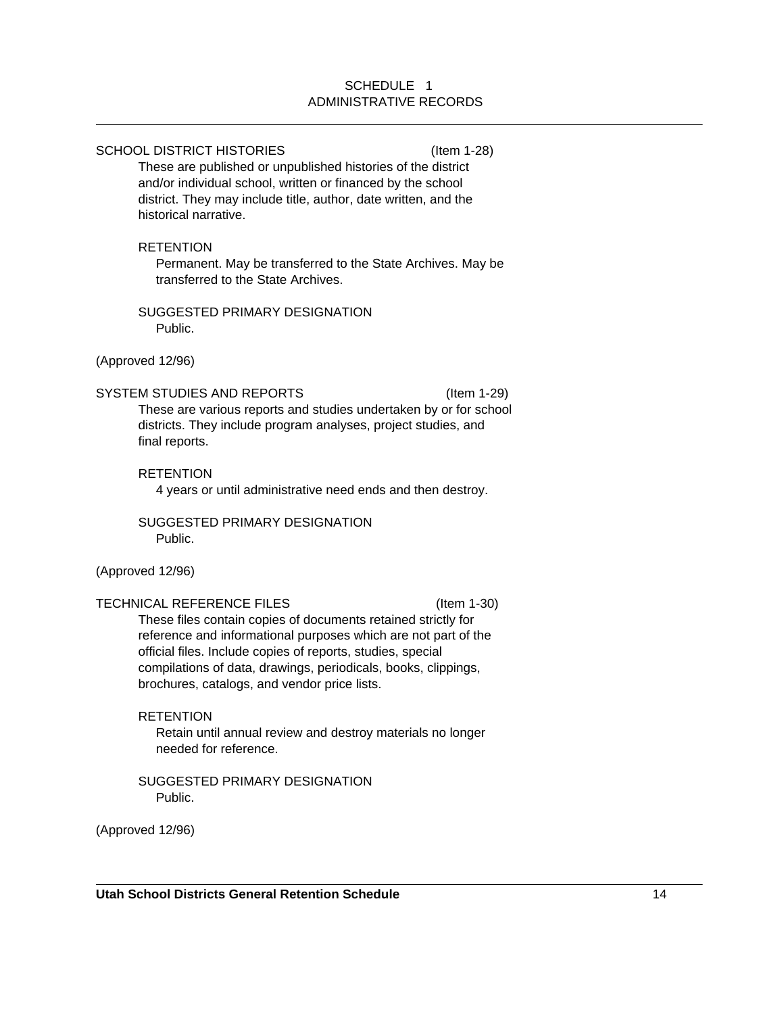#### SCHOOL DISTRICT HISTORIES (Item 1-28)

 These are published or unpublished histories of the district and/or individual school, written or financed by the school district. They may include title, author, date written, and the historical narrative.

#### **RETENTION**

 Permanent. May be transferred to the State Archives. May be transferred to the State Archives.

#### SUGGESTED PRIMARY DESIGNATION Public.

(Approved 12/96)

#### SYSTEM STUDIES AND REPORTS (Item 1-29)

 These are various reports and studies undertaken by or for school districts. They include program analyses, project studies, and final reports.

#### **RETENTION**

4 years or until administrative need ends and then destroy.

#### SUGGESTED PRIMARY DESIGNATION Public.

(Approved 12/96)

#### TECHNICAL REFERENCE FILES (Item 1-30)

 These files contain copies of documents retained strictly for reference and informational purposes which are not part of the official files. Include copies of reports, studies, special compilations of data, drawings, periodicals, books, clippings, brochures, catalogs, and vendor price lists.

#### **RETENTION**

 Retain until annual review and destroy materials no longer needed for reference.

 SUGGESTED PRIMARY DESIGNATION Public.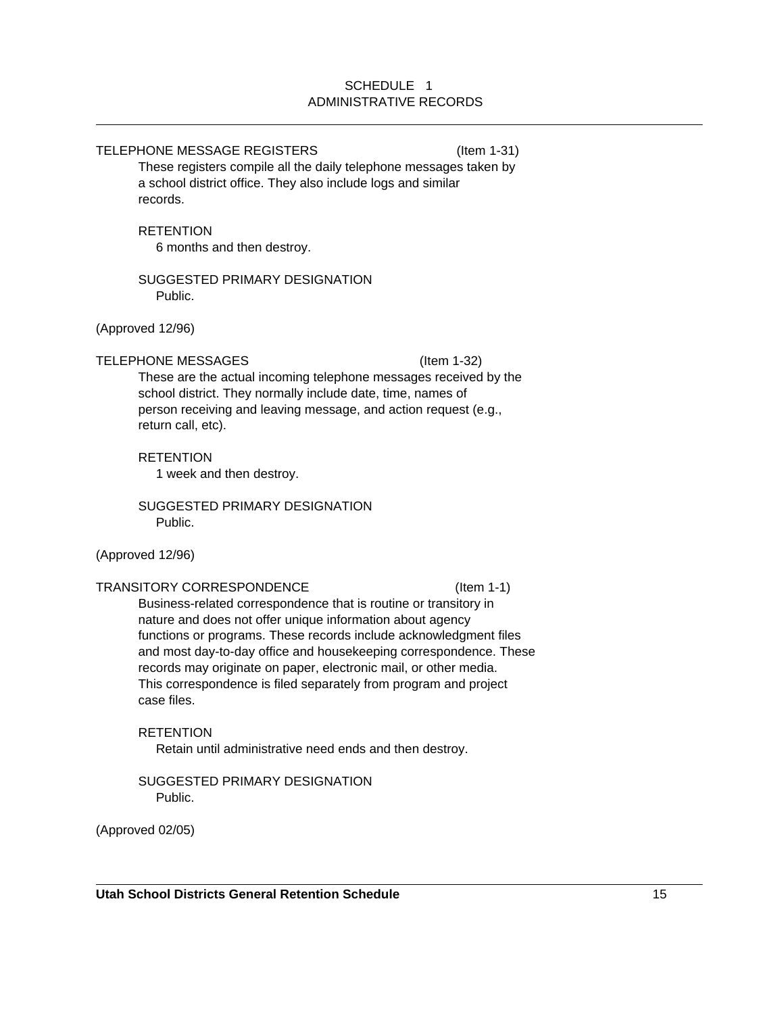TELEPHONE MESSAGE REGISTERS (Item 1-31) These registers compile all the daily telephone messages taken by a school district office. They also include logs and similar records. RETENTION 6 months and then destroy. SUGGESTED PRIMARY DESIGNATION Public. (Approved 12/96) TELEPHONE MESSAGES (Item 1-32) These are the actual incoming telephone messages received by the school district. They normally include date, time, names of person receiving and leaving message, and action request (e.g., return call, etc). **RETENTION**  1 week and then destroy. SUGGESTED PRIMARY DESIGNATION Public. (Approved 12/96) TRANSITORY CORRESPONDENCE (Item 1-1) Business-related correspondence that is routine or transitory in nature and does not offer unique information about agency functions or programs. These records include acknowledgment files and most day-to-day office and housekeeping correspondence. These records may originate on paper, electronic mail, or other media. This correspondence is filed separately from program and project case files. **RETENTION**  Retain until administrative need ends and then destroy. SUGGESTED PRIMARY DESIGNATION Public.

(Approved 02/05)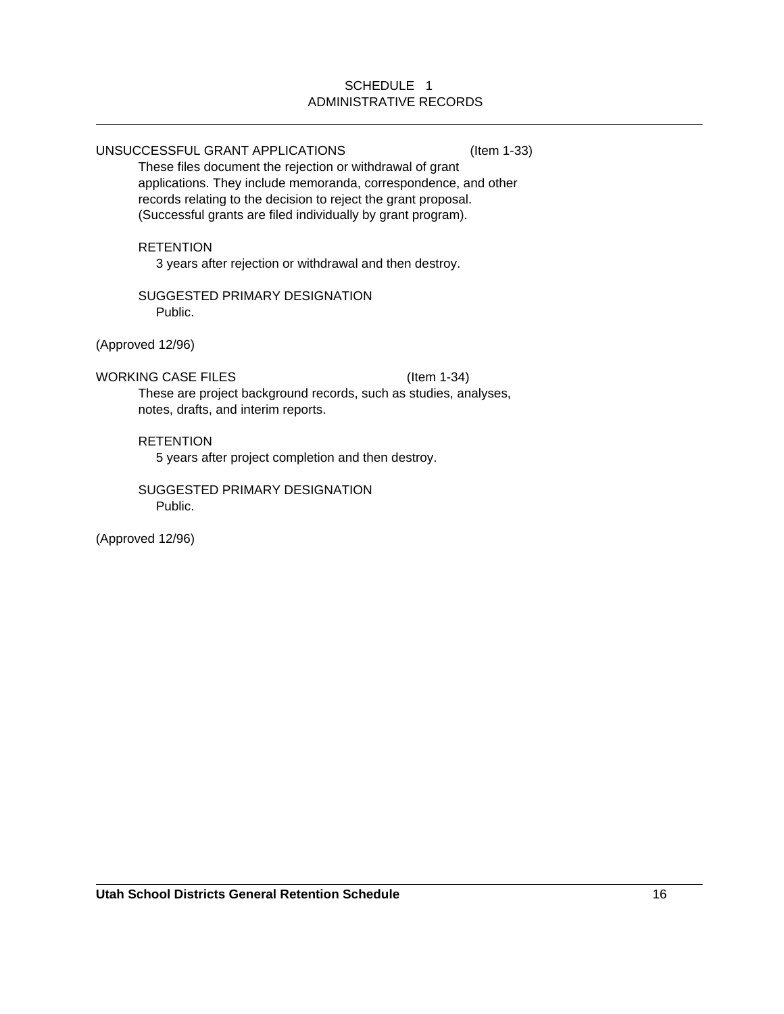# UNSUCCESSFUL GRANT APPLICATIONS (Item 1-33) These files document the rejection or withdrawal of grant

 applications. They include memoranda, correspondence, and other records relating to the decision to reject the grant proposal. (Successful grants are filed individually by grant program).

# **RETENTION**

3 years after rejection or withdrawal and then destroy.

## SUGGESTED PRIMARY DESIGNATION Public.

(Approved 12/96)

# WORKING CASE FILES (Item 1-34)

 These are project background records, such as studies, analyses, notes, drafts, and interim reports.

# RETENTION

5 years after project completion and then destroy.

# SUGGESTED PRIMARY DESIGNATION Public.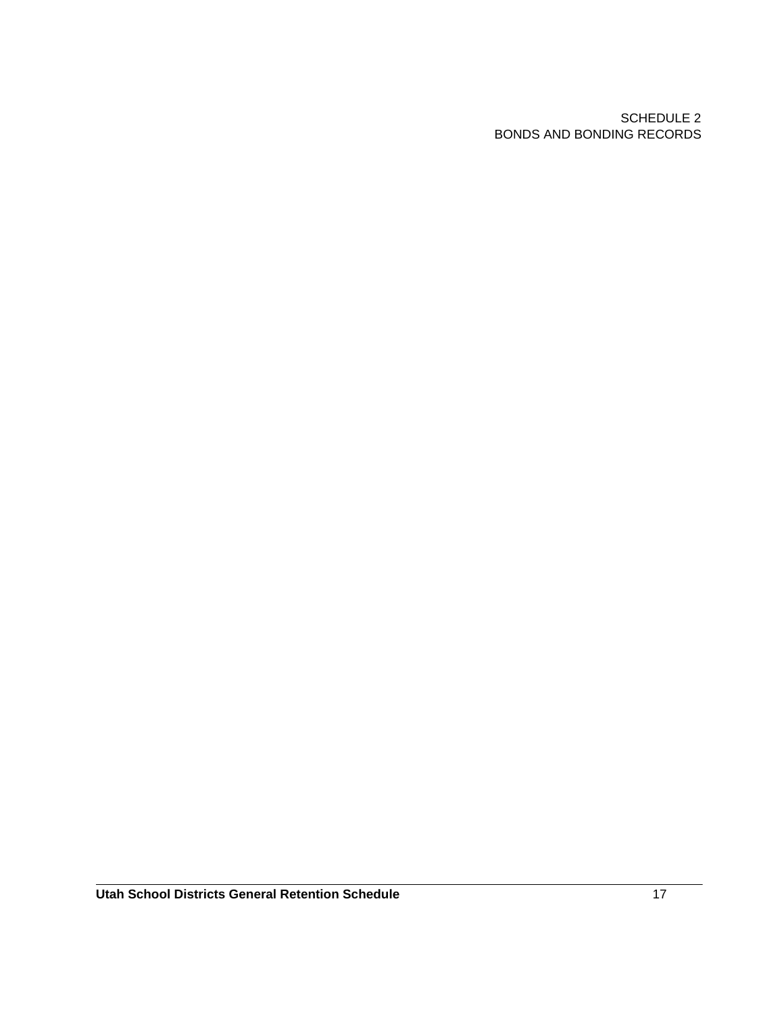# SCHEDULE 2 BONDS AND BONDING RECORDS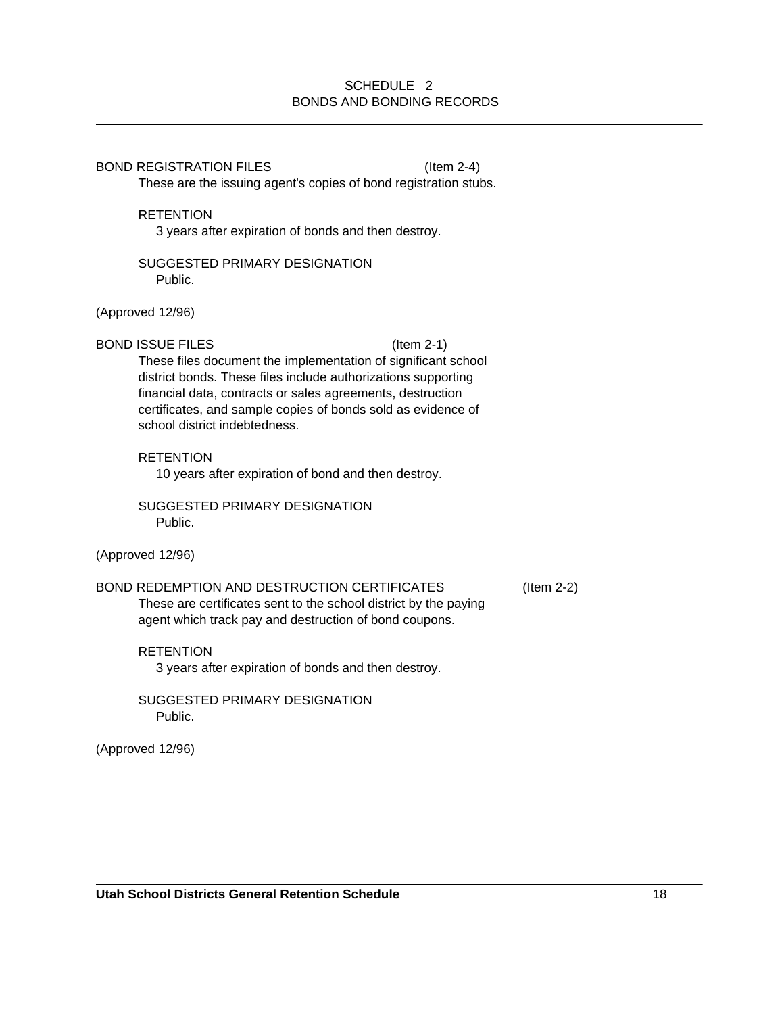# SCHEDULE 2 BONDS AND BONDING RECORDS

| <b>BOND REGISTRATION FILES</b><br>(Item 2-4)<br>These are the issuing agent's copies of bond registration stubs.                                                                                                                                                                                                                             |
|----------------------------------------------------------------------------------------------------------------------------------------------------------------------------------------------------------------------------------------------------------------------------------------------------------------------------------------------|
| <b>RETENTION</b><br>3 years after expiration of bonds and then destroy.                                                                                                                                                                                                                                                                      |
| SUGGESTED PRIMARY DESIGNATION<br>Public.                                                                                                                                                                                                                                                                                                     |
| (Approved 12/96)                                                                                                                                                                                                                                                                                                                             |
| <b>BOND ISSUE FILES</b><br>$($ ltem 2-1 $)$<br>These files document the implementation of significant school<br>district bonds. These files include authorizations supporting<br>financial data, contracts or sales agreements, destruction<br>certificates, and sample copies of bonds sold as evidence of<br>school district indebtedness. |
| <b>RETENTION</b><br>10 years after expiration of bond and then destroy.                                                                                                                                                                                                                                                                      |
| SUGGESTED PRIMARY DESIGNATION<br>Public.                                                                                                                                                                                                                                                                                                     |
| (Approved 12/96)                                                                                                                                                                                                                                                                                                                             |
| <b>BOND REDEMPTION AND DESTRUCTION CERTIFICATES</b><br>(Item 2-2)<br>These are certificates sent to the school district by the paying<br>agent which track pay and destruction of bond coupons.                                                                                                                                              |
| <b>RETENTION</b><br>3 years after expiration of bonds and then destroy.                                                                                                                                                                                                                                                                      |
| SUGGESTED PRIMARY DESIGNATION<br>Public.                                                                                                                                                                                                                                                                                                     |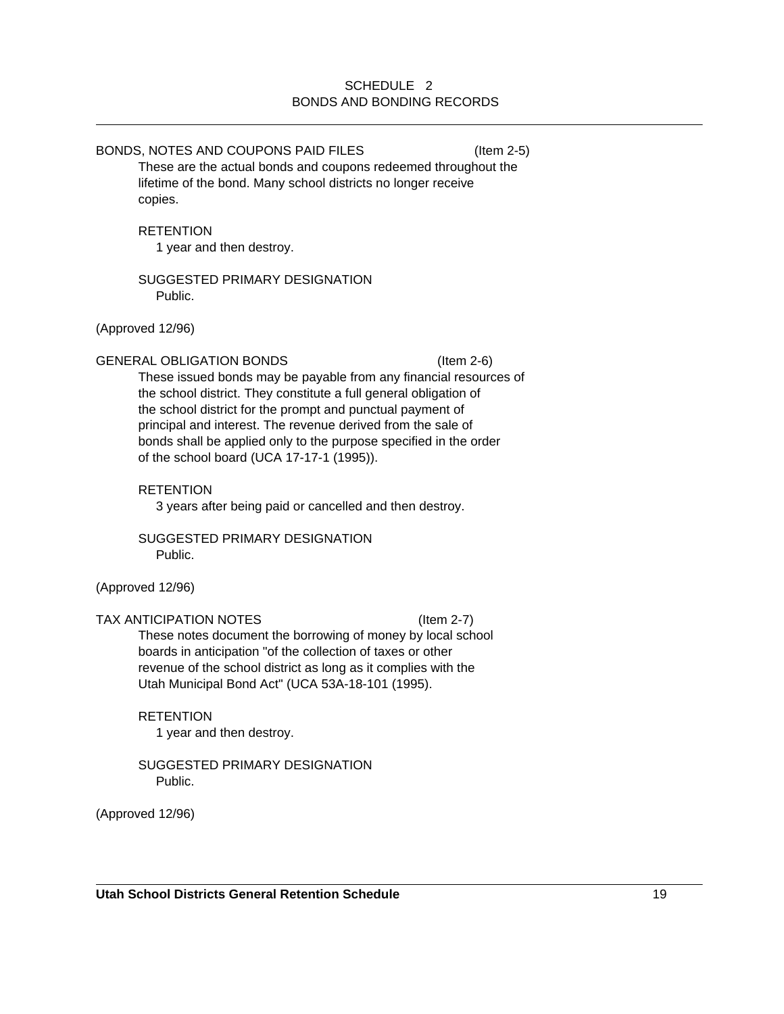# SCHEDULE 2 BONDS AND BONDING RECORDS

| BONDS, NOTES AND COUPONS PAID FILES<br>$($ ltem 2-5 $)$<br>These are the actual bonds and coupons redeemed throughout the<br>lifetime of the bond. Many school districts no longer receive<br>copies.                                                                                                                                                                                                                                         |
|-----------------------------------------------------------------------------------------------------------------------------------------------------------------------------------------------------------------------------------------------------------------------------------------------------------------------------------------------------------------------------------------------------------------------------------------------|
| <b>RETENTION</b><br>1 year and then destroy.                                                                                                                                                                                                                                                                                                                                                                                                  |
| SUGGESTED PRIMARY DESIGNATION<br>Public.                                                                                                                                                                                                                                                                                                                                                                                                      |
| (Approved 12/96)                                                                                                                                                                                                                                                                                                                                                                                                                              |
| <b>GENERAL OBLIGATION BONDS</b><br>$($ ltem 2-6 $)$<br>These issued bonds may be payable from any financial resources of<br>the school district. They constitute a full general obligation of<br>the school district for the prompt and punctual payment of<br>principal and interest. The revenue derived from the sale of<br>bonds shall be applied only to the purpose specified in the order<br>of the school board (UCA 17-17-1 (1995)). |
| <b>RETENTION</b><br>3 years after being paid or cancelled and then destroy.                                                                                                                                                                                                                                                                                                                                                                   |
| SUGGESTED PRIMARY DESIGNATION<br>Public.                                                                                                                                                                                                                                                                                                                                                                                                      |
| (Approved 12/96)                                                                                                                                                                                                                                                                                                                                                                                                                              |
| <b>TAX ANTICIPATION NOTES</b><br>$($ ltem 2-7 $)$<br>These notes document the borrowing of money by local school<br>boards in anticipation "of the collection of taxes or other<br>revenue of the school district as long as it complies with the<br>Utah Municipal Bond Act" (UCA 53A-18-101 (1995).                                                                                                                                         |
| <b>RETENTION</b><br>1 year and then destroy.                                                                                                                                                                                                                                                                                                                                                                                                  |
| SUGGESTED PRIMARY DESIGNATION<br>Public.                                                                                                                                                                                                                                                                                                                                                                                                      |
| (Approved 12/96)                                                                                                                                                                                                                                                                                                                                                                                                                              |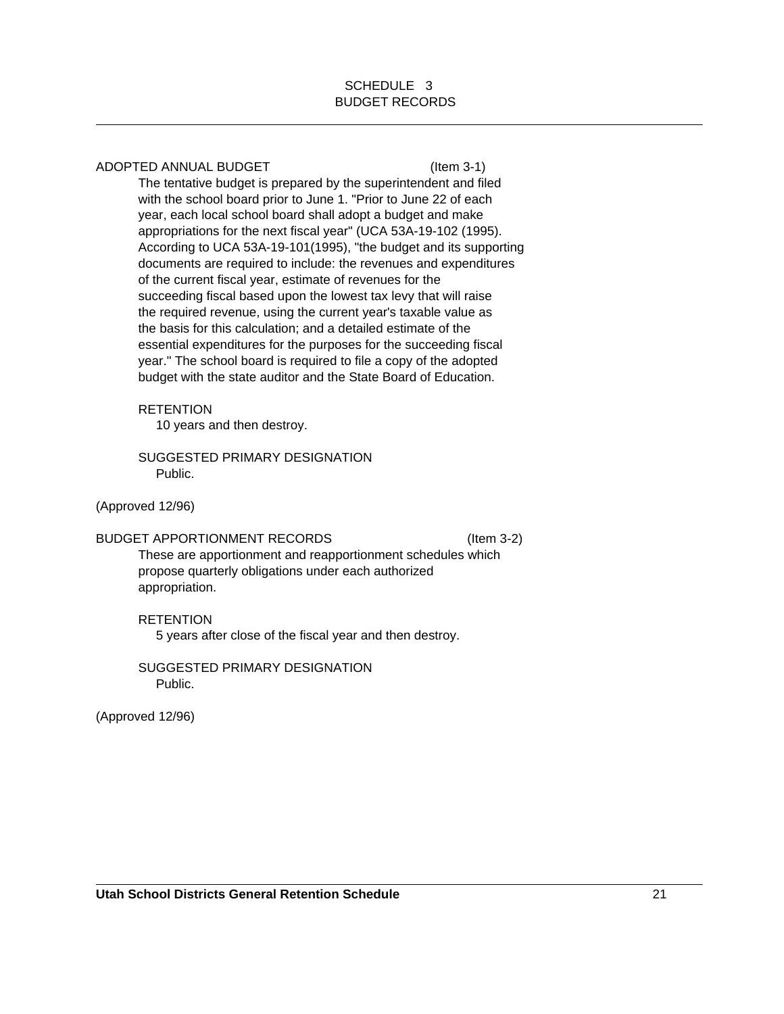ADOPTED ANNUAL BUDGET (Item 3-1)

 The tentative budget is prepared by the superintendent and filed with the school board prior to June 1. "Prior to June 22 of each year, each local school board shall adopt a budget and make appropriations for the next fiscal year" (UCA 53A-19-102 (1995). According to UCA 53A-19-101(1995), "the budget and its supporting documents are required to include: the revenues and expenditures of the current fiscal year, estimate of revenues for the succeeding fiscal based upon the lowest tax levy that will raise the required revenue, using the current year's taxable value as the basis for this calculation; and a detailed estimate of the essential expenditures for the purposes for the succeeding fiscal year." The school board is required to file a copy of the adopted budget with the state auditor and the State Board of Education.

RETENTION

10 years and then destroy.

 SUGGESTED PRIMARY DESIGNATION Public.

(Approved 12/96)

#### BUDGET APPORTIONMENT RECORDS (Item 3-2)

 These are apportionment and reapportionment schedules which propose quarterly obligations under each authorized appropriation.

## **RETENTION**

5 years after close of the fiscal year and then destroy.

#### SUGGESTED PRIMARY DESIGNATION Public.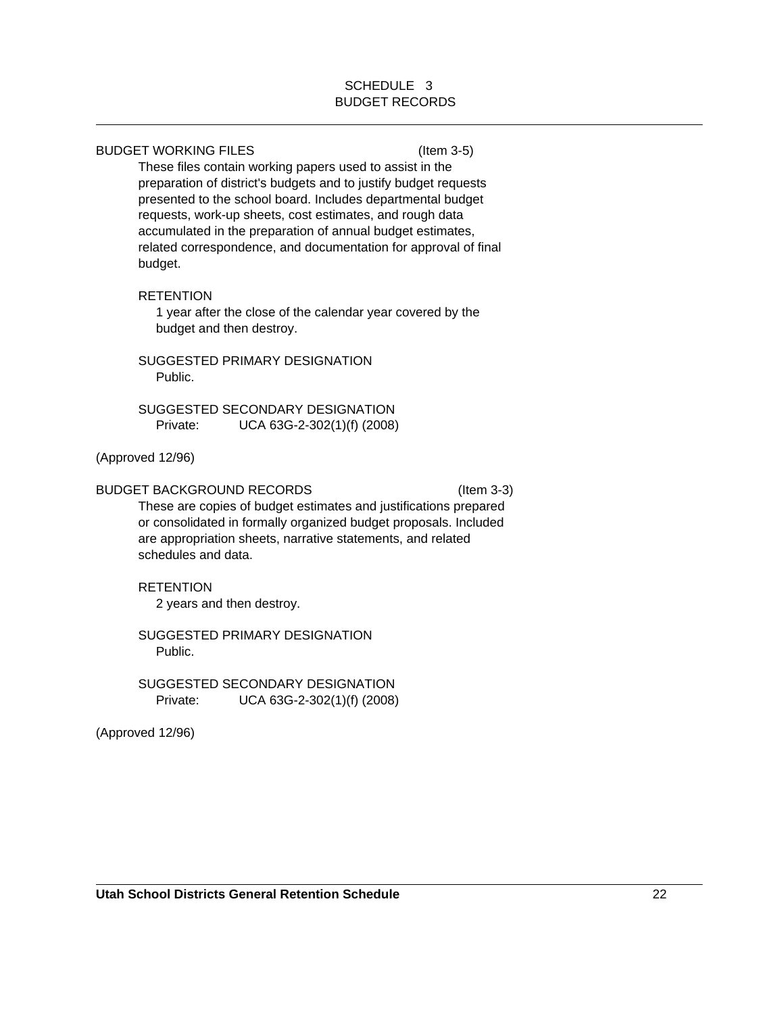# BUDGET WORKING FILES (Item 3-5) These files contain working papers used to assist in the preparation of district's budgets and to justify budget requests presented to the school board. Includes departmental budget requests, work-up sheets, cost estimates, and rough data accumulated in the preparation of annual budget estimates, related correspondence, and documentation for approval of final budget. **RETENTION**  1 year after the close of the calendar year covered by the budget and then destroy. SUGGESTED PRIMARY DESIGNATION Public. SUGGESTED SECONDARY DESIGNATION Private: UCA 63G-2-302(1)(f) (2008) (Approved 12/96) BUDGET BACKGROUND RECORDS (Item 3-3) These are copies of budget estimates and justifications prepared or consolidated in formally organized budget proposals. Included are appropriation sheets, narrative statements, and related schedules and data. **RETENTION**

2 years and then destroy.

 SUGGESTED PRIMARY DESIGNATION Public.

 SUGGESTED SECONDARY DESIGNATION Private: UCA 63G-2-302(1)(f) (2008)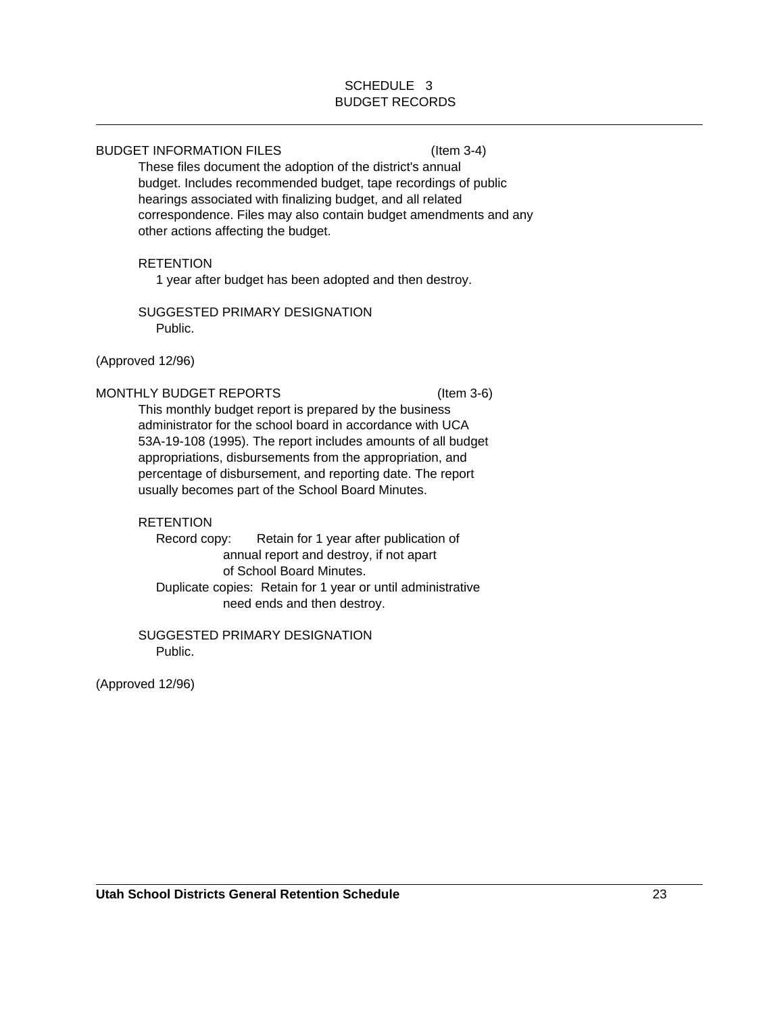# BUDGET INFORMATION FILES (Item 3-4)

 These files document the adoption of the district's annual budget. Includes recommended budget, tape recordings of public hearings associated with finalizing budget, and all related correspondence. Files may also contain budget amendments and any other actions affecting the budget.

# **RETENTION**

1 year after budget has been adopted and then destroy.

# SUGGESTED PRIMARY DESIGNATION Public.

(Approved 12/96)

# MONTHLY BUDGET REPORTS (Item 3-6)

 This monthly budget report is prepared by the business administrator for the school board in accordance with UCA 53A-19-108 (1995). The report includes amounts of all budget appropriations, disbursements from the appropriation, and percentage of disbursement, and reporting date. The report usually becomes part of the School Board Minutes.

# RETENTION

 Record copy: Retain for 1 year after publication of annual report and destroy, if not apart of School Board Minutes. Duplicate copies: Retain for 1 year or until administrative need ends and then destroy.

#### SUGGESTED PRIMARY DESIGNATION Public.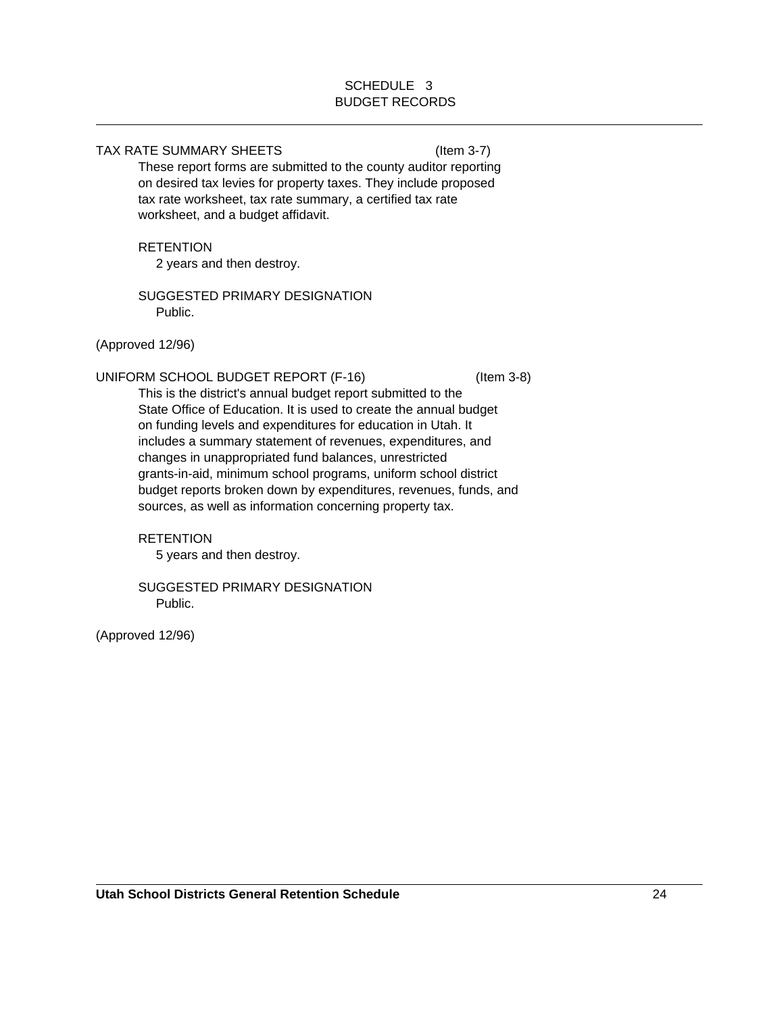#### TAX RATE SUMMARY SHEETS (Item 3-7)

 These report forms are submitted to the county auditor reporting on desired tax levies for property taxes. They include proposed tax rate worksheet, tax rate summary, a certified tax rate worksheet, and a budget affidavit.

#### **RETENTION**

2 years and then destroy.

#### SUGGESTED PRIMARY DESIGNATION Public.

(Approved 12/96)

#### UNIFORM SCHOOL BUDGET REPORT (F-16) (Item 3-8)

 This is the district's annual budget report submitted to the State Office of Education. It is used to create the annual budget on funding levels and expenditures for education in Utah. It includes a summary statement of revenues, expenditures, and changes in unappropriated fund balances, unrestricted grants-in-aid, minimum school programs, uniform school district budget reports broken down by expenditures, revenues, funds, and sources, as well as information concerning property tax.

### RETENTION 5 years and then destroy.

# SUGGESTED PRIMARY DESIGNATION Public.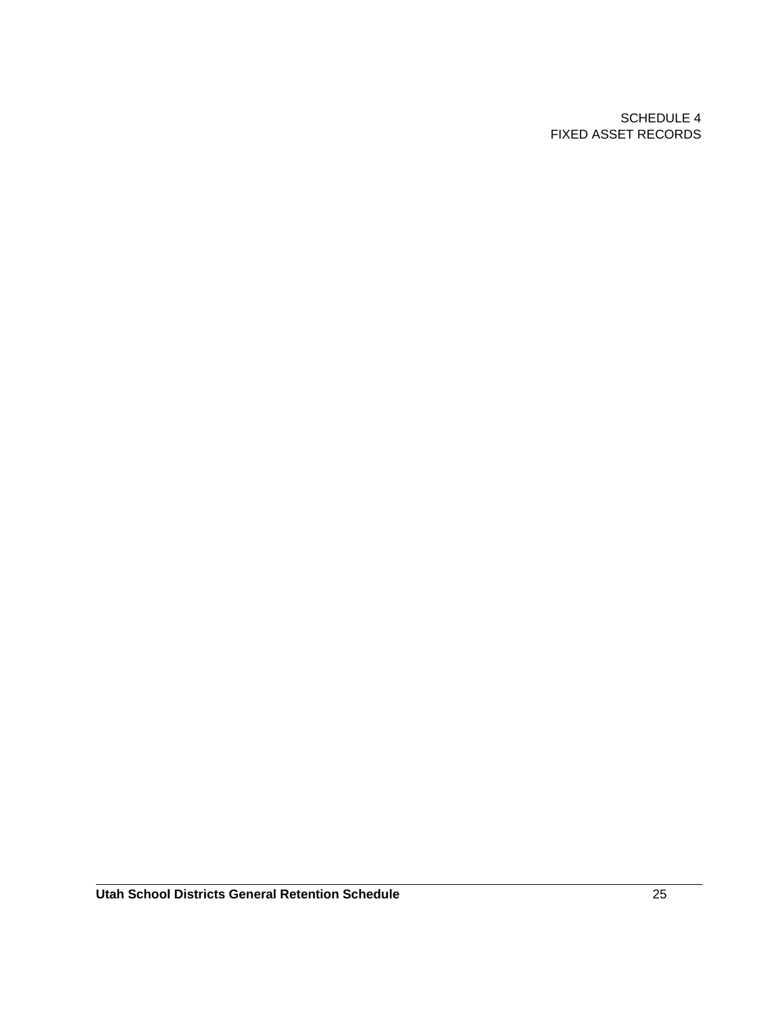# SCHEDULE 4 FIXED ASSET RECORDS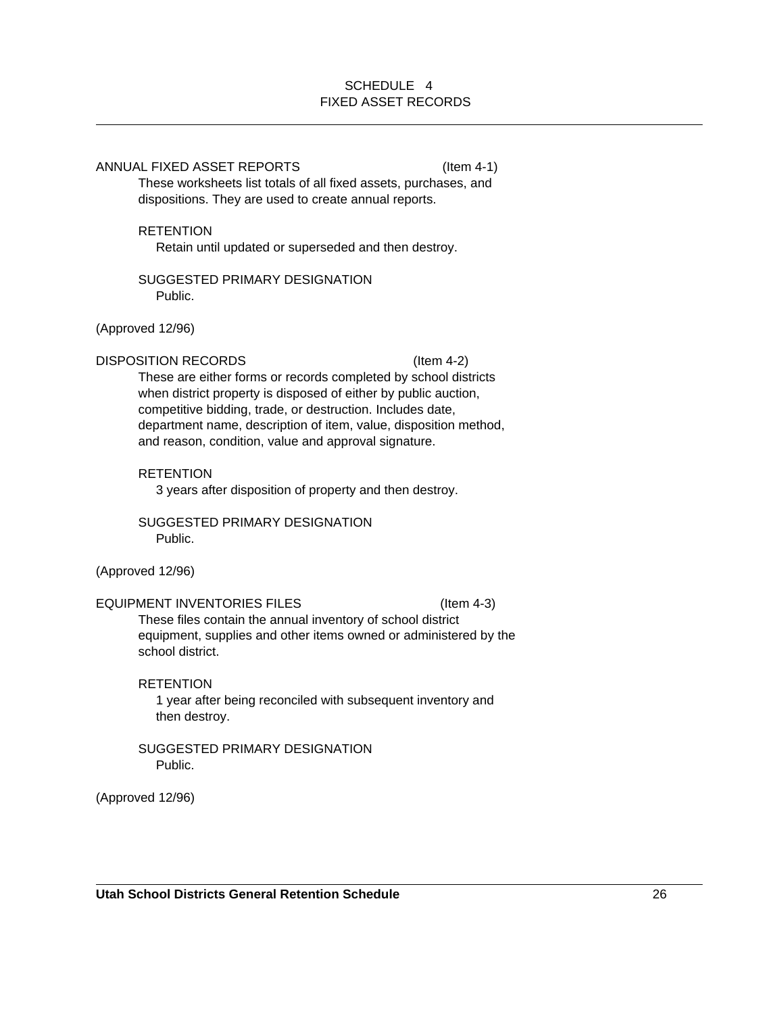# SCHEDULE 4 FIXED ASSET RECORDS

| ANNUAL FIXED ASSET REPORTS<br>These worksheets list totals of all fixed assets, purchases, and<br>dispositions. They are used to create annual reports.                                                                                                                                                                                                    | $($ ltem 4-1 $)$ |
|------------------------------------------------------------------------------------------------------------------------------------------------------------------------------------------------------------------------------------------------------------------------------------------------------------------------------------------------------------|------------------|
| <b>RETENTION</b><br>Retain until updated or superseded and then destroy.                                                                                                                                                                                                                                                                                   |                  |
| SUGGESTED PRIMARY DESIGNATION<br>Public.                                                                                                                                                                                                                                                                                                                   |                  |
| (Approved 12/96)                                                                                                                                                                                                                                                                                                                                           |                  |
| <b>DISPOSITION RECORDS</b><br>These are either forms or records completed by school districts<br>when district property is disposed of either by public auction,<br>competitive bidding, trade, or destruction. Includes date,<br>department name, description of item, value, disposition method,<br>and reason, condition, value and approval signature. | $($ ltem 4-2 $)$ |
| <b>RETENTION</b><br>3 years after disposition of property and then destroy.                                                                                                                                                                                                                                                                                |                  |
| SUGGESTED PRIMARY DESIGNATION<br>Public.                                                                                                                                                                                                                                                                                                                   |                  |
| (Approved 12/96)                                                                                                                                                                                                                                                                                                                                           |                  |
| EQUIPMENT INVENTORIES FILES<br>These files contain the annual inventory of school district<br>equipment, supplies and other items owned or administered by the<br>school district.                                                                                                                                                                         | $($ ltem 4-3 $)$ |
| <b>RETENTION</b><br>1 year after being reconciled with subsequent inventory and<br>then destroy.                                                                                                                                                                                                                                                           |                  |
| SUGGESTED PRIMARY DESIGNATION<br>Public.                                                                                                                                                                                                                                                                                                                   |                  |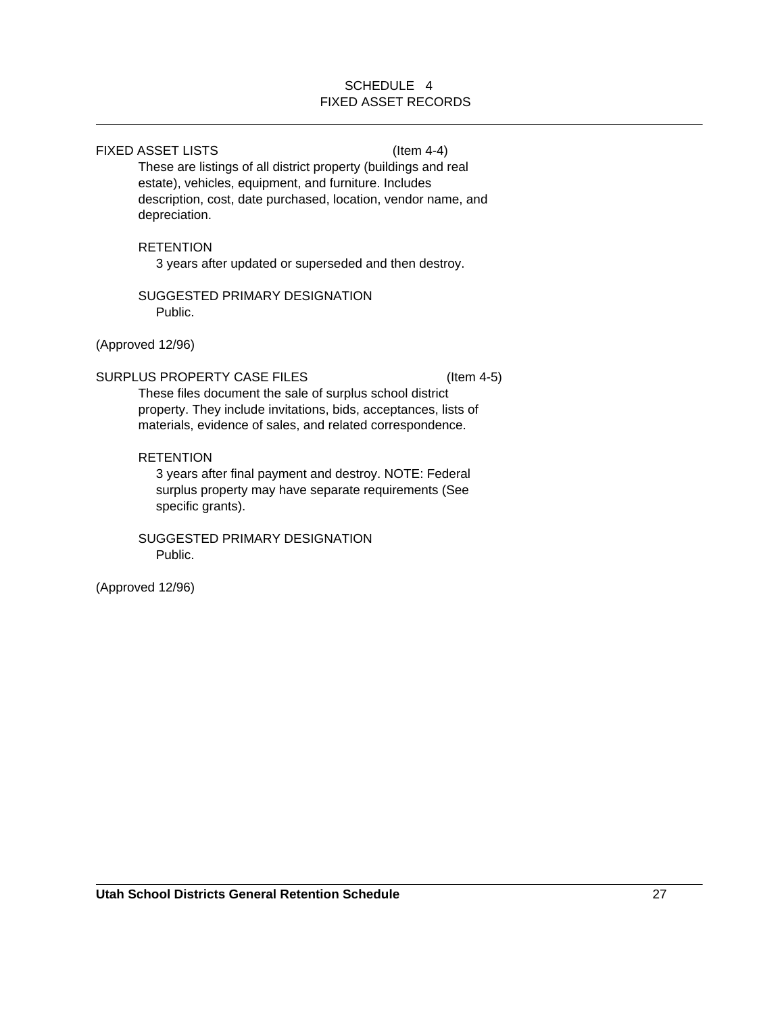# SCHEDULE 4 FIXED ASSET RECORDS

# FIXED ASSET LISTS (Item 4-4) These are listings of all district property (buildings and real estate), vehicles, equipment, and furniture. Includes description, cost, date purchased, location, vendor name, and depreciation. **RETENTION**  3 years after updated or superseded and then destroy. SUGGESTED PRIMARY DESIGNATION Public. (Approved 12/96) SURPLUS PROPERTY CASE FILES (Item 4-5) These files document the sale of surplus school district property. They include invitations, bids, acceptances, lists of materials, evidence of sales, and related correspondence. **RETENTION**  3 years after final payment and destroy. NOTE: Federal surplus property may have separate requirements (See specific grants). SUGGESTED PRIMARY DESIGNATION Public. (Approved 12/96)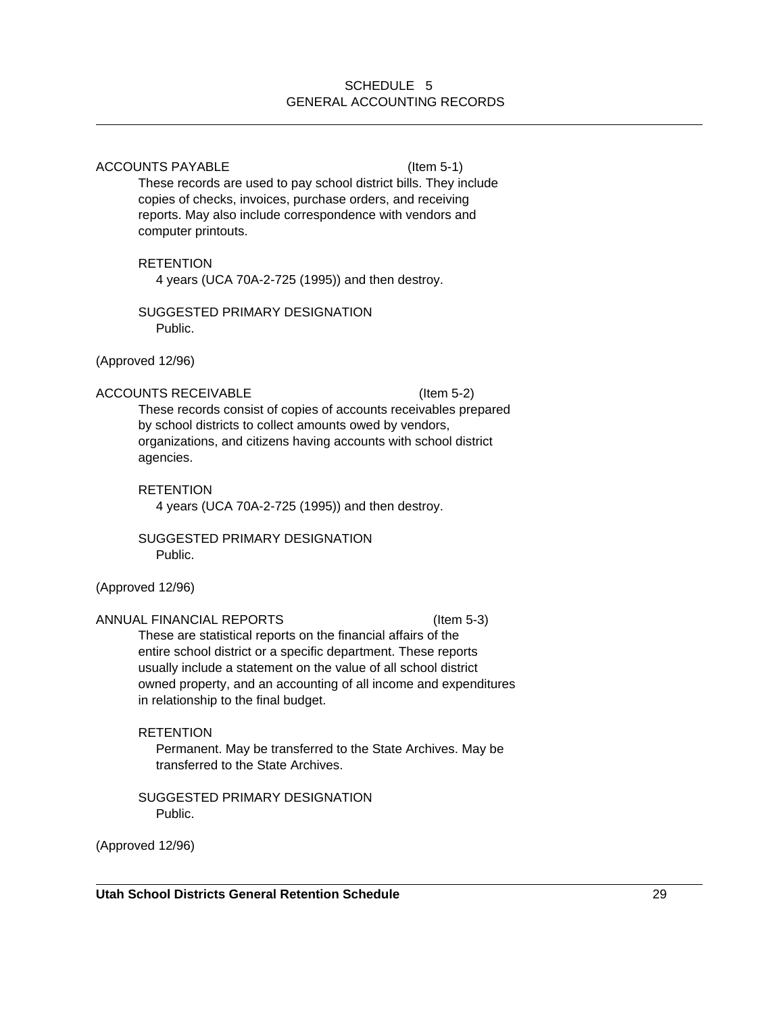**RETENTION**  4 years (UCA 70A-2-725 (1995)) and then destroy. SUGGESTED PRIMARY DESIGNATION Public. (Approved 12/96) ACCOUNTS RECEIVABLE (Item 5-2) These records consist of copies of accounts receivables prepared by school districts to collect amounts owed by vendors, organizations, and citizens having accounts with school district agencies. RETENTION 4 years (UCA 70A-2-725 (1995)) and then destroy. SUGGESTED PRIMARY DESIGNATION Public. (Approved 12/96) ANNUAL FINANCIAL REPORTS (Item 5-3) These are statistical reports on the financial affairs of the entire school district or a specific department. These reports usually include a statement on the value of all school district owned property, and an accounting of all income and expenditures in relationship to the final budget.

ACCOUNTS PAYABLE (Item 5-1)

computer printouts.

 These records are used to pay school district bills. They include copies of checks, invoices, purchase orders, and receiving reports. May also include correspondence with vendors and

RETENTION

 Permanent. May be transferred to the State Archives. May be transferred to the State Archives.

 SUGGESTED PRIMARY DESIGNATION Public.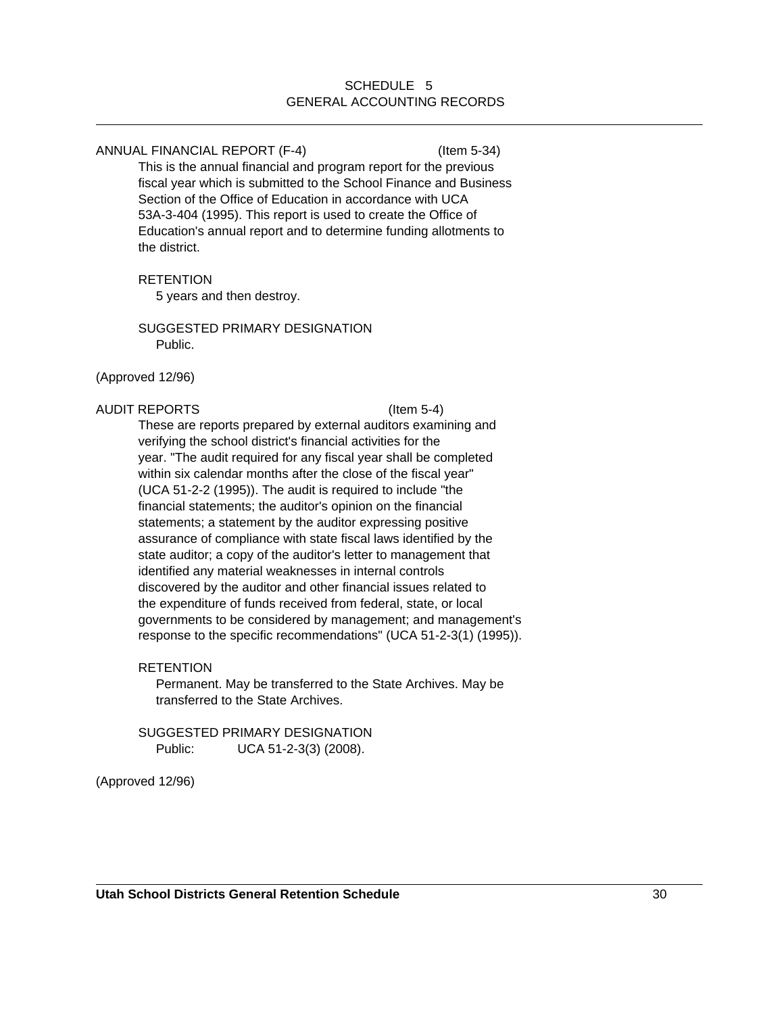#### ANNUAL FINANCIAL REPORT (F-4) (Item 5-34)

 This is the annual financial and program report for the previous fiscal year which is submitted to the School Finance and Business Section of the Office of Education in accordance with UCA 53A-3-404 (1995). This report is used to create the Office of Education's annual report and to determine funding allotments to the district.

#### RETENTION

5 years and then destroy.

#### SUGGESTED PRIMARY DESIGNATION Public.

(Approved 12/96)

#### AUDIT REPORTS (Item 5-4)

 These are reports prepared by external auditors examining and verifying the school district's financial activities for the year. "The audit required for any fiscal year shall be completed within six calendar months after the close of the fiscal year" (UCA 51-2-2 (1995)). The audit is required to include "the financial statements; the auditor's opinion on the financial statements; a statement by the auditor expressing positive assurance of compliance with state fiscal laws identified by the state auditor; a copy of the auditor's letter to management that identified any material weaknesses in internal controls discovered by the auditor and other financial issues related to the expenditure of funds received from federal, state, or local governments to be considered by management; and management's response to the specific recommendations" (UCA 51-2-3(1) (1995)).

#### **RETENTION**

 Permanent. May be transferred to the State Archives. May be transferred to the State Archives.

 SUGGESTED PRIMARY DESIGNATION Public: UCA 51-2-3(3) (2008).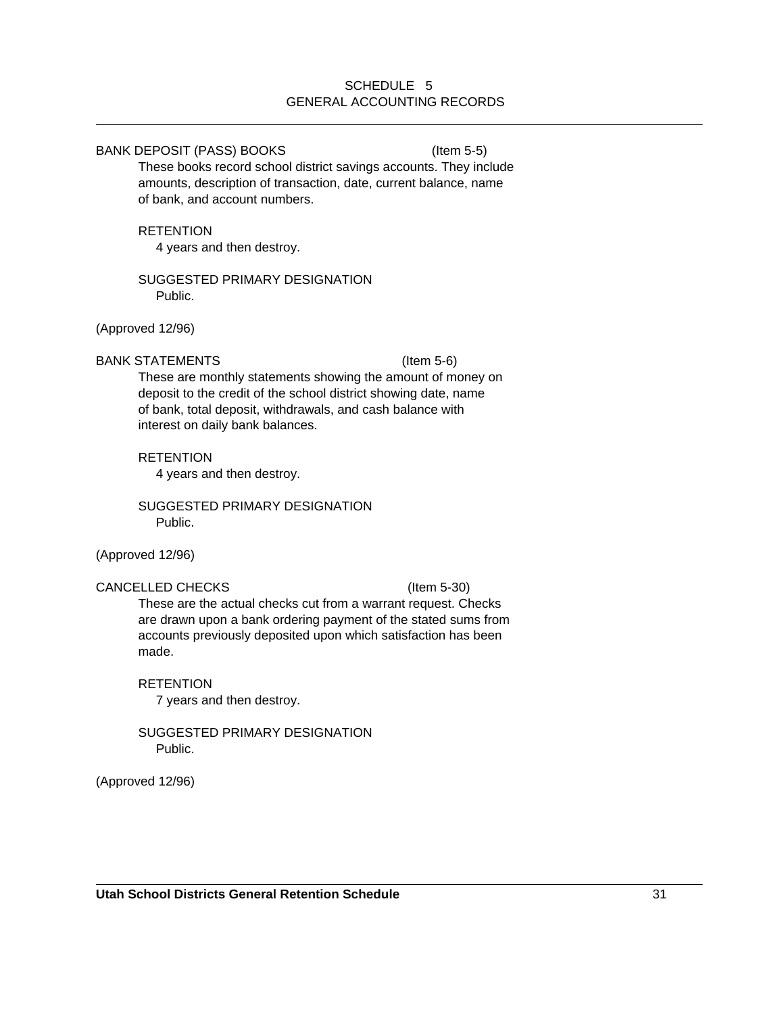BANK DEPOSIT (PASS) BOOKS (Item 5-5) These books record school district savings accounts. They include amounts, description of transaction, date, current balance, name of bank, and account numbers. RETENTION 4 years and then destroy. SUGGESTED PRIMARY DESIGNATION Public. (Approved 12/96) BANK STATEMENTS (Item 5-6) These are monthly statements showing the amount of money on deposit to the credit of the school district showing date, name of bank, total deposit, withdrawals, and cash balance with interest on daily bank balances. **RETENTION**  4 years and then destroy. SUGGESTED PRIMARY DESIGNATION Public. (Approved 12/96) CANCELLED CHECKS (Item 5-30) These are the actual checks cut from a warrant request. Checks are drawn upon a bank ordering payment of the stated sums from accounts previously deposited upon which satisfaction has been made. **RETENTION**  7 years and then destroy. SUGGESTED PRIMARY DESIGNATION Public. (Approved 12/96)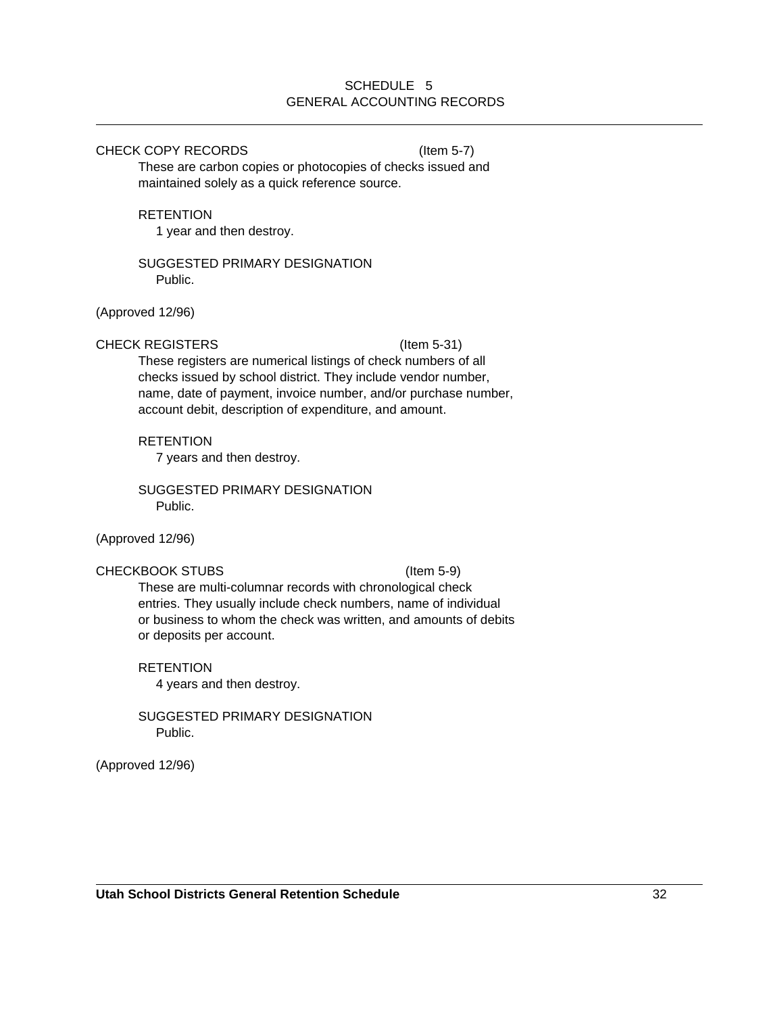#### CHECK COPY RECORDS (Item 5-7)

 These are carbon copies or photocopies of checks issued and maintained solely as a quick reference source.

#### RETENTION

1 year and then destroy.

#### SUGGESTED PRIMARY DESIGNATION Public.

(Approved 12/96)

#### CHECK REGISTERS (Item 5-31)

 These registers are numerical listings of check numbers of all checks issued by school district. They include vendor number, name, date of payment, invoice number, and/or purchase number, account debit, description of expenditure, and amount.

#### RETENTION

7 years and then destroy.

#### SUGGESTED PRIMARY DESIGNATION Public.

(Approved 12/96)

#### CHECKBOOK STUBS (Item 5-9)

 These are multi-columnar records with chronological check entries. They usually include check numbers, name of individual or business to whom the check was written, and amounts of debits or deposits per account.

# RETENTION

4 years and then destroy.

 SUGGESTED PRIMARY DESIGNATION Public.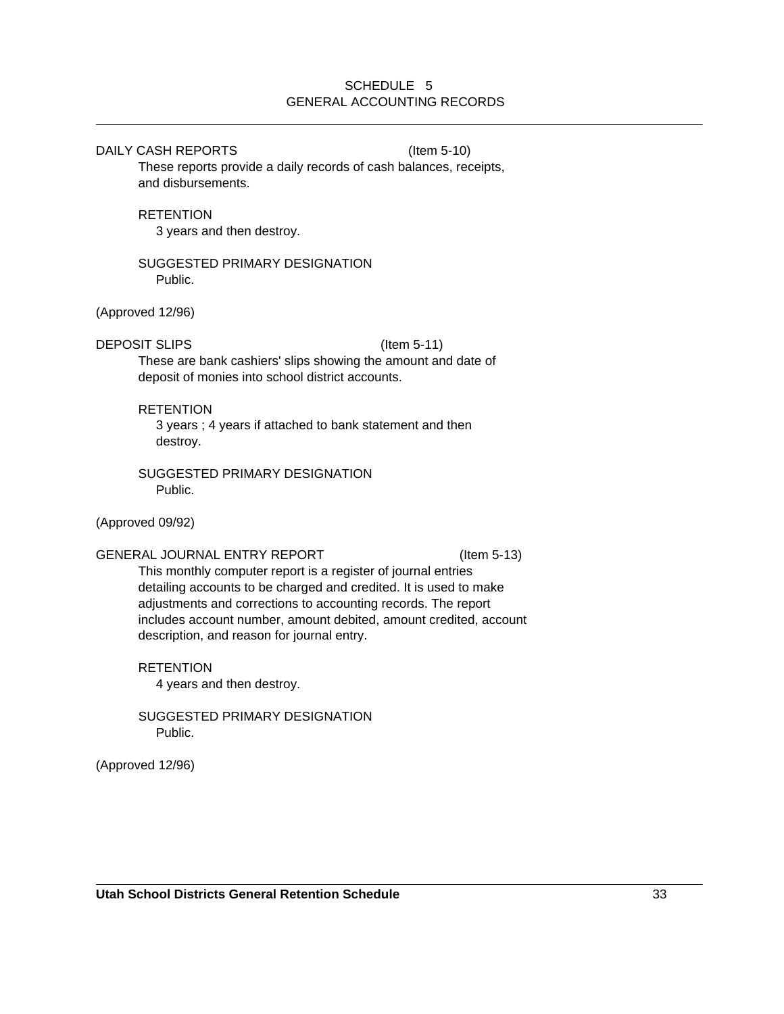#### DAILY CASH REPORTS (Item 5-10)

 These reports provide a daily records of cash balances, receipts, and disbursements.

# RETENTION

3 years and then destroy.

#### SUGGESTED PRIMARY DESIGNATION Public.

(Approved 12/96)

#### DEPOSIT SLIPS (Item 5-11)

 These are bank cashiers' slips showing the amount and date of deposit of monies into school district accounts.

#### **RETENTION**

 3 years ; 4 years if attached to bank statement and then destroy.

## SUGGESTED PRIMARY DESIGNATION Public.

(Approved 09/92)

# GENERAL JOURNAL ENTRY REPORT (Item 5-13)

 This monthly computer report is a register of journal entries detailing accounts to be charged and credited. It is used to make adjustments and corrections to accounting records. The report includes account number, amount debited, amount credited, account description, and reason for journal entry.

# RETENTION

4 years and then destroy.

 SUGGESTED PRIMARY DESIGNATION Public.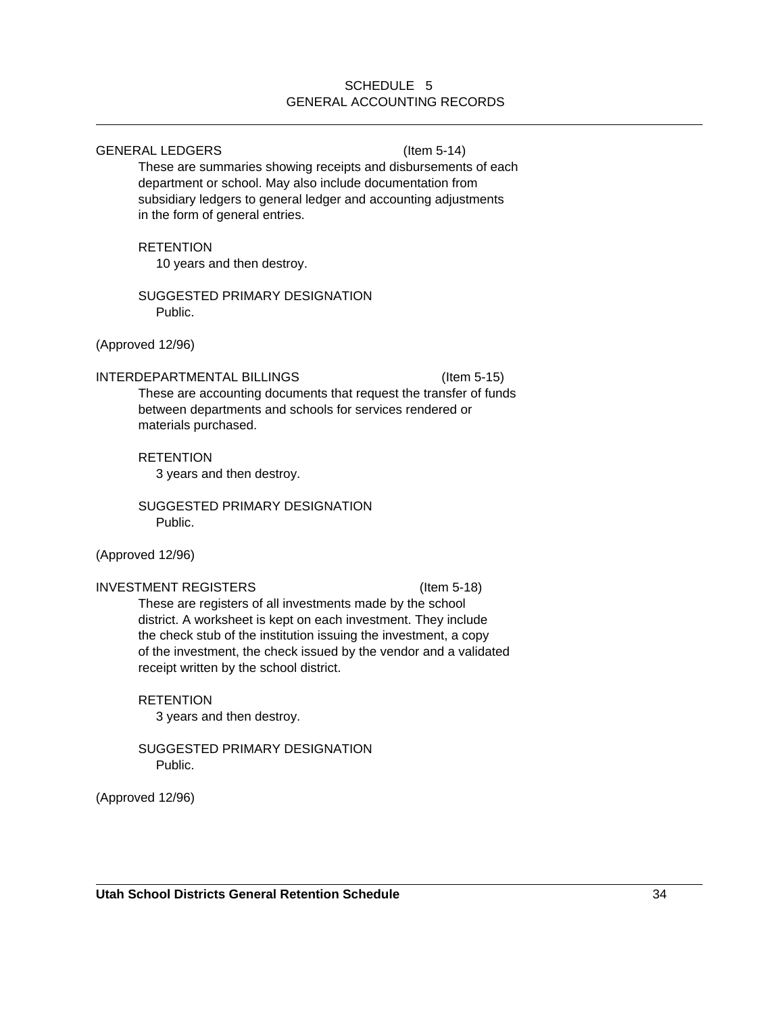| <b>GENERAL LEDGERS</b><br>These are summaries showing receipts and disbursements of each<br>department or school. May also include documentation from<br>subsidiary ledgers to general ledger and accounting adjustments<br>in the form of general entries.                                                                                    | (Item 5-14) |
|------------------------------------------------------------------------------------------------------------------------------------------------------------------------------------------------------------------------------------------------------------------------------------------------------------------------------------------------|-------------|
| <b>RETENTION</b><br>10 years and then destroy.                                                                                                                                                                                                                                                                                                 |             |
| SUGGESTED PRIMARY DESIGNATION<br>Public.                                                                                                                                                                                                                                                                                                       |             |
| (Approved 12/96)                                                                                                                                                                                                                                                                                                                               |             |
| INTERDEPARTMENTAL BILLINGS<br>These are accounting documents that request the transfer of funds<br>between departments and schools for services rendered or<br>materials purchased.                                                                                                                                                            | (Item 5-15) |
| <b>RETENTION</b><br>3 years and then destroy.                                                                                                                                                                                                                                                                                                  |             |
| SUGGESTED PRIMARY DESIGNATION<br>Public.                                                                                                                                                                                                                                                                                                       |             |
| (Approved 12/96)                                                                                                                                                                                                                                                                                                                               |             |
| <b>INVESTMENT REGISTERS</b><br>These are registers of all investments made by the school<br>district. A worksheet is kept on each investment. They include<br>the check stub of the institution issuing the investment, a copy<br>of the investment, the check issued by the vendor and a validated<br>receipt written by the school district. | (Item 5-18) |
| <b>RETENTION</b><br>3 years and then destroy.                                                                                                                                                                                                                                                                                                  |             |
| SUGGESTED PRIMARY DESIGNATION                                                                                                                                                                                                                                                                                                                  |             |

Public.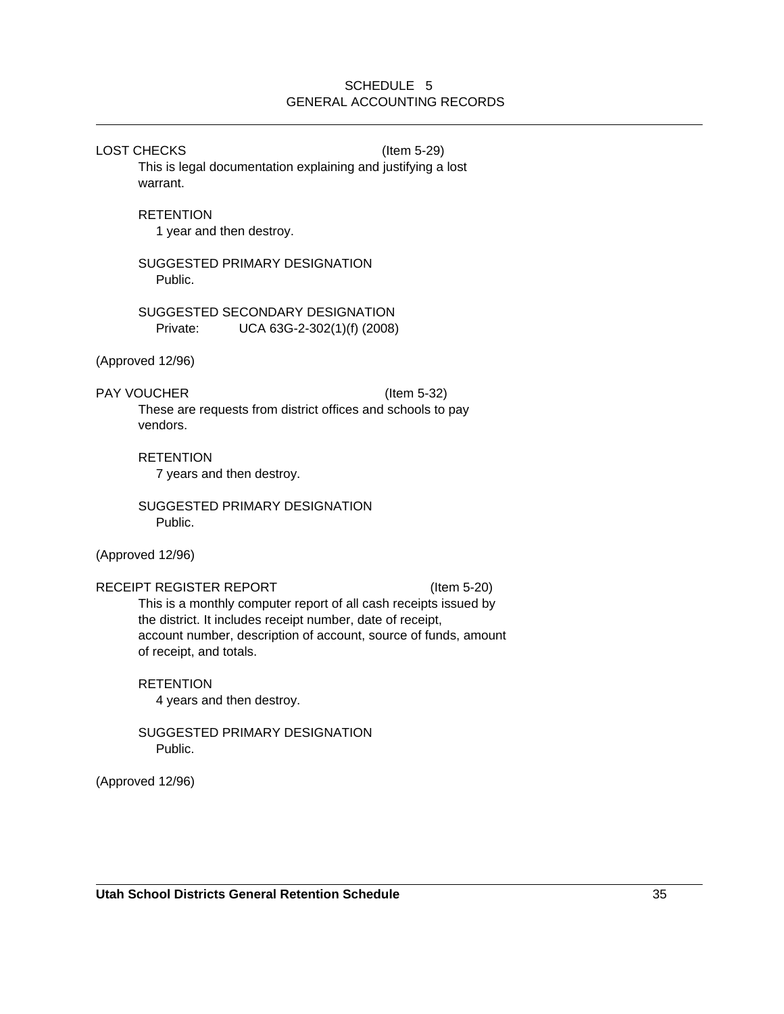LOST CHECKS (Item 5-29) This is legal documentation explaining and justifying a lost warrant.

# **RETENTION**

1 year and then destroy.

#### SUGGESTED PRIMARY DESIGNATION Public.

 SUGGESTED SECONDARY DESIGNATION Private: UCA 63G-2-302(1)(f) (2008)

(Approved 12/96)

#### PAY VOUCHER (Item 5-32)

 These are requests from district offices and schools to pay vendors.

### **RETENTION** 7 years and then destroy.

#### SUGGESTED PRIMARY DESIGNATION Public.

(Approved 12/96)

# RECEIPT REGISTER REPORT (Item 5-20)

 This is a monthly computer report of all cash receipts issued by the district. It includes receipt number, date of receipt, account number, description of account, source of funds, amount of receipt, and totals.

# **RETENTION**

4 years and then destroy.

### SUGGESTED PRIMARY DESIGNATION Public.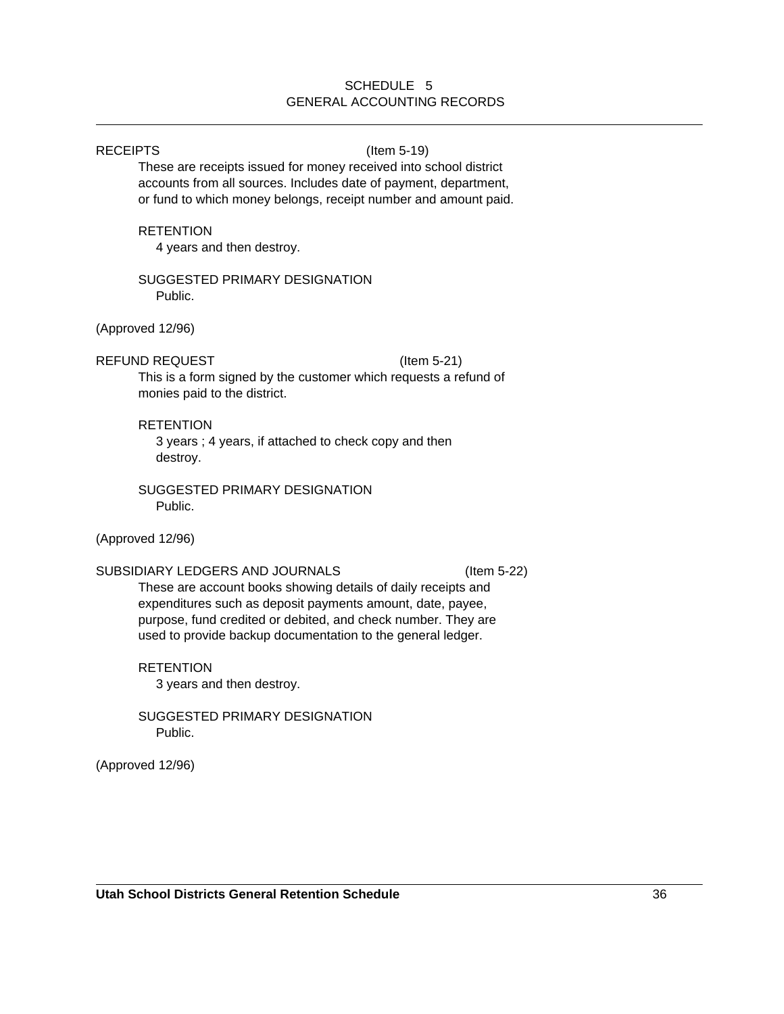#### RECEIPTS (Item 5-19)

 These are receipts issued for money received into school district accounts from all sources. Includes date of payment, department, or fund to which money belongs, receipt number and amount paid.

#### RETENTION

4 years and then destroy.

#### SUGGESTED PRIMARY DESIGNATION Public.

(Approved 12/96)

#### REFUND REQUEST (Item 5-21)

 This is a form signed by the customer which requests a refund of monies paid to the district.

#### **RETENTION**

 3 years ; 4 years, if attached to check copy and then destroy.

#### SUGGESTED PRIMARY DESIGNATION Public.

(Approved 12/96)

### SUBSIDIARY LEDGERS AND JOURNALS (Item 5-22)

 These are account books showing details of daily receipts and expenditures such as deposit payments amount, date, payee, purpose, fund credited or debited, and check number. They are used to provide backup documentation to the general ledger.

### RETENTION 3 years and then destroy.

 SUGGESTED PRIMARY DESIGNATION Public.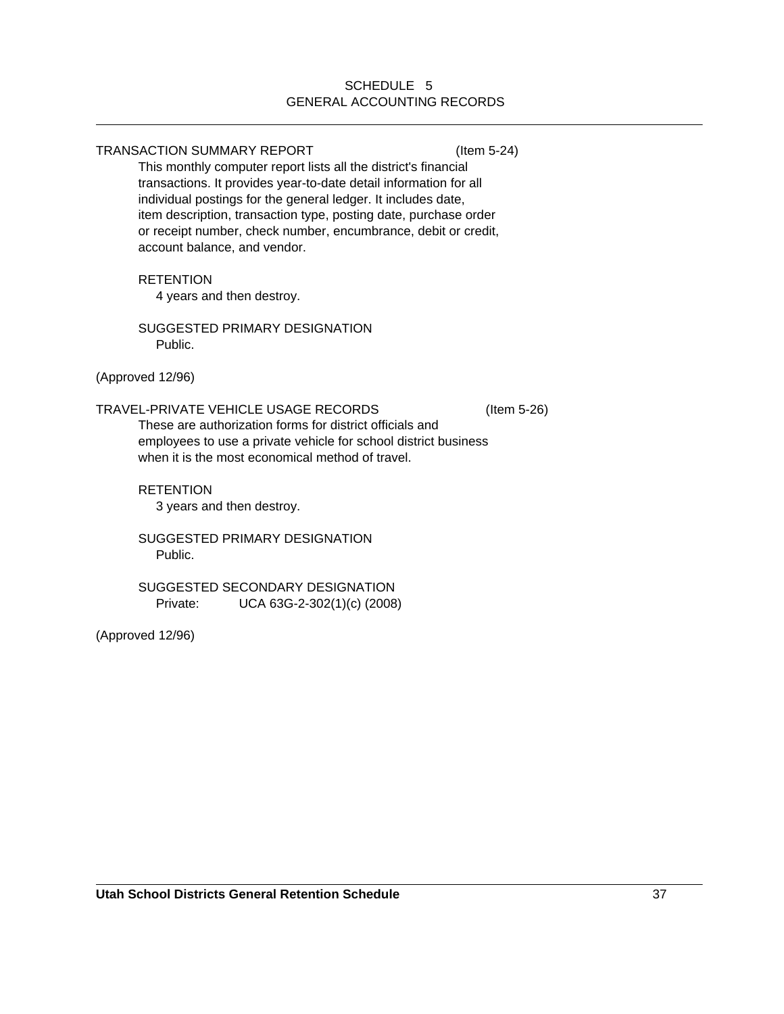#### TRANSACTION SUMMARY REPORT (Item 5-24)

 This monthly computer report lists all the district's financial transactions. It provides year-to-date detail information for all individual postings for the general ledger. It includes date, item description, transaction type, posting date, purchase order or receipt number, check number, encumbrance, debit or credit, account balance, and vendor.

#### **RETENTION**

4 years and then destroy.

#### SUGGESTED PRIMARY DESIGNATION Public.

(Approved 12/96)

# TRAVEL-PRIVATE VEHICLE USAGE RECORDS (Item 5-26)

 These are authorization forms for district officials and employees to use a private vehicle for school district business when it is the most economical method of travel.

#### **RETENTION**

3 years and then destroy.

#### SUGGESTED PRIMARY DESIGNATION Public.

 SUGGESTED SECONDARY DESIGNATION Private: UCA 63G-2-302(1)(c) (2008)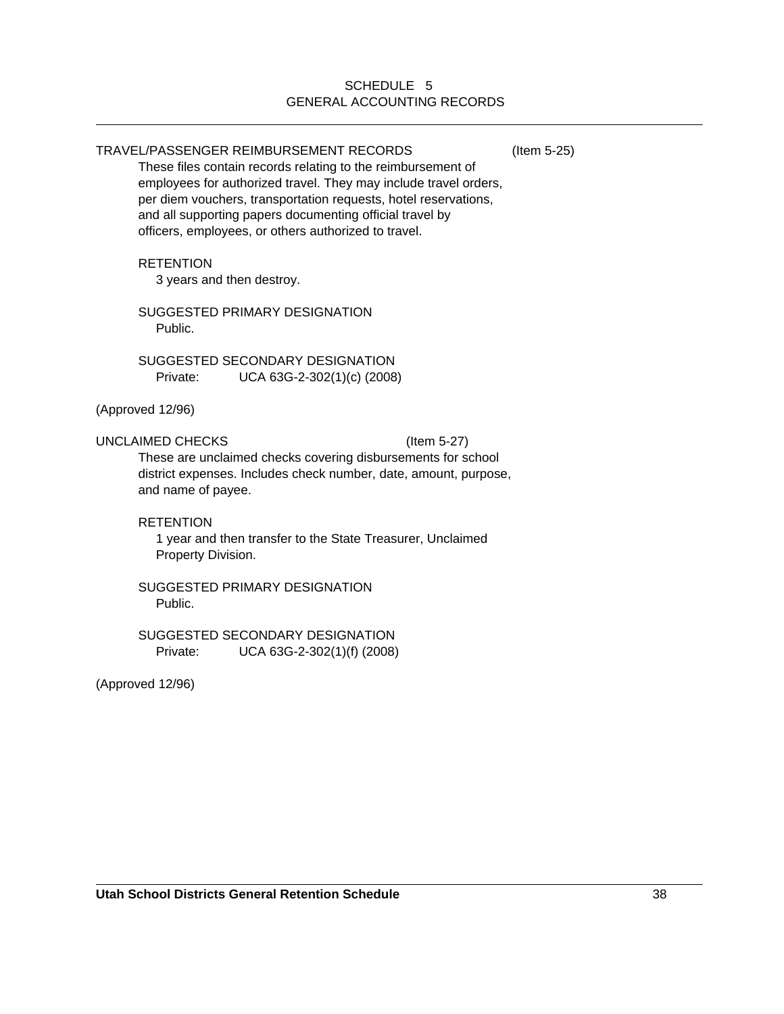| TRAVEL/PASSENGER REIMBURSEMENT RECORDS<br>These files contain records relating to the reimbursement of<br>employees for authorized travel. They may include travel orders,<br>per diem vouchers, transportation requests, hotel reservations,<br>and all supporting papers documenting official travel by<br>officers, employees, or others authorized to travel. | (Item 5-25) |
|-------------------------------------------------------------------------------------------------------------------------------------------------------------------------------------------------------------------------------------------------------------------------------------------------------------------------------------------------------------------|-------------|
| <b>RETENTION</b><br>3 years and then destroy.                                                                                                                                                                                                                                                                                                                     |             |
| SUGGESTED PRIMARY DESIGNATION<br>Public.                                                                                                                                                                                                                                                                                                                          |             |
| SUGGESTED SECONDARY DESIGNATION<br>Private:<br>UCA 63G-2-302(1)(c) (2008)                                                                                                                                                                                                                                                                                         |             |
| (Approved 12/96)                                                                                                                                                                                                                                                                                                                                                  |             |
| UNCLAIMED CHECKS<br>(Item 5-27)<br>These are unclaimed checks covering disbursements for school<br>district expenses. Includes check number, date, amount, purpose,<br>and name of payee.                                                                                                                                                                         |             |
| <b>RETENTION</b><br>1 year and then transfer to the State Treasurer, Unclaimed<br>Property Division.                                                                                                                                                                                                                                                              |             |
| SUGGESTED PRIMARY DESIGNATION<br>Public.                                                                                                                                                                                                                                                                                                                          |             |
| SUGGESTED SECONDARY DESIGNATION<br>UCA 63G-2-302(1)(f) (2008)<br>Private:                                                                                                                                                                                                                                                                                         |             |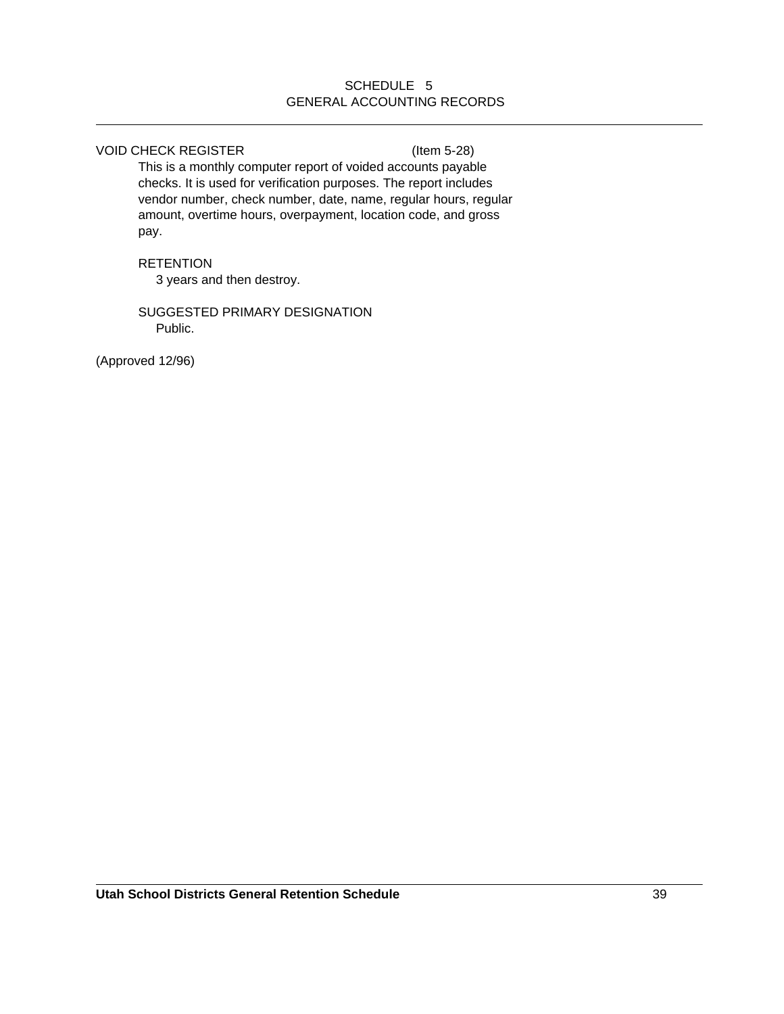#### VOID CHECK REGISTER (Item 5-28)

 This is a monthly computer report of voided accounts payable checks. It is used for verification purposes. The report includes vendor number, check number, date, name, regular hours, regular amount, overtime hours, overpayment, location code, and gross pay.

#### RETENTION

3 years and then destroy.

#### SUGGESTED PRIMARY DESIGNATION Public.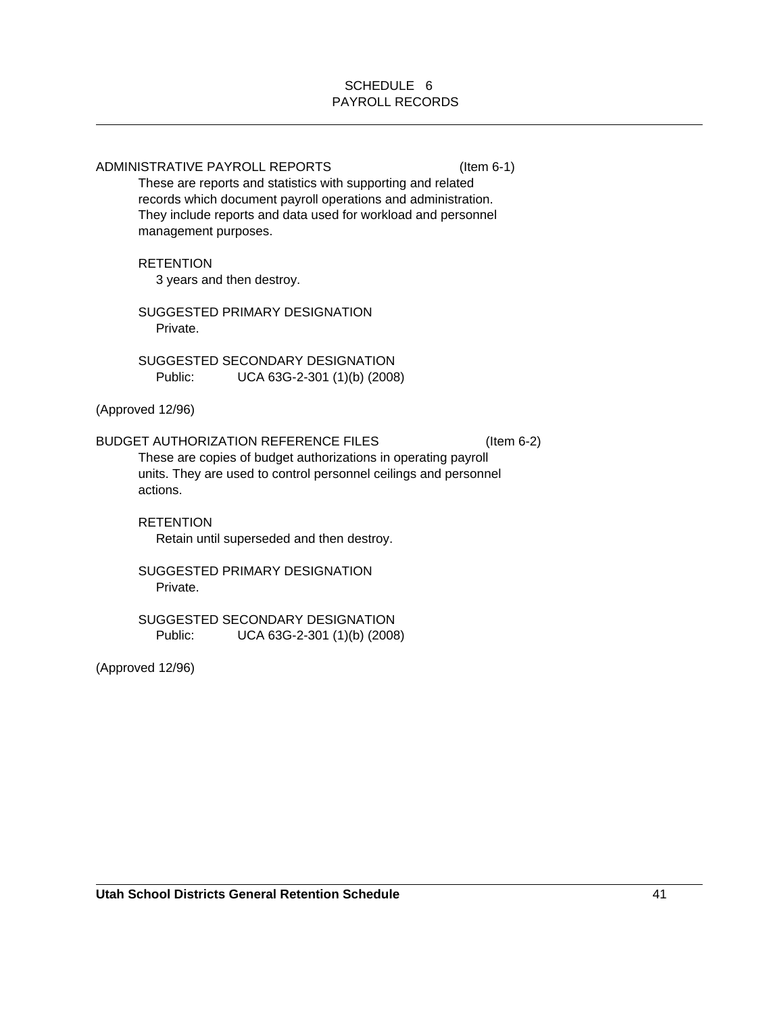| ADMINISTRATIVE PAYROLL REPORTS<br>These are reports and statistics with supporting and related<br>records which document payroll operations and administration.<br>They include reports and data used for workload and personnel<br>management purposes. | $($ ltem 6-1 $)$ |
|----------------------------------------------------------------------------------------------------------------------------------------------------------------------------------------------------------------------------------------------------------|------------------|
| <b>RETENTION</b><br>3 years and then destroy.                                                                                                                                                                                                            |                  |
| SUGGESTED PRIMARY DESIGNATION<br>Private.                                                                                                                                                                                                                |                  |
| SUGGESTED SECONDARY DESIGNATION<br>UCA 63G-2-301 (1)(b) (2008)<br>Public:                                                                                                                                                                                |                  |
| (Approved 12/96)                                                                                                                                                                                                                                         |                  |
| <b>BUDGET AUTHORIZATION REFERENCE FILES</b><br>These are copies of budget authorizations in operating payroll<br>units. They are used to control personnel ceilings and personnel<br>actions.                                                            | $($ ltem 6-2 $)$ |
| <b>RETENTION</b><br>Retain until superseded and then destroy.                                                                                                                                                                                            |                  |
| SUGGESTED PRIMARY DESIGNATION<br>Private.                                                                                                                                                                                                                |                  |
| SUGGESTED SECONDARY DESIGNATION                                                                                                                                                                                                                          |                  |

Public: UCA 63G-2-301 (1)(b) (2008)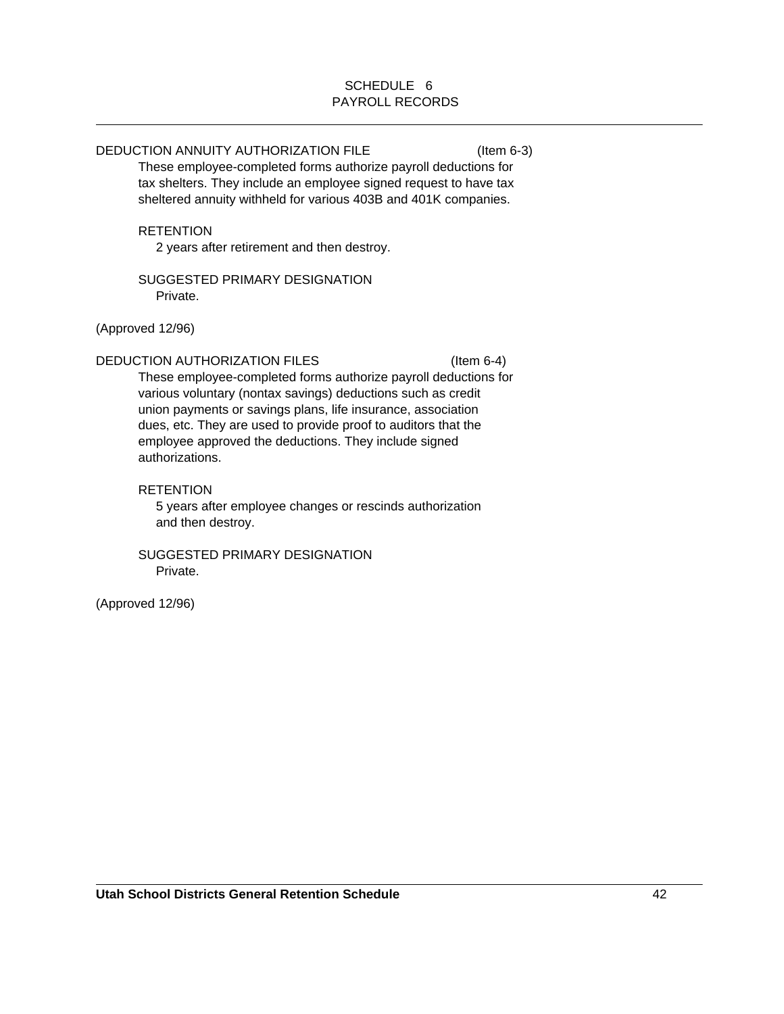# DEDUCTION ANNUITY AUTHORIZATION FILE (Item 6-3) These employee-completed forms authorize payroll deductions for tax shelters. They include an employee signed request to have tax sheltered annuity withheld for various 403B and 401K companies. RETENTION 2 years after retirement and then destroy. SUGGESTED PRIMARY DESIGNATION Private. (Approved 12/96) DEDUCTION AUTHORIZATION FILES (Item 6-4) These employee-completed forms authorize payroll deductions for various voluntary (nontax savings) deductions such as credit union payments or savings plans, life insurance, association dues, etc. They are used to provide proof to auditors that the employee approved the deductions. They include signed authorizations. **RETENTION**

 5 years after employee changes or rescinds authorization and then destroy.

 SUGGESTED PRIMARY DESIGNATION Private.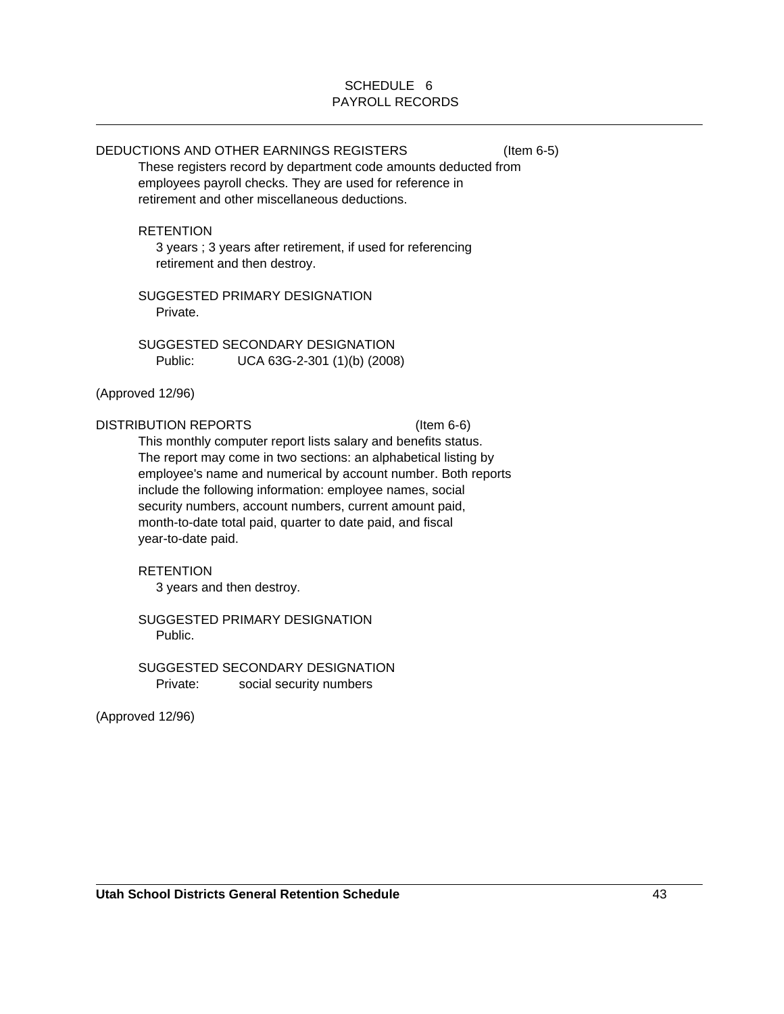| DEDUCTIONS AND OTHER EARNINGS REGISTERS<br>$($ ltem 6-5 $)$<br>These registers record by department code amounts deducted from<br>employees payroll checks. They are used for reference in<br>retirement and other miscellaneous deductions.                                                                                                                                                                                                                      |
|-------------------------------------------------------------------------------------------------------------------------------------------------------------------------------------------------------------------------------------------------------------------------------------------------------------------------------------------------------------------------------------------------------------------------------------------------------------------|
| <b>RETENTION</b><br>3 years; 3 years after retirement, if used for referencing<br>retirement and then destroy.                                                                                                                                                                                                                                                                                                                                                    |
| SUGGESTED PRIMARY DESIGNATION<br>Private.                                                                                                                                                                                                                                                                                                                                                                                                                         |
| SUGGESTED SECONDARY DESIGNATION<br>Public:<br>UCA 63G-2-301 (1)(b) (2008)                                                                                                                                                                                                                                                                                                                                                                                         |
| (Approved 12/96)                                                                                                                                                                                                                                                                                                                                                                                                                                                  |
| <b>DISTRIBUTION REPORTS</b><br>$($ ltem 6-6 $)$<br>This monthly computer report lists salary and benefits status.<br>The report may come in two sections: an alphabetical listing by<br>employee's name and numerical by account number. Both reports<br>include the following information: employee names, social<br>security numbers, account numbers, current amount paid,<br>month-to-date total paid, quarter to date paid, and fiscal<br>year-to-date paid. |
| <b>RETENTION</b><br>3 years and then destroy.                                                                                                                                                                                                                                                                                                                                                                                                                     |
| SUGGESTED PRIMARY DESIGNATION<br>Public.                                                                                                                                                                                                                                                                                                                                                                                                                          |
| SUGGESTED SECONDARY DESIGNATION<br>Private:<br>social security numbers                                                                                                                                                                                                                                                                                                                                                                                            |
| (Approved 12/96)                                                                                                                                                                                                                                                                                                                                                                                                                                                  |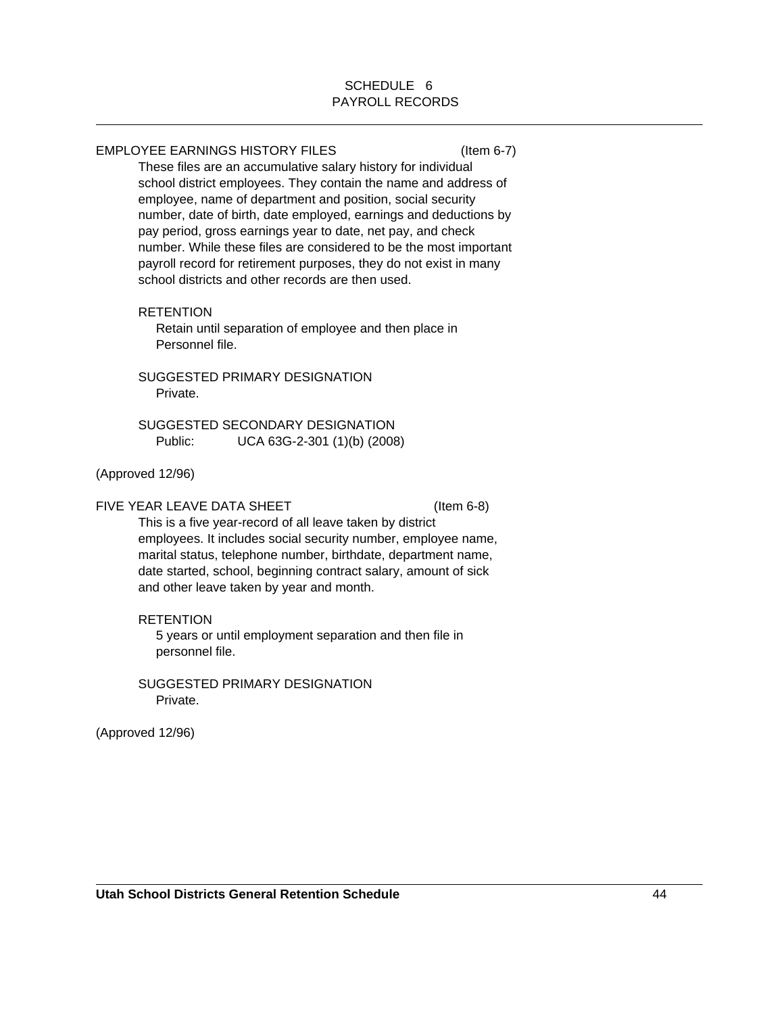#### EMPLOYEE EARNINGS HISTORY FILES (Item 6-7)

 These files are an accumulative salary history for individual school district employees. They contain the name and address of employee, name of department and position, social security number, date of birth, date employed, earnings and deductions by pay period, gross earnings year to date, net pay, and check number. While these files are considered to be the most important payroll record for retirement purposes, they do not exist in many school districts and other records are then used.

#### **RETENTION**

 Retain until separation of employee and then place in Personnel file.

 SUGGESTED PRIMARY DESIGNATION Private.

 SUGGESTED SECONDARY DESIGNATION Public: UCA 63G-2-301 (1)(b) (2008)

(Approved 12/96)

### FIVE YEAR LEAVE DATA SHEET (Item 6-8)

 This is a five year-record of all leave taken by district employees. It includes social security number, employee name, marital status, telephone number, birthdate, department name, date started, school, beginning contract salary, amount of sick and other leave taken by year and month.

#### **RETENTION**

 5 years or until employment separation and then file in personnel file.

 SUGGESTED PRIMARY DESIGNATION Private.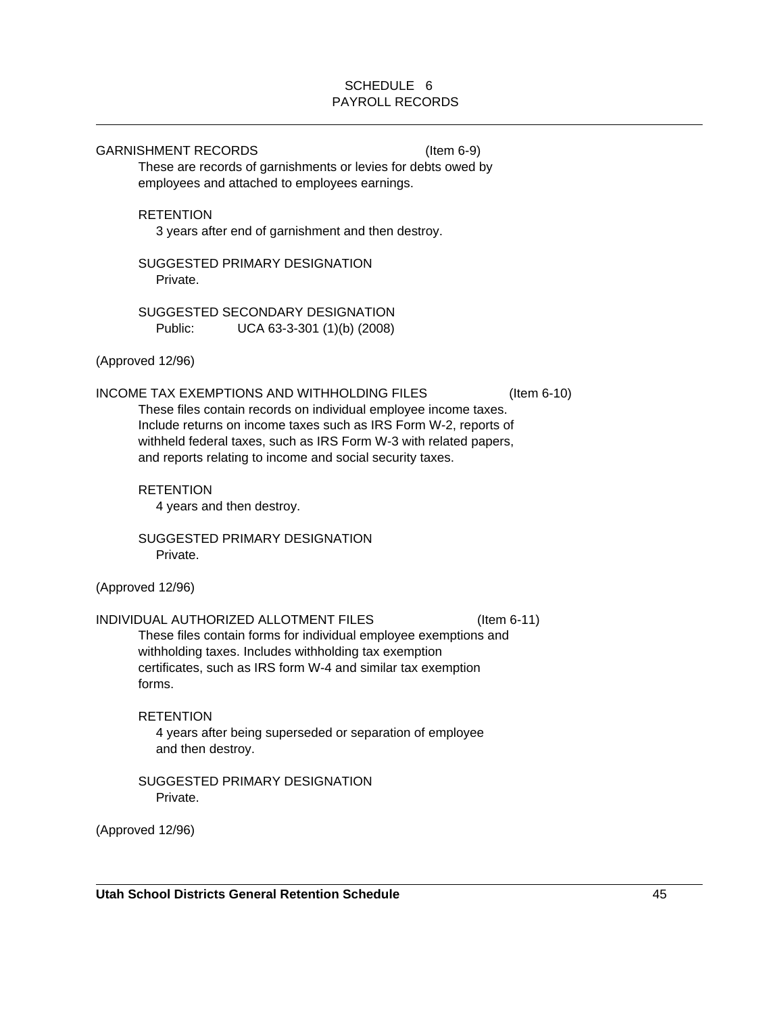# GARNISHMENT RECORDS (Item 6-9) These are records of garnishments or levies for debts owed by employees and attached to employees earnings.

### RETENTION

3 years after end of garnishment and then destroy.

# SUGGESTED PRIMARY DESIGNATION Private.

 SUGGESTED SECONDARY DESIGNATION Public: UCA 63-3-301 (1)(b) (2008)

(Approved 12/96)

#### INCOME TAX EXEMPTIONS AND WITHHOLDING FILES (Item 6-10)

 These files contain records on individual employee income taxes. Include returns on income taxes such as IRS Form W-2, reports of withheld federal taxes, such as IRS Form W-3 with related papers, and reports relating to income and social security taxes.

#### **RETENTION**

4 years and then destroy.

 SUGGESTED PRIMARY DESIGNATION Private.

(Approved 12/96)

#### INDIVIDUAL AUTHORIZED ALLOTMENT FILES (Item 6-11)

 These files contain forms for individual employee exemptions and withholding taxes. Includes withholding tax exemption certificates, such as IRS form W-4 and similar tax exemption forms.

# RETENTION

 4 years after being superseded or separation of employee and then destroy.

 SUGGESTED PRIMARY DESIGNATION Private.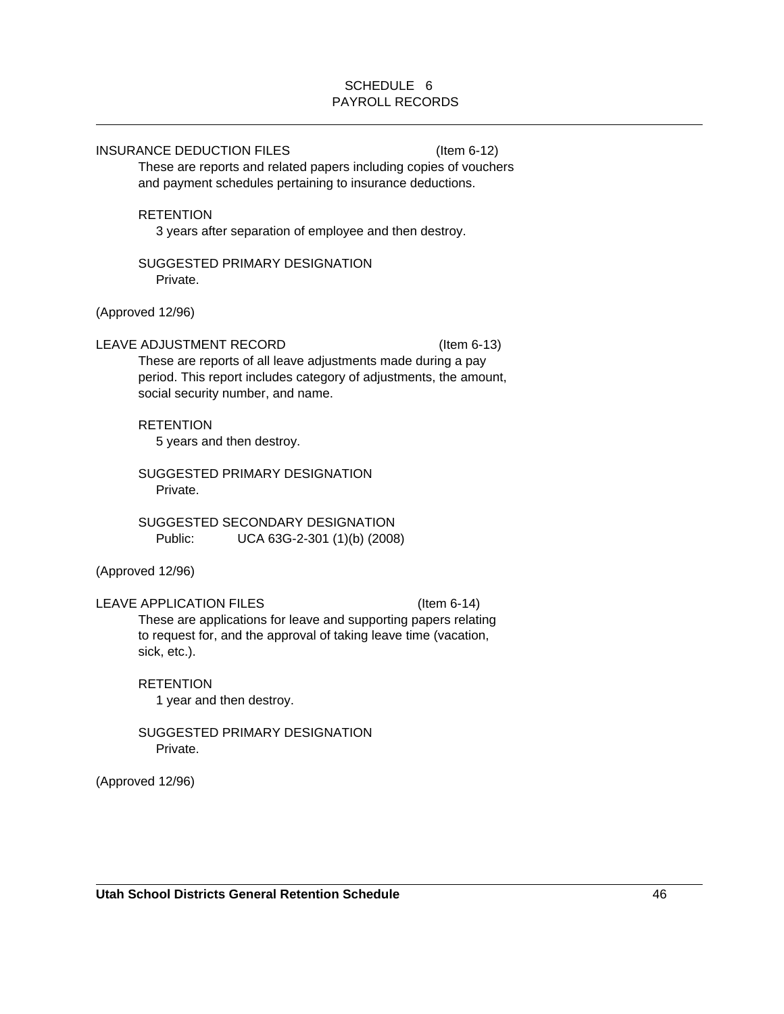| <b>INSURANCE DEDUCTION FILES</b><br>(Item 6-12)<br>These are reports and related papers including copies of vouchers<br>and payment schedules pertaining to insurance deductions.                                      |
|------------------------------------------------------------------------------------------------------------------------------------------------------------------------------------------------------------------------|
| <b>RETENTION</b><br>3 years after separation of employee and then destroy.                                                                                                                                             |
| SUGGESTED PRIMARY DESIGNATION<br>Private.                                                                                                                                                                              |
| (Approved 12/96)                                                                                                                                                                                                       |
| LEAVE ADJUSTMENT RECORD<br>$($ ltem 6-13 $)$<br>These are reports of all leave adjustments made during a pay<br>period. This report includes category of adjustments, the amount,<br>social security number, and name. |
| <b>RETENTION</b><br>5 years and then destroy.                                                                                                                                                                          |
| SUGGESTED PRIMARY DESIGNATION<br>Private.                                                                                                                                                                              |
| SUGGESTED SECONDARY DESIGNATION<br>Public:<br>UCA 63G-2-301 (1)(b) (2008)                                                                                                                                              |
| (Approved 12/96)                                                                                                                                                                                                       |
| <b>LEAVE APPLICATION FILES</b><br>$($ ltem 6-14 $)$<br>These are applications for leave and supporting papers relating<br>to request for, and the approval of taking leave time (vacation,<br>sick, etc.).             |
| <b>RETENTION</b><br>1 year and then destroy.                                                                                                                                                                           |
| SUGGESTED PRIMARY DESIGNATION<br>Private.                                                                                                                                                                              |
| (Approved 12/96)                                                                                                                                                                                                       |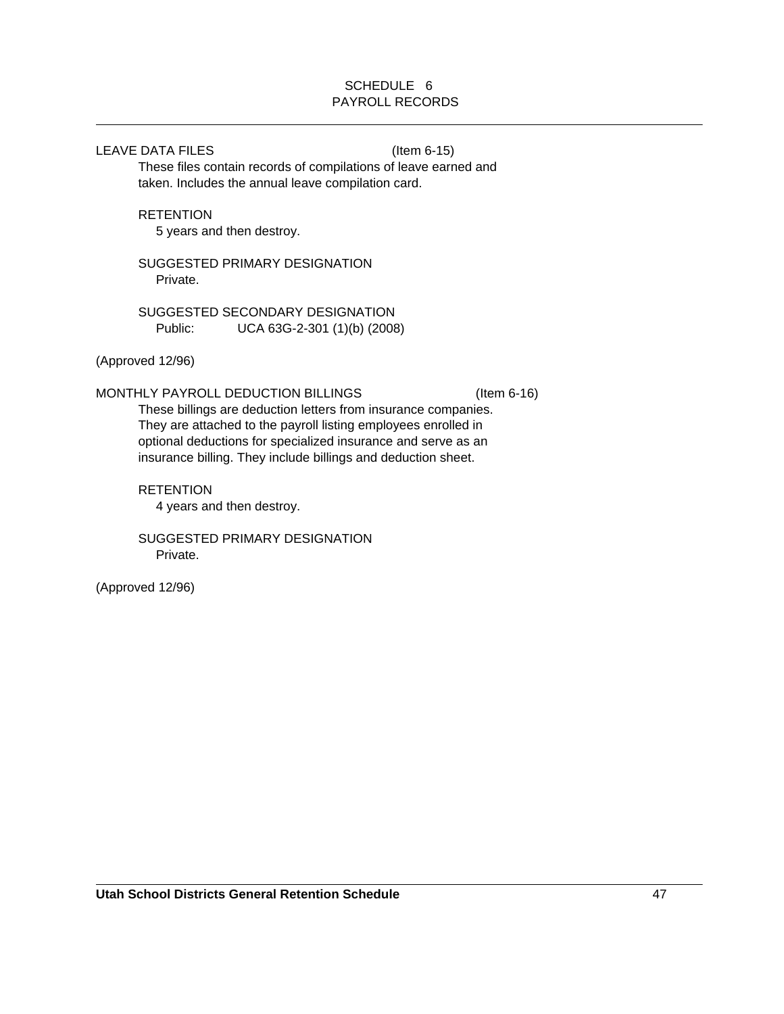#### LEAVE DATA FILES (Item 6-15)

 These files contain records of compilations of leave earned and taken. Includes the annual leave compilation card.

#### RETENTION

5 years and then destroy.

### SUGGESTED PRIMARY DESIGNATION Private.

 SUGGESTED SECONDARY DESIGNATION Public: UCA 63G-2-301 (1)(b) (2008)

(Approved 12/96)

# MONTHLY PAYROLL DEDUCTION BILLINGS (Item 6-16)

 These billings are deduction letters from insurance companies. They are attached to the payroll listing employees enrolled in optional deductions for specialized insurance and serve as an insurance billing. They include billings and deduction sheet.

#### **RETENTION**

4 years and then destroy.

 SUGGESTED PRIMARY DESIGNATION Private.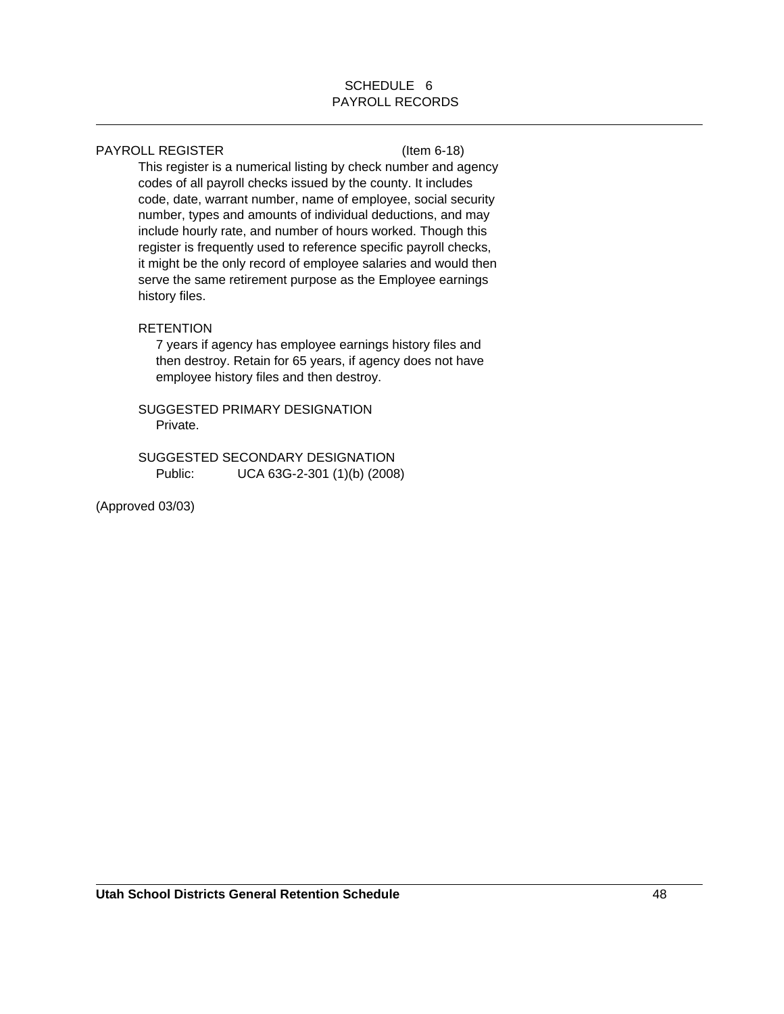#### PAYROLL REGISTER (Item 6-18)

 This register is a numerical listing by check number and agency codes of all payroll checks issued by the county. It includes code, date, warrant number, name of employee, social security number, types and amounts of individual deductions, and may include hourly rate, and number of hours worked. Though this register is frequently used to reference specific payroll checks, it might be the only record of employee salaries and would then serve the same retirement purpose as the Employee earnings history files.

#### RETENTION

 7 years if agency has employee earnings history files and then destroy. Retain for 65 years, if agency does not have employee history files and then destroy.

 SUGGESTED PRIMARY DESIGNATION Private.

 SUGGESTED SECONDARY DESIGNATION Public: UCA 63G-2-301 (1)(b) (2008)

(Approved 03/03)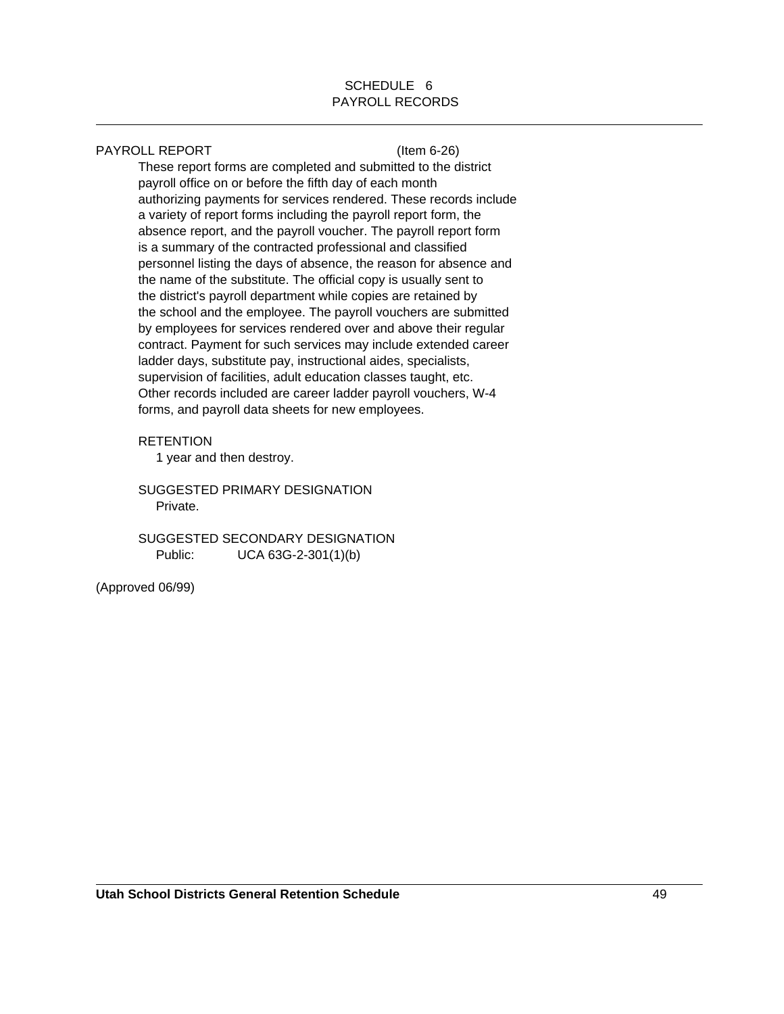#### PAYROLL REPORT (Item 6-26)

 These report forms are completed and submitted to the district payroll office on or before the fifth day of each month authorizing payments for services rendered. These records include a variety of report forms including the payroll report form, the absence report, and the payroll voucher. The payroll report form is a summary of the contracted professional and classified personnel listing the days of absence, the reason for absence and the name of the substitute. The official copy is usually sent to the district's payroll department while copies are retained by the school and the employee. The payroll vouchers are submitted by employees for services rendered over and above their regular contract. Payment for such services may include extended career ladder days, substitute pay, instructional aides, specialists, supervision of facilities, adult education classes taught, etc. Other records included are career ladder payroll vouchers, W-4 forms, and payroll data sheets for new employees.

#### RETENTION

1 year and then destroy.

 SUGGESTED PRIMARY DESIGNATION Private.

 SUGGESTED SECONDARY DESIGNATION Public: UCA 63G-2-301(1)(b)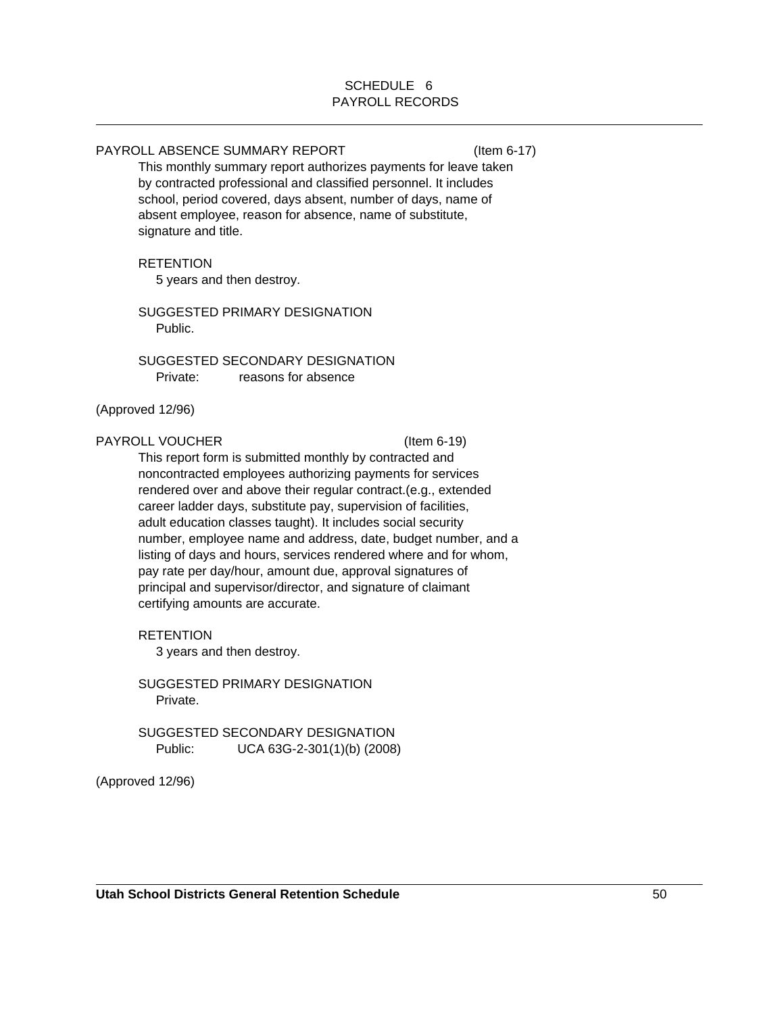#### PAYROLL ABSENCE SUMMARY REPORT (Item 6-17)

 This monthly summary report authorizes payments for leave taken by contracted professional and classified personnel. It includes school, period covered, days absent, number of days, name of absent employee, reason for absence, name of substitute, signature and title.

#### **RETENTION**

5 years and then destroy.

#### SUGGESTED PRIMARY DESIGNATION Public.

 SUGGESTED SECONDARY DESIGNATION Private: reasons for absence

#### (Approved 12/96)

#### PAYROLL VOUCHER (Item 6-19)

 This report form is submitted monthly by contracted and noncontracted employees authorizing payments for services rendered over and above their regular contract.(e.g., extended career ladder days, substitute pay, supervision of facilities, adult education classes taught). It includes social security number, employee name and address, date, budget number, and a listing of days and hours, services rendered where and for whom, pay rate per day/hour, amount due, approval signatures of principal and supervisor/director, and signature of claimant certifying amounts are accurate.

#### RETENTION

3 years and then destroy.

 SUGGESTED PRIMARY DESIGNATION Private.

 SUGGESTED SECONDARY DESIGNATION Public: UCA 63G-2-301(1)(b) (2008)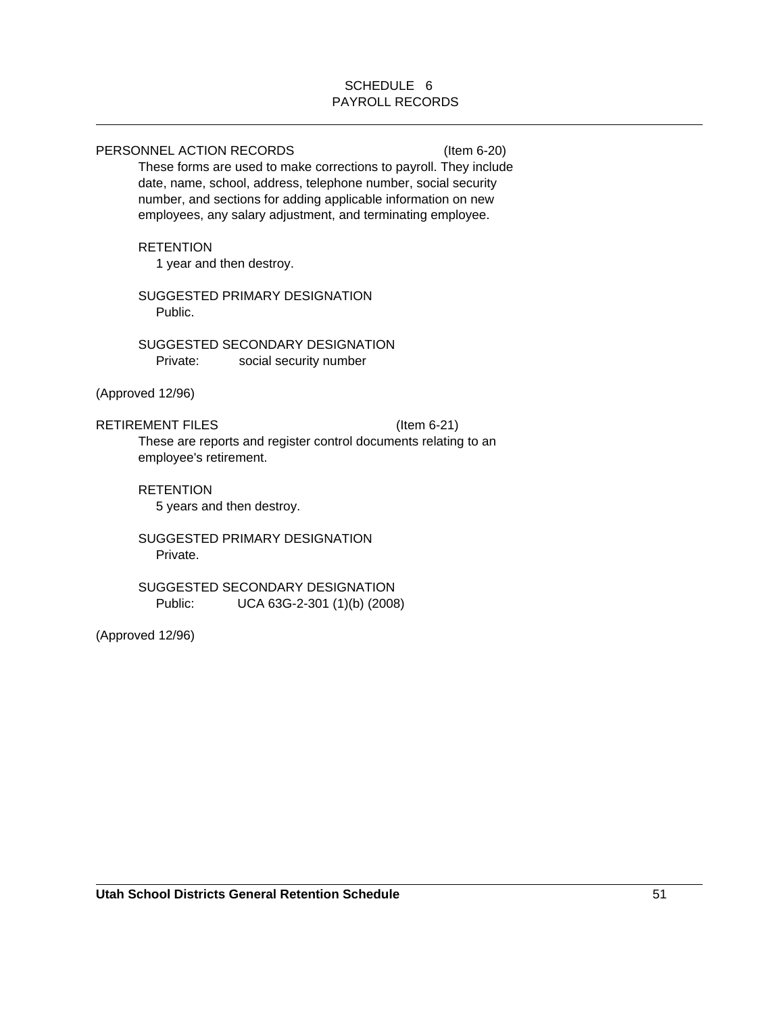#### PERSONNEL ACTION RECORDS (Item 6-20)

 These forms are used to make corrections to payroll. They include date, name, school, address, telephone number, social security number, and sections for adding applicable information on new employees, any salary adjustment, and terminating employee.

# **RETENTION**

1 year and then destroy.

# SUGGESTED PRIMARY DESIGNATION Public.

# SUGGESTED SECONDARY DESIGNATION Private: social security number

(Approved 12/96)

#### RETIREMENT FILES (Item 6-21)

 These are reports and register control documents relating to an employee's retirement.

#### **RETENTION**

5 years and then destroy.

#### SUGGESTED PRIMARY DESIGNATION Private.

# SUGGESTED SECONDARY DESIGNATION Public: UCA 63G-2-301 (1)(b) (2008)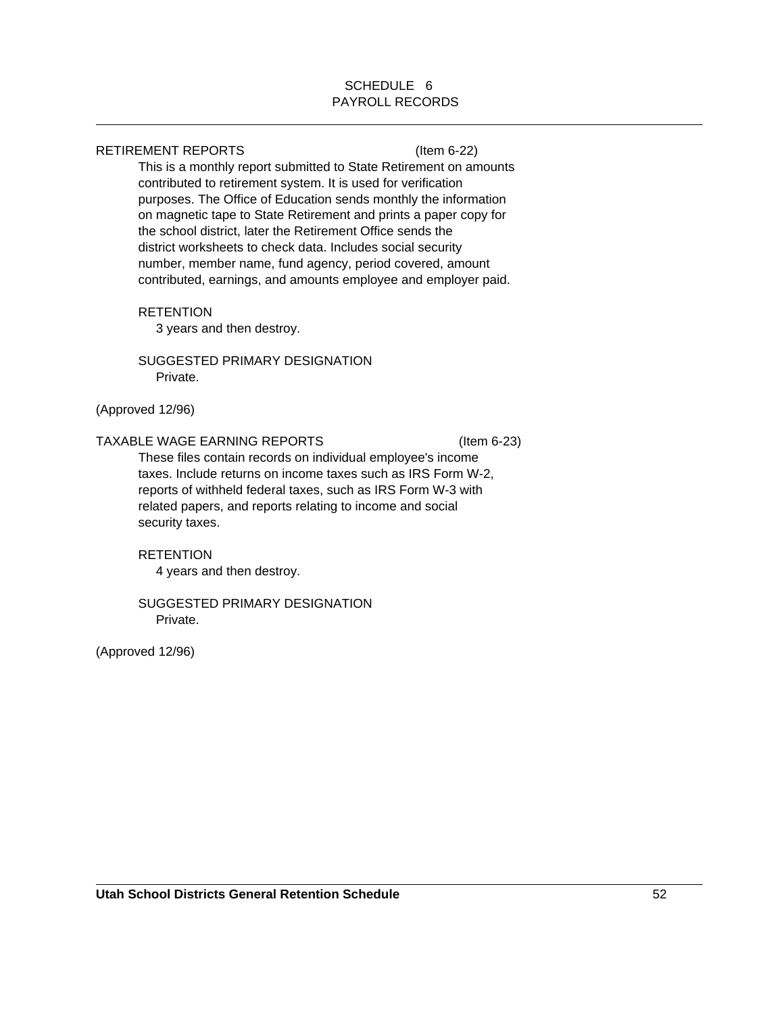#### RETIREMENT REPORTS (Item 6-22)

 This is a monthly report submitted to State Retirement on amounts contributed to retirement system. It is used for verification purposes. The Office of Education sends monthly the information on magnetic tape to State Retirement and prints a paper copy for the school district, later the Retirement Office sends the district worksheets to check data. Includes social security number, member name, fund agency, period covered, amount contributed, earnings, and amounts employee and employer paid.

#### **RETENTION**

3 years and then destroy.

 SUGGESTED PRIMARY DESIGNATION Private.

#### (Approved 12/96)

#### TAXABLE WAGE EARNING REPORTS (Item 6-23)

 These files contain records on individual employee's income taxes. Include returns on income taxes such as IRS Form W-2, reports of withheld federal taxes, such as IRS Form W-3 with related papers, and reports relating to income and social security taxes.

**RETENTION** 4 years and then destroy.

#### SUGGESTED PRIMARY DESIGNATION Private.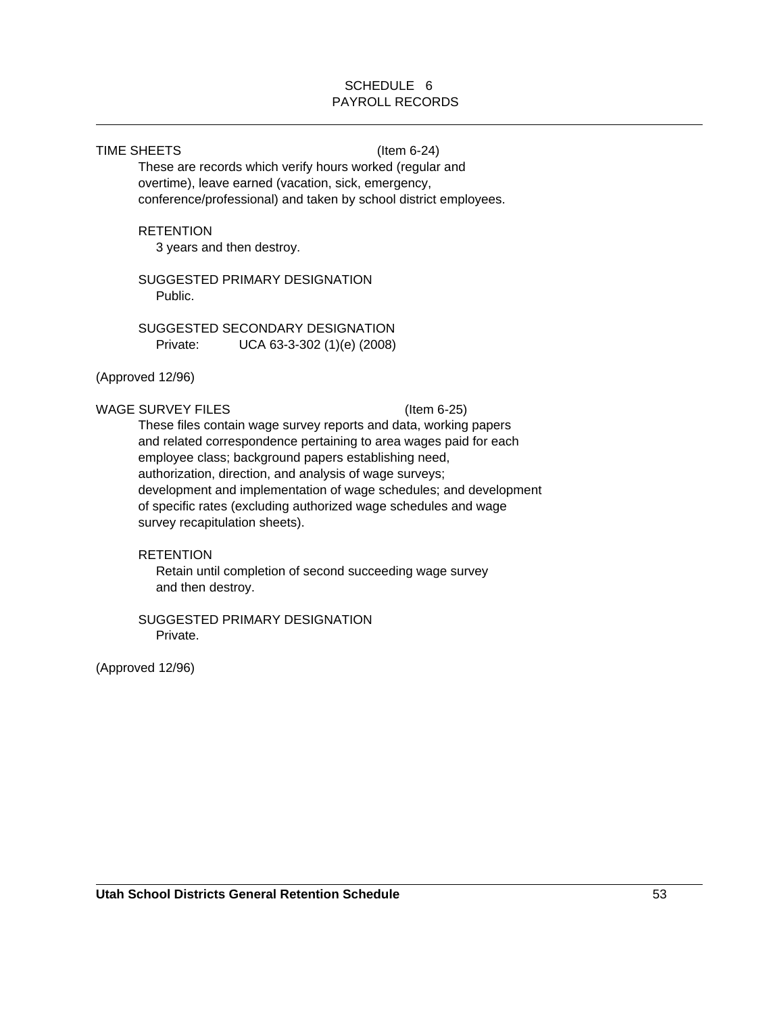#### TIME SHEETS (Item 6-24)

 These are records which verify hours worked (regular and overtime), leave earned (vacation, sick, emergency, conference/professional) and taken by school district employees.

#### RETENTION

3 years and then destroy.

# SUGGESTED PRIMARY DESIGNATION Public.

 SUGGESTED SECONDARY DESIGNATION Private: UCA 63-3-302 (1)(e) (2008)

# (Approved 12/96)

# WAGE SURVEY FILES (Item 6-25)

 These files contain wage survey reports and data, working papers and related correspondence pertaining to area wages paid for each employee class; background papers establishing need, authorization, direction, and analysis of wage surveys; development and implementation of wage schedules; and development of specific rates (excluding authorized wage schedules and wage survey recapitulation sheets).

#### **RETENTION**

 Retain until completion of second succeeding wage survey and then destroy.

#### SUGGESTED PRIMARY DESIGNATION Private.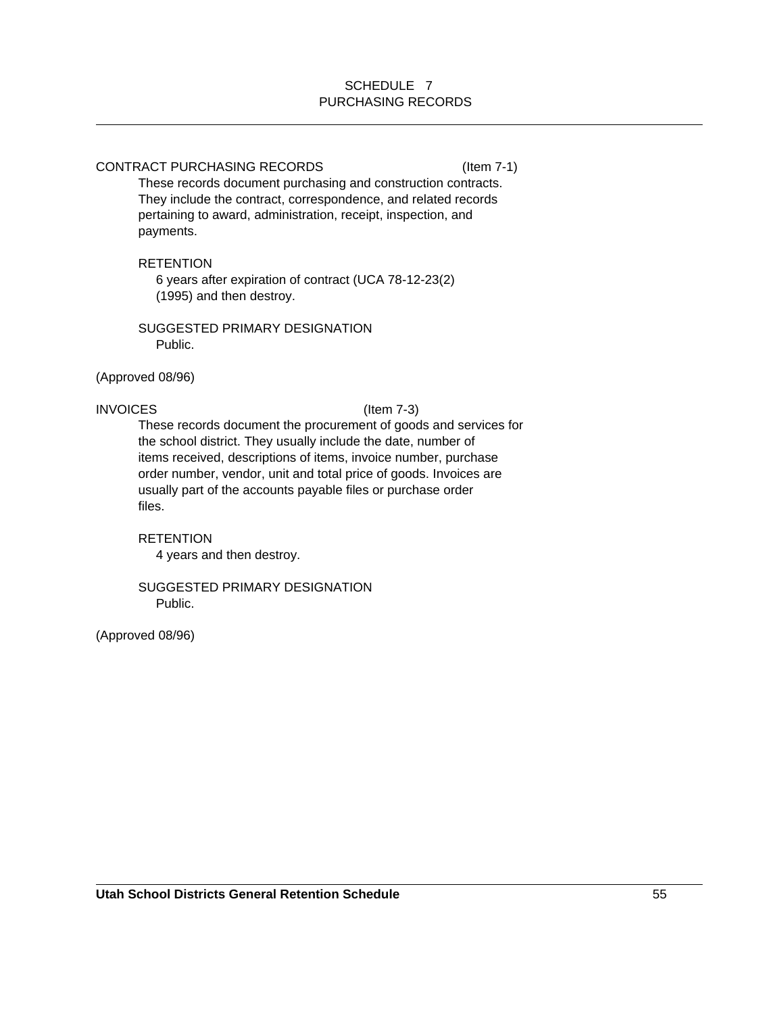#### CONTRACT PURCHASING RECORDS (Item 7-1)

 These records document purchasing and construction contracts. They include the contract, correspondence, and related records pertaining to award, administration, receipt, inspection, and payments.

#### **RETENTION**

 6 years after expiration of contract (UCA 78-12-23(2) (1995) and then destroy.

 SUGGESTED PRIMARY DESIGNATION Public.

(Approved 08/96)

#### INVOICES (Item 7-3)

 These records document the procurement of goods and services for the school district. They usually include the date, number of items received, descriptions of items, invoice number, purchase order number, vendor, unit and total price of goods. Invoices are usually part of the accounts payable files or purchase order files.

 RETENTION 4 years and then destroy.

# SUGGESTED PRIMARY DESIGNATION Public.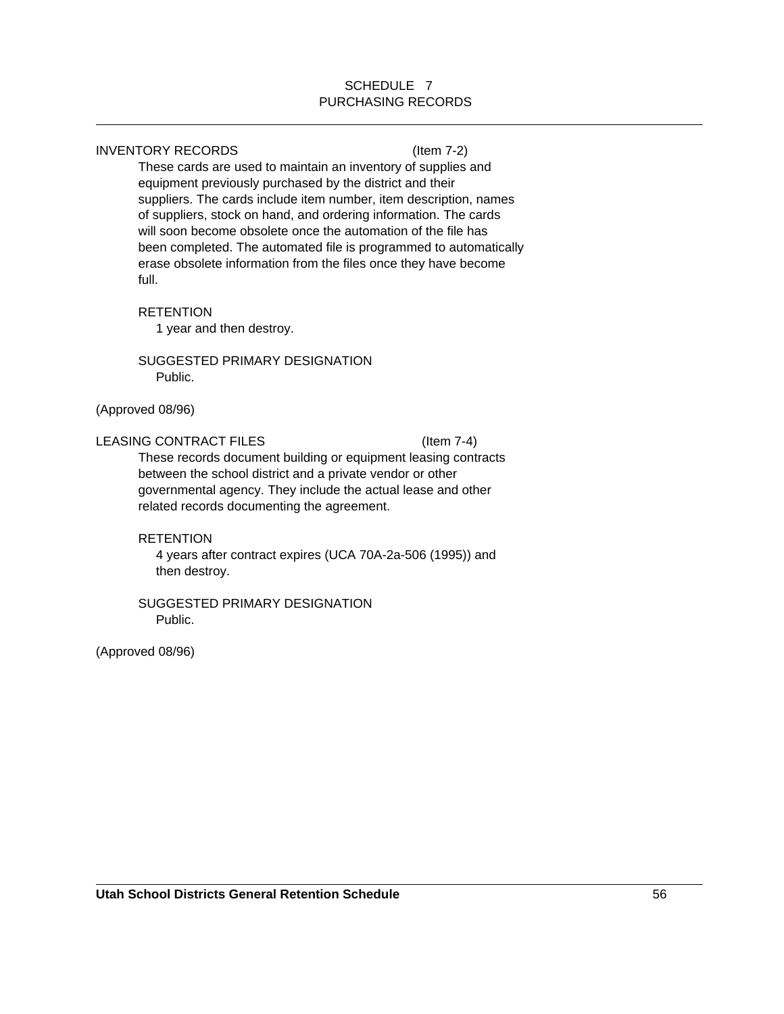# INVENTORY RECORDS (Item 7-2)

 These cards are used to maintain an inventory of supplies and equipment previously purchased by the district and their suppliers. The cards include item number, item description, names of suppliers, stock on hand, and ordering information. The cards will soon become obsolete once the automation of the file has been completed. The automated file is programmed to automatically erase obsolete information from the files once they have become full.

### RETENTION

1 year and then destroy.

 SUGGESTED PRIMARY DESIGNATION Public.

#### (Approved 08/96)

#### LEASING CONTRACT FILES (Item 7-4)

 These records document building or equipment leasing contracts between the school district and a private vendor or other governmental agency. They include the actual lease and other related records documenting the agreement.

#### **RETENTION**

 4 years after contract expires (UCA 70A-2a-506 (1995)) and then destroy.

### SUGGESTED PRIMARY DESIGNATION Public.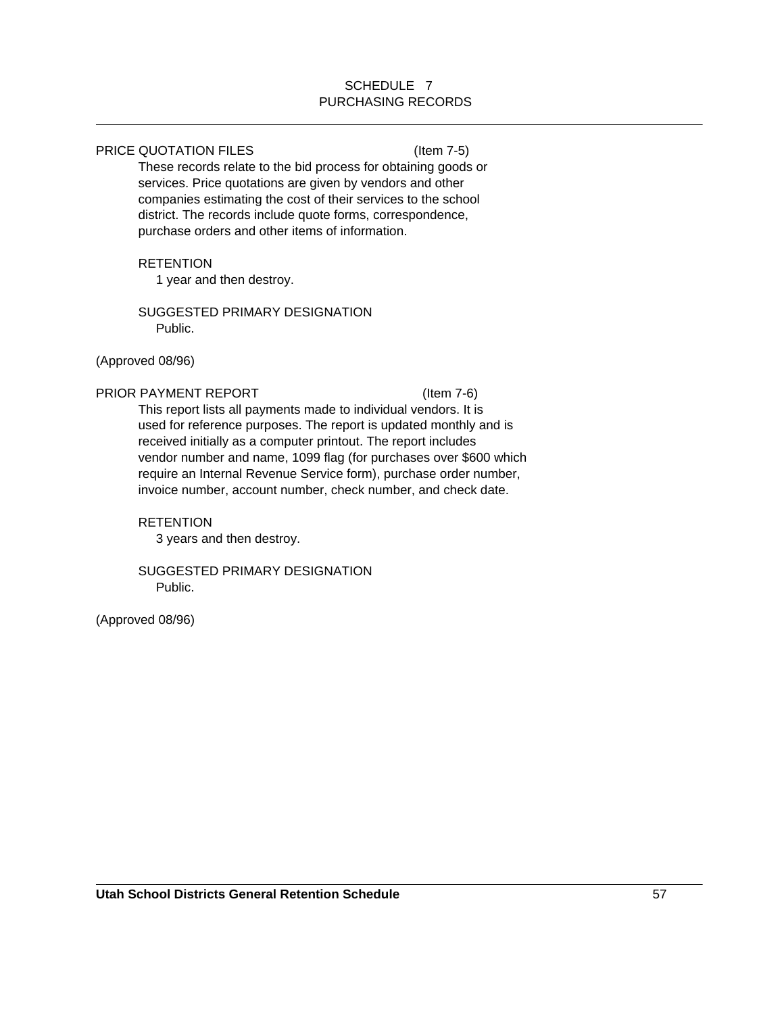#### PRICE QUOTATION FILES (Item 7-5)

 These records relate to the bid process for obtaining goods or services. Price quotations are given by vendors and other companies estimating the cost of their services to the school district. The records include quote forms, correspondence, purchase orders and other items of information.

#### **RETENTION**

1 year and then destroy.

#### SUGGESTED PRIMARY DESIGNATION Public.

(Approved 08/96)

#### PRIOR PAYMENT REPORT (Item 7-6)

 This report lists all payments made to individual vendors. It is used for reference purposes. The report is updated monthly and is received initially as a computer printout. The report includes vendor number and name, 1099 flag (for purchases over \$600 which require an Internal Revenue Service form), purchase order number, invoice number, account number, check number, and check date.

# RETENTION

3 years and then destroy.

#### SUGGESTED PRIMARY DESIGNATION Public.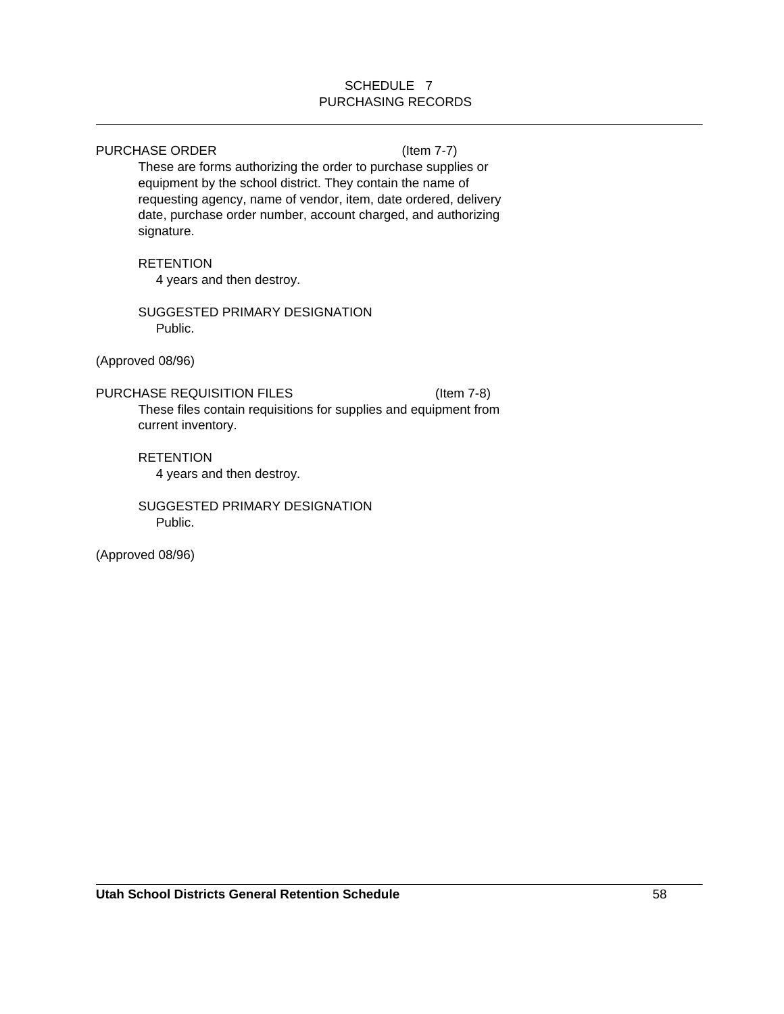#### PURCHASE ORDER (Item 7-7)

 These are forms authorizing the order to purchase supplies or equipment by the school district. They contain the name of requesting agency, name of vendor, item, date ordered, delivery date, purchase order number, account charged, and authorizing signature.

# RETENTION

4 years and then destroy.

#### SUGGESTED PRIMARY DESIGNATION Public.

(Approved 08/96)

#### PURCHASE REQUISITION FILES (Item 7-8)

 These files contain requisitions for supplies and equipment from current inventory.

### RETENTION

4 years and then destroy.

#### SUGGESTED PRIMARY DESIGNATION Public.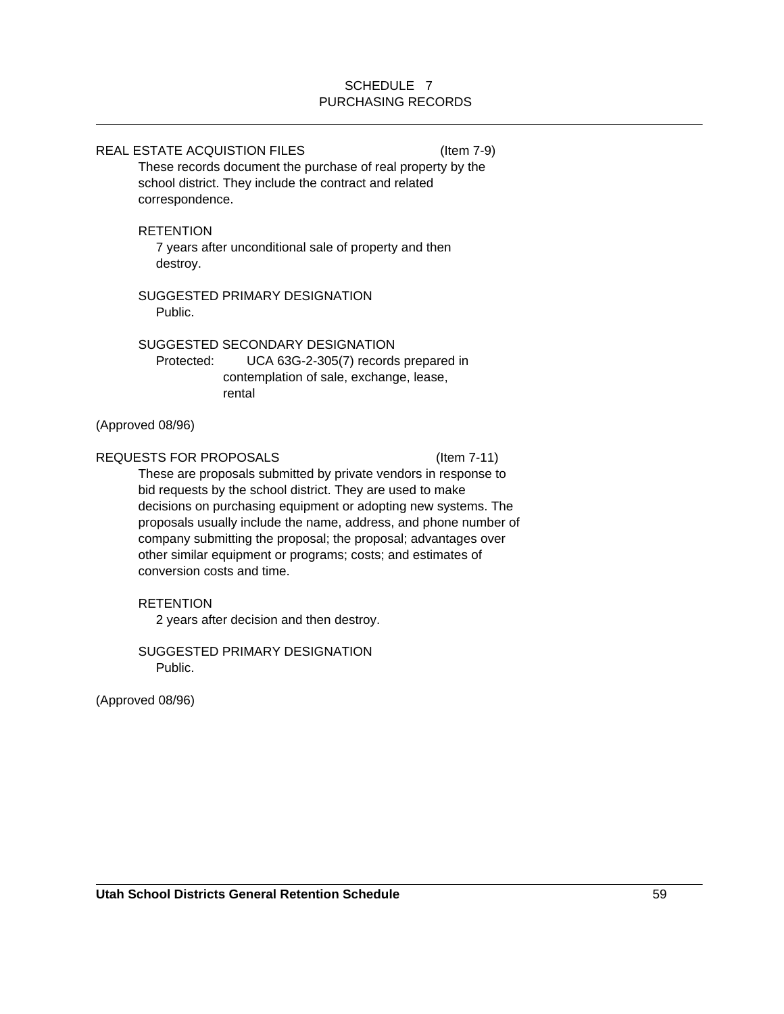# REAL ESTATE ACQUISTION FILES (Item 7-9) These records document the purchase of real property by the school district. They include the contract and related correspondence. **RETENTION**  7 years after unconditional sale of property and then destroy. SUGGESTED PRIMARY DESIGNATION Public. SUGGESTED SECONDARY DESIGNATION Protected: UCA 63G-2-305(7) records prepared in contemplation of sale, exchange, lease, rental (Approved 08/96) REQUESTS FOR PROPOSALS (Item 7-11) These are proposals submitted by private vendors in response to bid requests by the school district. They are used to make decisions on purchasing equipment or adopting new systems. The proposals usually include the name, address, and phone number of company submitting the proposal; the proposal; advantages over other similar equipment or programs; costs; and estimates of conversion costs and time.

#### **RETENTION**

2 years after decision and then destroy.

### SUGGESTED PRIMARY DESIGNATION Public.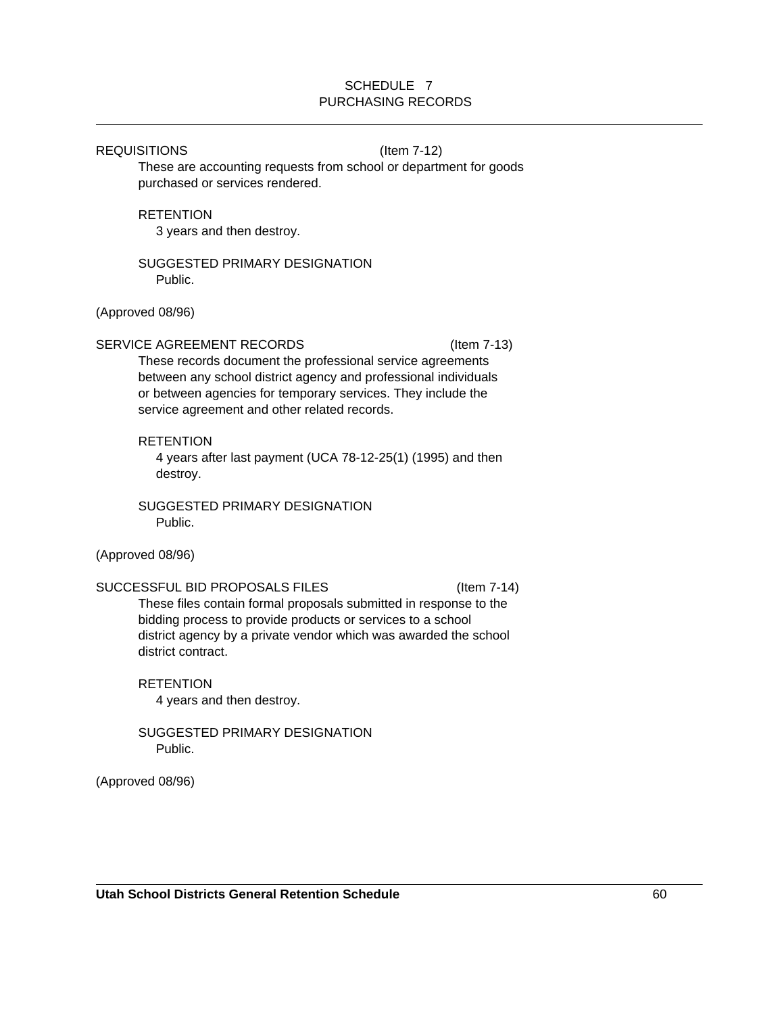#### REQUISITIONS (Item 7-12)

 These are accounting requests from school or department for goods purchased or services rendered.

 RETENTION 3 years and then destroy.

 SUGGESTED PRIMARY DESIGNATION Public.

(Approved 08/96)

#### SERVICE AGREEMENT RECORDS (Item 7-13)

 These records document the professional service agreements between any school district agency and professional individuals or between agencies for temporary services. They include the service agreement and other related records.

#### **RETENTION**

 4 years after last payment (UCA 78-12-25(1) (1995) and then destroy.

 SUGGESTED PRIMARY DESIGNATION Public.

(Approved 08/96)

### SUCCESSFUL BID PROPOSALS FILES (Item 7-14)

 These files contain formal proposals submitted in response to the bidding process to provide products or services to a school district agency by a private vendor which was awarded the school district contract.

**RETENTION** 

4 years and then destroy.

 SUGGESTED PRIMARY DESIGNATION Public.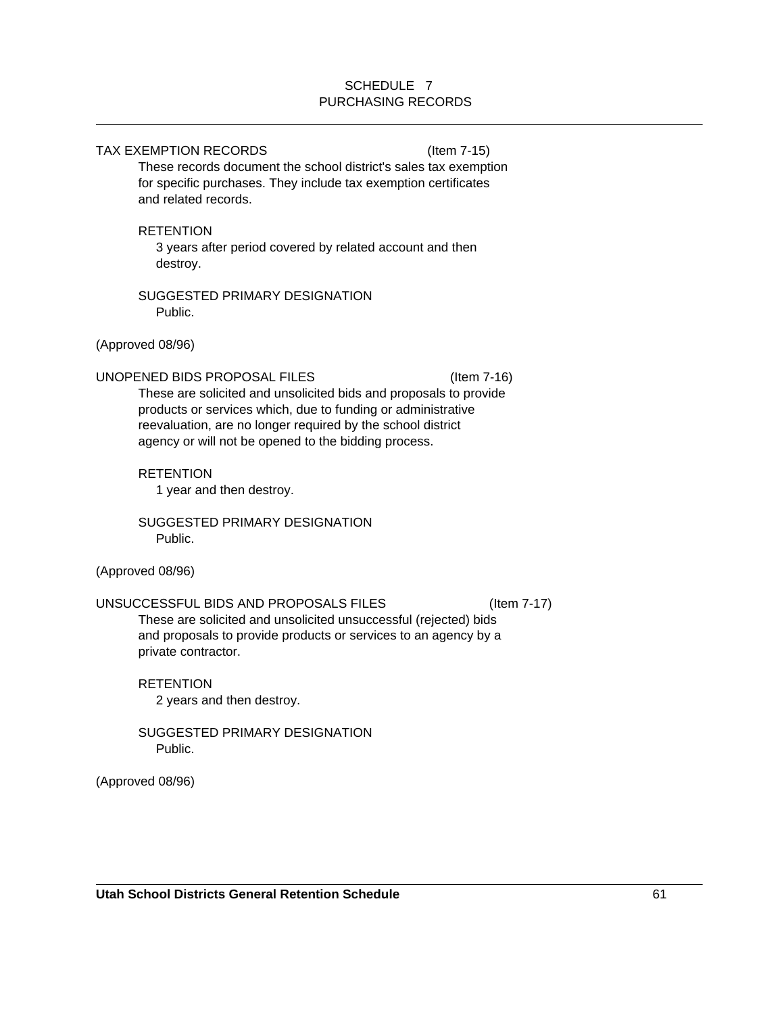# TAX EXEMPTION RECORDS (Item 7-15) These records document the school district's sales tax exemption for specific purchases. They include tax exemption certificates and related records. **RETENTION**  3 years after period covered by related account and then destroy. SUGGESTED PRIMARY DESIGNATION Public. (Approved 08/96) UNOPENED BIDS PROPOSAL FILES (Item 7-16) These are solicited and unsolicited bids and proposals to provide products or services which, due to funding or administrative reevaluation, are no longer required by the school district agency or will not be opened to the bidding process. **RETENTION**  1 year and then destroy. SUGGESTED PRIMARY DESIGNATION Public. (Approved 08/96) UNSUCCESSFUL BIDS AND PROPOSALS FILES (Item 7-17) These are solicited and unsolicited unsuccessful (rejected) bids and proposals to provide products or services to an agency by a private contractor. **RETENTION**  2 years and then destroy. SUGGESTED PRIMARY DESIGNATION

Public.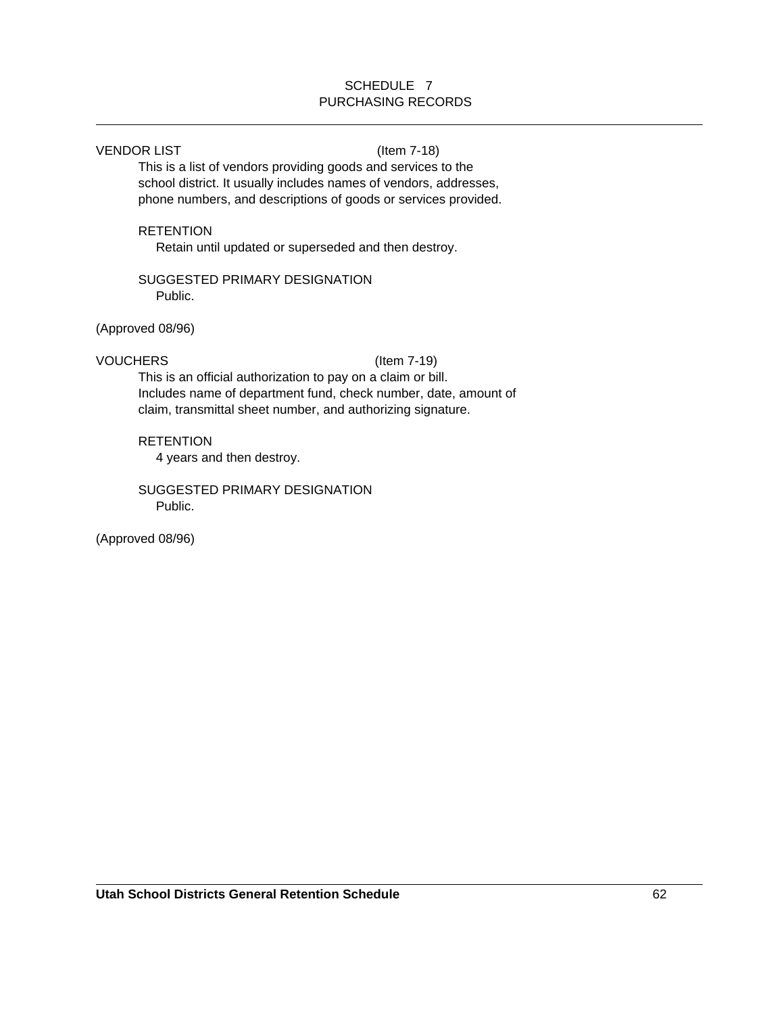#### VENDOR LIST (Item 7-18)

 This is a list of vendors providing goods and services to the school district. It usually includes names of vendors, addresses, phone numbers, and descriptions of goods or services provided.

# RETENTION

Retain until updated or superseded and then destroy.

#### SUGGESTED PRIMARY DESIGNATION Public.

(Approved 08/96)

# VOUCHERS (Item 7-19)

 This is an official authorization to pay on a claim or bill. Includes name of department fund, check number, date, amount of claim, transmittal sheet number, and authorizing signature.

# RETENTION

4 years and then destroy.

#### SUGGESTED PRIMARY DESIGNATION Public.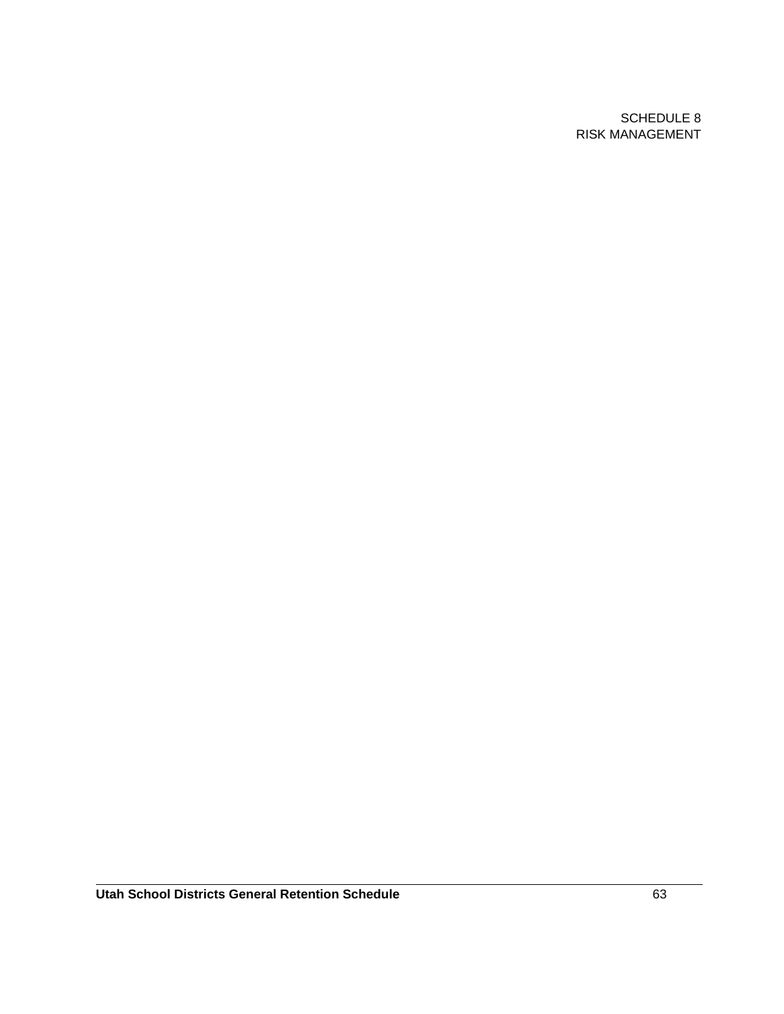SCHEDULE 8 RISK MANAGEMENT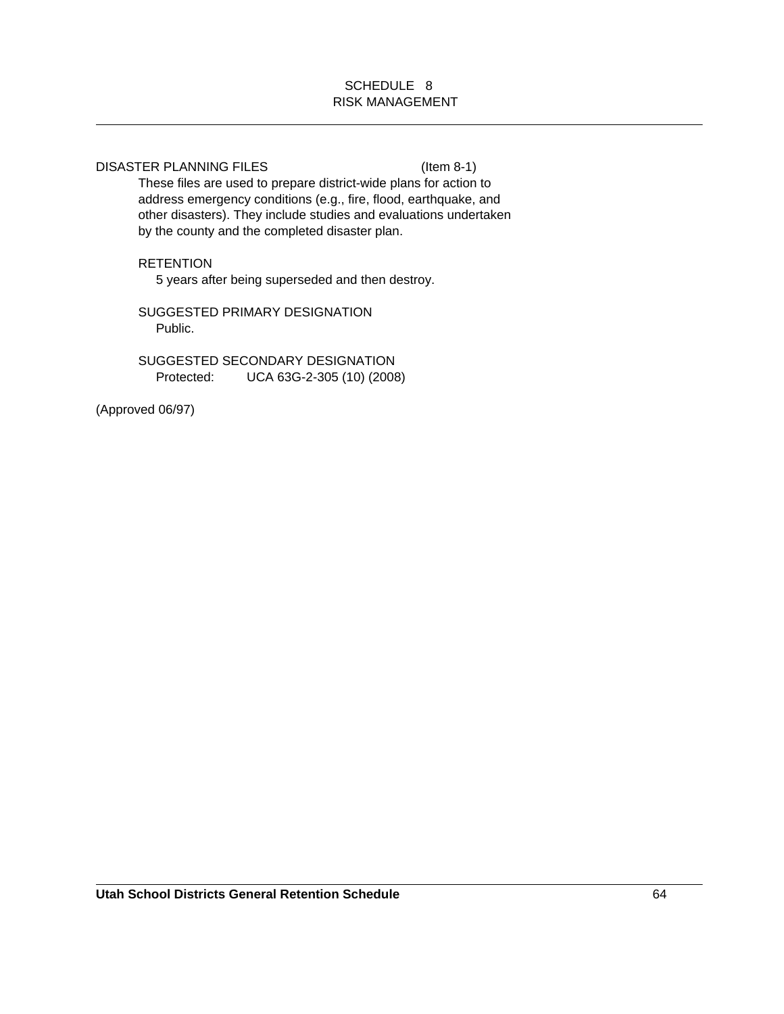# SCHEDULE 8 RISK MANAGEMENT

### DISASTER PLANNING FILES (Item 8-1)

 These files are used to prepare district-wide plans for action to address emergency conditions (e.g., fire, flood, earthquake, and other disasters). They include studies and evaluations undertaken by the county and the completed disaster plan.

### **RETENTION**

5 years after being superseded and then destroy.

 SUGGESTED PRIMARY DESIGNATION Public.

 SUGGESTED SECONDARY DESIGNATION Protected: UCA 63G-2-305 (10) (2008)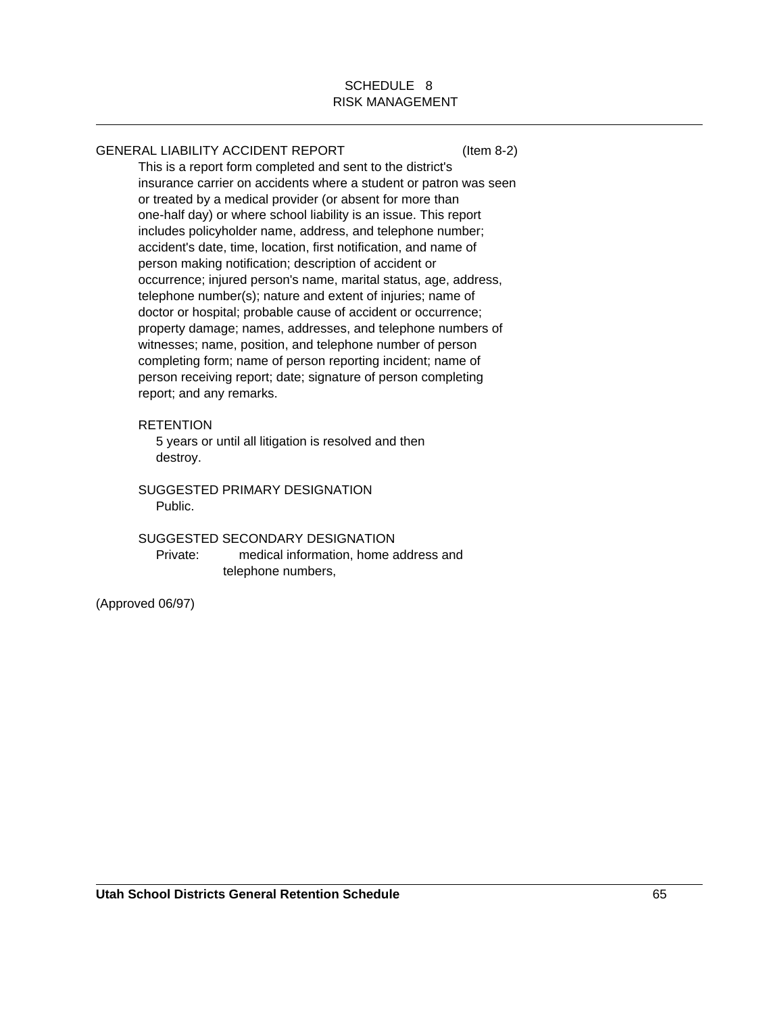# SCHEDULE 8 RISK MANAGEMENT

#### GENERAL LIABILITY ACCIDENT REPORT (Item 8-2)

 This is a report form completed and sent to the district's insurance carrier on accidents where a student or patron was seen or treated by a medical provider (or absent for more than one-half day) or where school liability is an issue. This report includes policyholder name, address, and telephone number; accident's date, time, location, first notification, and name of person making notification; description of accident or occurrence; injured person's name, marital status, age, address, telephone number(s); nature and extent of injuries; name of doctor or hospital; probable cause of accident or occurrence; property damage; names, addresses, and telephone numbers of witnesses; name, position, and telephone number of person completing form; name of person reporting incident; name of person receiving report; date; signature of person completing report; and any remarks.

#### **RETENTION**

 5 years or until all litigation is resolved and then destroy.

 SUGGESTED PRIMARY DESIGNATION Public.

SUGGESTED SECONDARY DESIGNATION

 Private: medical information, home address and telephone numbers,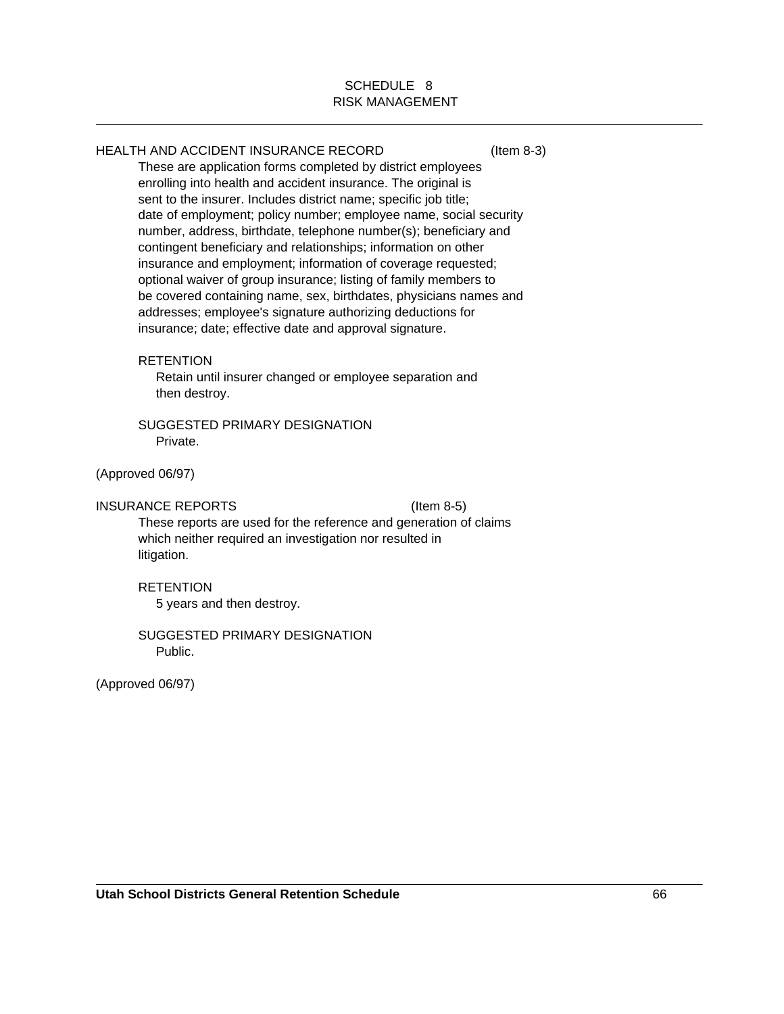# SCHEDULE 8 RISK MANAGEMENT

#### HEALTH AND ACCIDENT INSURANCE RECORD (Item 8-3)

 These are application forms completed by district employees enrolling into health and accident insurance. The original is sent to the insurer. Includes district name; specific job title; date of employment; policy number; employee name, social security number, address, birthdate, telephone number(s); beneficiary and contingent beneficiary and relationships; information on other insurance and employment; information of coverage requested; optional waiver of group insurance; listing of family members to be covered containing name, sex, birthdates, physicians names and addresses; employee's signature authorizing deductions for insurance; date; effective date and approval signature.

#### **RETENTION**

 Retain until insurer changed or employee separation and then destroy.

 SUGGESTED PRIMARY DESIGNATION Private.

(Approved 06/97)

#### INSURANCE REPORTS (Item 8-5)

 These reports are used for the reference and generation of claims which neither required an investigation nor resulted in litigation.

#### **RETENTION**

5 years and then destroy.

#### SUGGESTED PRIMARY DESIGNATION Public.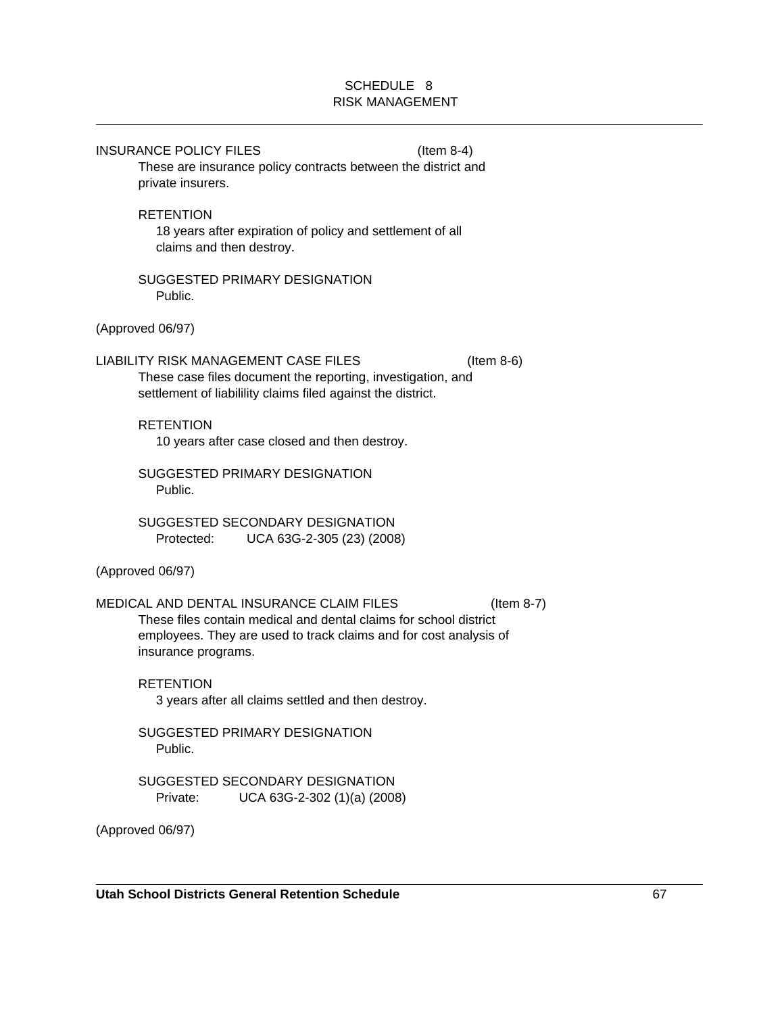# SCHEDULE 8 RISK MANAGEMENT

| <b>INSURANCE POLICY FILES</b><br>$($ ltem 8-4 $)$<br>These are insurance policy contracts between the district and<br>private insurers.                                                                                       |
|-------------------------------------------------------------------------------------------------------------------------------------------------------------------------------------------------------------------------------|
| <b>RETENTION</b><br>18 years after expiration of policy and settlement of all<br>claims and then destroy.                                                                                                                     |
| SUGGESTED PRIMARY DESIGNATION<br>Public.                                                                                                                                                                                      |
| (Approved 06/97)                                                                                                                                                                                                              |
| LIABILITY RISK MANAGEMENT CASE FILES<br>$($ ltem 8-6 $)$<br>These case files document the reporting, investigation, and<br>settlement of liabilility claims filed against the district.                                       |
| <b>RETENTION</b><br>10 years after case closed and then destroy.                                                                                                                                                              |
| SUGGESTED PRIMARY DESIGNATION<br>Public.                                                                                                                                                                                      |
| SUGGESTED SECONDARY DESIGNATION<br>Protected:<br>UCA 63G-2-305 (23) (2008)                                                                                                                                                    |
| (Approved 06/97)                                                                                                                                                                                                              |
| MEDICAL AND DENTAL INSURANCE CLAIM FILES<br>$($ ltem 8-7 $)$<br>These files contain medical and dental claims for school district<br>employees. They are used to track claims and for cost analysis of<br>insurance programs. |
| <b>RETENTION</b><br>3 years after all claims settled and then destroy.                                                                                                                                                        |
| SUGGESTED PRIMARY DESIGNATION<br>Public.                                                                                                                                                                                      |
| SUGGESTED SECONDARY DESIGNATION<br>Private:<br>UCA 63G-2-302 (1)(a) (2008)                                                                                                                                                    |
| (Approved 06/97)                                                                                                                                                                                                              |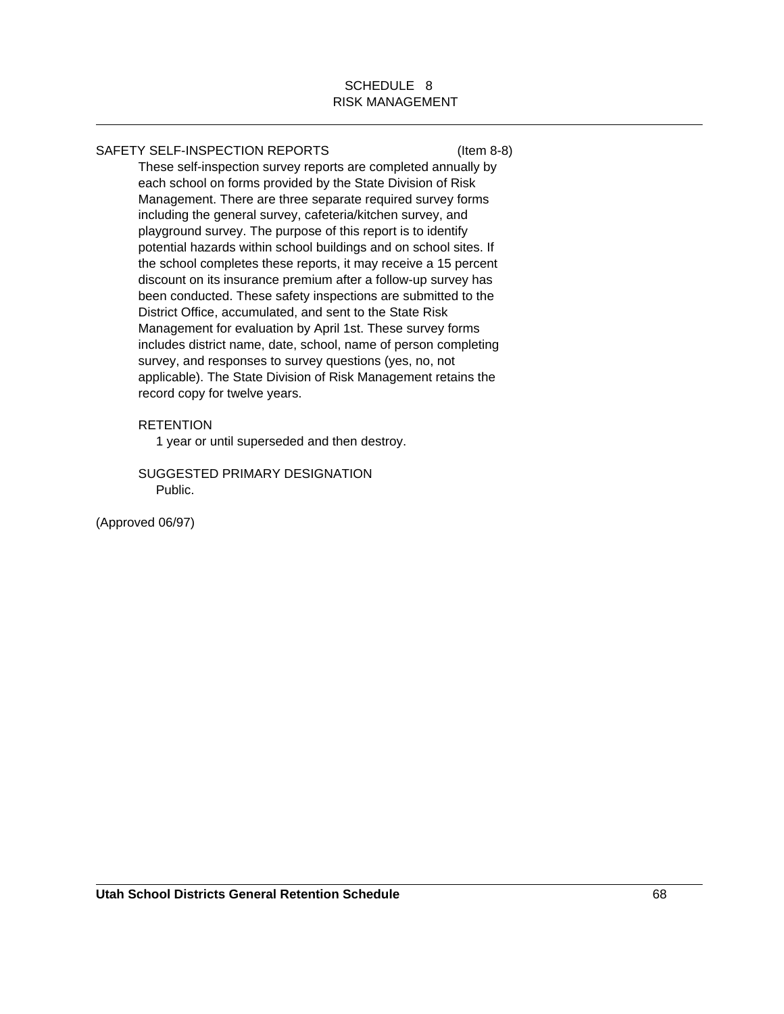# SCHEDULE 8 RISK MANAGEMENT

#### SAFETY SELF-INSPECTION REPORTS (Item 8-8)

 These self-inspection survey reports are completed annually by each school on forms provided by the State Division of Risk Management. There are three separate required survey forms including the general survey, cafeteria/kitchen survey, and playground survey. The purpose of this report is to identify potential hazards within school buildings and on school sites. If the school completes these reports, it may receive a 15 percent discount on its insurance premium after a follow-up survey has been conducted. These safety inspections are submitted to the District Office, accumulated, and sent to the State Risk Management for evaluation by April 1st. These survey forms includes district name, date, school, name of person completing survey, and responses to survey questions (yes, no, not applicable). The State Division of Risk Management retains the record copy for twelve years.

#### RETENTION

1 year or until superseded and then destroy.

 SUGGESTED PRIMARY DESIGNATION Public.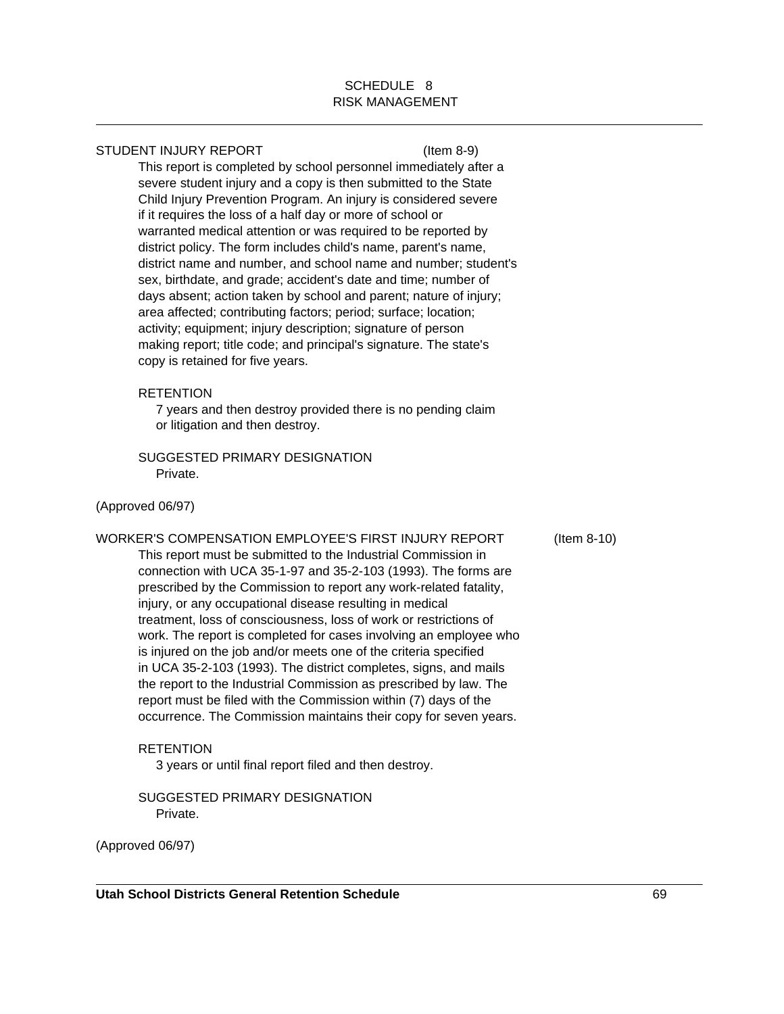# SCHEDULE 8 RISK MANAGEMENT

STUDENT INJURY REPORT (Item 8-9) This report is completed by school personnel immediately after a severe student injury and a copy is then submitted to the State Child Injury Prevention Program. An injury is considered severe if it requires the loss of a half day or more of school or warranted medical attention or was required to be reported by district policy. The form includes child's name, parent's name, district name and number, and school name and number; student's sex, birthdate, and grade; accident's date and time; number of days absent; action taken by school and parent; nature of injury; area affected; contributing factors; period; surface; location; activity; equipment; injury description; signature of person making report; title code; and principal's signature. The state's copy is retained for five years.

#### RETENTION

 7 years and then destroy provided there is no pending claim or litigation and then destroy.

 SUGGESTED PRIMARY DESIGNATION Private.

#### (Approved 06/97)

WORKER'S COMPENSATION EMPLOYEE'S FIRST INJURY REPORT (Item 8-10)

 This report must be submitted to the Industrial Commission in connection with UCA 35-1-97 and 35-2-103 (1993). The forms are prescribed by the Commission to report any work-related fatality, injury, or any occupational disease resulting in medical treatment, loss of consciousness, loss of work or restrictions of work. The report is completed for cases involving an employee who is injured on the job and/or meets one of the criteria specified in UCA 35-2-103 (1993). The district completes, signs, and mails the report to the Industrial Commission as prescribed by law. The report must be filed with the Commission within (7) days of the occurrence. The Commission maintains their copy for seven years.

#### RETENTION

3 years or until final report filed and then destroy.

#### SUGGESTED PRIMARY DESIGNATION Private.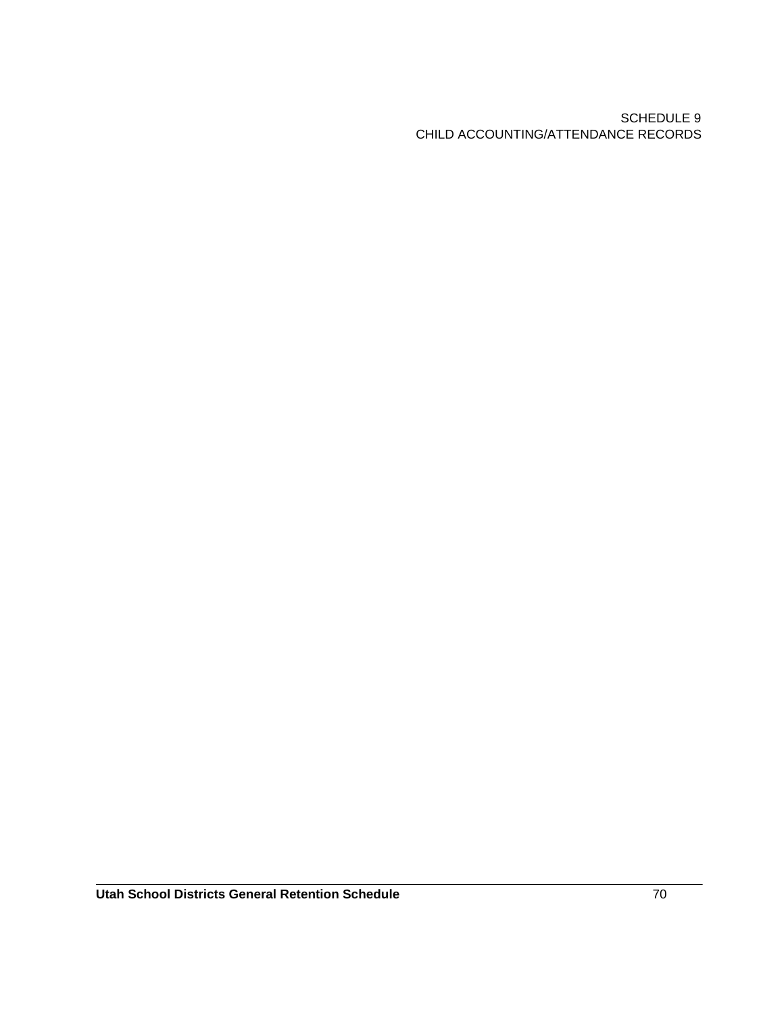# SCHEDULE 9 CHILD ACCOUNTING/ATTENDANCE RECORDS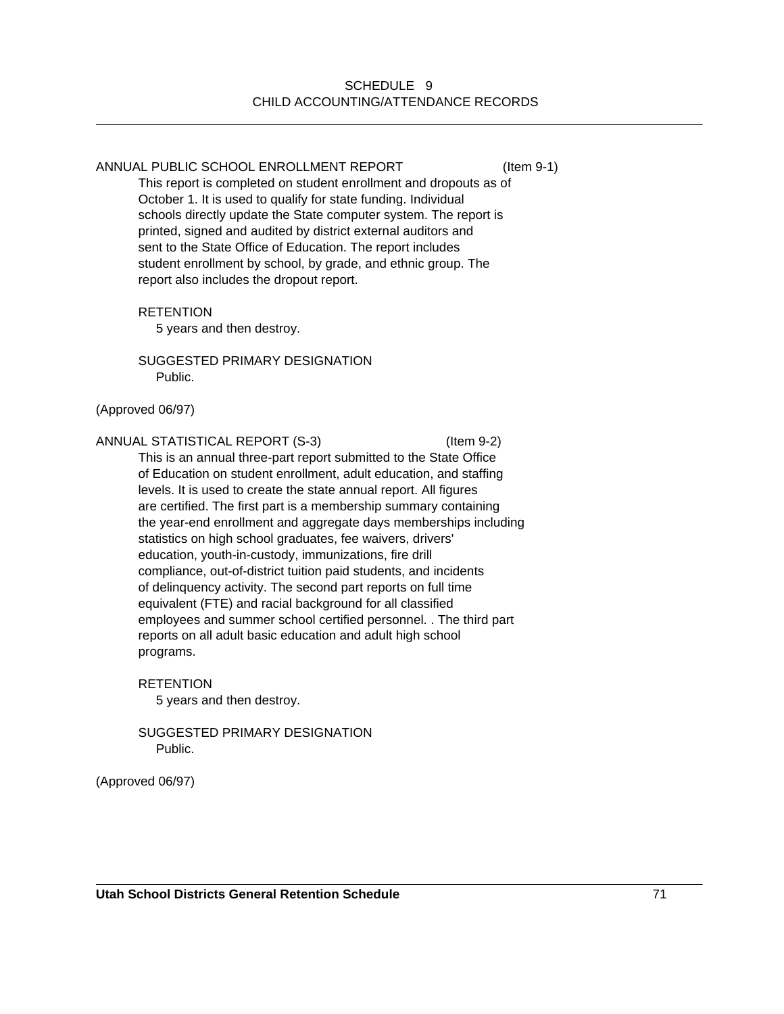## SCHEDULE 9 CHILD ACCOUNTING/ATTENDANCE RECORDS

## ANNUAL PUBLIC SCHOOL ENROLLMENT REPORT (Item 9-1) This report is completed on student enrollment and dropouts as of October 1. It is used to qualify for state funding. Individual schools directly update the State computer system. The report is printed, signed and audited by district external auditors and sent to the State Office of Education. The report includes student enrollment by school, by grade, and ethnic group. The report also includes the dropout report.

### RETENTION

5 years and then destroy.

 SUGGESTED PRIMARY DESIGNATION Public.

### (Approved 06/97)

ANNUAL STATISTICAL REPORT (S-3) (Item 9-2) This is an annual three-part report submitted to the State Office of Education on student enrollment, adult education, and staffing levels. It is used to create the state annual report. All figures are certified. The first part is a membership summary containing the year-end enrollment and aggregate days memberships including statistics on high school graduates, fee waivers, drivers' education, youth-in-custody, immunizations, fire drill compliance, out-of-district tuition paid students, and incidents of delinquency activity. The second part reports on full time equivalent (FTE) and racial background for all classified employees and summer school certified personnel. . The third part reports on all adult basic education and adult high school programs.

## **RETENTION**

5 years and then destroy.

### SUGGESTED PRIMARY DESIGNATION Public.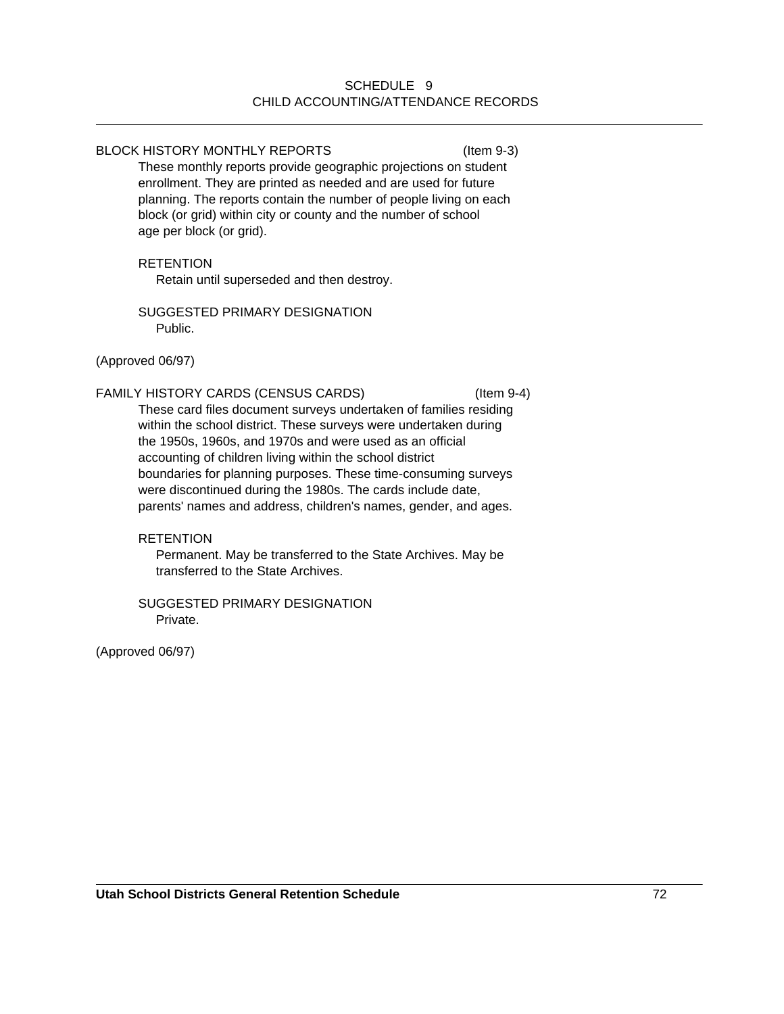## SCHEDULE 9 CHILD ACCOUNTING/ATTENDANCE RECORDS

### BLOCK HISTORY MONTHLY REPORTS (Item 9-3)

 These monthly reports provide geographic projections on student enrollment. They are printed as needed and are used for future planning. The reports contain the number of people living on each block (or grid) within city or county and the number of school age per block (or grid).

## **RETENTION**

Retain until superseded and then destroy.

## SUGGESTED PRIMARY DESIGNATION Public.

(Approved 06/97)

## FAMILY HISTORY CARDS (CENSUS CARDS) (Item 9-4)

 These card files document surveys undertaken of families residing within the school district. These surveys were undertaken during the 1950s, 1960s, and 1970s and were used as an official accounting of children living within the school district boundaries for planning purposes. These time-consuming surveys were discontinued during the 1980s. The cards include date, parents' names and address, children's names, gender, and ages.

## RETENTION

 Permanent. May be transferred to the State Archives. May be transferred to the State Archives.

## SUGGESTED PRIMARY DESIGNATION Private.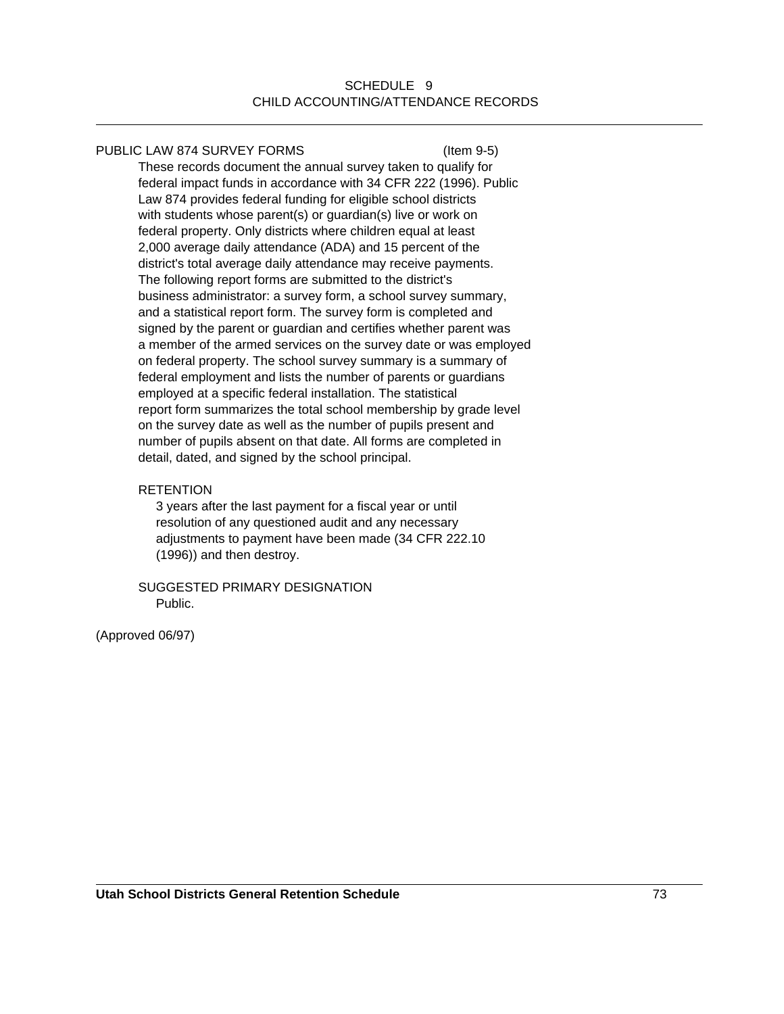## SCHEDULE 9 CHILD ACCOUNTING/ATTENDANCE RECORDS

### PUBLIC LAW 874 SURVEY FORMS (Item 9-5)

 These records document the annual survey taken to qualify for federal impact funds in accordance with 34 CFR 222 (1996). Public Law 874 provides federal funding for eligible school districts with students whose parent(s) or guardian(s) live or work on federal property. Only districts where children equal at least 2,000 average daily attendance (ADA) and 15 percent of the district's total average daily attendance may receive payments. The following report forms are submitted to the district's business administrator: a survey form, a school survey summary, and a statistical report form. The survey form is completed and signed by the parent or guardian and certifies whether parent was a member of the armed services on the survey date or was employed on federal property. The school survey summary is a summary of federal employment and lists the number of parents or guardians employed at a specific federal installation. The statistical report form summarizes the total school membership by grade level on the survey date as well as the number of pupils present and number of pupils absent on that date. All forms are completed in detail, dated, and signed by the school principal.

## RETENTION

 3 years after the last payment for a fiscal year or until resolution of any questioned audit and any necessary adjustments to payment have been made (34 CFR 222.10 (1996)) and then destroy.

## SUGGESTED PRIMARY DESIGNATION Public.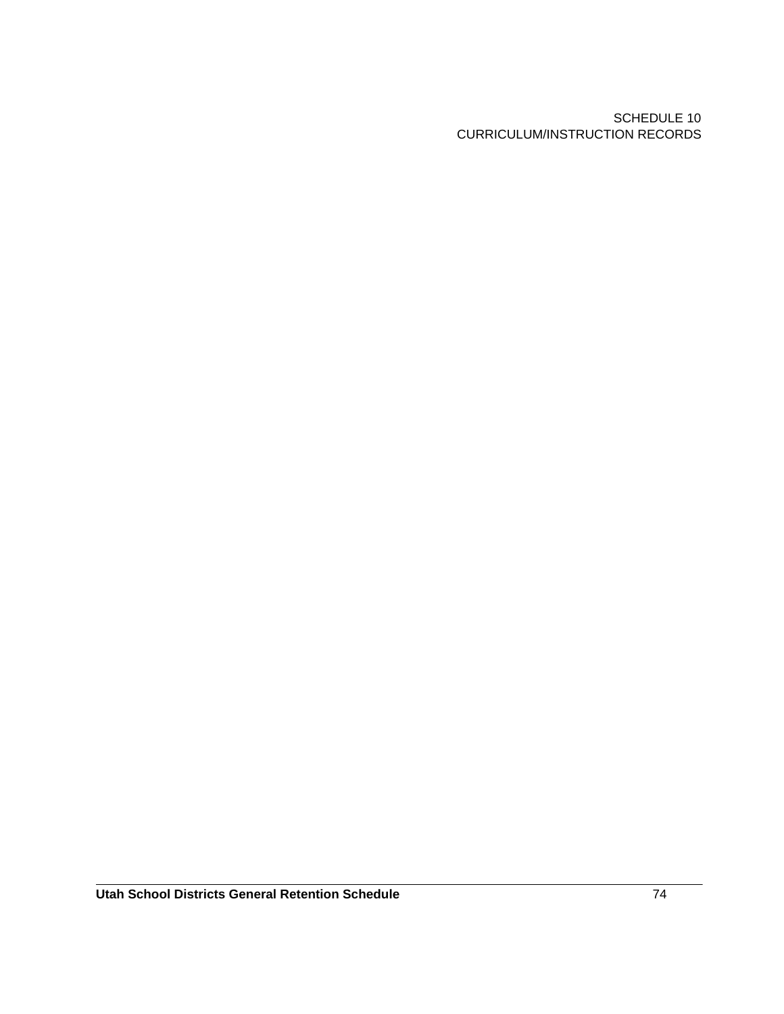## SCHEDULE 10 CURRICULUM/INSTRUCTION RECORDS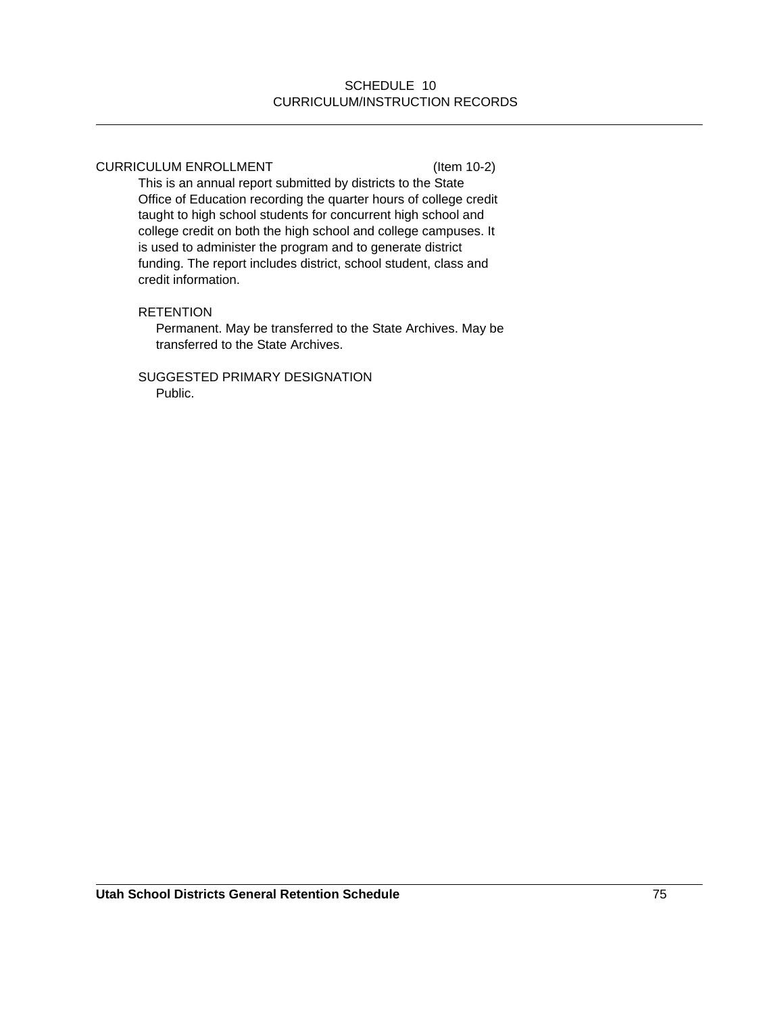## SCHEDULE 10 CURRICULUM/INSTRUCTION RECORDS

## CURRICULUM ENROLLMENT (Item 10-2)

 This is an annual report submitted by districts to the State Office of Education recording the quarter hours of college credit taught to high school students for concurrent high school and college credit on both the high school and college campuses. It is used to administer the program and to generate district funding. The report includes district, school student, class and credit information.

### **RETENTION**

 Permanent. May be transferred to the State Archives. May be transferred to the State Archives.

 SUGGESTED PRIMARY DESIGNATION Public.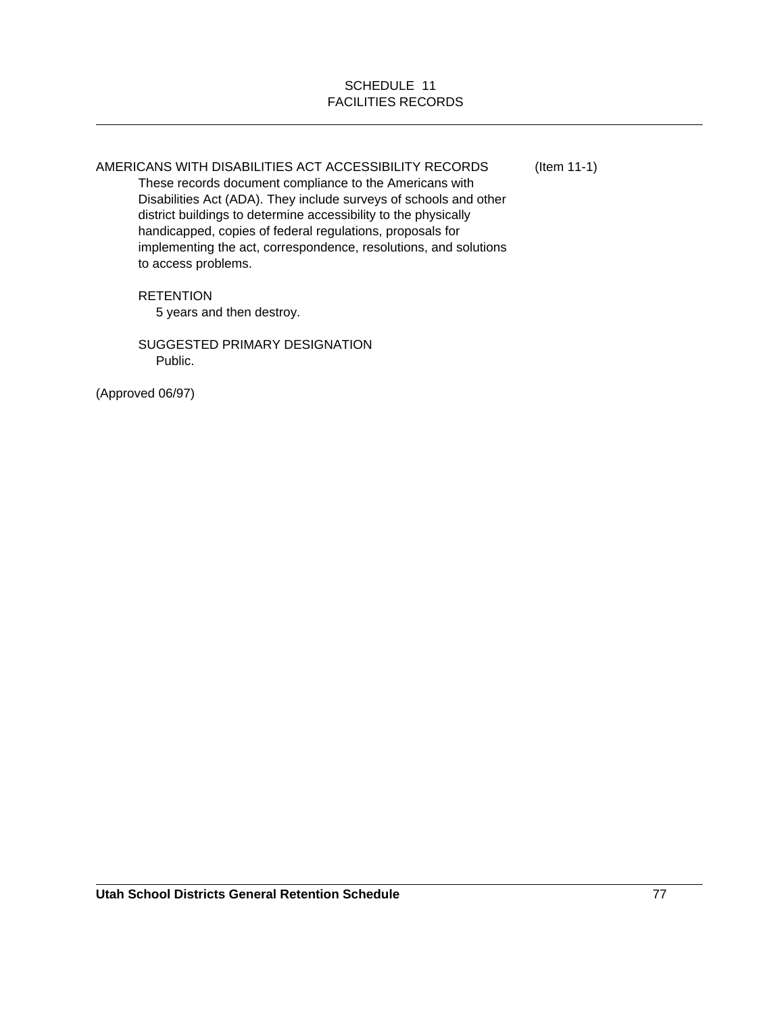AMERICANS WITH DISABILITIES ACT ACCESSIBILITY RECORDS (Item 11-1) These records document compliance to the Americans with

 Disabilities Act (ADA). They include surveys of schools and other district buildings to determine accessibility to the physically handicapped, copies of federal regulations, proposals for implementing the act, correspondence, resolutions, and solutions to access problems.

RETENTION

5 years and then destroy.

 SUGGESTED PRIMARY DESIGNATION Public.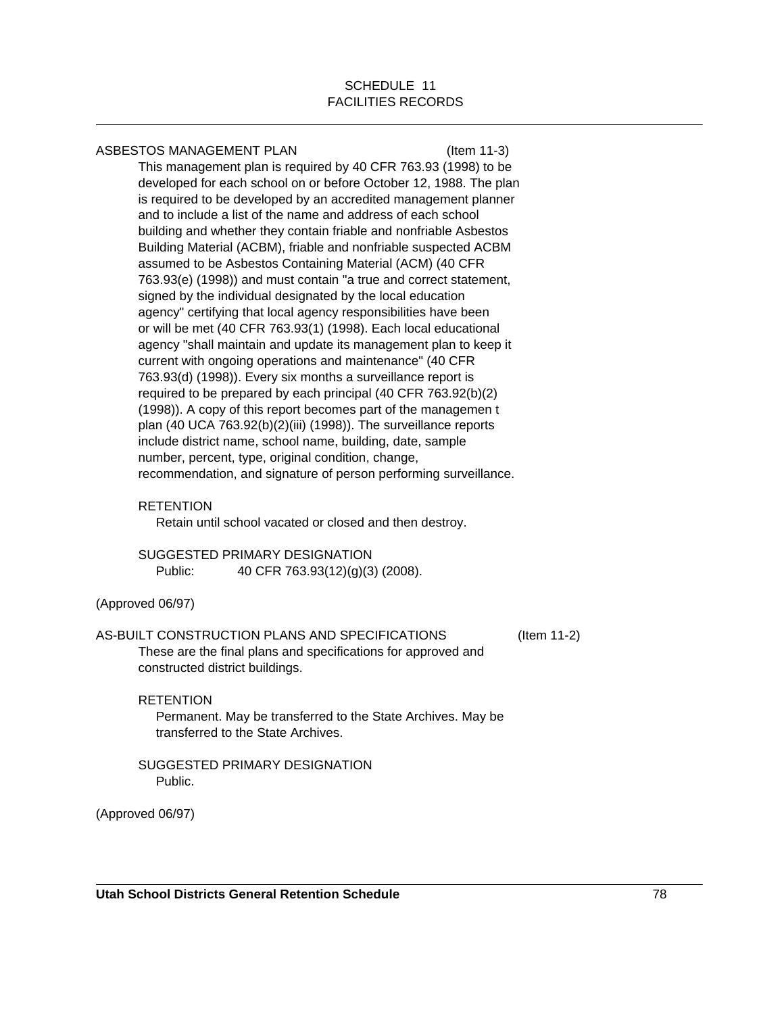ASBESTOS MANAGEMENT PLAN (Item 11-3)

 This management plan is required by 40 CFR 763.93 (1998) to be developed for each school on or before October 12, 1988. The plan is required to be developed by an accredited management planner and to include a list of the name and address of each school building and whether they contain friable and nonfriable Asbestos Building Material (ACBM), friable and nonfriable suspected ACBM assumed to be Asbestos Containing Material (ACM) (40 CFR 763.93(e) (1998)) and must contain "a true and correct statement, signed by the individual designated by the local education agency" certifying that local agency responsibilities have been or will be met (40 CFR 763.93(1) (1998). Each local educational agency "shall maintain and update its management plan to keep it current with ongoing operations and maintenance" (40 CFR 763.93(d) (1998)). Every six months a surveillance report is required to be prepared by each principal (40 CFR 763.92(b)(2) (1998)). A copy of this report becomes part of the managemen t plan (40 UCA 763.92(b)(2)(iii) (1998)). The surveillance reports include district name, school name, building, date, sample number, percent, type, original condition, change, recommendation, and signature of person performing surveillance.

## **RETENTION**

Retain until school vacated or closed and then destroy.

 SUGGESTED PRIMARY DESIGNATION Public: 40 CFR 763.93(12)(g)(3) (2008).

## (Approved 06/97)

AS-BUILT CONSTRUCTION PLANS AND SPECIFICATIONS (Item 11-2) These are the final plans and specifications for approved and constructed district buildings.

### RETENTION

 Permanent. May be transferred to the State Archives. May be transferred to the State Archives.

## SUGGESTED PRIMARY DESIGNATION Public.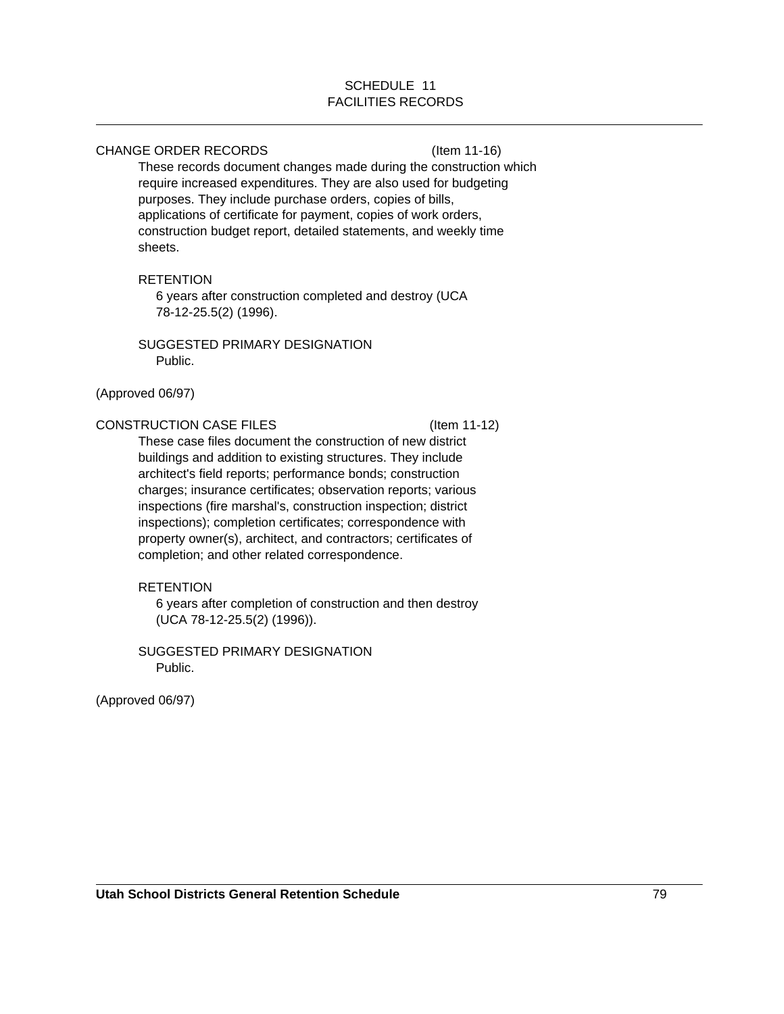### CHANGE ORDER RECORDS (Item 11-16)

 These records document changes made during the construction which require increased expenditures. They are also used for budgeting purposes. They include purchase orders, copies of bills, applications of certificate for payment, copies of work orders, construction budget report, detailed statements, and weekly time sheets.

### **RETENTION**

 6 years after construction completed and destroy (UCA 78-12-25.5(2) (1996).

 SUGGESTED PRIMARY DESIGNATION Public.

(Approved 06/97)

## CONSTRUCTION CASE FILES (Item 11-12)

 These case files document the construction of new district buildings and addition to existing structures. They include architect's field reports; performance bonds; construction charges; insurance certificates; observation reports; various inspections (fire marshal's, construction inspection; district inspections); completion certificates; correspondence with property owner(s), architect, and contractors; certificates of completion; and other related correspondence.

### **RETENTION**

 6 years after completion of construction and then destroy (UCA 78-12-25.5(2) (1996)).

## SUGGESTED PRIMARY DESIGNATION Public.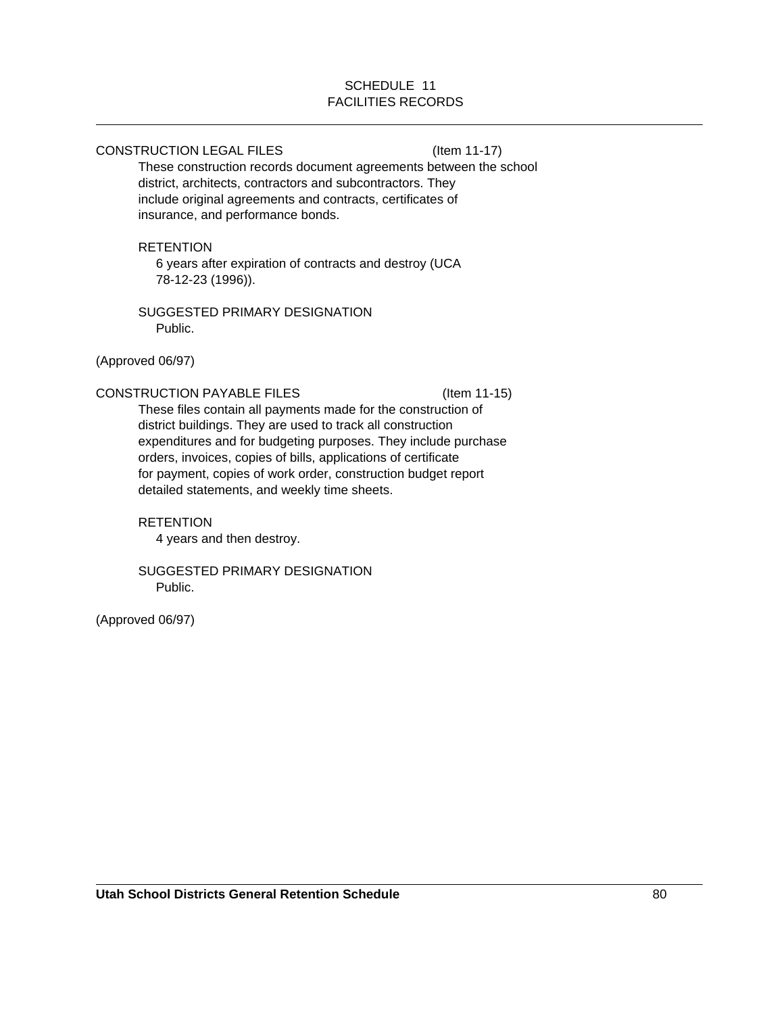### CONSTRUCTION LEGAL FILES (Item 11-17)

 These construction records document agreements between the school district, architects, contractors and subcontractors. They include original agreements and contracts, certificates of insurance, and performance bonds.

## **RETENTION**

 6 years after expiration of contracts and destroy (UCA 78-12-23 (1996)).

## SUGGESTED PRIMARY DESIGNATION Public.

(Approved 06/97)

## CONSTRUCTION PAYABLE FILES (Item 11-15)

 These files contain all payments made for the construction of district buildings. They are used to track all construction expenditures and for budgeting purposes. They include purchase orders, invoices, copies of bills, applications of certificate for payment, copies of work order, construction budget report detailed statements, and weekly time sheets.

## RETENTION

4 years and then destroy.

## SUGGESTED PRIMARY DESIGNATION Public.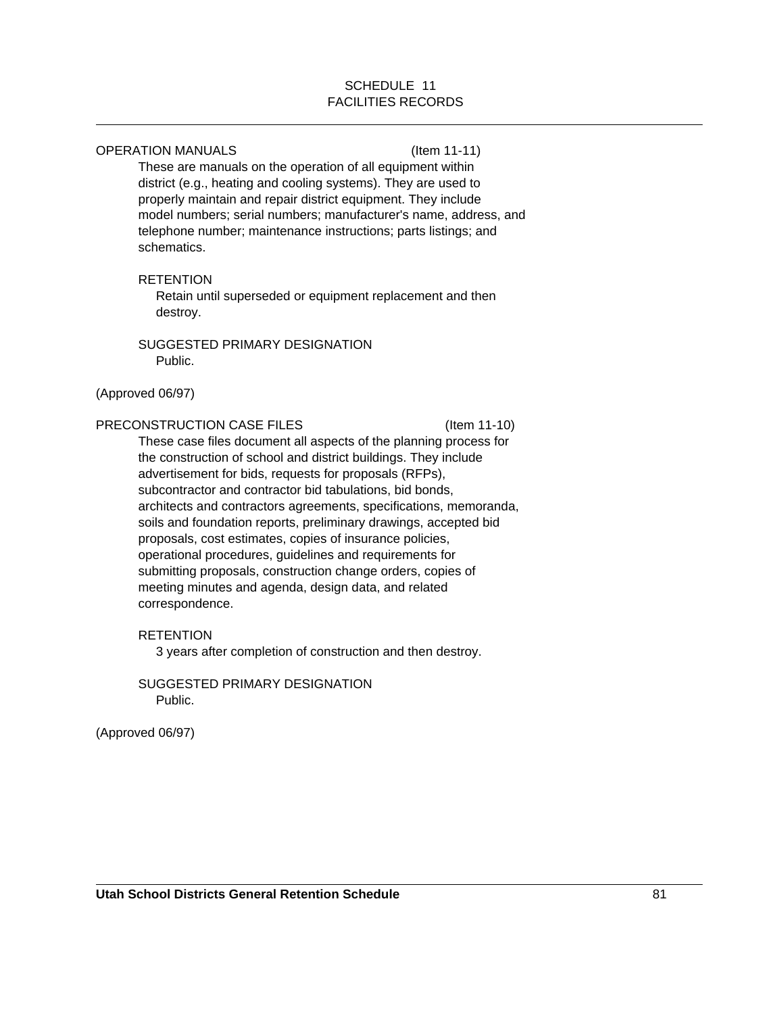## OPERATION MANUALS (Item 11-11)

 These are manuals on the operation of all equipment within district (e.g., heating and cooling systems). They are used to properly maintain and repair district equipment. They include model numbers; serial numbers; manufacturer's name, address, and telephone number; maintenance instructions; parts listings; and schematics.

### RETENTION

 Retain until superseded or equipment replacement and then destroy.

 SUGGESTED PRIMARY DESIGNATION Public.

(Approved 06/97)

## PRECONSTRUCTION CASE FILES (Item 11-10)

 These case files document all aspects of the planning process for the construction of school and district buildings. They include advertisement for bids, requests for proposals (RFPs), subcontractor and contractor bid tabulations, bid bonds, architects and contractors agreements, specifications, memoranda, soils and foundation reports, preliminary drawings, accepted bid proposals, cost estimates, copies of insurance policies, operational procedures, guidelines and requirements for submitting proposals, construction change orders, copies of meeting minutes and agenda, design data, and related correspondence.

## **RETENTION**

3 years after completion of construction and then destroy.

 SUGGESTED PRIMARY DESIGNATION Public.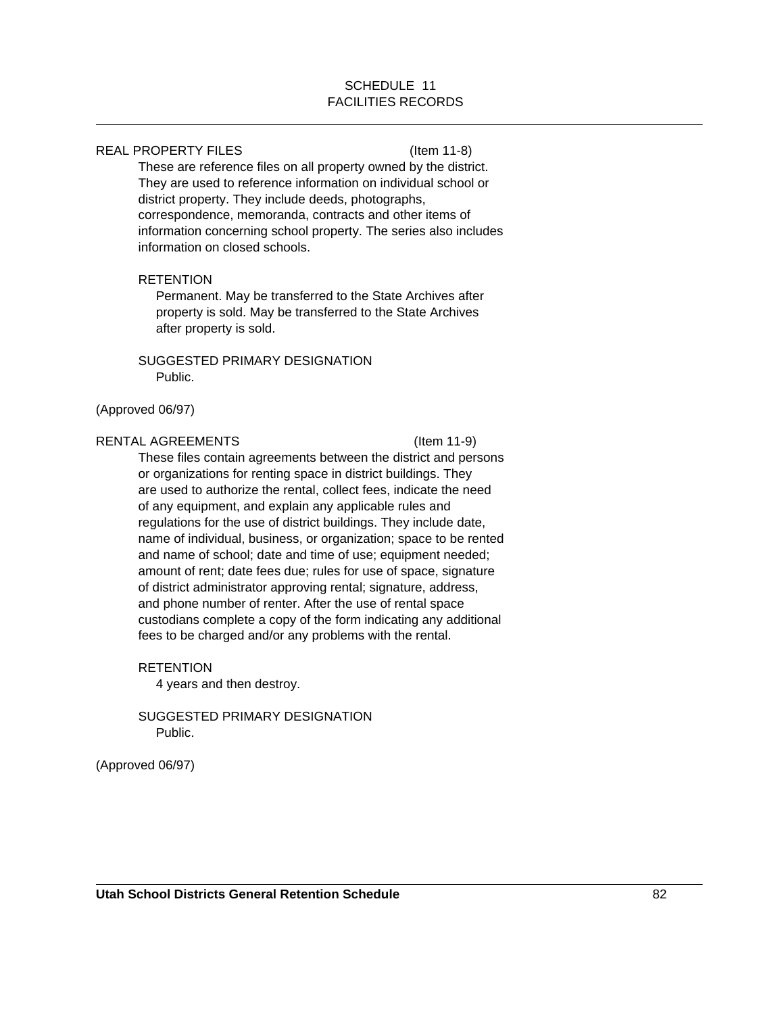### REAL PROPERTY FILES (Item 11-8)

 These are reference files on all property owned by the district. They are used to reference information on individual school or district property. They include deeds, photographs, correspondence, memoranda, contracts and other items of information concerning school property. The series also includes information on closed schools.

### **RETENTION**

 Permanent. May be transferred to the State Archives after property is sold. May be transferred to the State Archives after property is sold.

 SUGGESTED PRIMARY DESIGNATION Public.

## (Approved 06/97)

### RENTAL AGREEMENTS (Item 11-9)

 These files contain agreements between the district and persons or organizations for renting space in district buildings. They are used to authorize the rental, collect fees, indicate the need of any equipment, and explain any applicable rules and regulations for the use of district buildings. They include date, name of individual, business, or organization; space to be rented and name of school; date and time of use; equipment needed; amount of rent; date fees due; rules for use of space, signature of district administrator approving rental; signature, address, and phone number of renter. After the use of rental space custodians complete a copy of the form indicating any additional fees to be charged and/or any problems with the rental.

### RETENTION

4 years and then destroy.

 SUGGESTED PRIMARY DESIGNATION Public.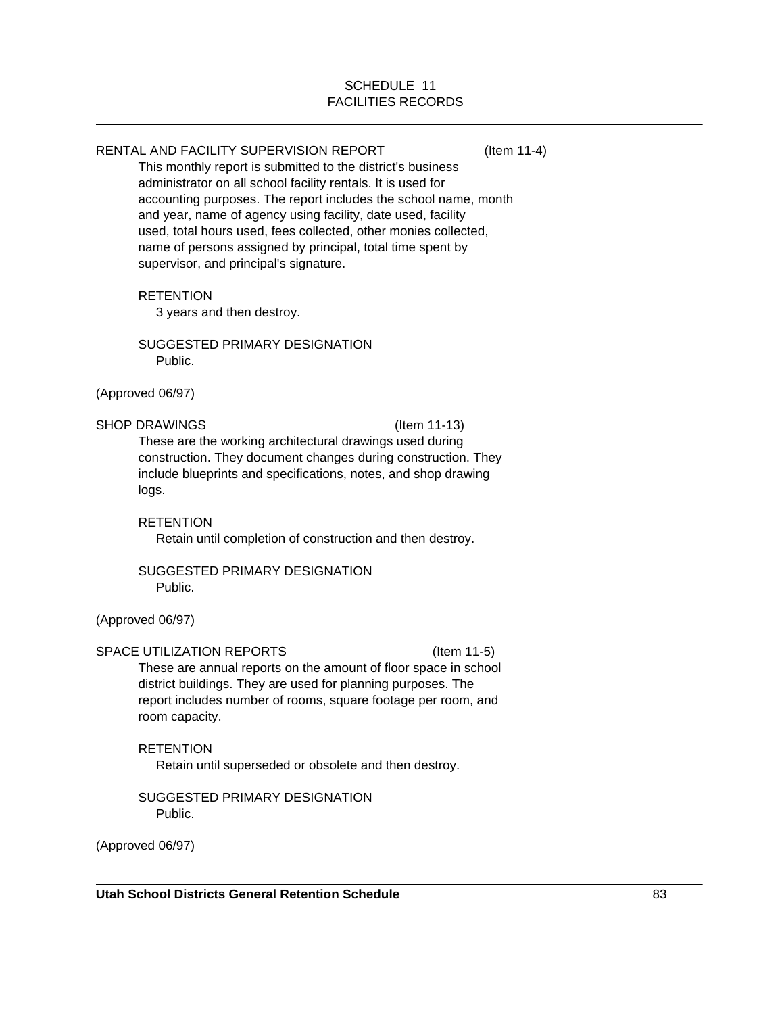## RENTAL AND FACILITY SUPERVISION REPORT (Item 11-4)

 This monthly report is submitted to the district's business administrator on all school facility rentals. It is used for accounting purposes. The report includes the school name, month and year, name of agency using facility, date used, facility used, total hours used, fees collected, other monies collected, name of persons assigned by principal, total time spent by supervisor, and principal's signature.

## RETENTION

3 years and then destroy.

 SUGGESTED PRIMARY DESIGNATION Public.

(Approved 06/97)

### SHOP DRAWINGS (Item 11-13)

 These are the working architectural drawings used during construction. They document changes during construction. They include blueprints and specifications, notes, and shop drawing logs.

 RETENTION Retain until completion of construction and then destroy.

 SUGGESTED PRIMARY DESIGNATION Public.

(Approved 06/97)

## SPACE UTILIZATION REPORTS (Item 11-5)

 These are annual reports on the amount of floor space in school district buildings. They are used for planning purposes. The report includes number of rooms, square footage per room, and room capacity.

 RETENTION Retain until superseded or obsolete and then destroy.

 SUGGESTED PRIMARY DESIGNATION Public.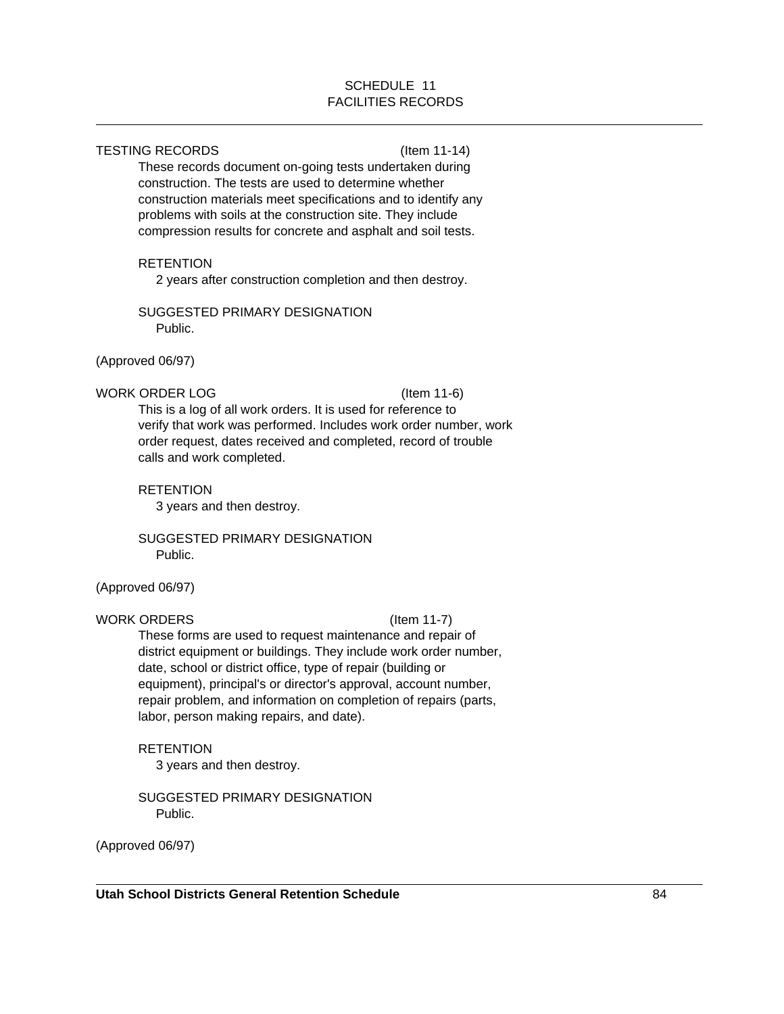## TESTING RECORDS (Item 11-14)

 These records document on-going tests undertaken during construction. The tests are used to determine whether construction materials meet specifications and to identify any problems with soils at the construction site. They include compression results for concrete and asphalt and soil tests.

## **RETENTION**

2 years after construction completion and then destroy.

## SUGGESTED PRIMARY DESIGNATION Public.

(Approved 06/97)

### WORK ORDER LOG (Item 11-6)

 This is a log of all work orders. It is used for reference to verify that work was performed. Includes work order number, work order request, dates received and completed, record of trouble calls and work completed.

### RETENTION

3 years and then destroy.

### SUGGESTED PRIMARY DESIGNATION Public.

### (Approved 06/97)

## WORK ORDERS (Item 11-7)

 These forms are used to request maintenance and repair of district equipment or buildings. They include work order number, date, school or district office, type of repair (building or equipment), principal's or director's approval, account number, repair problem, and information on completion of repairs (parts, labor, person making repairs, and date).

 RETENTION 3 years and then destroy.

## SUGGESTED PRIMARY DESIGNATION Public.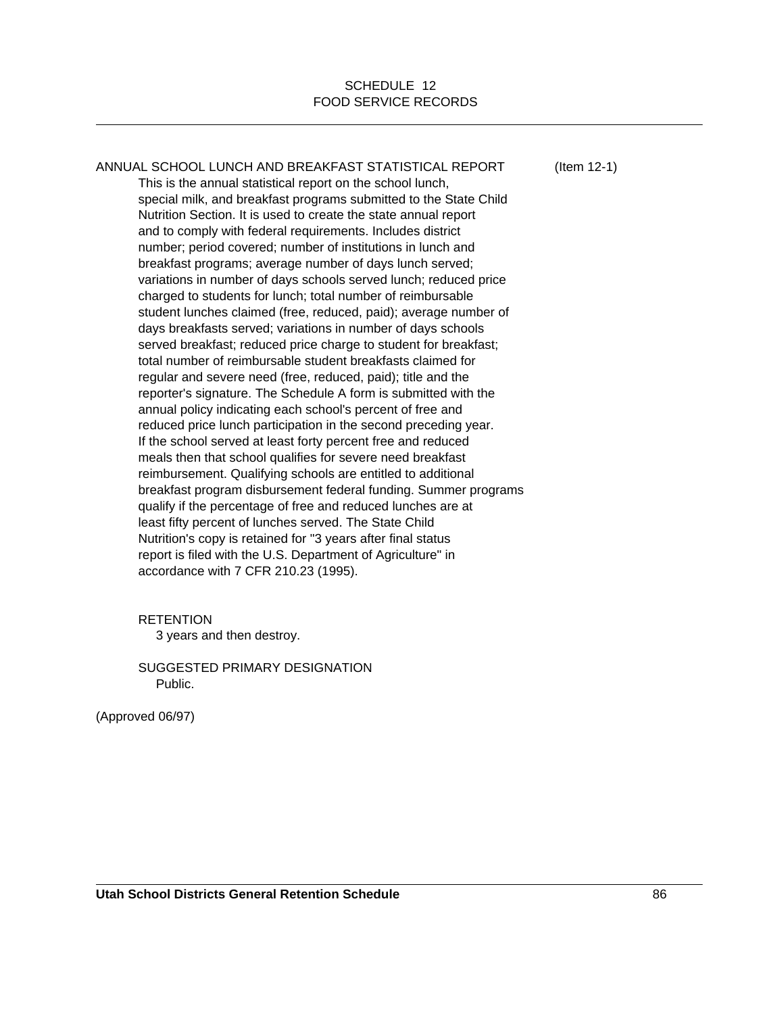ANNUAL SCHOOL LUNCH AND BREAKFAST STATISTICAL REPORT (Item 12-1) This is the annual statistical report on the school lunch, special milk, and breakfast programs submitted to the State Child Nutrition Section. It is used to create the state annual report and to comply with federal requirements. Includes district number; period covered; number of institutions in lunch and breakfast programs; average number of days lunch served; variations in number of days schools served lunch; reduced price charged to students for lunch; total number of reimbursable student lunches claimed (free, reduced, paid); average number of days breakfasts served; variations in number of days schools served breakfast; reduced price charge to student for breakfast; total number of reimbursable student breakfasts claimed for regular and severe need (free, reduced, paid); title and the reporter's signature. The Schedule A form is submitted with the annual policy indicating each school's percent of free and reduced price lunch participation in the second preceding year. If the school served at least forty percent free and reduced meals then that school qualifies for severe need breakfast reimbursement. Qualifying schools are entitled to additional breakfast program disbursement federal funding. Summer programs qualify if the percentage of free and reduced lunches are at least fifty percent of lunches served. The State Child Nutrition's copy is retained for "3 years after final status report is filed with the U.S. Department of Agriculture" in accordance with 7 CFR 210.23 (1995).

### RETENTION

3 years and then destroy.

 SUGGESTED PRIMARY DESIGNATION Public.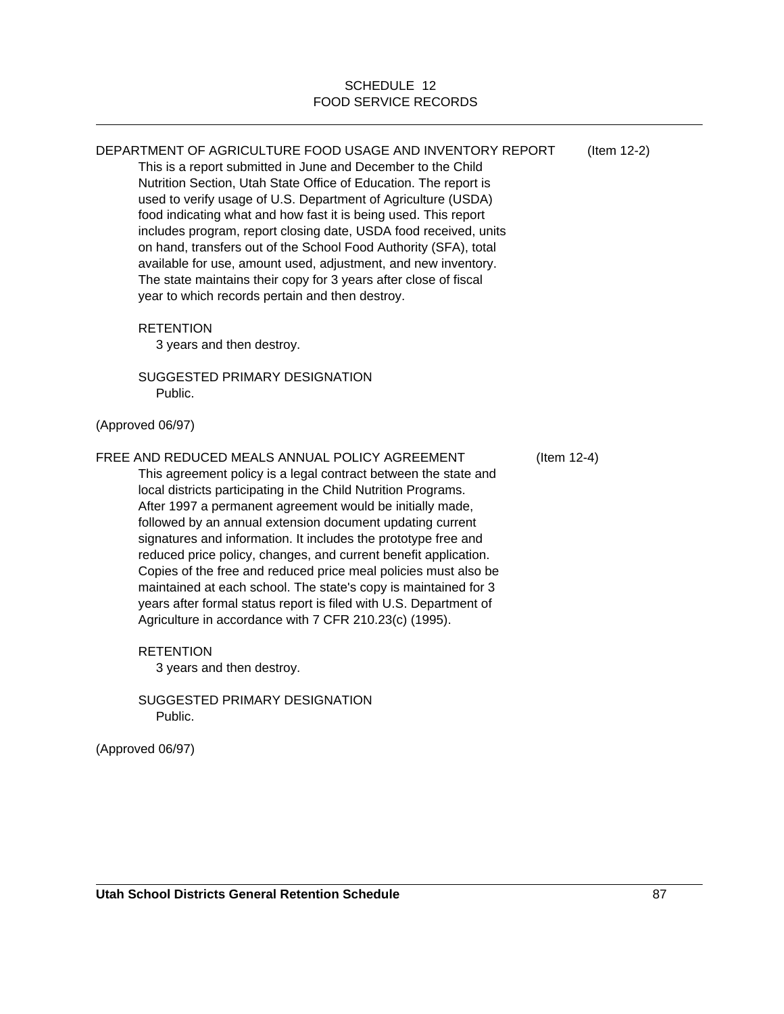| DEPARTMENT OF AGRICULTURE FOOD USAGE AND INVENTORY REPORT<br>This is a report submitted in June and December to the Child<br>Nutrition Section, Utah State Office of Education. The report is<br>used to verify usage of U.S. Department of Agriculture (USDA)<br>food indicating what and how fast it is being used. This report<br>includes program, report closing date, USDA food received, units<br>on hand, transfers out of the School Food Authority (SFA), total<br>available for use, amount used, adjustment, and new inventory.<br>The state maintains their copy for 3 years after close of fiscal<br>year to which records pertain and then destroy.                                                      |             | (Item 12-2) |
|-------------------------------------------------------------------------------------------------------------------------------------------------------------------------------------------------------------------------------------------------------------------------------------------------------------------------------------------------------------------------------------------------------------------------------------------------------------------------------------------------------------------------------------------------------------------------------------------------------------------------------------------------------------------------------------------------------------------------|-------------|-------------|
| <b>RETENTION</b><br>3 years and then destroy.                                                                                                                                                                                                                                                                                                                                                                                                                                                                                                                                                                                                                                                                           |             |             |
| SUGGESTED PRIMARY DESIGNATION<br>Public.                                                                                                                                                                                                                                                                                                                                                                                                                                                                                                                                                                                                                                                                                |             |             |
| (Approved 06/97)                                                                                                                                                                                                                                                                                                                                                                                                                                                                                                                                                                                                                                                                                                        |             |             |
| FREE AND REDUCED MEALS ANNUAL POLICY AGREEMENT<br>This agreement policy is a legal contract between the state and<br>local districts participating in the Child Nutrition Programs.<br>After 1997 a permanent agreement would be initially made,<br>followed by an annual extension document updating current<br>signatures and information. It includes the prototype free and<br>reduced price policy, changes, and current benefit application.<br>Copies of the free and reduced price meal policies must also be<br>maintained at each school. The state's copy is maintained for 3<br>years after formal status report is filed with U.S. Department of<br>Agriculture in accordance with 7 CFR 210.23(c) (1995). | (Item 12-4) |             |
| <b>RETENTION</b><br>3 years and then destroy.                                                                                                                                                                                                                                                                                                                                                                                                                                                                                                                                                                                                                                                                           |             |             |
|                                                                                                                                                                                                                                                                                                                                                                                                                                                                                                                                                                                                                                                                                                                         |             |             |

 SUGGESTED PRIMARY DESIGNATION Public.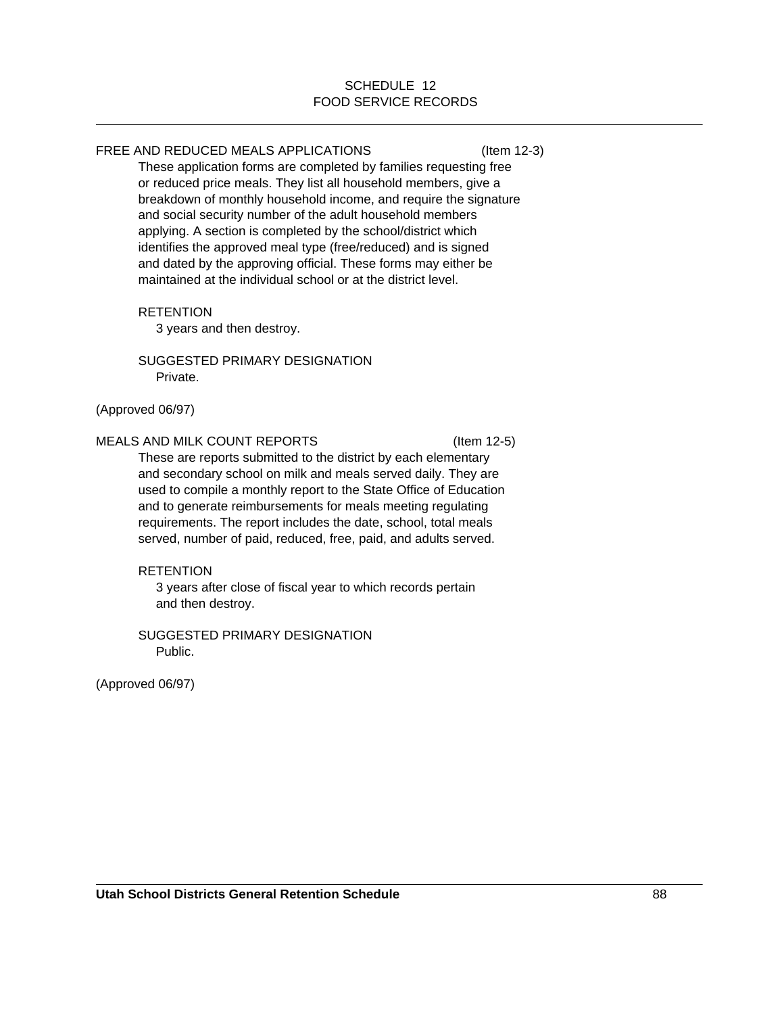## FREE AND REDUCED MEALS APPLICATIONS (Item 12-3)

 These application forms are completed by families requesting free or reduced price meals. They list all household members, give a breakdown of monthly household income, and require the signature and social security number of the adult household members applying. A section is completed by the school/district which identifies the approved meal type (free/reduced) and is signed and dated by the approving official. These forms may either be maintained at the individual school or at the district level.

### RETENTION

3 years and then destroy.

 SUGGESTED PRIMARY DESIGNATION Private.

### (Approved 06/97)

## MEALS AND MILK COUNT REPORTS (Item 12-5)

 These are reports submitted to the district by each elementary and secondary school on milk and meals served daily. They are used to compile a monthly report to the State Office of Education and to generate reimbursements for meals meeting regulating requirements. The report includes the date, school, total meals served, number of paid, reduced, free, paid, and adults served.

### **RETENTION**

 3 years after close of fiscal year to which records pertain and then destroy.

### SUGGESTED PRIMARY DESIGNATION Public.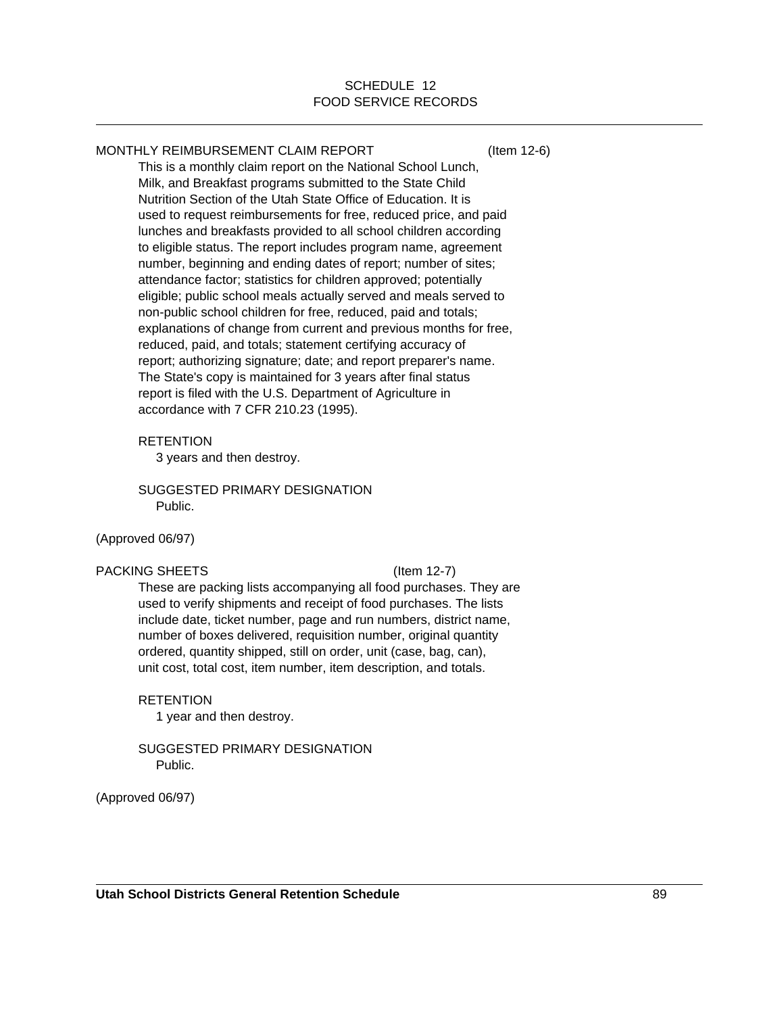## MONTHLY REIMBURSEMENT CLAIM REPORT (Item 12-6)

 This is a monthly claim report on the National School Lunch, Milk, and Breakfast programs submitted to the State Child Nutrition Section of the Utah State Office of Education. It is used to request reimbursements for free, reduced price, and paid lunches and breakfasts provided to all school children according to eligible status. The report includes program name, agreement number, beginning and ending dates of report; number of sites; attendance factor; statistics for children approved; potentially eligible; public school meals actually served and meals served to non-public school children for free, reduced, paid and totals; explanations of change from current and previous months for free, reduced, paid, and totals; statement certifying accuracy of report; authorizing signature; date; and report preparer's name. The State's copy is maintained for 3 years after final status report is filed with the U.S. Department of Agriculture in accordance with 7 CFR 210.23 (1995).

### RETENTION

3 years and then destroy.

### SUGGESTED PRIMARY DESIGNATION Public.

### (Approved 06/97)

### PACKING SHEETS (Item 12-7)

 These are packing lists accompanying all food purchases. They are used to verify shipments and receipt of food purchases. The lists include date, ticket number, page and run numbers, district name, number of boxes delivered, requisition number, original quantity ordered, quantity shipped, still on order, unit (case, bag, can), unit cost, total cost, item number, item description, and totals.

### RETENTION

1 year and then destroy.

 SUGGESTED PRIMARY DESIGNATION Public.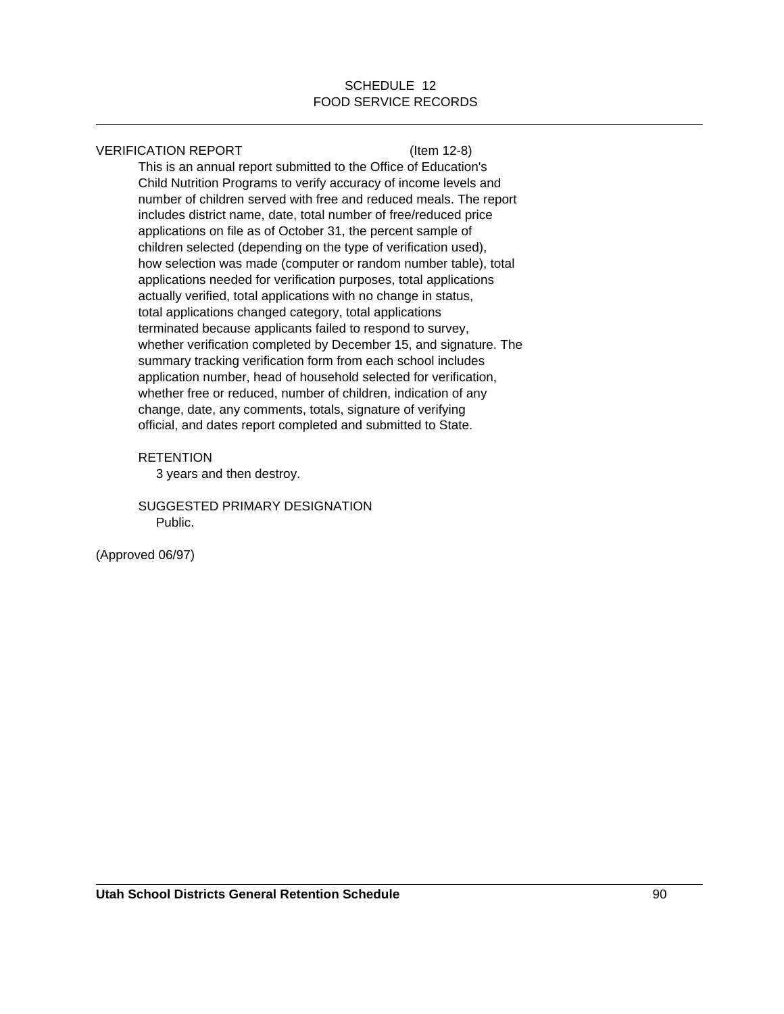### VERIFICATION REPORT (Item 12-8)

 This is an annual report submitted to the Office of Education's Child Nutrition Programs to verify accuracy of income levels and number of children served with free and reduced meals. The report includes district name, date, total number of free/reduced price applications on file as of October 31, the percent sample of children selected (depending on the type of verification used), how selection was made (computer or random number table), total applications needed for verification purposes, total applications actually verified, total applications with no change in status, total applications changed category, total applications terminated because applicants failed to respond to survey, whether verification completed by December 15, and signature. The summary tracking verification form from each school includes application number, head of household selected for verification, whether free or reduced, number of children, indication of any change, date, any comments, totals, signature of verifying official, and dates report completed and submitted to State.

## **RETENTION**

3 years and then destroy.

 SUGGESTED PRIMARY DESIGNATION Public.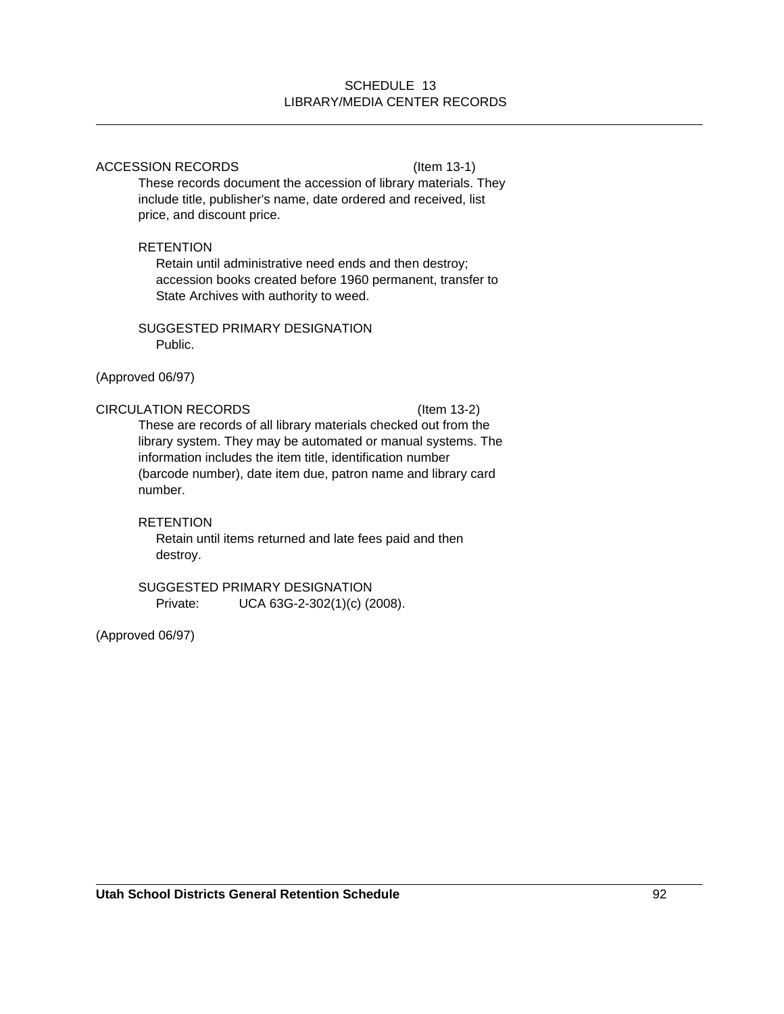### ACCESSION RECORDS (Item 13-1)

 These records document the accession of library materials. They include title, publisher's name, date ordered and received, list price, and discount price.

## **RETENTION**

 Retain until administrative need ends and then destroy; accession books created before 1960 permanent, transfer to State Archives with authority to weed.

 SUGGESTED PRIMARY DESIGNATION Public.

(Approved 06/97)

## CIRCULATION RECORDS (Item 13-2)

 These are records of all library materials checked out from the library system. They may be automated or manual systems. The information includes the item title, identification number (barcode number), date item due, patron name and library card number.

## RETENTION

 Retain until items returned and late fees paid and then destroy.

## SUGGESTED PRIMARY DESIGNATION

Private: UCA 63G-2-302(1)(c) (2008).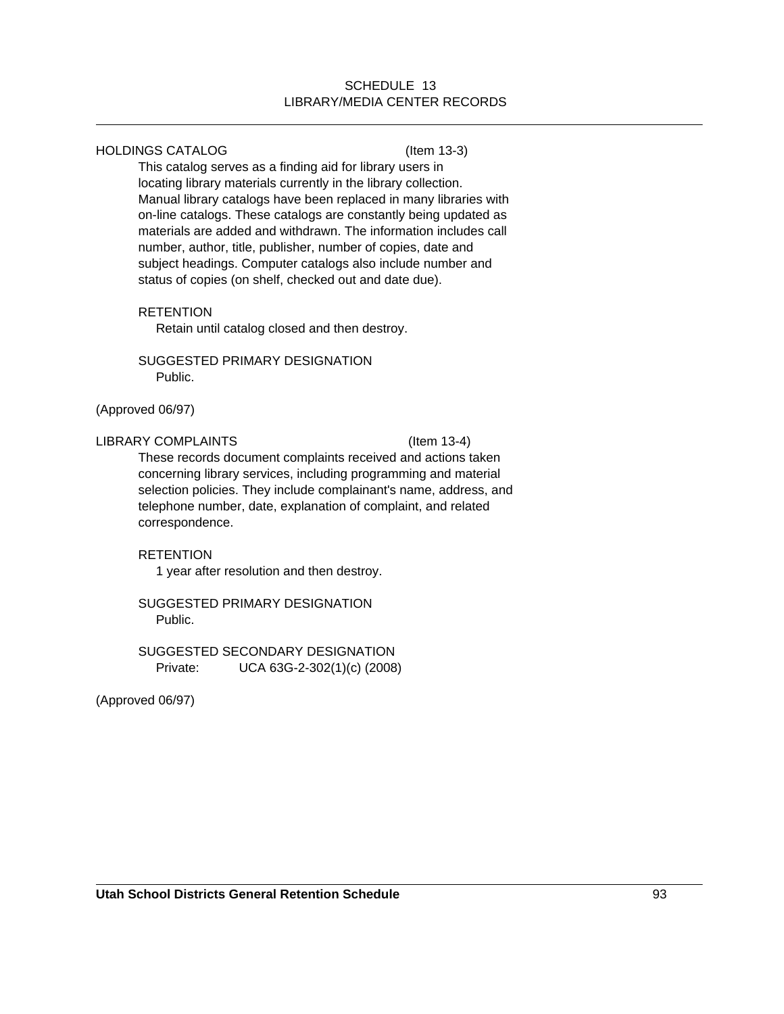## HOLDINGS CATALOG (Item 13-3)

 This catalog serves as a finding aid for library users in locating library materials currently in the library collection. Manual library catalogs have been replaced in many libraries with on-line catalogs. These catalogs are constantly being updated as materials are added and withdrawn. The information includes call number, author, title, publisher, number of copies, date and subject headings. Computer catalogs also include number and status of copies (on shelf, checked out and date due).

## RETENTION

Retain until catalog closed and then destroy.

 SUGGESTED PRIMARY DESIGNATION Public.

### (Approved 06/97)

### LIBRARY COMPLAINTS (Item 13-4)

 These records document complaints received and actions taken concerning library services, including programming and material selection policies. They include complainant's name, address, and telephone number, date, explanation of complaint, and related correspondence.

### RETENTION

1 year after resolution and then destroy.

 SUGGESTED PRIMARY DESIGNATION Public.

 SUGGESTED SECONDARY DESIGNATION Private: UCA 63G-2-302(1)(c) (2008)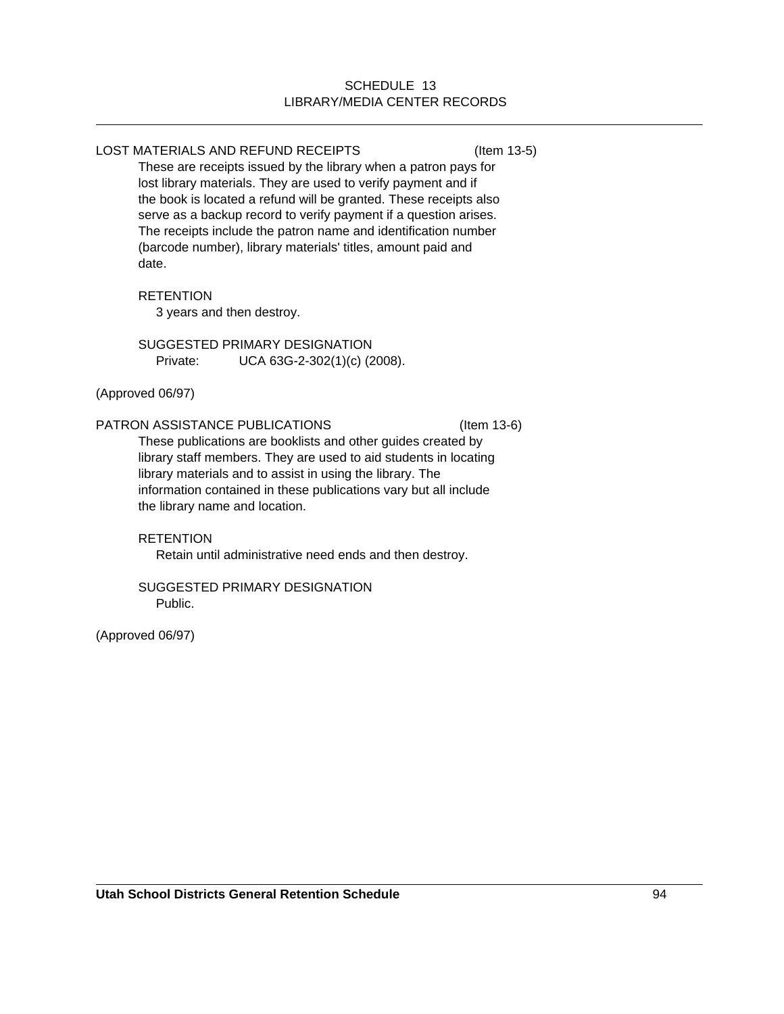## LOST MATERIALS AND REFUND RECEIPTS (Item 13-5)

 These are receipts issued by the library when a patron pays for lost library materials. They are used to verify payment and if the book is located a refund will be granted. These receipts also serve as a backup record to verify payment if a question arises. The receipts include the patron name and identification number (barcode number), library materials' titles, amount paid and date.

## **RETENTION**

3 years and then destroy.

 SUGGESTED PRIMARY DESIGNATION Private: UCA 63G-2-302(1)(c) (2008).

## (Approved 06/97)

## PATRON ASSISTANCE PUBLICATIONS (Item 13-6)

 These publications are booklists and other guides created by library staff members. They are used to aid students in locating library materials and to assist in using the library. The information contained in these publications vary but all include the library name and location.

## **RETENTION**

Retain until administrative need ends and then destroy.

## SUGGESTED PRIMARY DESIGNATION Public.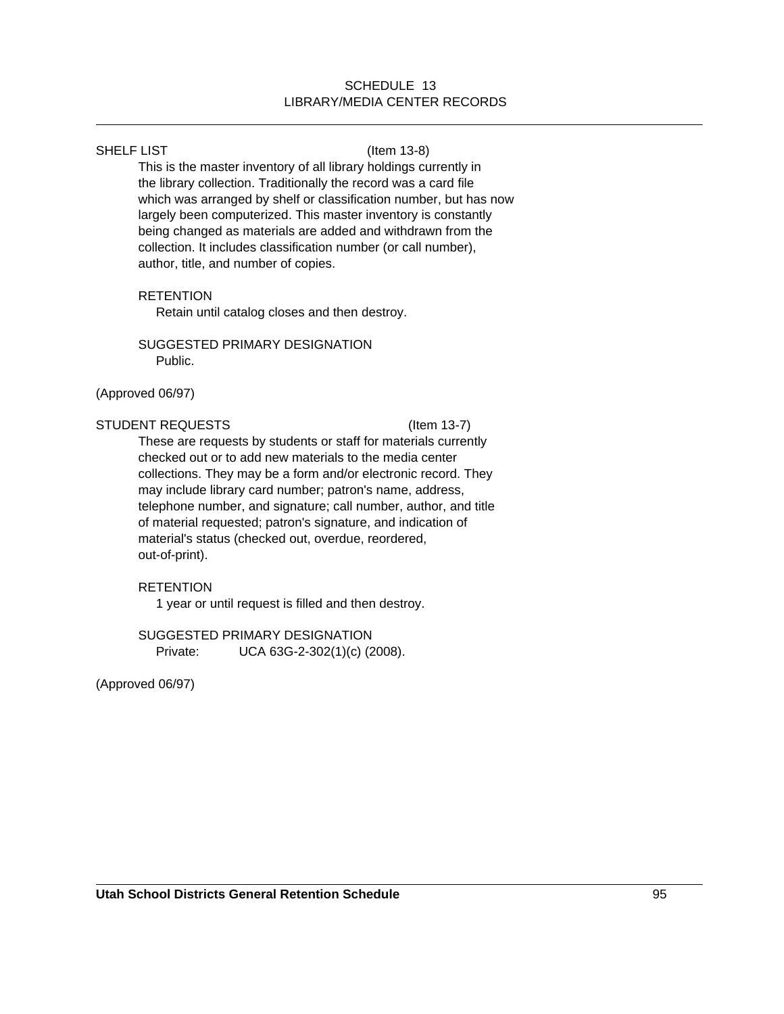### SHELF LIST (Item 13-8)

 This is the master inventory of all library holdings currently in the library collection. Traditionally the record was a card file which was arranged by shelf or classification number, but has now largely been computerized. This master inventory is constantly being changed as materials are added and withdrawn from the collection. It includes classification number (or call number), author, title, and number of copies.

## RETENTION

Retain until catalog closes and then destroy.

## SUGGESTED PRIMARY DESIGNATION Public.

(Approved 06/97)

## STUDENT REQUESTS (Item 13-7)

 These are requests by students or staff for materials currently checked out or to add new materials to the media center collections. They may be a form and/or electronic record. They may include library card number; patron's name, address, telephone number, and signature; call number, author, and title of material requested; patron's signature, and indication of material's status (checked out, overdue, reordered, out-of-print).

### **RETENTION**

1 year or until request is filled and then destroy.

 SUGGESTED PRIMARY DESIGNATION Private: UCA 63G-2-302(1)(c) (2008).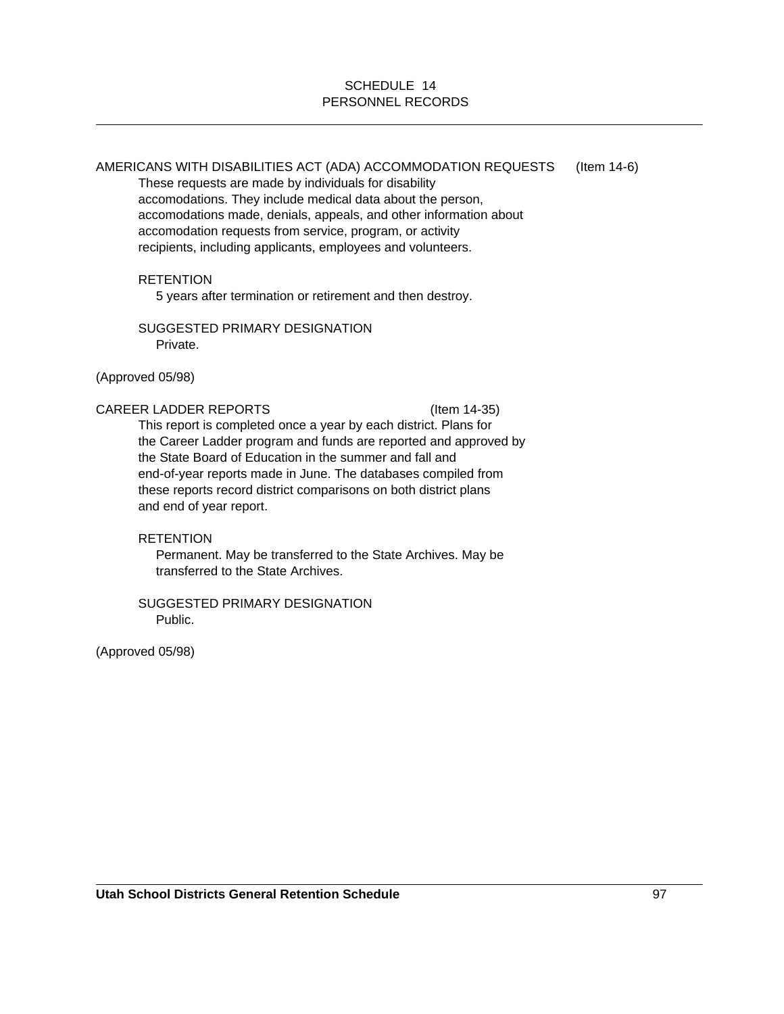AMERICANS WITH DISABILITIES ACT (ADA) ACCOMMODATION REQUESTS (Item 14-6)

 These requests are made by individuals for disability accomodations. They include medical data about the person, accomodations made, denials, appeals, and other information about accomodation requests from service, program, or activity recipients, including applicants, employees and volunteers.

## **RETENTION**

5 years after termination or retirement and then destroy.

 SUGGESTED PRIMARY DESIGNATION Private.

## (Approved 05/98)

## CAREER LADDER REPORTS (Item 14-35)

 This report is completed once a year by each district. Plans for the Career Ladder program and funds are reported and approved by the State Board of Education in the summer and fall and end-of-year reports made in June. The databases compiled from these reports record district comparisons on both district plans and end of year report.

### RETENTION

 Permanent. May be transferred to the State Archives. May be transferred to the State Archives.

## SUGGESTED PRIMARY DESIGNATION Public.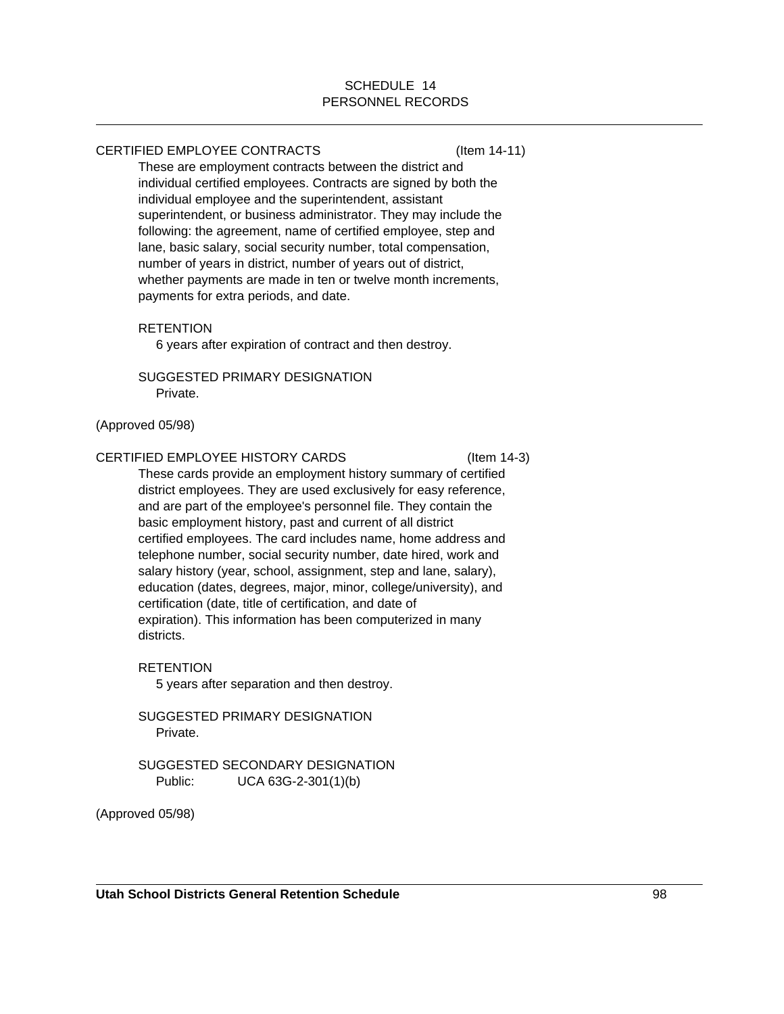## CERTIFIED EMPLOYEE CONTRACTS (Item 14-11)

 These are employment contracts between the district and individual certified employees. Contracts are signed by both the individual employee and the superintendent, assistant superintendent, or business administrator. They may include the following: the agreement, name of certified employee, step and lane, basic salary, social security number, total compensation, number of years in district, number of years out of district, whether payments are made in ten or twelve month increments, payments for extra periods, and date.

### RETENTION

6 years after expiration of contract and then destroy.

 SUGGESTED PRIMARY DESIGNATION Private.

### (Approved 05/98)

## CERTIFIED EMPLOYEE HISTORY CARDS (Item 14-3)

 These cards provide an employment history summary of certified district employees. They are used exclusively for easy reference, and are part of the employee's personnel file. They contain the basic employment history, past and current of all district certified employees. The card includes name, home address and telephone number, social security number, date hired, work and salary history (year, school, assignment, step and lane, salary), education (dates, degrees, major, minor, college/university), and certification (date, title of certification, and date of expiration). This information has been computerized in many districts.

### **RETENTION**

5 years after separation and then destroy.

 SUGGESTED PRIMARY DESIGNATION Private.

 SUGGESTED SECONDARY DESIGNATION Public: UCA 63G-2-301(1)(b)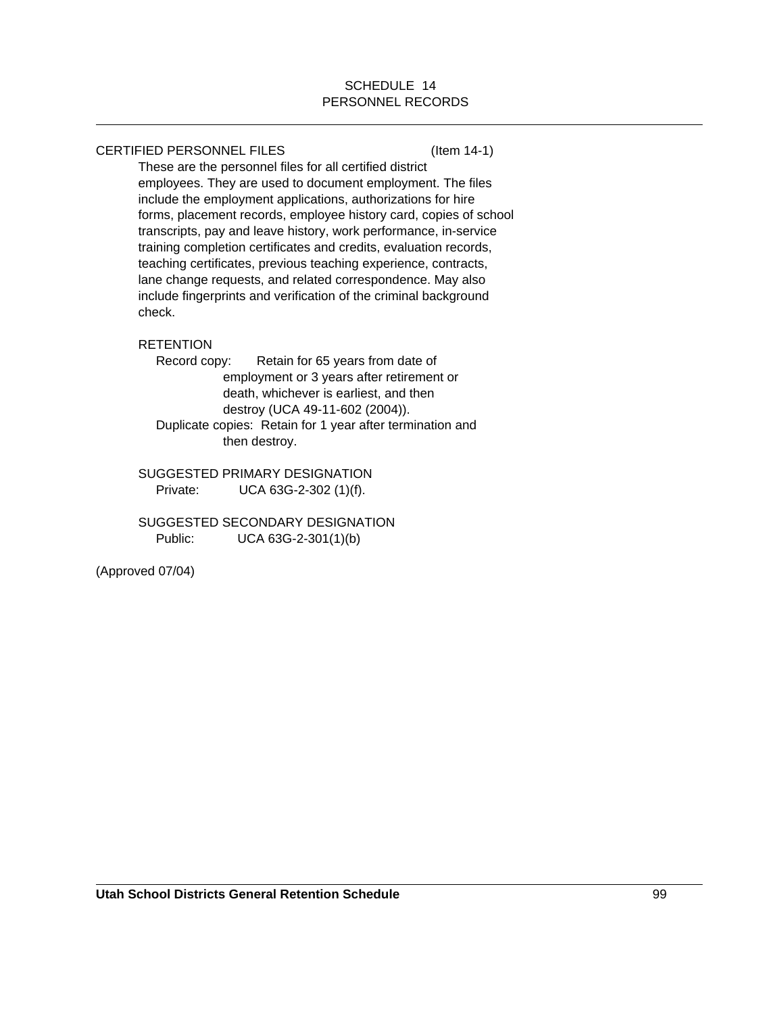## CERTIFIED PERSONNEL FILES (Item 14-1)

 These are the personnel files for all certified district employees. They are used to document employment. The files include the employment applications, authorizations for hire forms, placement records, employee history card, copies of school transcripts, pay and leave history, work performance, in-service training completion certificates and credits, evaluation records, teaching certificates, previous teaching experience, contracts, lane change requests, and related correspondence. May also include fingerprints and verification of the criminal background check.

## **RETENTION**

Record copy: Retain for 65 years from date of employment or 3 years after retirement or death, whichever is earliest, and then destroy (UCA 49-11-602 (2004)).

 Duplicate copies: Retain for 1 year after termination and then destroy.

 SUGGESTED PRIMARY DESIGNATION Private: UCA 63G-2-302 (1)(f).

 SUGGESTED SECONDARY DESIGNATION Public: UCA 63G-2-301(1)(b)

(Approved 07/04)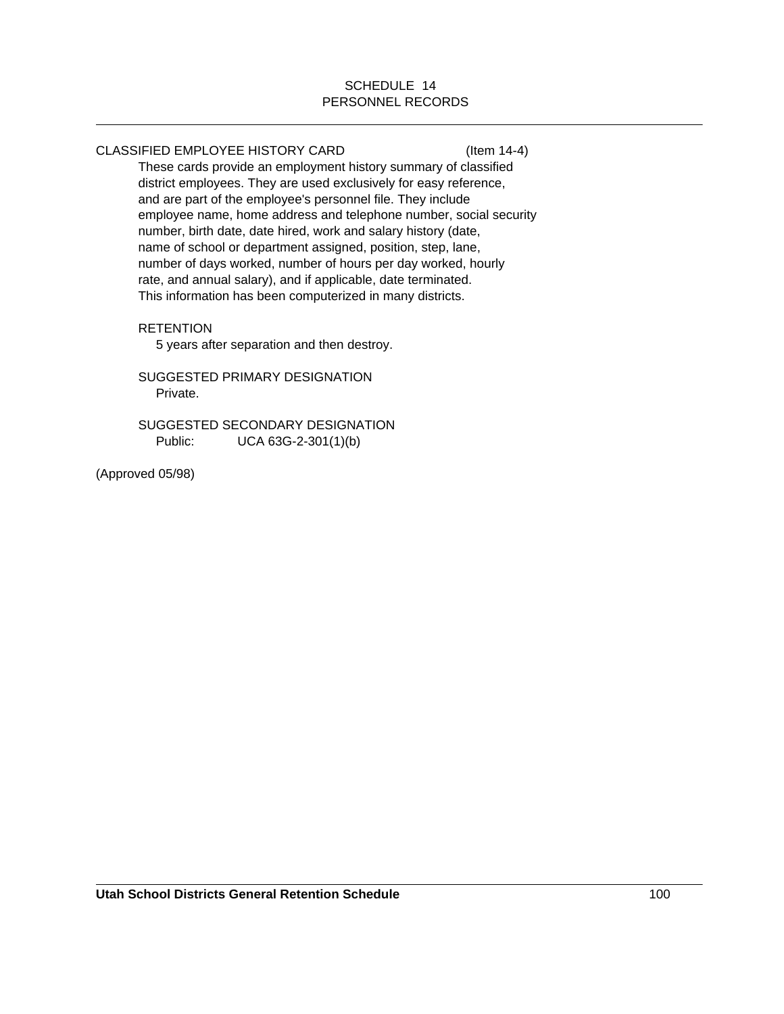### CLASSIFIED EMPLOYEE HISTORY CARD (Item 14-4)

 These cards provide an employment history summary of classified district employees. They are used exclusively for easy reference, and are part of the employee's personnel file. They include employee name, home address and telephone number, social security number, birth date, date hired, work and salary history (date, name of school or department assigned, position, step, lane, number of days worked, number of hours per day worked, hourly rate, and annual salary), and if applicable, date terminated. This information has been computerized in many districts.

### RETENTION

5 years after separation and then destroy.

 SUGGESTED PRIMARY DESIGNATION Private.

 SUGGESTED SECONDARY DESIGNATION Public: UCA 63G-2-301(1)(b)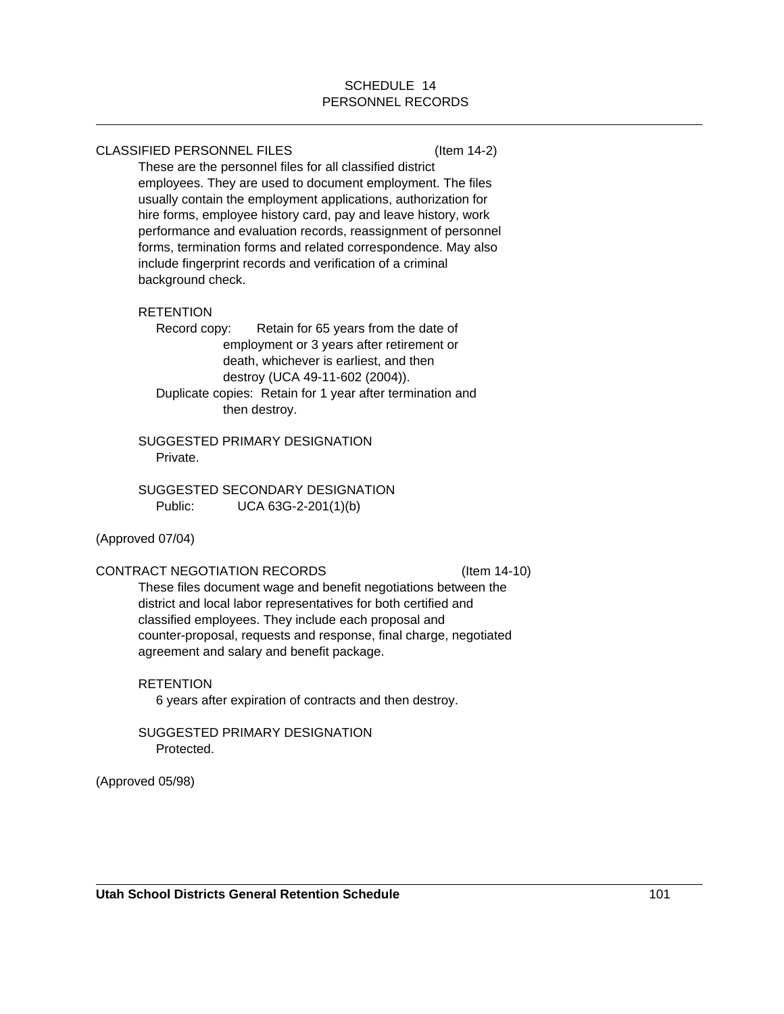### CLASSIFIED PERSONNEL FILES (Item 14-2)

 These are the personnel files for all classified district employees. They are used to document employment. The files usually contain the employment applications, authorization for hire forms, employee history card, pay and leave history, work performance and evaluation records, reassignment of personnel forms, termination forms and related correspondence. May also include fingerprint records and verification of a criminal background check.

## **RETENTION**

 Record copy: Retain for 65 years from the date of employment or 3 years after retirement or death, whichever is earliest, and then destroy (UCA 49-11-602 (2004)). Duplicate copies: Retain for 1 year after termination and then destroy.

 SUGGESTED PRIMARY DESIGNATION Private.

 SUGGESTED SECONDARY DESIGNATION Public: UCA 63G-2-201(1)(b)

## (Approved 07/04)

## CONTRACT NEGOTIATION RECORDS (Item 14-10)

 These files document wage and benefit negotiations between the district and local labor representatives for both certified and classified employees. They include each proposal and counter-proposal, requests and response, final charge, negotiated agreement and salary and benefit package.

## **RETENTION**

6 years after expiration of contracts and then destroy.

 SUGGESTED PRIMARY DESIGNATION Protected.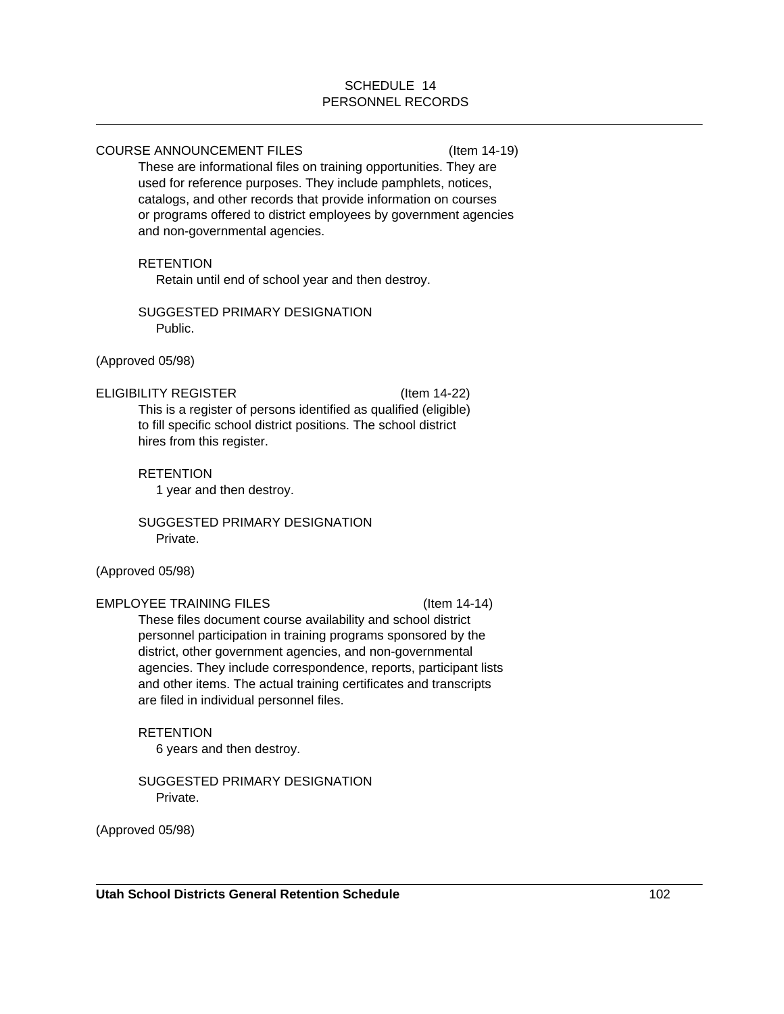### COURSE ANNOUNCEMENT FILES (Item 14-19)

 These are informational files on training opportunities. They are used for reference purposes. They include pamphlets, notices, catalogs, and other records that provide information on courses or programs offered to district employees by government agencies and non-governmental agencies.

### **RETENTION**

Retain until end of school year and then destroy.

### SUGGESTED PRIMARY DESIGNATION Public.

(Approved 05/98)

### ELIGIBILITY REGISTER (Item 14-22)

 This is a register of persons identified as qualified (eligible) to fill specific school district positions. The school district hires from this register.

### **RETENTION**

1 year and then destroy.

## SUGGESTED PRIMARY DESIGNATION Private.

(Approved 05/98)

## EMPLOYEE TRAINING FILES (Item 14-14)

 These files document course availability and school district personnel participation in training programs sponsored by the district, other government agencies, and non-governmental agencies. They include correspondence, reports, participant lists and other items. The actual training certificates and transcripts are filed in individual personnel files.

## RETENTION

6 years and then destroy.

## SUGGESTED PRIMARY DESIGNATION Private.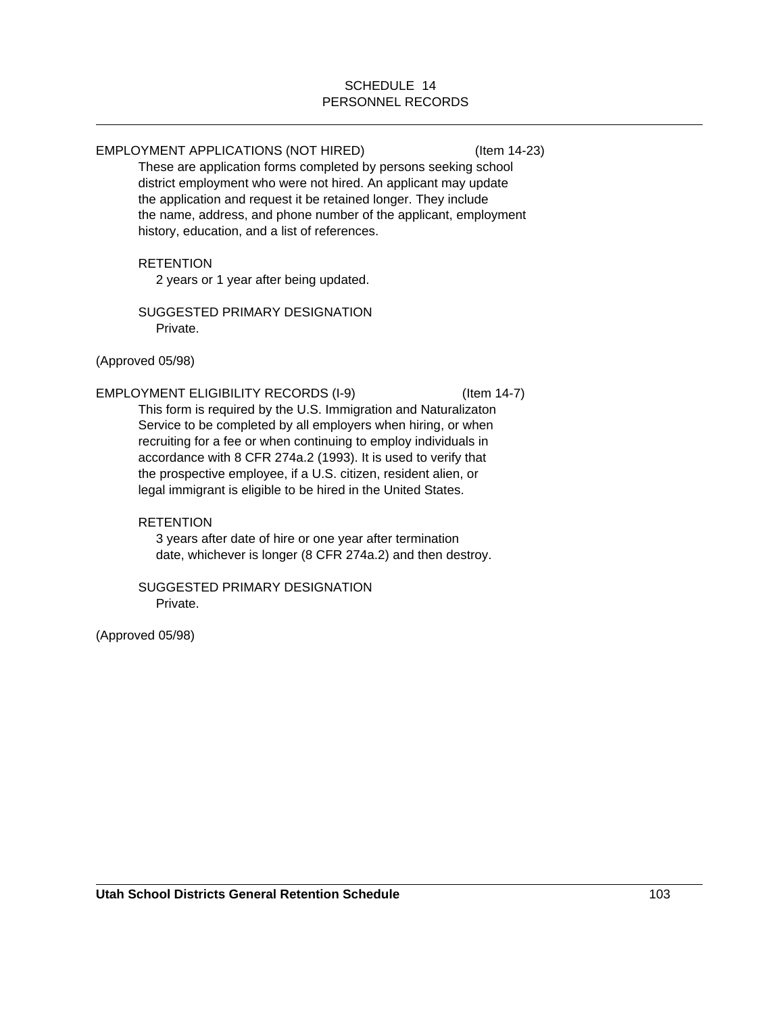### EMPLOYMENT APPLICATIONS (NOT HIRED) (Item 14-23)

 These are application forms completed by persons seeking school district employment who were not hired. An applicant may update the application and request it be retained longer. They include the name, address, and phone number of the applicant, employment history, education, and a list of references.

## **RETENTION**

2 years or 1 year after being updated.

## SUGGESTED PRIMARY DESIGNATION Private.

(Approved 05/98)

## EMPLOYMENT ELIGIBILITY RECORDS (I-9) (Item 14-7)

 This form is required by the U.S. Immigration and Naturalizaton Service to be completed by all employers when hiring, or when recruiting for a fee or when continuing to employ individuals in accordance with 8 CFR 274a.2 (1993). It is used to verify that the prospective employee, if a U.S. citizen, resident alien, or legal immigrant is eligible to be hired in the United States.

## **RETENTION**

 3 years after date of hire or one year after termination date, whichever is longer (8 CFR 274a.2) and then destroy.

## SUGGESTED PRIMARY DESIGNATION Private.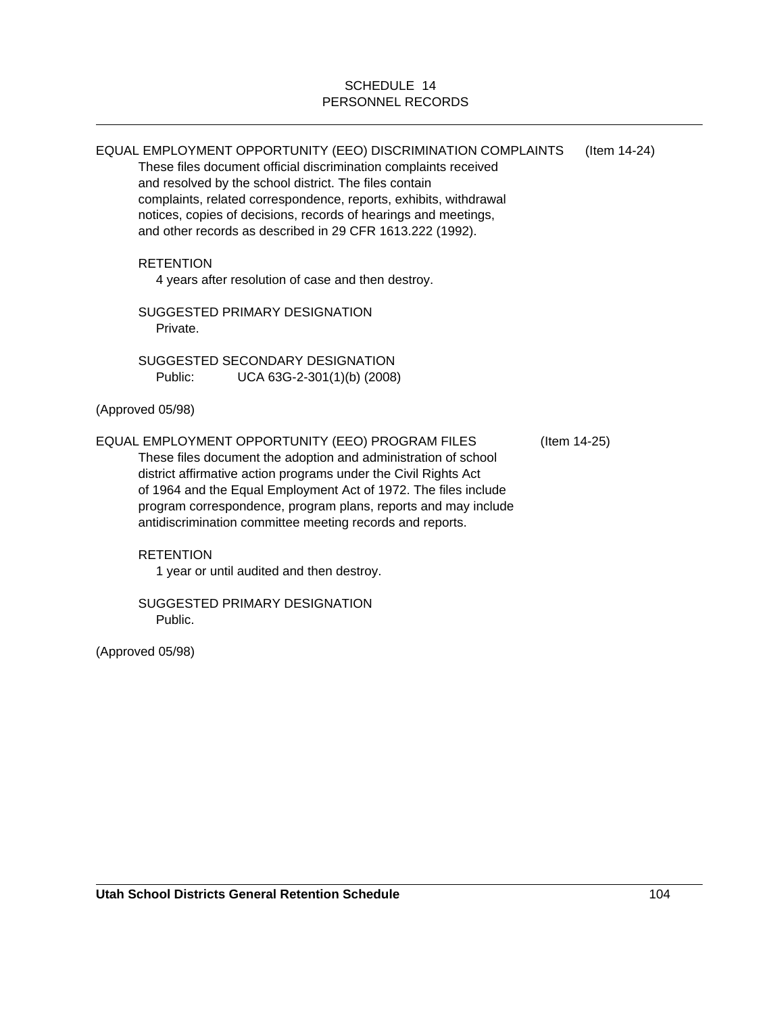| EQUAL EMPLOYMENT OPPORTUNITY (EEO) DISCRIMINATION COMPLAINTS<br>(Item 14-24)<br>These files document official discrimination complaints received<br>and resolved by the school district. The files contain<br>complaints, related correspondence, reports, exhibits, withdrawal<br>notices, copies of decisions, records of hearings and meetings,<br>and other records as described in 29 CFR 1613.222 (1992). |  |
|-----------------------------------------------------------------------------------------------------------------------------------------------------------------------------------------------------------------------------------------------------------------------------------------------------------------------------------------------------------------------------------------------------------------|--|
| <b>RETENTION</b><br>4 years after resolution of case and then destroy.                                                                                                                                                                                                                                                                                                                                          |  |
| SUGGESTED PRIMARY DESIGNATION<br>Private.                                                                                                                                                                                                                                                                                                                                                                       |  |
| SUGGESTED SECONDARY DESIGNATION<br>Public:<br>UCA 63G-2-301(1)(b) (2008)                                                                                                                                                                                                                                                                                                                                        |  |
| (Approved 05/98)                                                                                                                                                                                                                                                                                                                                                                                                |  |
| EQUAL EMPLOYMENT OPPORTUNITY (EEO) PROGRAM FILES<br>(Item 14-25)<br>These files document the adoption and administration of school<br>district affirmative action programs under the Civil Rights Act<br>of 1964 and the Equal Employment Act of 1972. The files include<br>program correspondence, program plans, reports and may include<br>antidiscrimination committee meeting records and reports.         |  |
| <b>RETENTION</b><br>1 year or until audited and then destroy.                                                                                                                                                                                                                                                                                                                                                   |  |
| SUGGESTED PRIMARY DESIGNATION<br>Public.                                                                                                                                                                                                                                                                                                                                                                        |  |
| (Approved 05/98)                                                                                                                                                                                                                                                                                                                                                                                                |  |
|                                                                                                                                                                                                                                                                                                                                                                                                                 |  |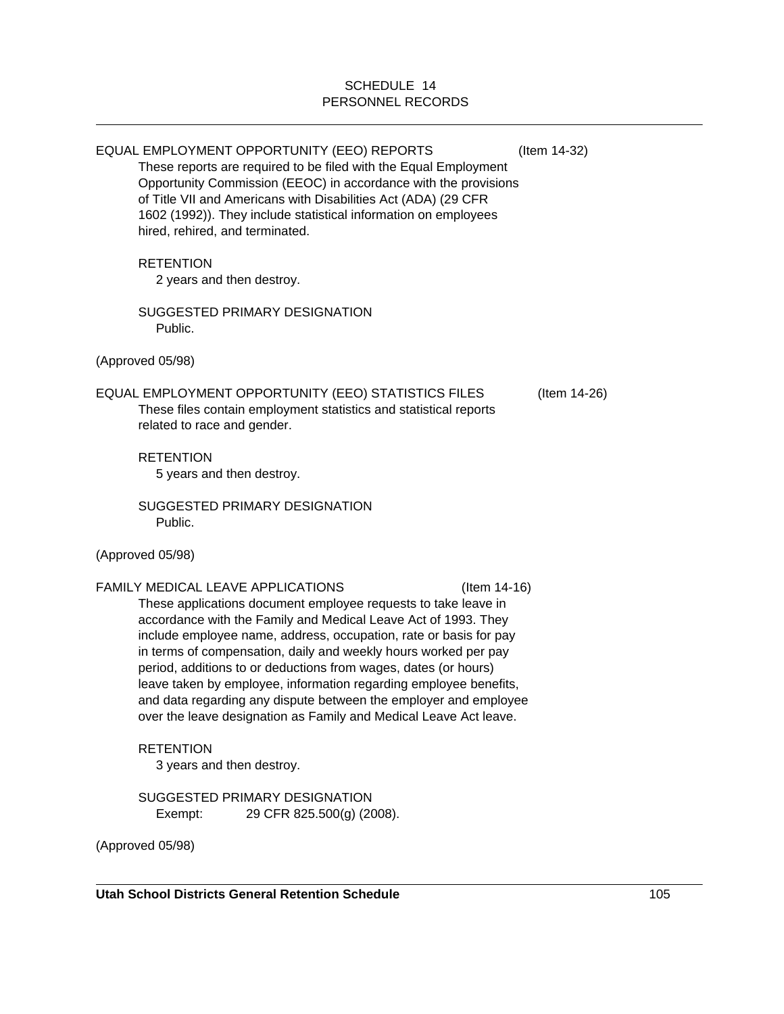| EQUAL EMPLOYMENT OPPORTUNITY (EEO) REPORTS<br>These reports are required to be filed with the Equal Employment<br>Opportunity Commission (EEOC) in accordance with the provisions<br>of Title VII and Americans with Disabilities Act (ADA) (29 CFR<br>1602 (1992)). They include statistical information on employees<br>hired, rehired, and terminated.                                                                                                                                                                                                                                                      | (Item 14-32) |
|----------------------------------------------------------------------------------------------------------------------------------------------------------------------------------------------------------------------------------------------------------------------------------------------------------------------------------------------------------------------------------------------------------------------------------------------------------------------------------------------------------------------------------------------------------------------------------------------------------------|--------------|
| <b>RETENTION</b><br>2 years and then destroy.                                                                                                                                                                                                                                                                                                                                                                                                                                                                                                                                                                  |              |
| SUGGESTED PRIMARY DESIGNATION<br>Public.                                                                                                                                                                                                                                                                                                                                                                                                                                                                                                                                                                       |              |
| (Approved 05/98)                                                                                                                                                                                                                                                                                                                                                                                                                                                                                                                                                                                               |              |
| EQUAL EMPLOYMENT OPPORTUNITY (EEO) STATISTICS FILES<br>These files contain employment statistics and statistical reports<br>related to race and gender.                                                                                                                                                                                                                                                                                                                                                                                                                                                        | (Item 14-26) |
| <b>RETENTION</b><br>5 years and then destroy.                                                                                                                                                                                                                                                                                                                                                                                                                                                                                                                                                                  |              |
| SUGGESTED PRIMARY DESIGNATION<br>Public.                                                                                                                                                                                                                                                                                                                                                                                                                                                                                                                                                                       |              |
| (Approved 05/98)                                                                                                                                                                                                                                                                                                                                                                                                                                                                                                                                                                                               |              |
| FAMILY MEDICAL LEAVE APPLICATIONS<br>(Item 14-16)<br>These applications document employee requests to take leave in<br>accordance with the Family and Medical Leave Act of 1993. They<br>include employee name, address, occupation, rate or basis for pay<br>in terms of compensation, daily and weekly hours worked per pay<br>period, additions to or deductions from wages, dates (or hours)<br>leave taken by employee, information regarding employee benefits,<br>and data regarding any dispute between the employer and employee<br>over the leave designation as Family and Medical Leave Act leave. |              |
| <b>RETENTION</b><br>3 years and then destroy.                                                                                                                                                                                                                                                                                                                                                                                                                                                                                                                                                                  |              |
| SUGGESTED PRIMARY DESIGNATION<br>29 CFR 825.500(g) (2008).<br>Exempt:                                                                                                                                                                                                                                                                                                                                                                                                                                                                                                                                          |              |
|                                                                                                                                                                                                                                                                                                                                                                                                                                                                                                                                                                                                                |              |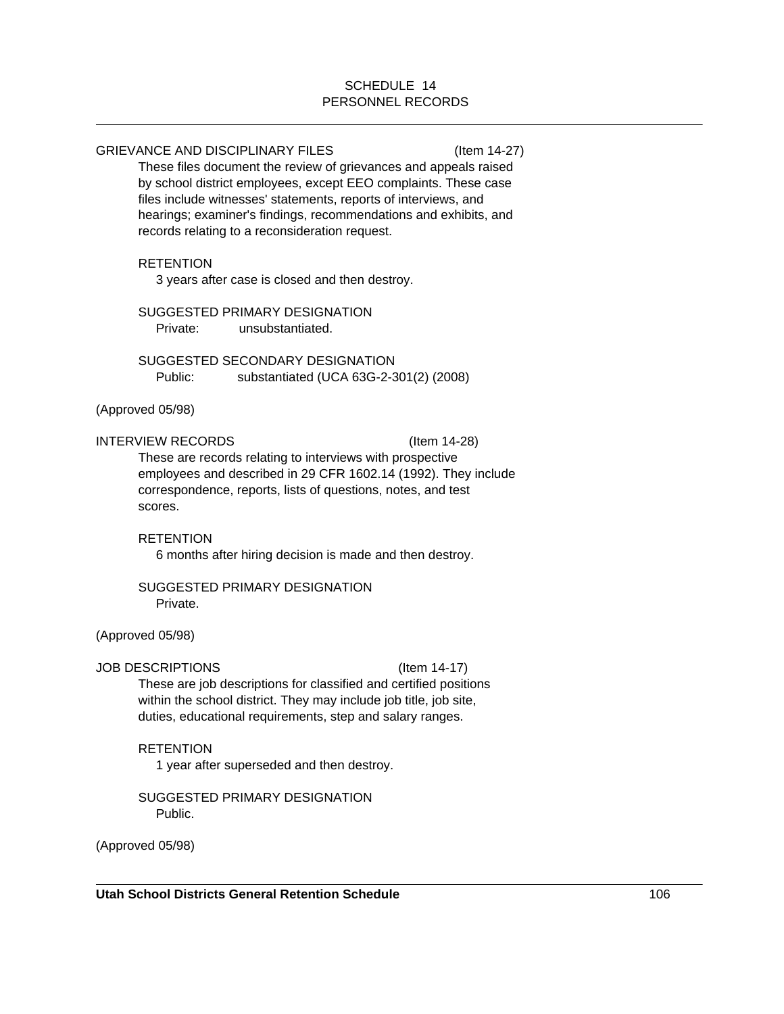# These files document the review of grievances and appeals raised by school district employees, except EEO complaints. These case files include witnesses' statements, reports of interviews, and hearings; examiner's findings, recommendations and exhibits, and records relating to a reconsideration request. **RETENTION**  3 years after case is closed and then destroy. SUGGESTED PRIMARY DESIGNATION Private: unsubstantiated. SUGGESTED SECONDARY DESIGNATION Public: substantiated (UCA 63G-2-301(2) (2008) (Approved 05/98)

GRIEVANCE AND DISCIPLINARY FILES (Item 14-27)

INTERVIEW RECORDS (Item 14-28)

 These are records relating to interviews with prospective employees and described in 29 CFR 1602.14 (1992). They include correspondence, reports, lists of questions, notes, and test scores.

**RETENTION** 6 months after hiring decision is made and then destroy.

 SUGGESTED PRIMARY DESIGNATION Private.

(Approved 05/98)

## JOB DESCRIPTIONS (Item 14-17)

 These are job descriptions for classified and certified positions within the school district. They may include job title, job site, duties, educational requirements, step and salary ranges.

## RETENTION

1 year after superseded and then destroy.

## SUGGESTED PRIMARY DESIGNATION Public.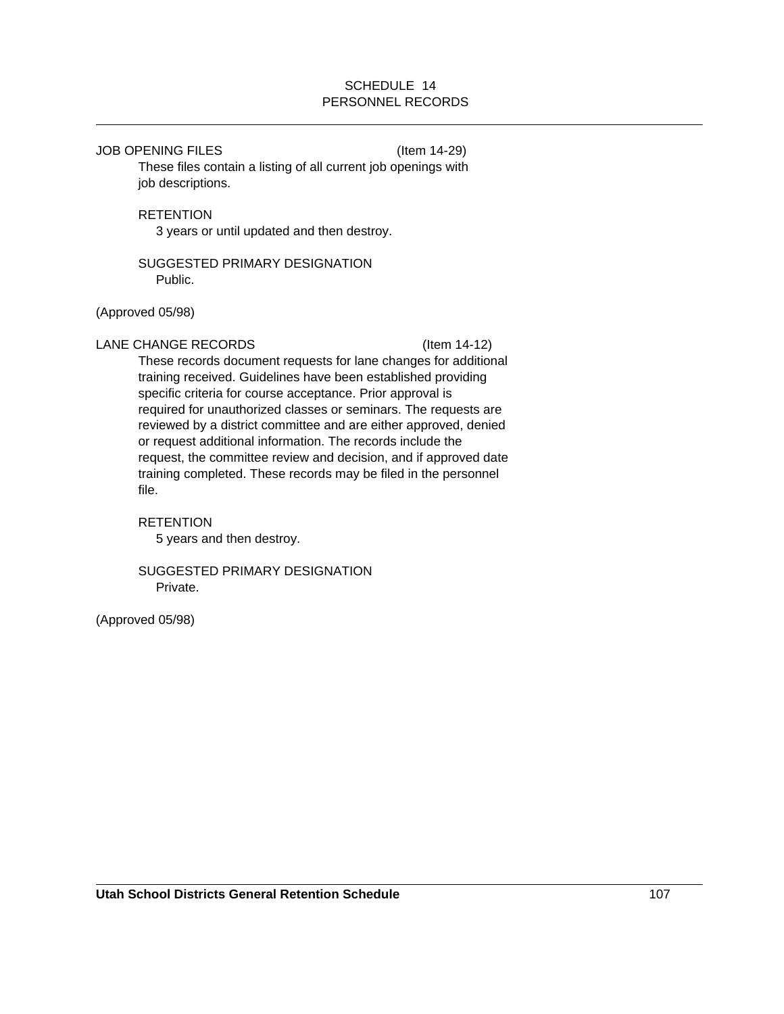#### JOB OPENING FILES (Item 14-29)

 These files contain a listing of all current job openings with job descriptions.

# RETENTION

3 years or until updated and then destroy.

## SUGGESTED PRIMARY DESIGNATION Public.

(Approved 05/98)

# LANE CHANGE RECORDS (Item 14-12)

 These records document requests for lane changes for additional training received. Guidelines have been established providing specific criteria for course acceptance. Prior approval is required for unauthorized classes or seminars. The requests are reviewed by a district committee and are either approved, denied or request additional information. The records include the request, the committee review and decision, and if approved date training completed. These records may be filed in the personnel file.

# RETENTION

5 years and then destroy.

# SUGGESTED PRIMARY DESIGNATION Private.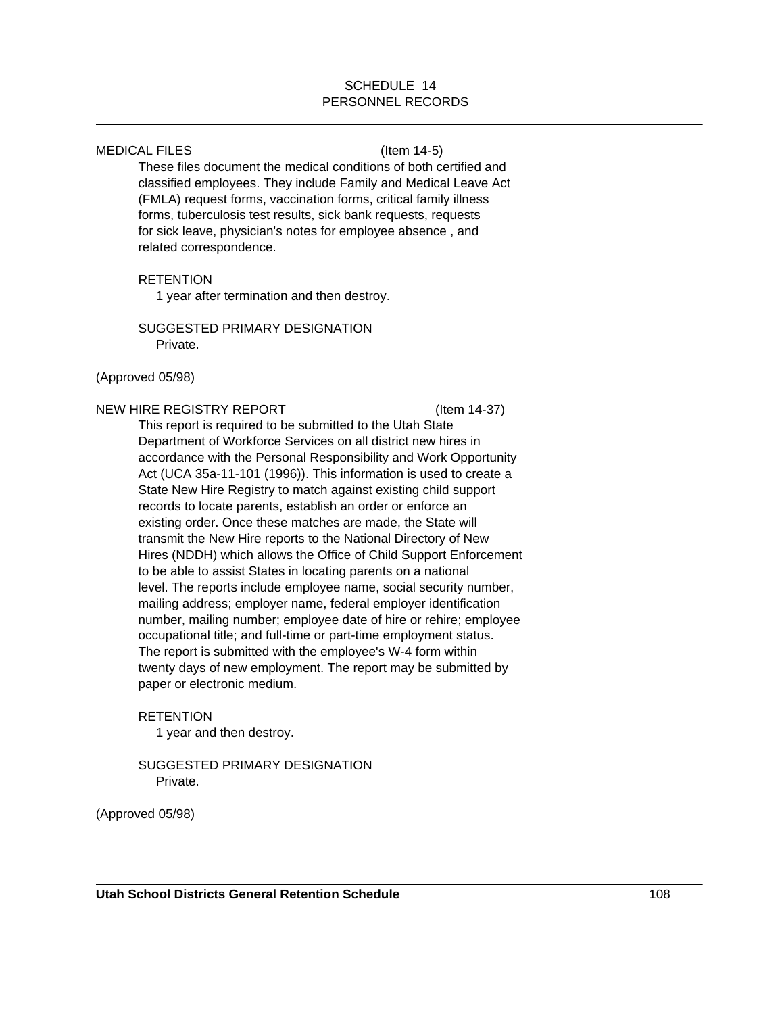### MEDICAL FILES (Item 14-5)

 These files document the medical conditions of both certified and classified employees. They include Family and Medical Leave Act (FMLA) request forms, vaccination forms, critical family illness forms, tuberculosis test results, sick bank requests, requests for sick leave, physician's notes for employee absence , and related correspondence.

# RETENTION

1 year after termination and then destroy.

## SUGGESTED PRIMARY DESIGNATION Private.

# (Approved 05/98)

# NEW HIRE REGISTRY REPORT (Item 14-37)

 This report is required to be submitted to the Utah State Department of Workforce Services on all district new hires in accordance with the Personal Responsibility and Work Opportunity Act (UCA 35a-11-101 (1996)). This information is used to create a State New Hire Registry to match against existing child support records to locate parents, establish an order or enforce an existing order. Once these matches are made, the State will transmit the New Hire reports to the National Directory of New Hires (NDDH) which allows the Office of Child Support Enforcement to be able to assist States in locating parents on a national level. The reports include employee name, social security number, mailing address; employer name, federal employer identification number, mailing number; employee date of hire or rehire; employee occupational title; and full-time or part-time employment status. The report is submitted with the employee's W-4 form within twenty days of new employment. The report may be submitted by paper or electronic medium.

## RETENTION

1 year and then destroy.

# SUGGESTED PRIMARY DESIGNATION Private.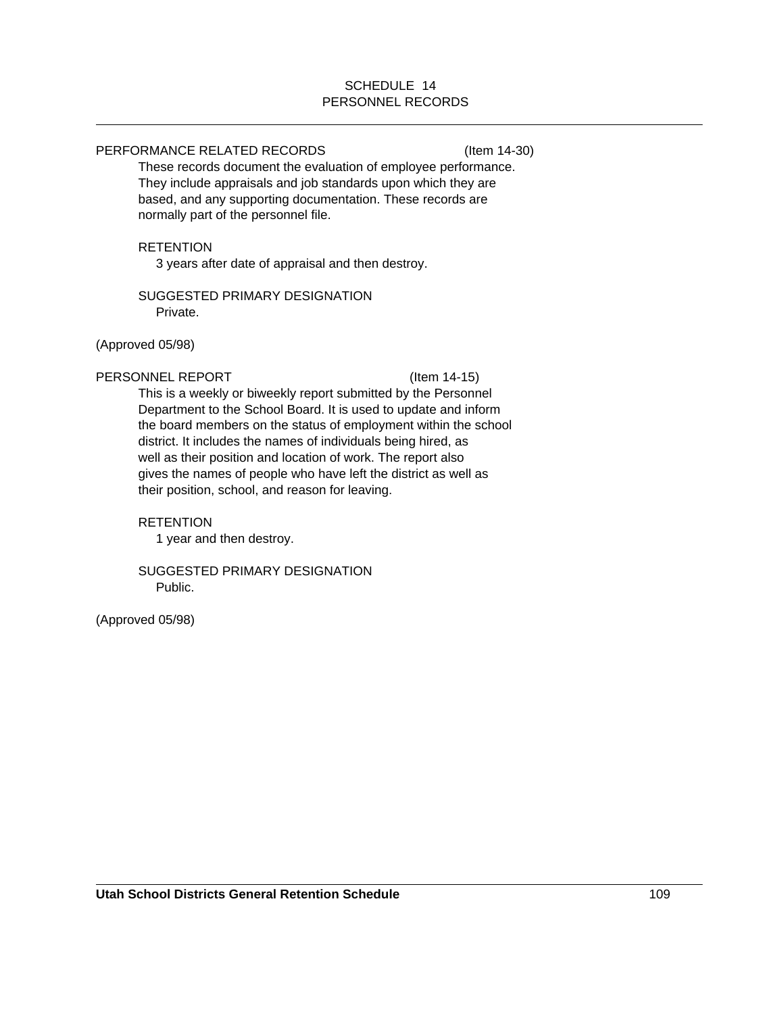## PERFORMANCE RELATED RECORDS (Item 14-30)

 These records document the evaluation of employee performance. They include appraisals and job standards upon which they are based, and any supporting documentation. These records are normally part of the personnel file.

## **RETENTION**

3 years after date of appraisal and then destroy.

## SUGGESTED PRIMARY DESIGNATION Private.

(Approved 05/98)

# PERSONNEL REPORT (Item 14-15)

 This is a weekly or biweekly report submitted by the Personnel Department to the School Board. It is used to update and inform the board members on the status of employment within the school district. It includes the names of individuals being hired, as well as their position and location of work. The report also gives the names of people who have left the district as well as their position, school, and reason for leaving.

## RETENTION

1 year and then destroy.

# SUGGESTED PRIMARY DESIGNATION Public.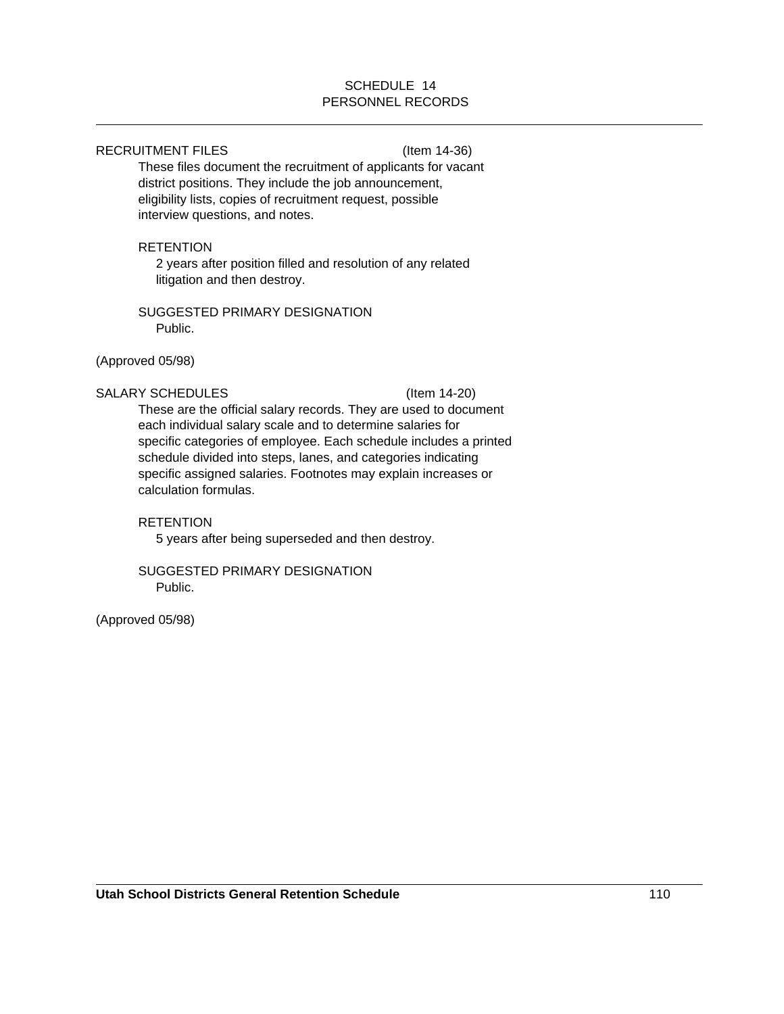## RECRUITMENT FILES (Item 14-36)

 These files document the recruitment of applicants for vacant district positions. They include the job announcement, eligibility lists, copies of recruitment request, possible interview questions, and notes.

# **RETENTION**

 2 years after position filled and resolution of any related litigation and then destroy.

 SUGGESTED PRIMARY DESIGNATION Public.

(Approved 05/98)

## SALARY SCHEDULES (Item 14-20)

 These are the official salary records. They are used to document each individual salary scale and to determine salaries for specific categories of employee. Each schedule includes a printed schedule divided into steps, lanes, and categories indicating specific assigned salaries. Footnotes may explain increases or calculation formulas.

## RETENTION

5 years after being superseded and then destroy.

# SUGGESTED PRIMARY DESIGNATION Public.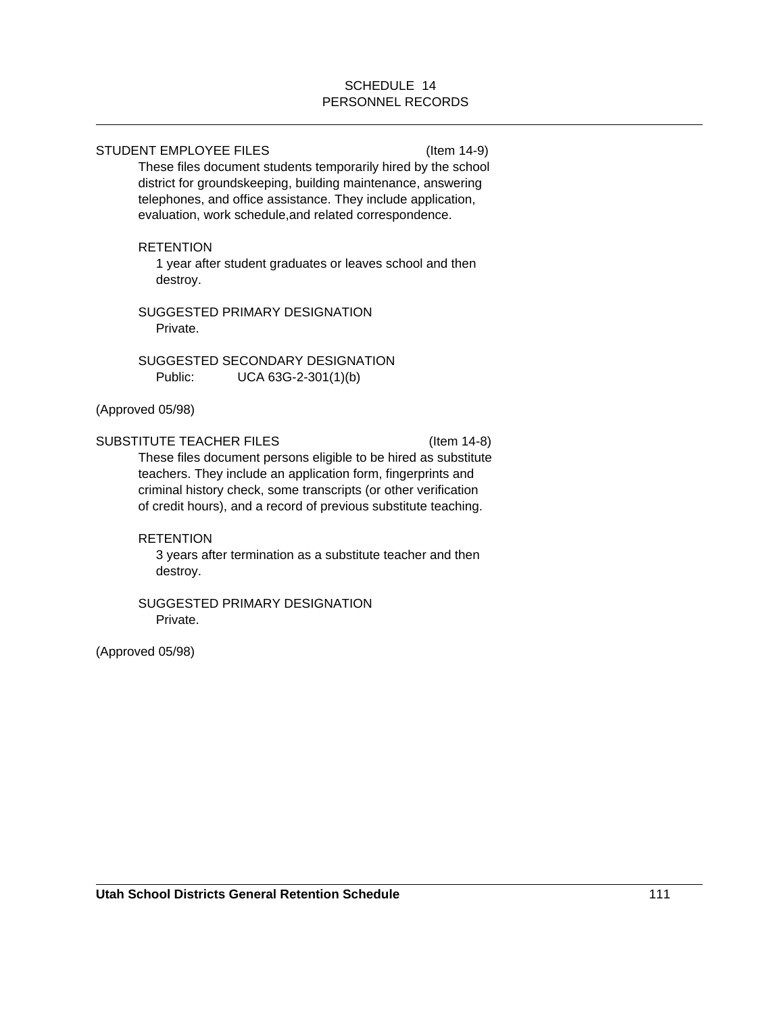# STUDENT EMPLOYEE FILES (Item 14-9)

 These files document students temporarily hired by the school district for groundskeeping, building maintenance, answering telephones, and office assistance. They include application, evaluation, work schedule,and related correspondence.

# **RETENTION**

 1 year after student graduates or leaves school and then destroy.

 SUGGESTED PRIMARY DESIGNATION Private.

 SUGGESTED SECONDARY DESIGNATION Public: UCA 63G-2-301(1)(b)

# (Approved 05/98)

## SUBSTITUTE TEACHER FILES (Item 14-8)

 These files document persons eligible to be hired as substitute teachers. They include an application form, fingerprints and criminal history check, some transcripts (or other verification of credit hours), and a record of previous substitute teaching.

## **RETENTION**

 3 years after termination as a substitute teacher and then destroy.

# SUGGESTED PRIMARY DESIGNATION Private.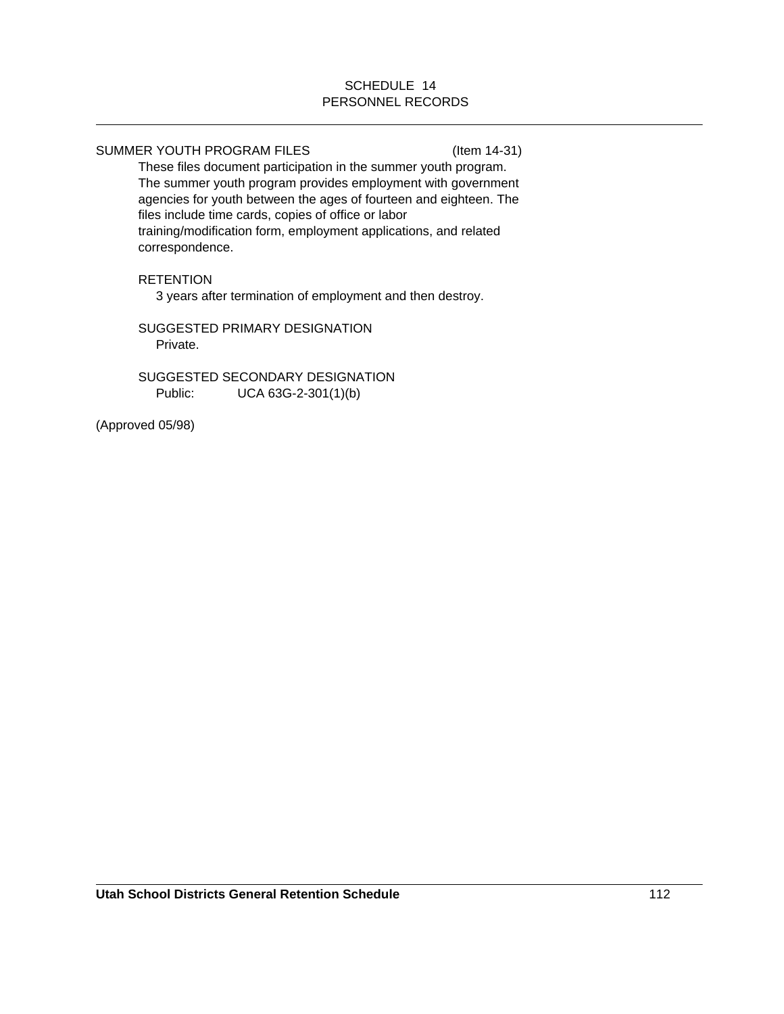## SUMMER YOUTH PROGRAM FILES (Item 14-31)

 These files document participation in the summer youth program. The summer youth program provides employment with government agencies for youth between the ages of fourteen and eighteen. The files include time cards, copies of office or labor training/modification form, employment applications, and related correspondence.

# **RETENTION**

3 years after termination of employment and then destroy.

 SUGGESTED PRIMARY DESIGNATION Private.

 SUGGESTED SECONDARY DESIGNATION Public: UCA 63G-2-301(1)(b)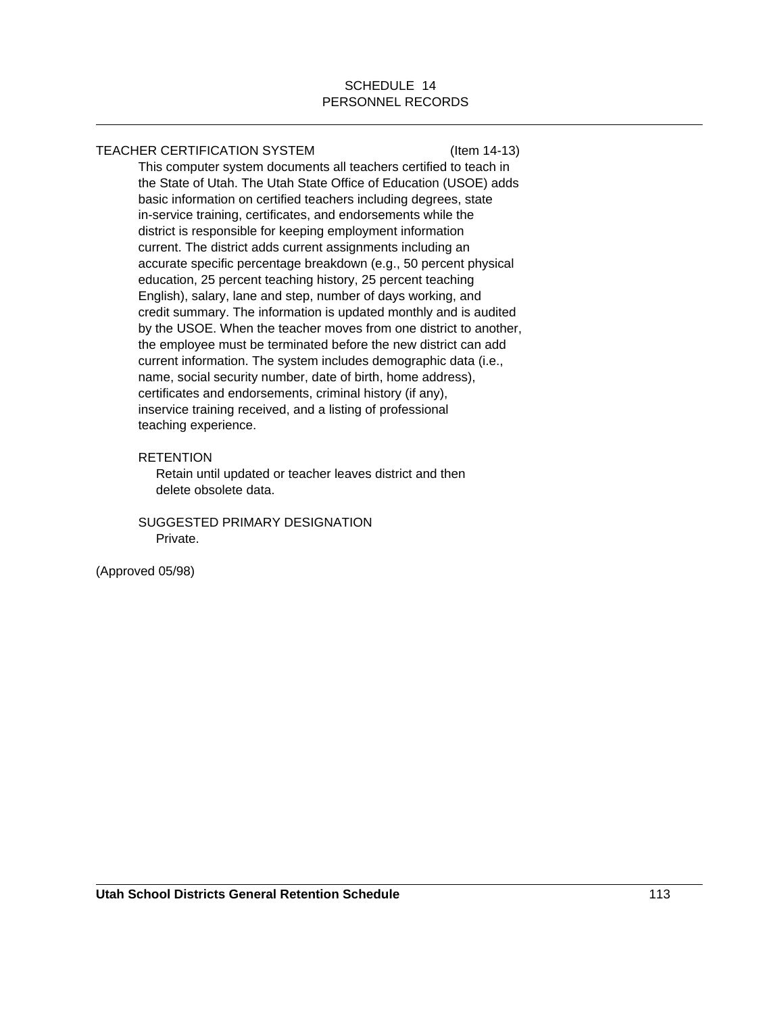#### TEACHER CERTIFICATION SYSTEM (Item 14-13)

 This computer system documents all teachers certified to teach in the State of Utah. The Utah State Office of Education (USOE) adds basic information on certified teachers including degrees, state in-service training, certificates, and endorsements while the district is responsible for keeping employment information current. The district adds current assignments including an accurate specific percentage breakdown (e.g., 50 percent physical education, 25 percent teaching history, 25 percent teaching English), salary, lane and step, number of days working, and credit summary. The information is updated monthly and is audited by the USOE. When the teacher moves from one district to another, the employee must be terminated before the new district can add current information. The system includes demographic data (i.e., name, social security number, date of birth, home address), certificates and endorsements, criminal history (if any), inservice training received, and a listing of professional teaching experience.

# **RETENTION**

 Retain until updated or teacher leaves district and then delete obsolete data.

 SUGGESTED PRIMARY DESIGNATION Private.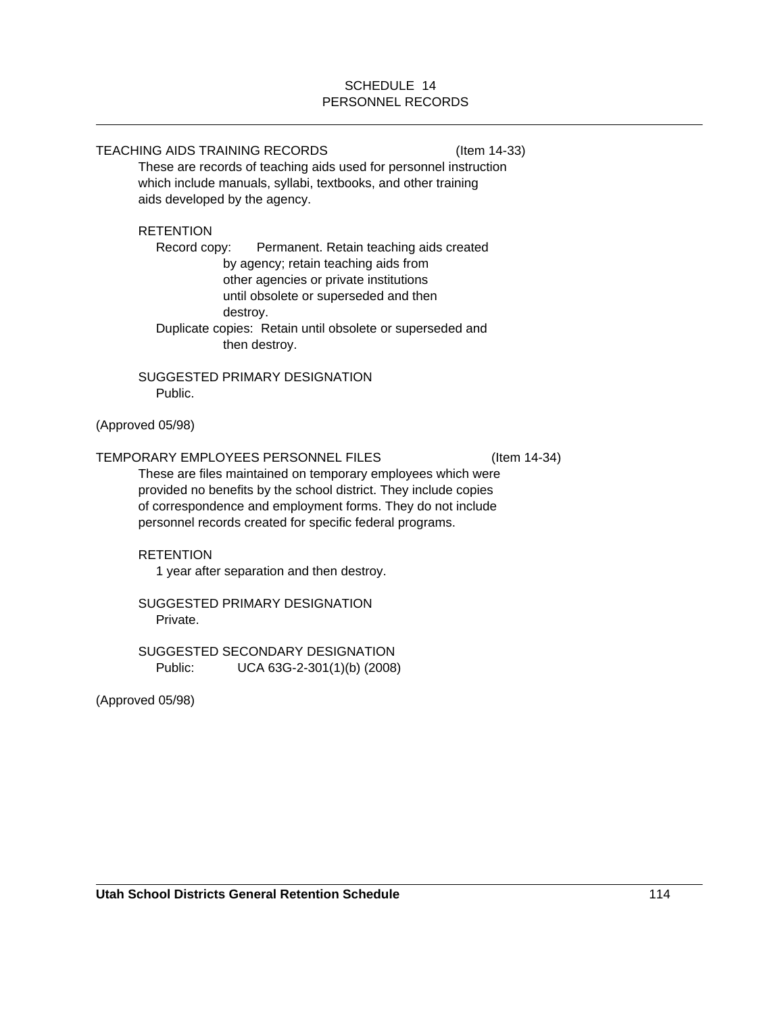TEACHING AIDS TRAINING RECORDS (Item 14-33) These are records of teaching aids used for personnel instruction which include manuals, syllabi, textbooks, and other training aids developed by the agency. RETENTION Record copy: Permanent. Retain teaching aids created by agency; retain teaching aids from other agencies or private institutions until obsolete or superseded and then destroy. Duplicate copies: Retain until obsolete or superseded and then destroy. SUGGESTED PRIMARY DESIGNATION Public. (Approved 05/98) TEMPORARY EMPLOYEES PERSONNEL FILES (Item 14-34) These are files maintained on temporary employees which were provided no benefits by the school district. They include copies of correspondence and employment forms. They do not include personnel records created for specific federal programs. **RETENTION**  1 year after separation and then destroy. SUGGESTED PRIMARY DESIGNATION Private. SUGGESTED SECONDARY DESIGNATION

Public: UCA 63G-2-301(1)(b) (2008)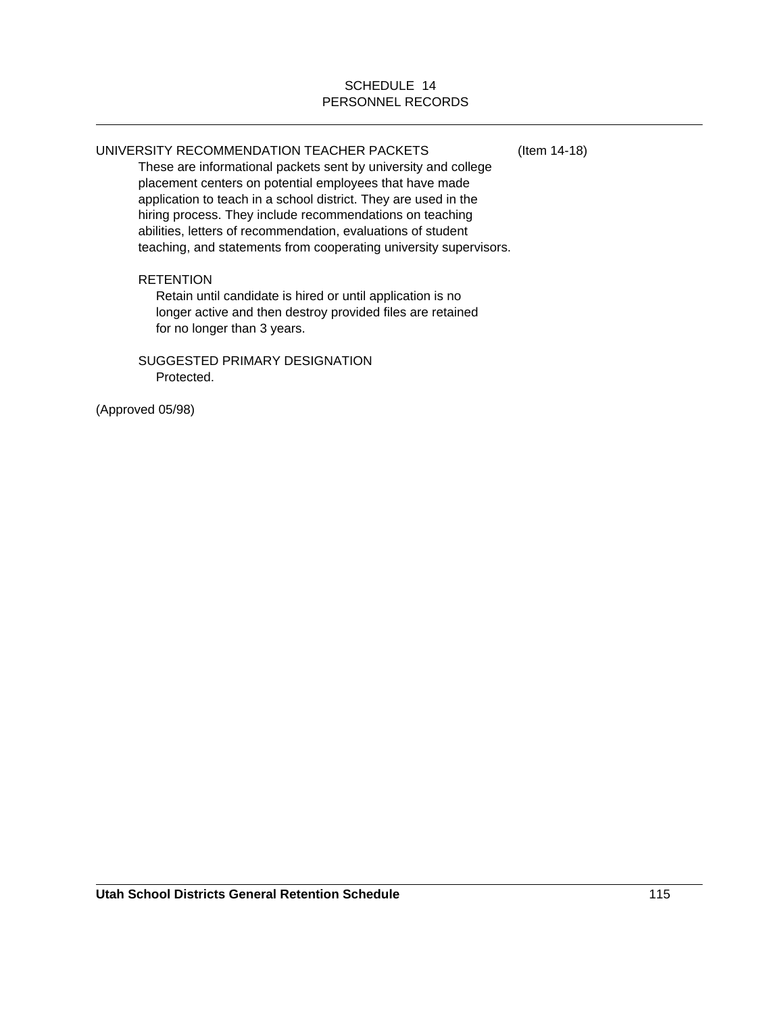# UNIVERSITY RECOMMENDATION TEACHER PACKETS (Item 14-18)

 These are informational packets sent by university and college placement centers on potential employees that have made application to teach in a school district. They are used in the hiring process. They include recommendations on teaching abilities, letters of recommendation, evaluations of student teaching, and statements from cooperating university supervisors.

# RETENTION

 Retain until candidate is hired or until application is no longer active and then destroy provided files are retained for no longer than 3 years.

 SUGGESTED PRIMARY DESIGNATION Protected.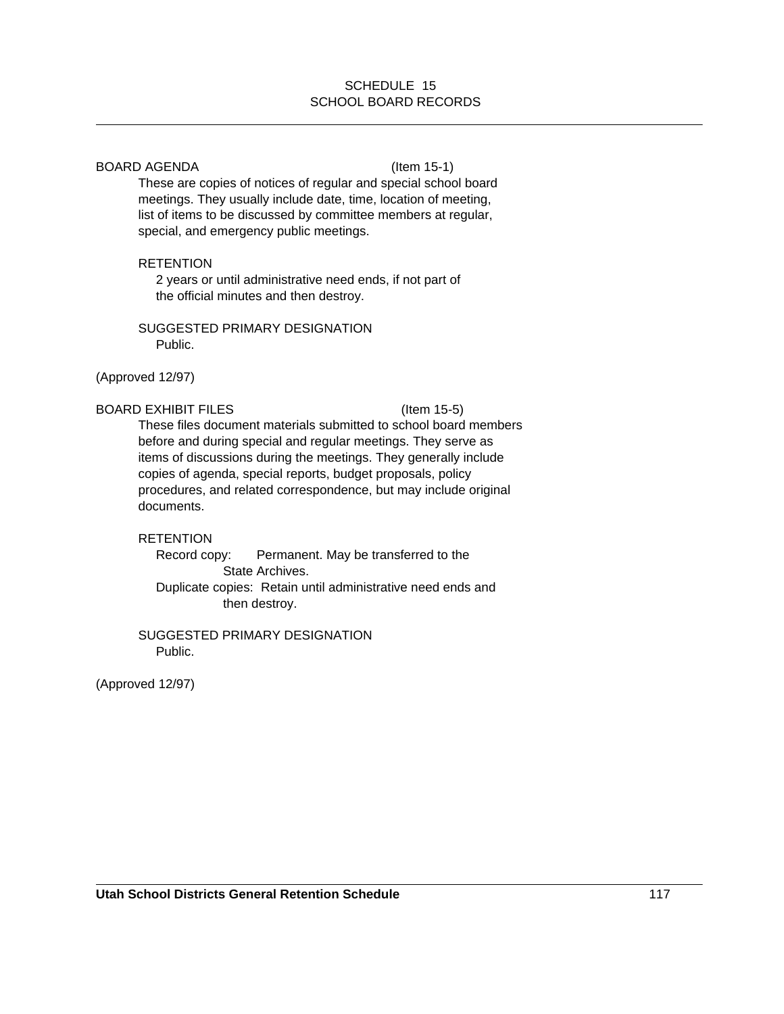# BOARD AGENDA (Item 15-1)

 These are copies of notices of regular and special school board meetings. They usually include date, time, location of meeting, list of items to be discussed by committee members at regular, special, and emergency public meetings.

# **RETENTION**

 2 years or until administrative need ends, if not part of the official minutes and then destroy.

 SUGGESTED PRIMARY DESIGNATION Public.

(Approved 12/97)

# BOARD EXHIBIT FILES (Item 15-5)

 These files document materials submitted to school board members before and during special and regular meetings. They serve as items of discussions during the meetings. They generally include copies of agenda, special reports, budget proposals, policy procedures, and related correspondence, but may include original documents.

## **RETENTION**

 Record copy: Permanent. May be transferred to the State Archives.

 Duplicate copies: Retain until administrative need ends and then destroy.

## SUGGESTED PRIMARY DESIGNATION Public.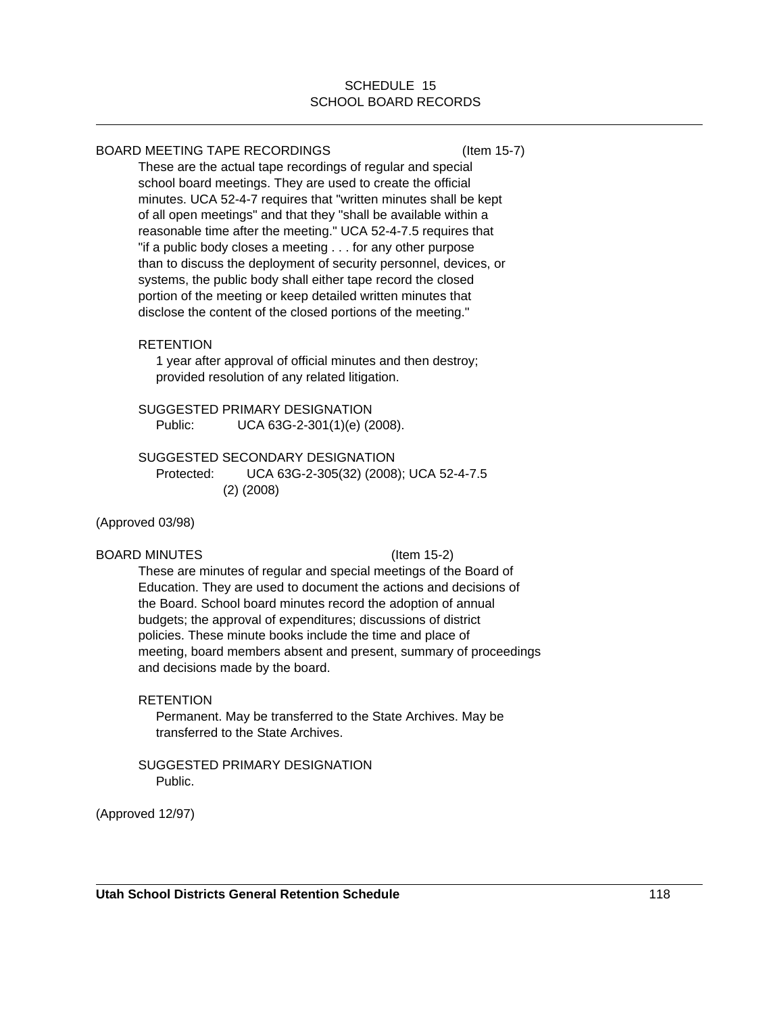## BOARD MEETING TAPE RECORDINGS (Item 15-7)

 These are the actual tape recordings of regular and special school board meetings. They are used to create the official minutes. UCA 52-4-7 requires that "written minutes shall be kept of all open meetings" and that they "shall be available within a reasonable time after the meeting." UCA 52-4-7.5 requires that "if a public body closes a meeting . . . for any other purpose than to discuss the deployment of security personnel, devices, or systems, the public body shall either tape record the closed portion of the meeting or keep detailed written minutes that disclose the content of the closed portions of the meeting."

#### **RETENTION**

 1 year after approval of official minutes and then destroy; provided resolution of any related litigation.

 SUGGESTED PRIMARY DESIGNATION Public: UCA 63G-2-301(1)(e) (2008).

## SUGGESTED SECONDARY DESIGNATION

 Protected: UCA 63G-2-305(32) (2008); UCA 52-4-7.5 (2) (2008)

(Approved 03/98)

#### BOARD MINUTES (Item 15-2)

 These are minutes of regular and special meetings of the Board of Education. They are used to document the actions and decisions of the Board. School board minutes record the adoption of annual budgets; the approval of expenditures; discussions of district policies. These minute books include the time and place of meeting, board members absent and present, summary of proceedings and decisions made by the board.

# RETENTION

 Permanent. May be transferred to the State Archives. May be transferred to the State Archives.

# SUGGESTED PRIMARY DESIGNATION Public.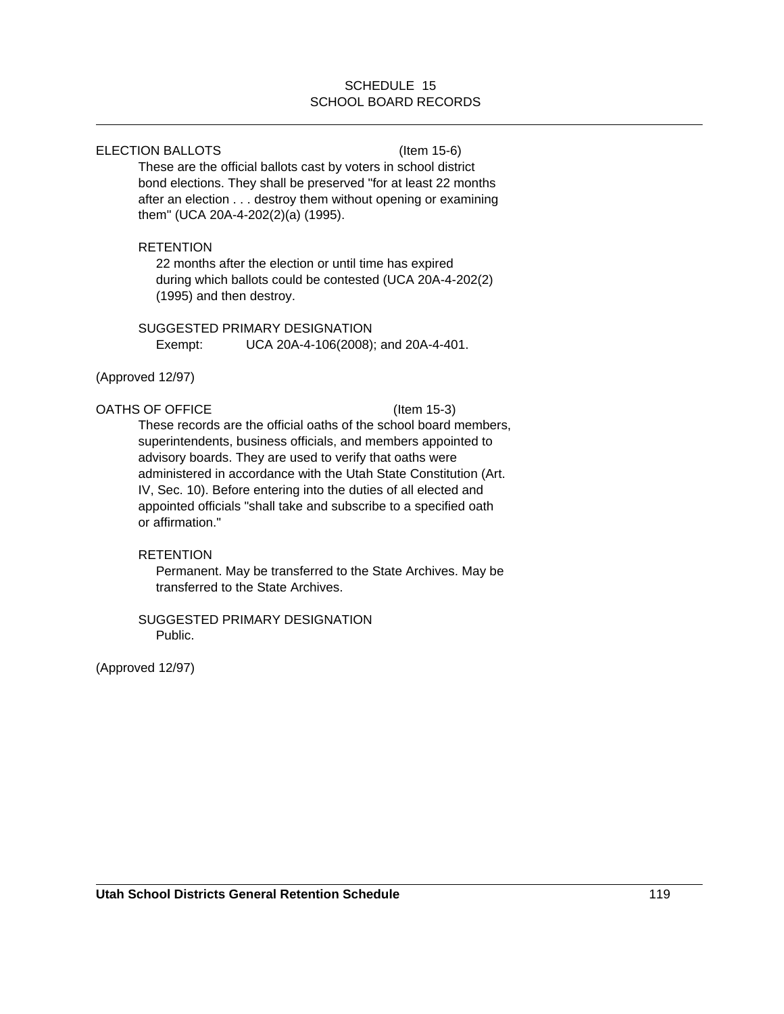# ELECTION BALLOTS (Item 15-6)

 These are the official ballots cast by voters in school district bond elections. They shall be preserved "for at least 22 months after an election . . . destroy them without opening or examining them" (UCA 20A-4-202(2)(a) (1995).

# **RETENTION**

 22 months after the election or until time has expired during which ballots could be contested (UCA 20A-4-202(2) (1995) and then destroy.

| SUGGESTED PRIMARY DESIGNATION |                                     |  |
|-------------------------------|-------------------------------------|--|
| Exempt:                       | UCA 20A-4-106(2008); and 20A-4-401. |  |

# (Approved 12/97)

# OATHS OF OFFICE (Item 15-3)

 These records are the official oaths of the school board members, superintendents, business officials, and members appointed to advisory boards. They are used to verify that oaths were administered in accordance with the Utah State Constitution (Art. IV, Sec. 10). Before entering into the duties of all elected and appointed officials "shall take and subscribe to a specified oath or affirmation."

## **RETENTION**

 Permanent. May be transferred to the State Archives. May be transferred to the State Archives.

# SUGGESTED PRIMARY DESIGNATION Public.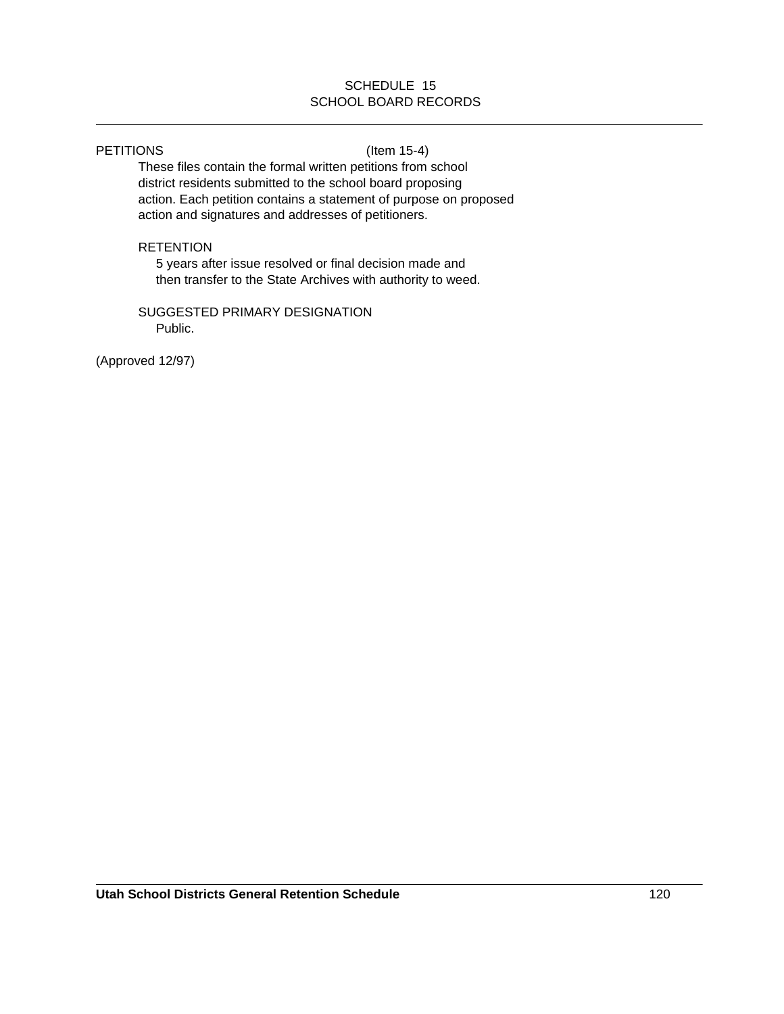# PETITIONS (Item 15-4)

 These files contain the formal written petitions from school district residents submitted to the school board proposing action. Each petition contains a statement of purpose on proposed action and signatures and addresses of petitioners.

# **RETENTION**

 5 years after issue resolved or final decision made and then transfer to the State Archives with authority to weed.

## SUGGESTED PRIMARY DESIGNATION Public.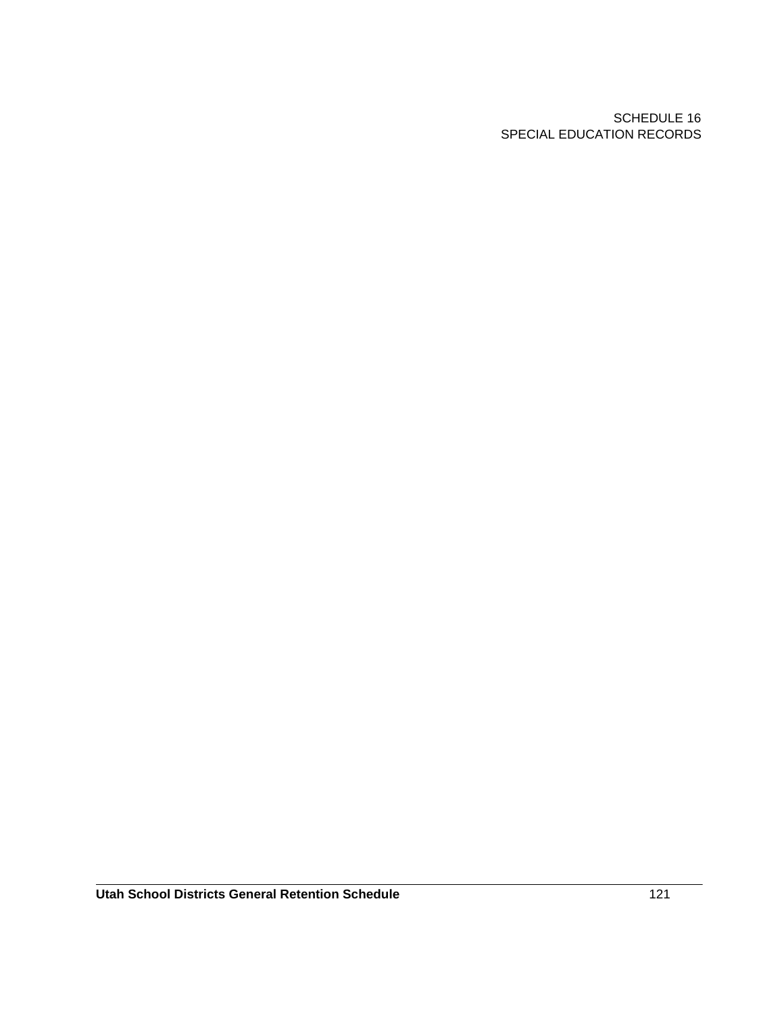# SCHEDULE 16 SPECIAL EDUCATION RECORDS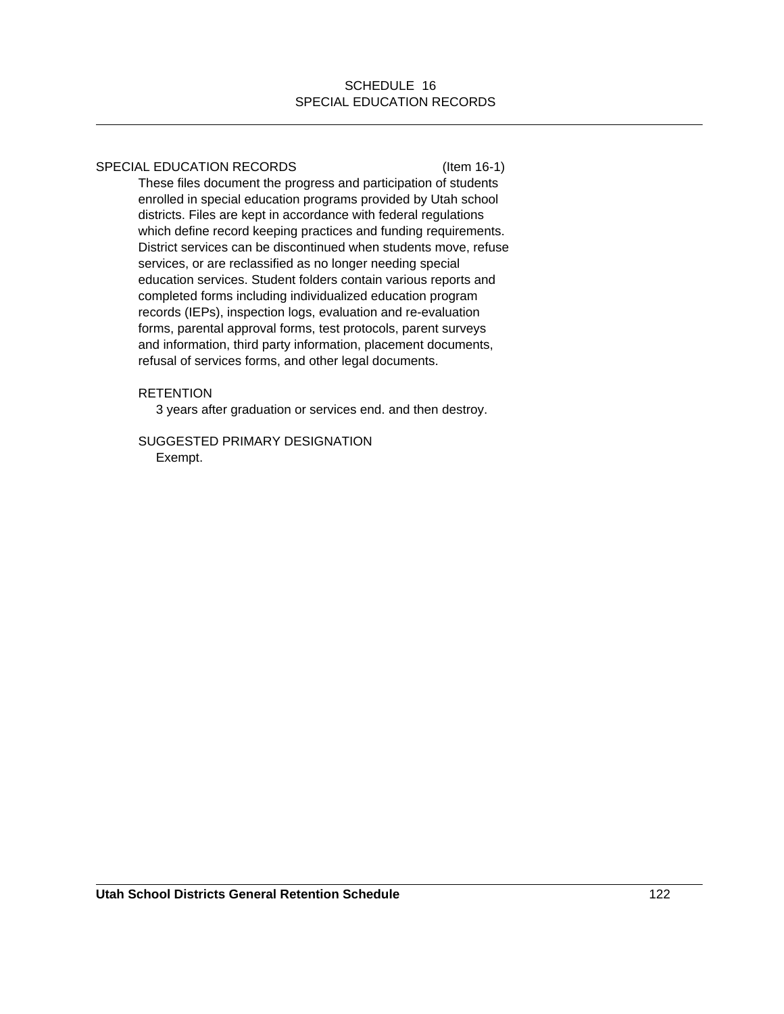## SPECIAL EDUCATION RECORDS (Item 16-1)

 These files document the progress and participation of students enrolled in special education programs provided by Utah school districts. Files are kept in accordance with federal regulations which define record keeping practices and funding requirements. District services can be discontinued when students move, refuse services, or are reclassified as no longer needing special education services. Student folders contain various reports and completed forms including individualized education program records (IEPs), inspection logs, evaluation and re-evaluation forms, parental approval forms, test protocols, parent surveys and information, third party information, placement documents, refusal of services forms, and other legal documents.

## **RETENTION**

3 years after graduation or services end. and then destroy.

# SUGGESTED PRIMARY DESIGNATION Exempt.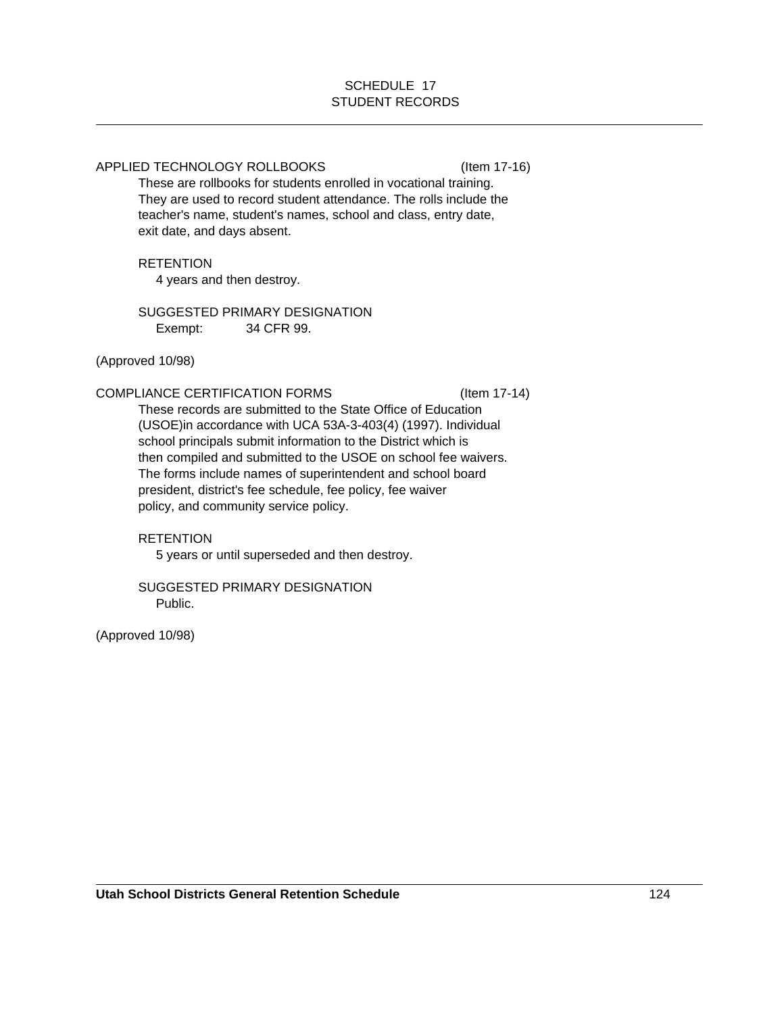### APPLIED TECHNOLOGY ROLLBOOKS (Item 17-16)

 These are rollbooks for students enrolled in vocational training. They are used to record student attendance. The rolls include the teacher's name, student's names, school and class, entry date, exit date, and days absent.

## **RETENTION**

4 years and then destroy.

## SUGGESTED PRIMARY DESIGNATION Exempt: 34 CFR 99.

(Approved 10/98)

## COMPLIANCE CERTIFICATION FORMS (Item 17-14)

 These records are submitted to the State Office of Education (USOE)in accordance with UCA 53A-3-403(4) (1997). Individual school principals submit information to the District which is then compiled and submitted to the USOE on school fee waivers. The forms include names of superintendent and school board president, district's fee schedule, fee policy, fee waiver policy, and community service policy.

# RETENTION

5 years or until superseded and then destroy.

# SUGGESTED PRIMARY DESIGNATION Public.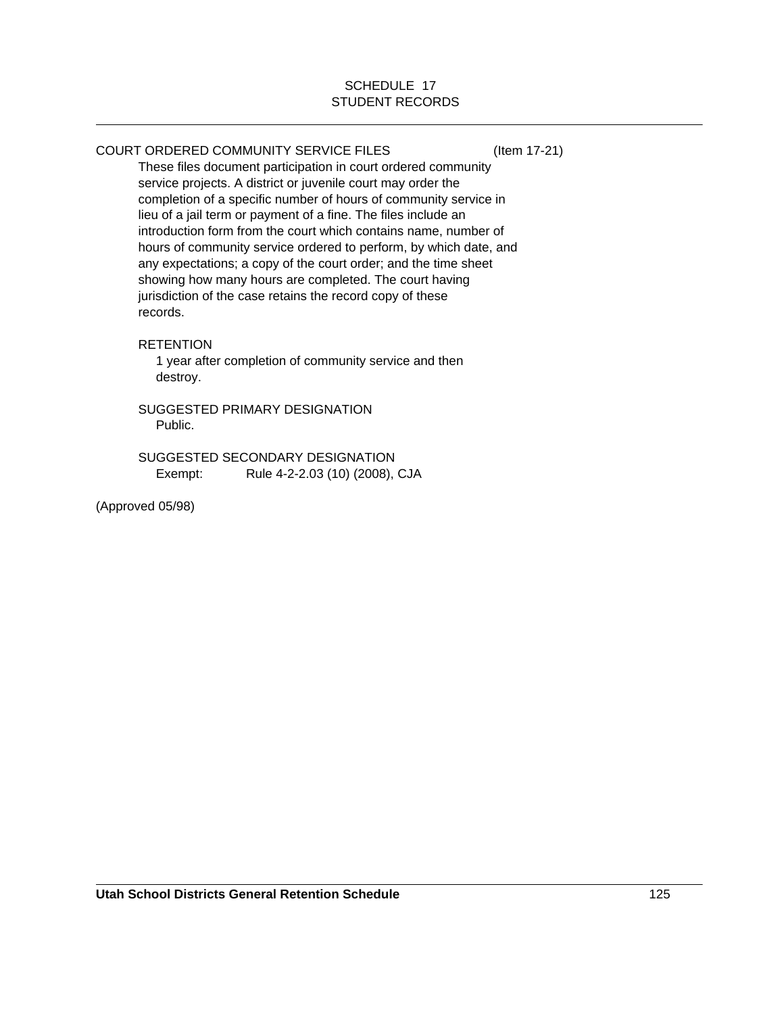# COURT ORDERED COMMUNITY SERVICE FILES (Item 17-21)

 These files document participation in court ordered community service projects. A district or juvenile court may order the completion of a specific number of hours of community service in lieu of a jail term or payment of a fine. The files include an introduction form from the court which contains name, number of hours of community service ordered to perform, by which date, and any expectations; a copy of the court order; and the time sheet showing how many hours are completed. The court having jurisdiction of the case retains the record copy of these records.

# **RETENTION**

 1 year after completion of community service and then destroy.

 SUGGESTED PRIMARY DESIGNATION Public.

 SUGGESTED SECONDARY DESIGNATION Exempt: Rule 4-2-2.03 (10) (2008), CJA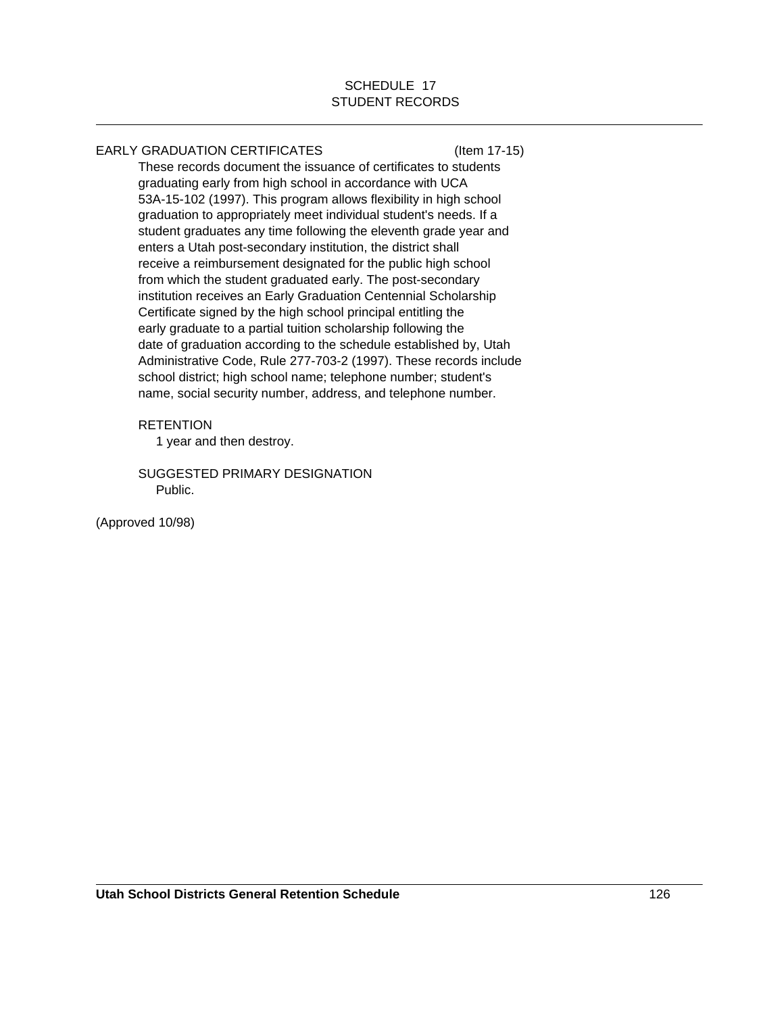### EARLY GRADUATION CERTIFICATES (Item 17-15)

 These records document the issuance of certificates to students graduating early from high school in accordance with UCA 53A-15-102 (1997). This program allows flexibility in high school graduation to appropriately meet individual student's needs. If a student graduates any time following the eleventh grade year and enters a Utah post-secondary institution, the district shall receive a reimbursement designated for the public high school from which the student graduated early. The post-secondary institution receives an Early Graduation Centennial Scholarship Certificate signed by the high school principal entitling the early graduate to a partial tuition scholarship following the date of graduation according to the schedule established by, Utah Administrative Code, Rule 277-703-2 (1997). These records include school district; high school name; telephone number; student's name, social security number, address, and telephone number.

# RETENTION

1 year and then destroy.

 SUGGESTED PRIMARY DESIGNATION Public.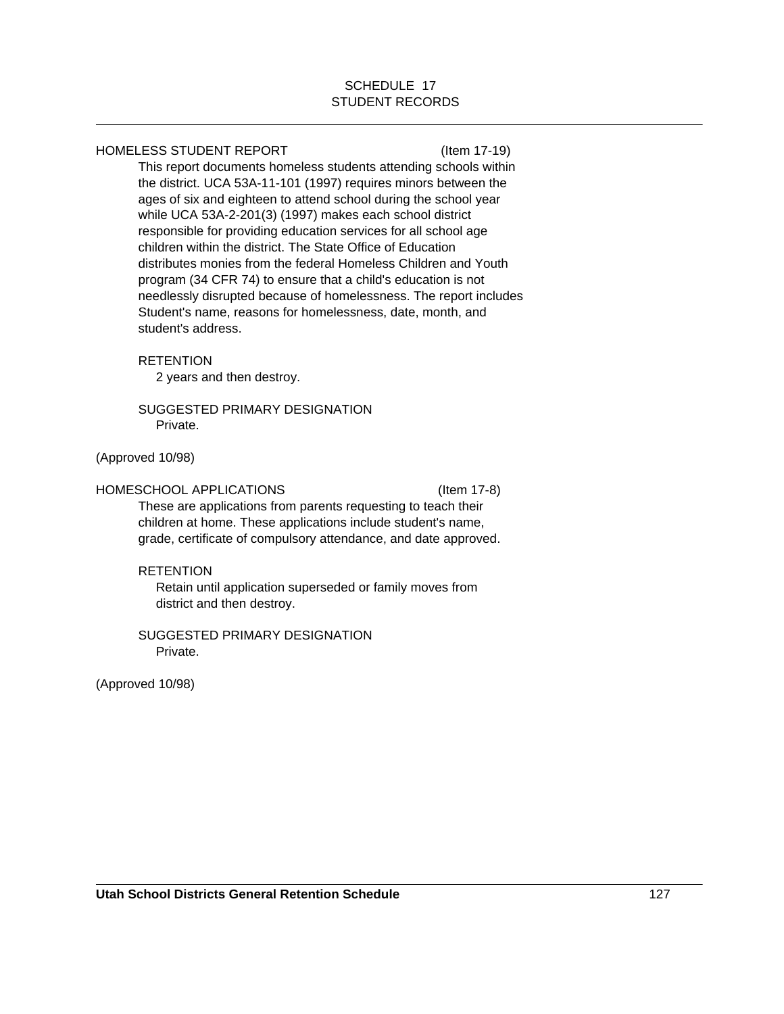## HOMELESS STUDENT REPORT (Item 17-19)

 This report documents homeless students attending schools within the district. UCA 53A-11-101 (1997) requires minors between the ages of six and eighteen to attend school during the school year while UCA 53A-2-201(3) (1997) makes each school district responsible for providing education services for all school age children within the district. The State Office of Education distributes monies from the federal Homeless Children and Youth program (34 CFR 74) to ensure that a child's education is not needlessly disrupted because of homelessness. The report includes Student's name, reasons for homelessness, date, month, and student's address.

# **RETENTION**

2 years and then destroy.

 SUGGESTED PRIMARY DESIGNATION Private.

(Approved 10/98)

#### HOMESCHOOL APPLICATIONS (Item 17-8)

 These are applications from parents requesting to teach their children at home. These applications include student's name, grade, certificate of compulsory attendance, and date approved.

## **RETENTION**

 Retain until application superseded or family moves from district and then destroy.

## SUGGESTED PRIMARY DESIGNATION Private.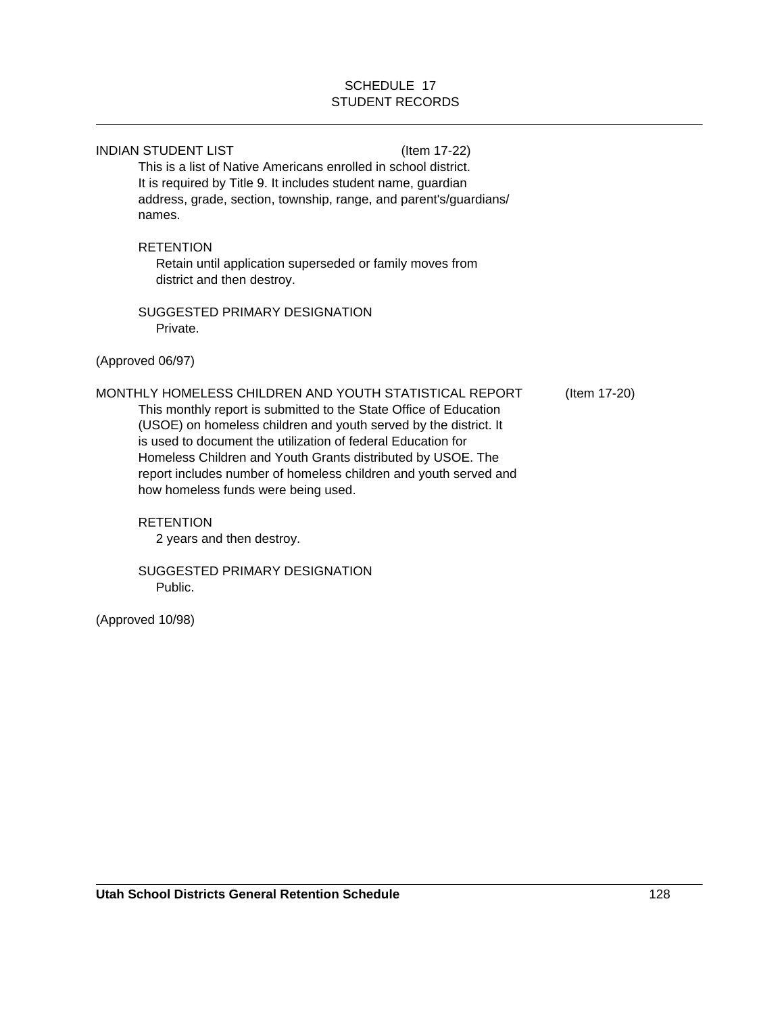| INDIAN STUDENT LIST                                               | (Item 17-22) |  |
|-------------------------------------------------------------------|--------------|--|
| This is a list of Native Americans enrolled in school district.   |              |  |
| It is required by Title 9. It includes student name, guardian     |              |  |
| address, grade, section, township, range, and parent's/guardians/ |              |  |
| names.                                                            |              |  |

# **RETENTION**

 Retain until application superseded or family moves from district and then destroy.

# SUGGESTED PRIMARY DESIGNATION Private.

(Approved 06/97)

# MONTHLY HOMELESS CHILDREN AND YOUTH STATISTICAL REPORT (Item 17-20)

 This monthly report is submitted to the State Office of Education (USOE) on homeless children and youth served by the district. It is used to document the utilization of federal Education for Homeless Children and Youth Grants distributed by USOE. The report includes number of homeless children and youth served and how homeless funds were being used.

# RETENTION

2 years and then destroy.

# SUGGESTED PRIMARY DESIGNATION Public.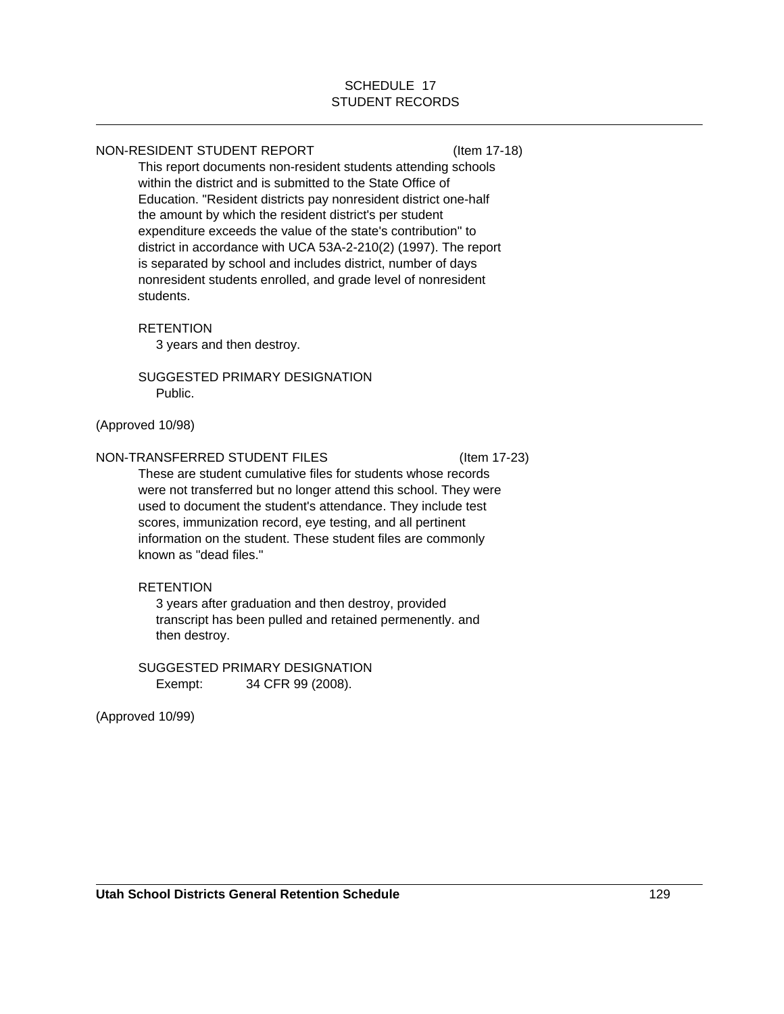### NON-RESIDENT STUDENT REPORT (Item 17-18)

 This report documents non-resident students attending schools within the district and is submitted to the State Office of Education. "Resident districts pay nonresident district one-half the amount by which the resident district's per student expenditure exceeds the value of the state's contribution" to district in accordance with UCA 53A-2-210(2) (1997). The report is separated by school and includes district, number of days nonresident students enrolled, and grade level of nonresident students.

 RETENTION 3 years and then destroy.

 SUGGESTED PRIMARY DESIGNATION Public.

(Approved 10/98)

# NON-TRANSFERRED STUDENT FILES (Item 17-23)

 These are student cumulative files for students whose records were not transferred but no longer attend this school. They were used to document the student's attendance. They include test scores, immunization record, eye testing, and all pertinent information on the student. These student files are commonly known as "dead files."

# **RETENTION**

 3 years after graduation and then destroy, provided transcript has been pulled and retained permenently. and then destroy.

 SUGGESTED PRIMARY DESIGNATION Exempt: 34 CFR 99 (2008).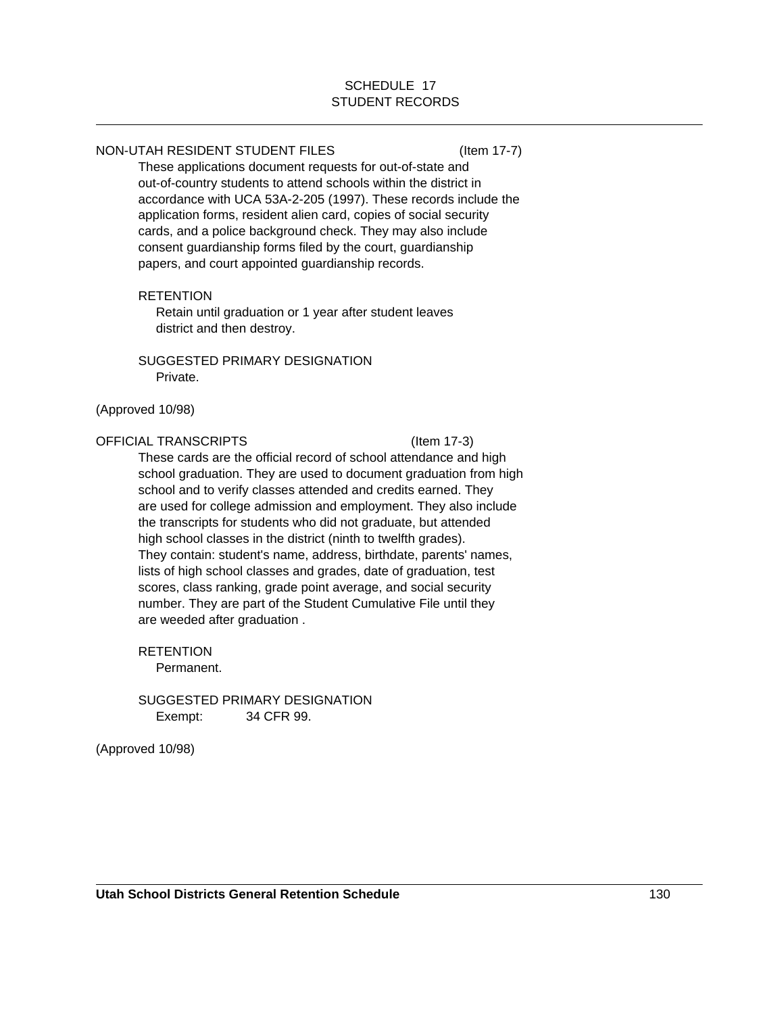## NON-UTAH RESIDENT STUDENT FILES (Item 17-7)

 These applications document requests for out-of-state and out-of-country students to attend schools within the district in accordance with UCA 53A-2-205 (1997). These records include the application forms, resident alien card, copies of social security cards, and a police background check. They may also include consent guardianship forms filed by the court, guardianship papers, and court appointed guardianship records.

#### **RETENTION**

 Retain until graduation or 1 year after student leaves district and then destroy.

 SUGGESTED PRIMARY DESIGNATION Private.

#### (Approved 10/98)

#### OFFICIAL TRANSCRIPTS (Item 17-3)

 These cards are the official record of school attendance and high school graduation. They are used to document graduation from high school and to verify classes attended and credits earned. They are used for college admission and employment. They also include the transcripts for students who did not graduate, but attended high school classes in the district (ninth to twelfth grades). They contain: student's name, address, birthdate, parents' names, lists of high school classes and grades, date of graduation, test scores, class ranking, grade point average, and social security number. They are part of the Student Cumulative File until they are weeded after graduation .

**RETENTION** 

Permanent.

 SUGGESTED PRIMARY DESIGNATION Exempt: 34 CFR 99.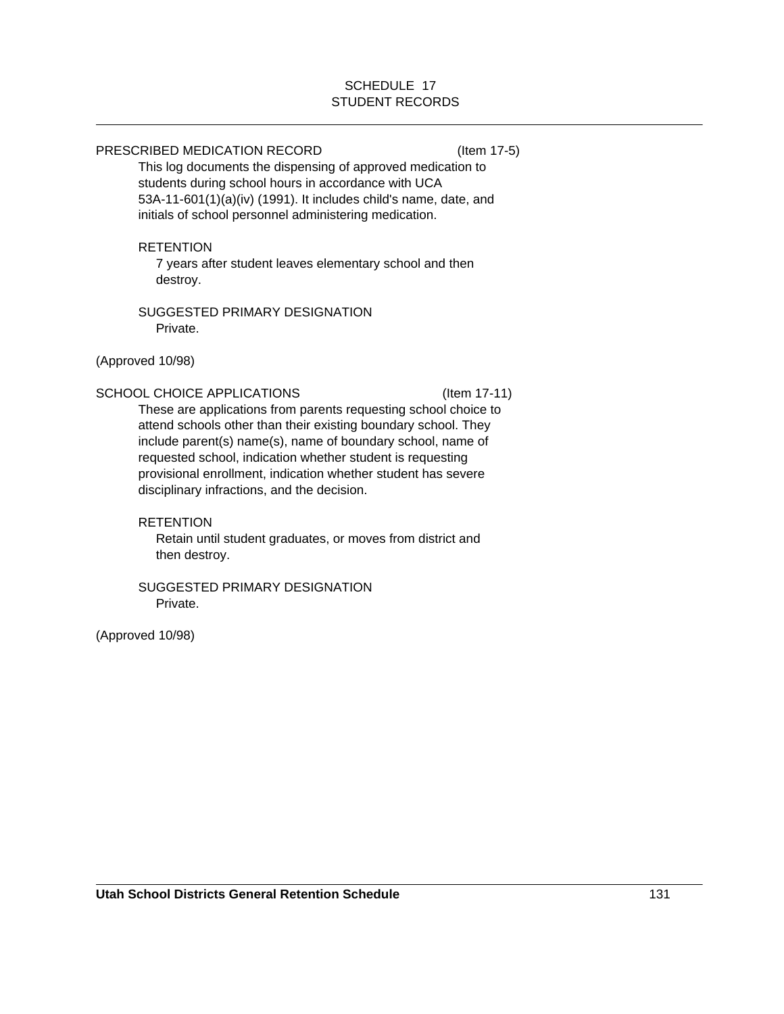### PRESCRIBED MEDICATION RECORD (Item 17-5)

 This log documents the dispensing of approved medication to students during school hours in accordance with UCA 53A-11-601(1)(a)(iv) (1991). It includes child's name, date, and initials of school personnel administering medication.

# **RETENTION**

 7 years after student leaves elementary school and then destroy.

## SUGGESTED PRIMARY DESIGNATION Private.

(Approved 10/98)

# SCHOOL CHOICE APPLICATIONS (Item 17-11)

 These are applications from parents requesting school choice to attend schools other than their existing boundary school. They include parent(s) name(s), name of boundary school, name of requested school, indication whether student is requesting provisional enrollment, indication whether student has severe disciplinary infractions, and the decision.

## RETENTION

 Retain until student graduates, or moves from district and then destroy.

## SUGGESTED PRIMARY DESIGNATION Private.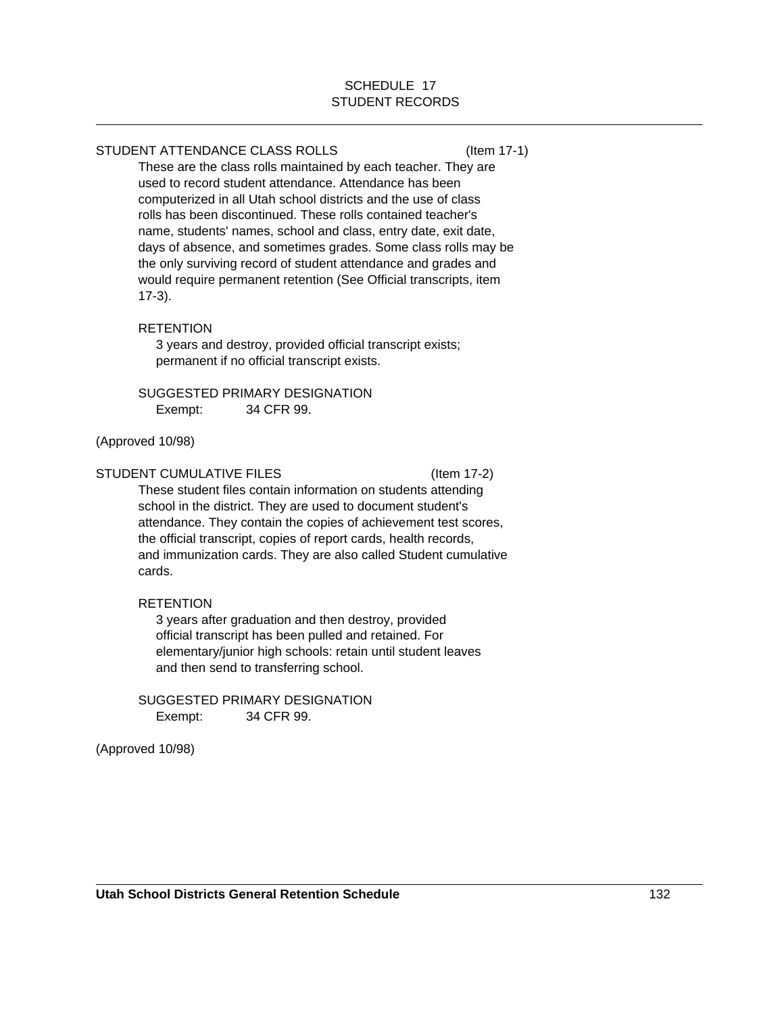## STUDENT ATTENDANCE CLASS ROLLS (Item 17-1)

 These are the class rolls maintained by each teacher. They are used to record student attendance. Attendance has been computerized in all Utah school districts and the use of class rolls has been discontinued. These rolls contained teacher's name, students' names, school and class, entry date, exit date, days of absence, and sometimes grades. Some class rolls may be the only surviving record of student attendance and grades and would require permanent retention (See Official transcripts, item 17-3).

#### RETENTION

 3 years and destroy, provided official transcript exists; permanent if no official transcript exists.

 SUGGESTED PRIMARY DESIGNATION Exempt: 34 CFR 99.

(Approved 10/98)

# STUDENT CUMULATIVE FILES (Item 17-2)

 These student files contain information on students attending school in the district. They are used to document student's attendance. They contain the copies of achievement test scores, the official transcript, copies of report cards, health records, and immunization cards. They are also called Student cumulative cards.

### **RETENTION**

 3 years after graduation and then destroy, provided official transcript has been pulled and retained. For elementary/junior high schools: retain until student leaves and then send to transferring school.

 SUGGESTED PRIMARY DESIGNATION Exempt: 34 CFR 99.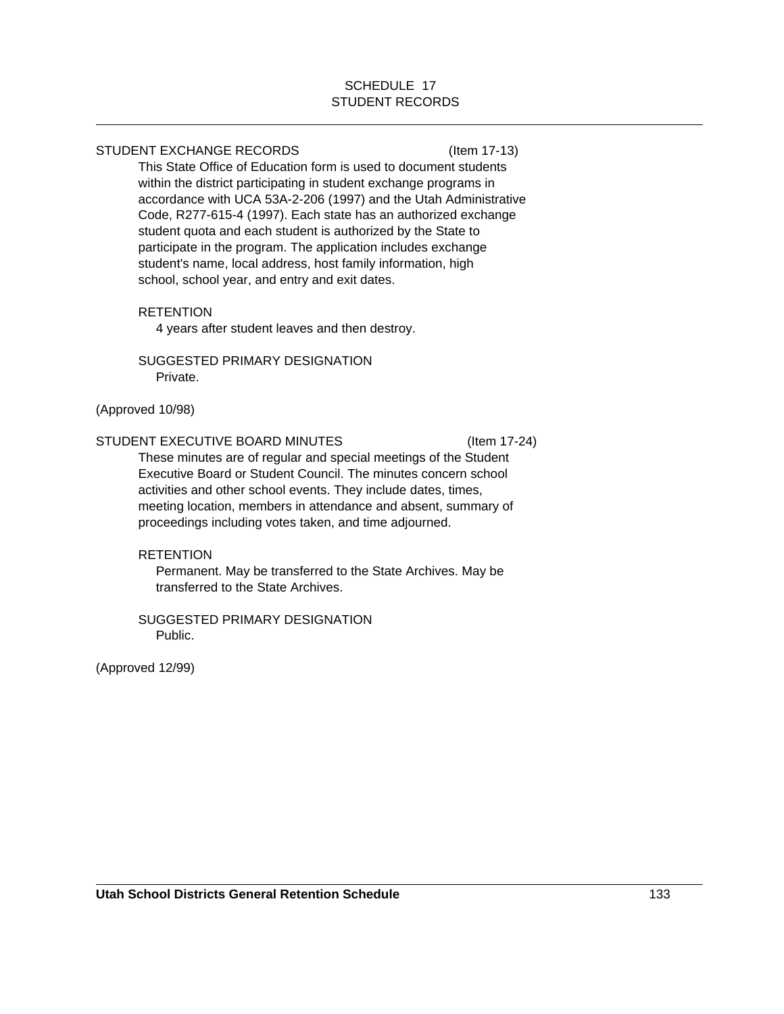# STUDENT EXCHANGE RECORDS (Item 17-13)

 This State Office of Education form is used to document students within the district participating in student exchange programs in accordance with UCA 53A-2-206 (1997) and the Utah Administrative Code, R277-615-4 (1997). Each state has an authorized exchange student quota and each student is authorized by the State to participate in the program. The application includes exchange student's name, local address, host family information, high school, school year, and entry and exit dates.

## RETENTION

4 years after student leaves and then destroy.

 SUGGESTED PRIMARY DESIGNATION Private.

#### (Approved 10/98)

## STUDENT EXECUTIVE BOARD MINUTES (Item 17-24)

 These minutes are of regular and special meetings of the Student Executive Board or Student Council. The minutes concern school activities and other school events. They include dates, times, meeting location, members in attendance and absent, summary of proceedings including votes taken, and time adjourned.

### **RETENTION**

 Permanent. May be transferred to the State Archives. May be transferred to the State Archives.

 SUGGESTED PRIMARY DESIGNATION Public.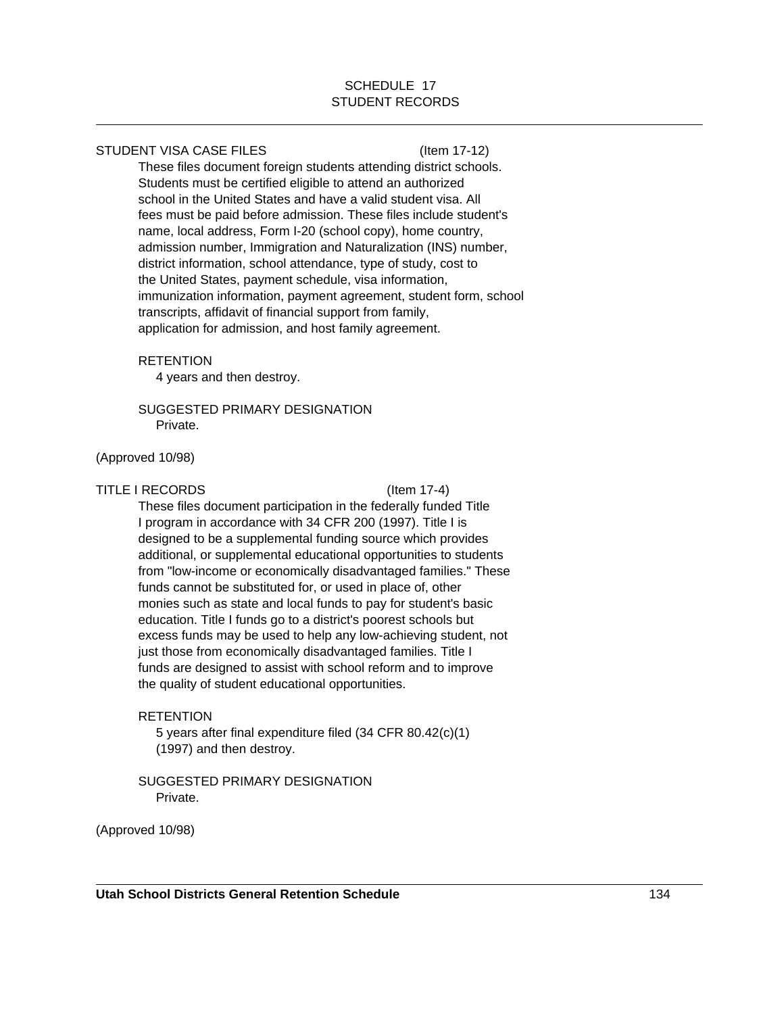STUDENT VISA CASE FILES (Item 17-12)

 These files document foreign students attending district schools. Students must be certified eligible to attend an authorized school in the United States and have a valid student visa. All fees must be paid before admission. These files include student's name, local address, Form I-20 (school copy), home country, admission number, Immigration and Naturalization (INS) number, district information, school attendance, type of study, cost to the United States, payment schedule, visa information, immunization information, payment agreement, student form, school transcripts, affidavit of financial support from family, application for admission, and host family agreement.

## **RETENTION**

4 years and then destroy.

# SUGGESTED PRIMARY DESIGNATION Private.

(Approved 10/98)

# TITLE I RECORDS (Item 17-4)

 These files document participation in the federally funded Title I program in accordance with 34 CFR 200 (1997). Title I is designed to be a supplemental funding source which provides additional, or supplemental educational opportunities to students from "low-income or economically disadvantaged families." These funds cannot be substituted for, or used in place of, other monies such as state and local funds to pay for student's basic education. Title I funds go to a district's poorest schools but excess funds may be used to help any low-achieving student, not just those from economically disadvantaged families. Title I funds are designed to assist with school reform and to improve the quality of student educational opportunities.

## **RETENTION**

 5 years after final expenditure filed (34 CFR 80.42(c)(1) (1997) and then destroy.

# SUGGESTED PRIMARY DESIGNATION Private.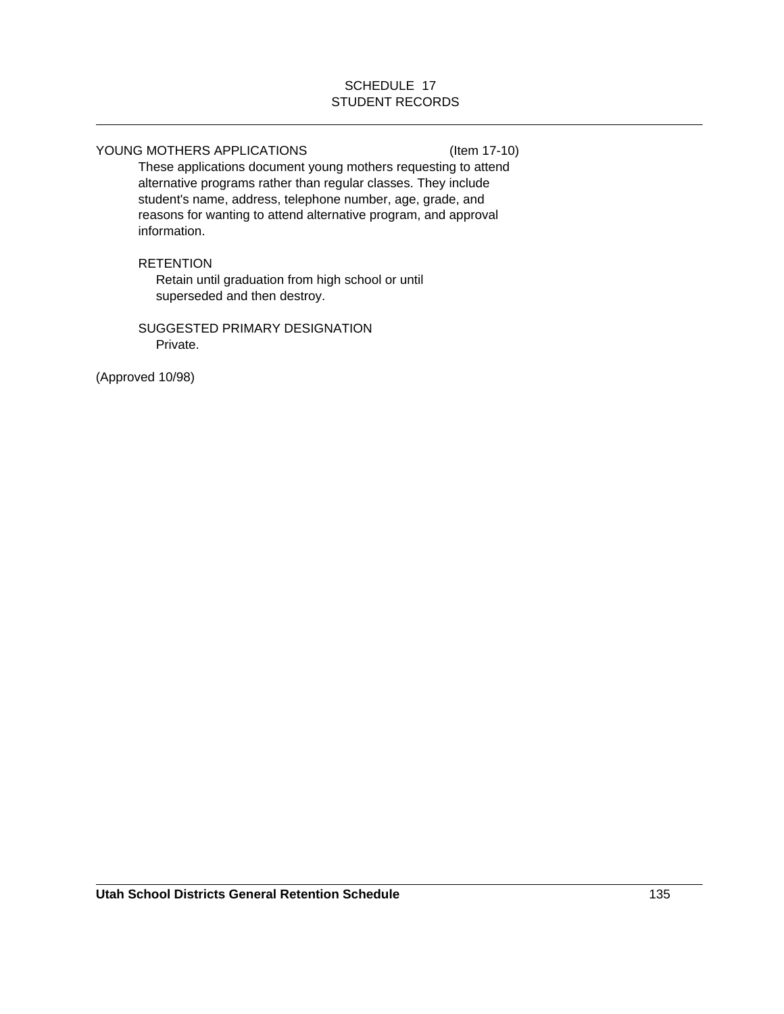# YOUNG MOTHERS APPLICATIONS (Item 17-10)

 These applications document young mothers requesting to attend alternative programs rather than regular classes. They include student's name, address, telephone number, age, grade, and reasons for wanting to attend alternative program, and approval information.

# **RETENTION**

 Retain until graduation from high school or until superseded and then destroy.

 SUGGESTED PRIMARY DESIGNATION Private.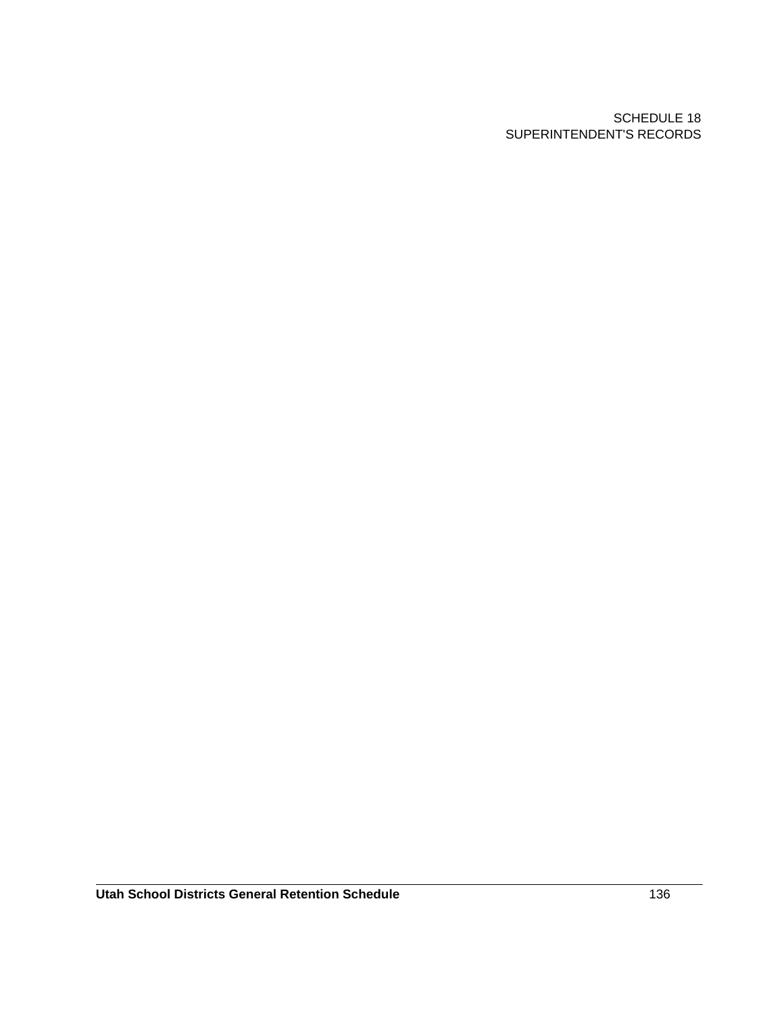# SCHEDULE 18 SUPERINTENDENT'S RECORDS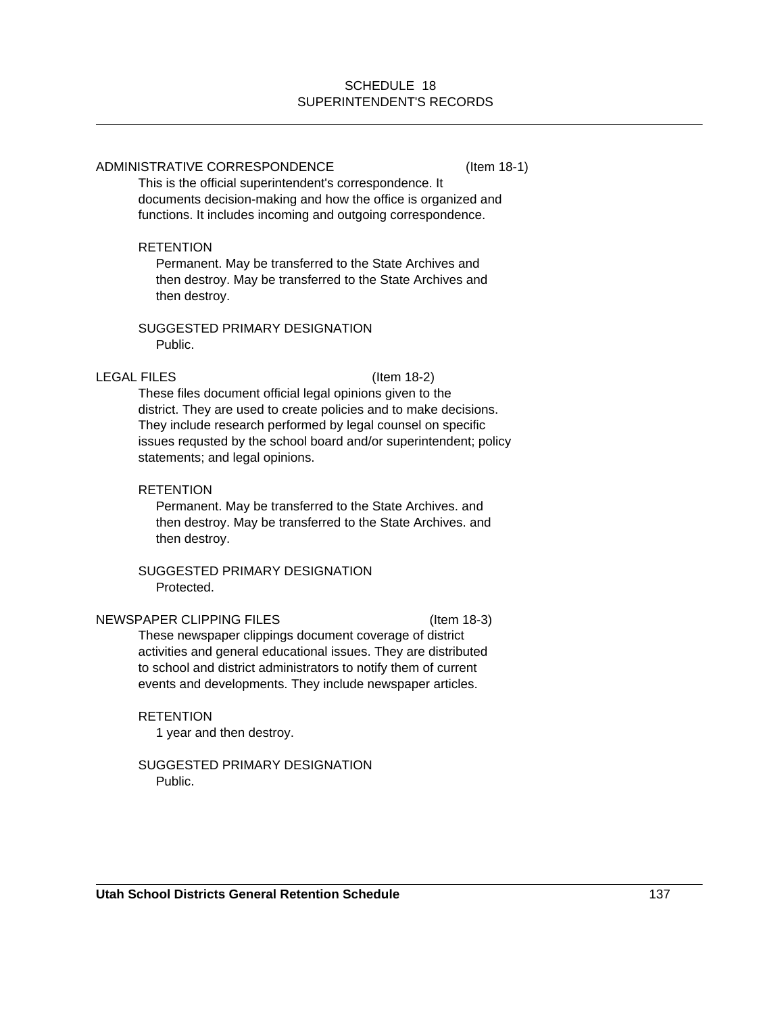# SCHEDULE 18 SUPERINTENDENT'S RECORDS

### ADMINISTRATIVE CORRESPONDENCE (Item 18-1)

 This is the official superintendent's correspondence. It documents decision-making and how the office is organized and functions. It includes incoming and outgoing correspondence.

#### **RETENTION**

 Permanent. May be transferred to the State Archives and then destroy. May be transferred to the State Archives and then destroy.

 SUGGESTED PRIMARY DESIGNATION Public.

# LEGAL FILES (Item 18-2)

 These files document official legal opinions given to the district. They are used to create policies and to make decisions. They include research performed by legal counsel on specific issues requsted by the school board and/or superintendent; policy statements; and legal opinions.

### **RETENTION**

 Permanent. May be transferred to the State Archives. and then destroy. May be transferred to the State Archives. and then destroy.

 SUGGESTED PRIMARY DESIGNATION Protected.

# NEWSPAPER CLIPPING FILES (Item 18-3)

 These newspaper clippings document coverage of district activities and general educational issues. They are distributed to school and district administrators to notify them of current events and developments. They include newspaper articles.

# RETENTION

1 year and then destroy.

# SUGGESTED PRIMARY DESIGNATION Public.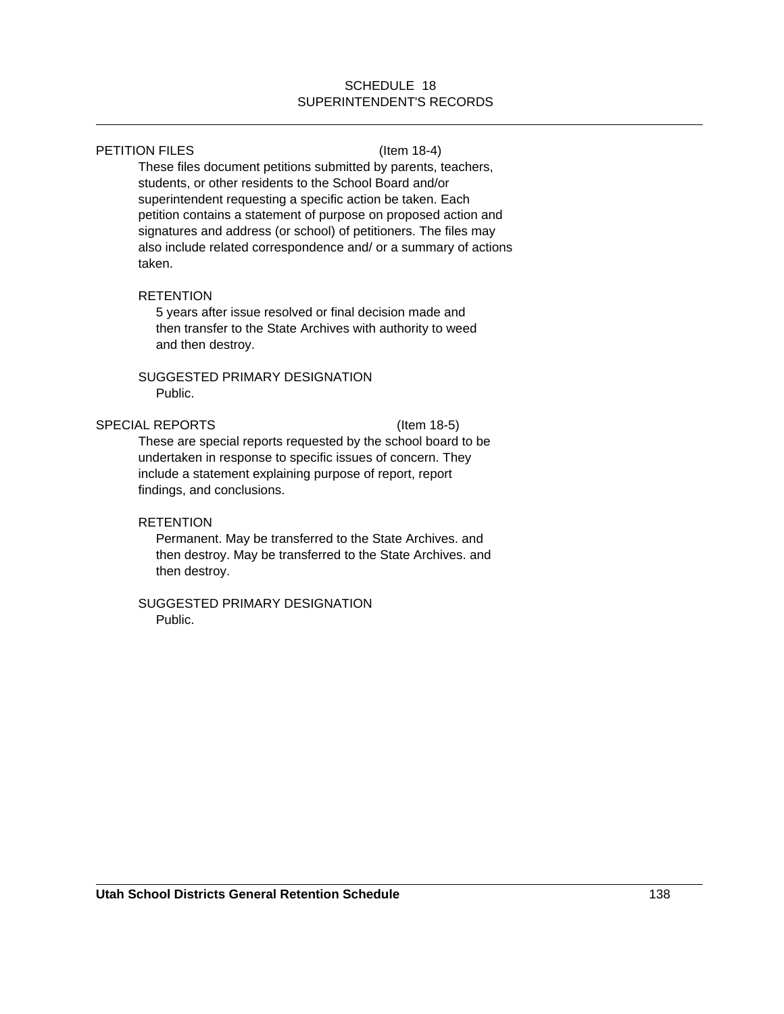# SCHEDULE 18 SUPERINTENDENT'S RECORDS

## PETITION FILES (Item 18-4)

 These files document petitions submitted by parents, teachers, students, or other residents to the School Board and/or superintendent requesting a specific action be taken. Each petition contains a statement of purpose on proposed action and signatures and address (or school) of petitioners. The files may also include related correspondence and/ or a summary of actions taken.

## **RETENTION**

 5 years after issue resolved or final decision made and then transfer to the State Archives with authority to weed and then destroy.

 SUGGESTED PRIMARY DESIGNATION Public.

# SPECIAL REPORTS (Item 18-5)

 These are special reports requested by the school board to be undertaken in response to specific issues of concern. They include a statement explaining purpose of report, report findings, and conclusions.

# RETENTION

 Permanent. May be transferred to the State Archives. and then destroy. May be transferred to the State Archives. and then destroy.

# SUGGESTED PRIMARY DESIGNATION Public.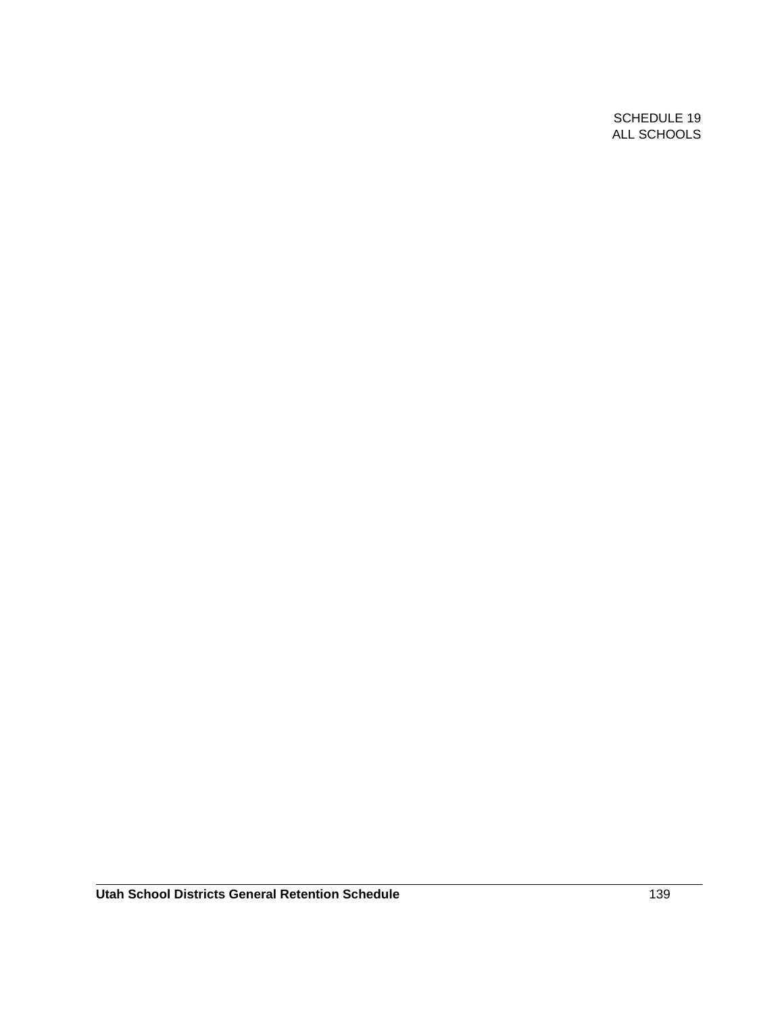SCHEDULE 19 ALL SCHOOLS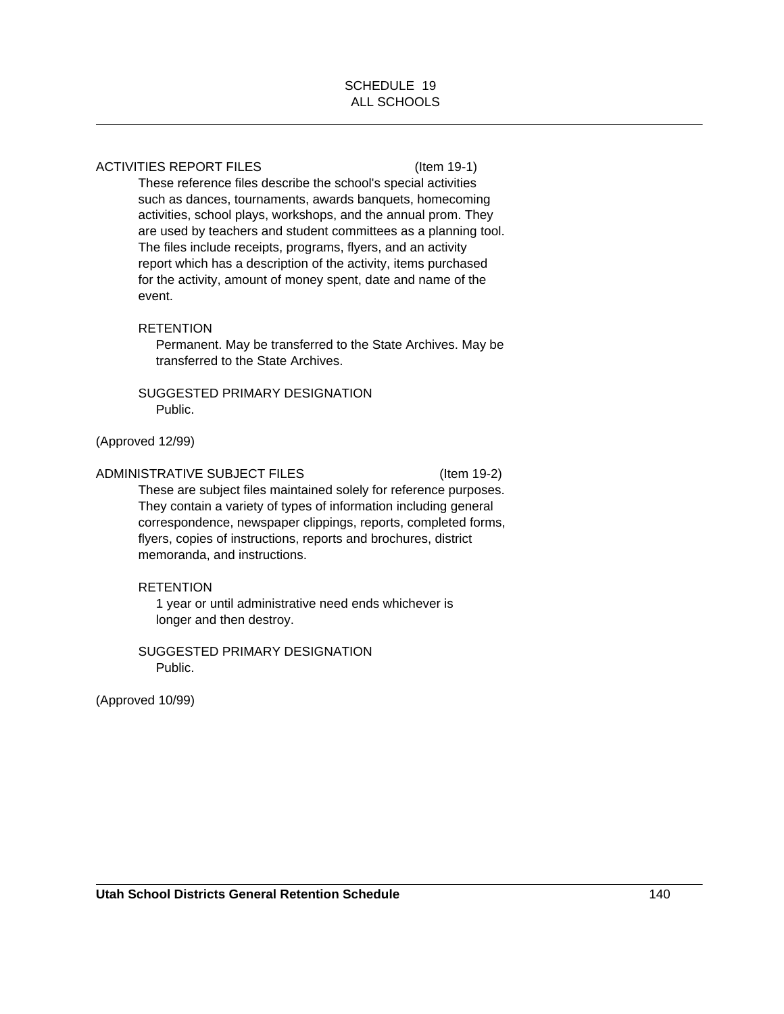#### ACTIVITIES REPORT FILES (Item 19-1)

 These reference files describe the school's special activities such as dances, tournaments, awards banquets, homecoming activities, school plays, workshops, and the annual prom. They are used by teachers and student committees as a planning tool. The files include receipts, programs, flyers, and an activity report which has a description of the activity, items purchased for the activity, amount of money spent, date and name of the event.

#### RETENTION

 Permanent. May be transferred to the State Archives. May be transferred to the State Archives.

 SUGGESTED PRIMARY DESIGNATION Public.

(Approved 12/99)

# ADMINISTRATIVE SUBJECT FILES (Item 19-2)

 These are subject files maintained solely for reference purposes. They contain a variety of types of information including general correspondence, newspaper clippings, reports, completed forms, flyers, copies of instructions, reports and brochures, district memoranda, and instructions.

# **RETENTION**

 1 year or until administrative need ends whichever is longer and then destroy.

# SUGGESTED PRIMARY DESIGNATION Public.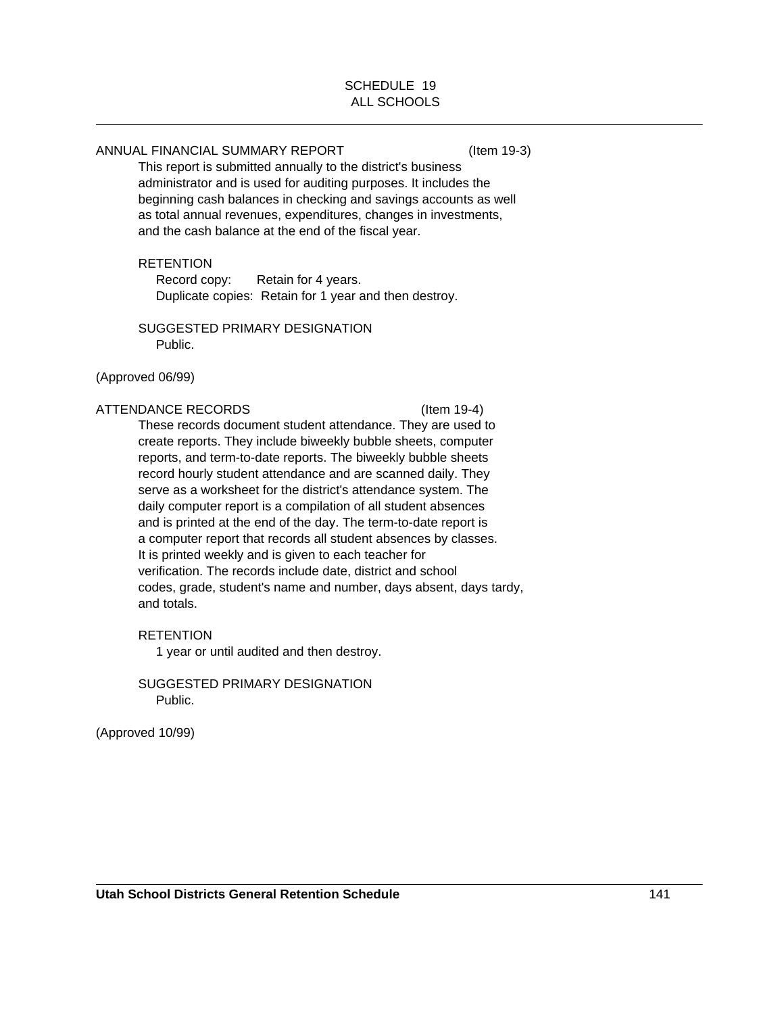# SCHEDULE 19 ALL SCHOOLS

## ANNUAL FINANCIAL SUMMARY REPORT (Item 19-3)

 This report is submitted annually to the district's business administrator and is used for auditing purposes. It includes the beginning cash balances in checking and savings accounts as well as total annual revenues, expenditures, changes in investments, and the cash balance at the end of the fiscal year.

# **RETENTION**

 Record copy: Retain for 4 years. Duplicate copies: Retain for 1 year and then destroy.

 SUGGESTED PRIMARY DESIGNATION Public.

# (Approved 06/99)

# ATTENDANCE RECORDS (Item 19-4)

 These records document student attendance. They are used to create reports. They include biweekly bubble sheets, computer reports, and term-to-date reports. The biweekly bubble sheets record hourly student attendance and are scanned daily. They serve as a worksheet for the district's attendance system. The daily computer report is a compilation of all student absences and is printed at the end of the day. The term-to-date report is a computer report that records all student absences by classes. It is printed weekly and is given to each teacher for verification. The records include date, district and school codes, grade, student's name and number, days absent, days tardy, and totals.

## RETENTION

1 year or until audited and then destroy.

 SUGGESTED PRIMARY DESIGNATION Public.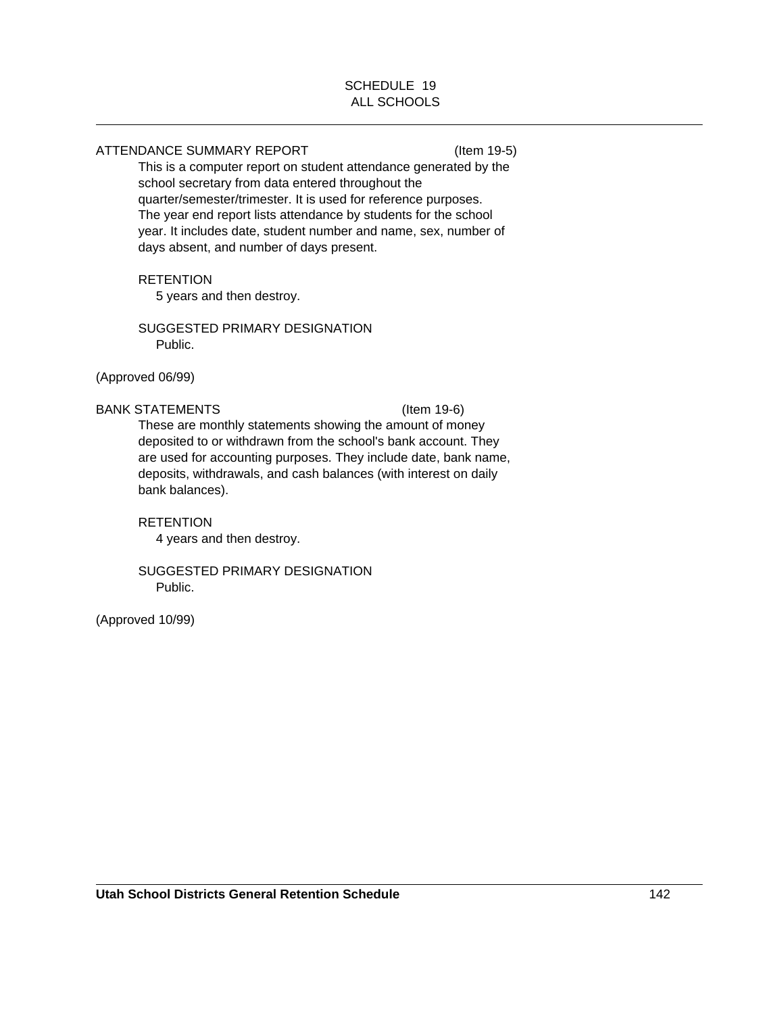# SCHEDULE 19 ALL SCHOOLS

## ATTENDANCE SUMMARY REPORT (Item 19-5)

 This is a computer report on student attendance generated by the school secretary from data entered throughout the quarter/semester/trimester. It is used for reference purposes. The year end report lists attendance by students for the school year. It includes date, student number and name, sex, number of days absent, and number of days present.

# **RETENTION**

5 years and then destroy.

# SUGGESTED PRIMARY DESIGNATION Public.

# (Approved 06/99)

# BANK STATEMENTS (Item 19-6)

 These are monthly statements showing the amount of money deposited to or withdrawn from the school's bank account. They are used for accounting purposes. They include date, bank name, deposits, withdrawals, and cash balances (with interest on daily bank balances).

## RETENTION

4 years and then destroy.

# SUGGESTED PRIMARY DESIGNATION Public.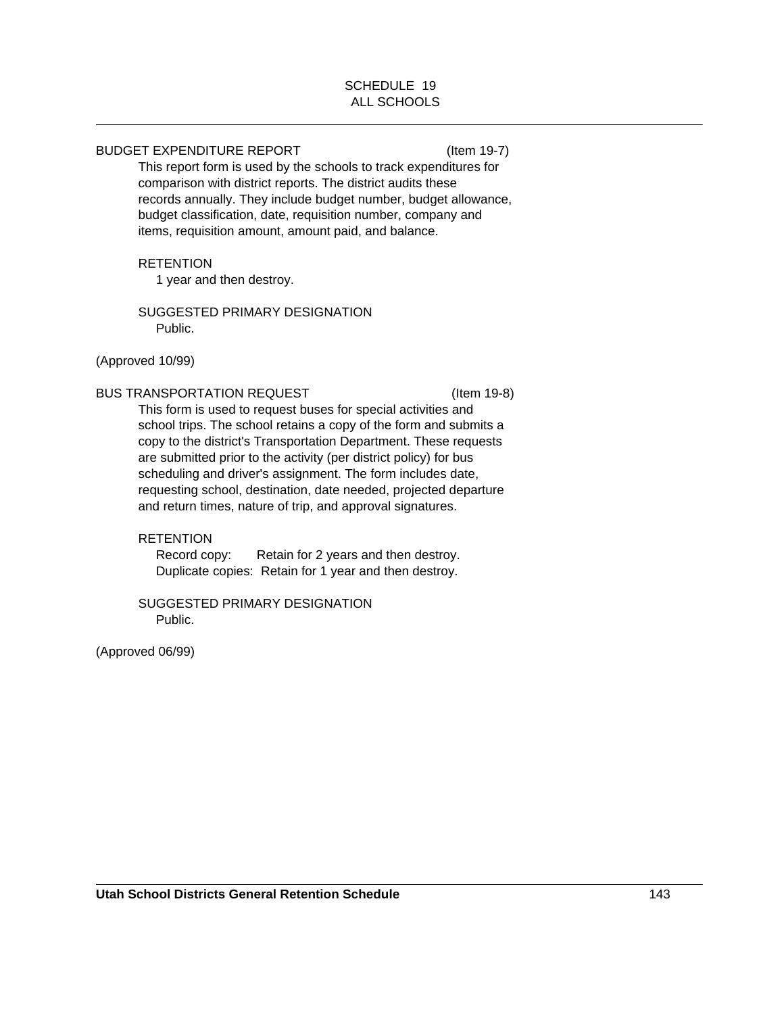#### BUDGET EXPENDITURE REPORT (Item 19-7)

 This report form is used by the schools to track expenditures for comparison with district reports. The district audits these records annually. They include budget number, budget allowance, budget classification, date, requisition number, company and items, requisition amount, amount paid, and balance.

# **RETENTION**

1 year and then destroy.

## SUGGESTED PRIMARY DESIGNATION Public.

(Approved 10/99)

## BUS TRANSPORTATION REQUEST (Item 19-8)

 This form is used to request buses for special activities and school trips. The school retains a copy of the form and submits a copy to the district's Transportation Department. These requests are submitted prior to the activity (per district policy) for bus scheduling and driver's assignment. The form includes date, requesting school, destination, date needed, projected departure and return times, nature of trip, and approval signatures.

### **RETENTION**

Record copy: Retain for 2 years and then destroy. Duplicate copies: Retain for 1 year and then destroy.

## SUGGESTED PRIMARY DESIGNATION Public.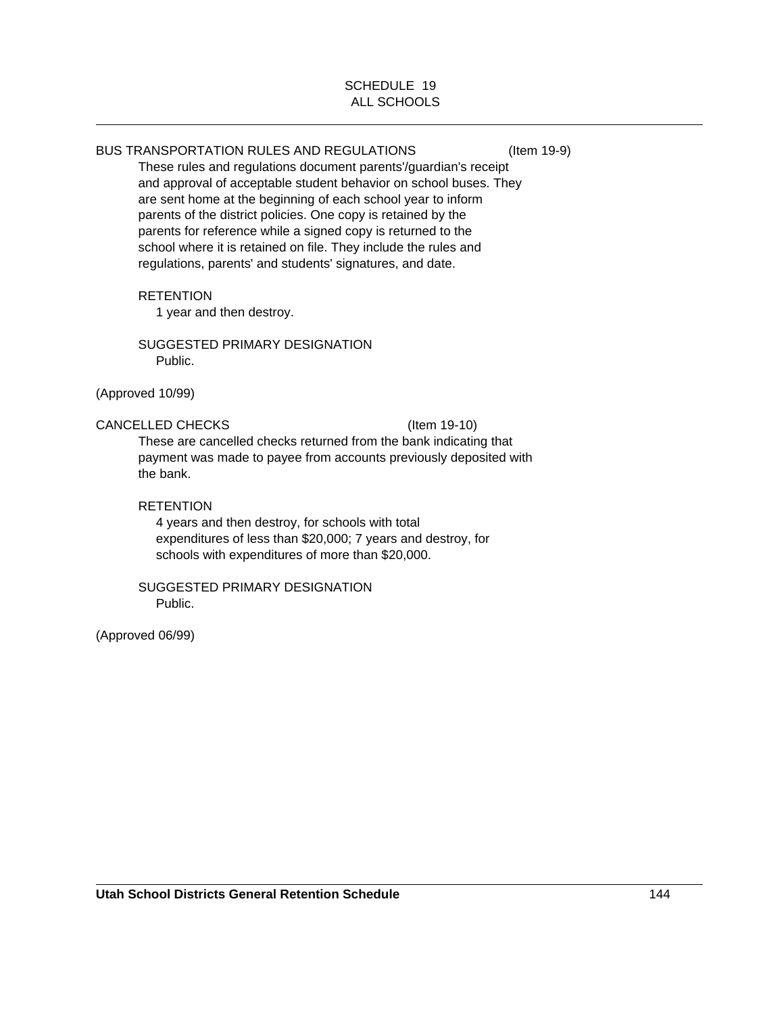# BUS TRANSPORTATION RULES AND REGULATIONS (Item 19-9)

 These rules and regulations document parents'/guardian's receipt and approval of acceptable student behavior on school buses. They are sent home at the beginning of each school year to inform parents of the district policies. One copy is retained by the parents for reference while a signed copy is returned to the school where it is retained on file. They include the rules and regulations, parents' and students' signatures, and date.

# **RETENTION**

1 year and then destroy.

 SUGGESTED PRIMARY DESIGNATION Public.

(Approved 10/99)

# CANCELLED CHECKS (Item 19-10)

 These are cancelled checks returned from the bank indicating that payment was made to payee from accounts previously deposited with the bank.

# **RETENTION**

 4 years and then destroy, for schools with total expenditures of less than \$20,000; 7 years and destroy, for schools with expenditures of more than \$20,000.

#### SUGGESTED PRIMARY DESIGNATION Public.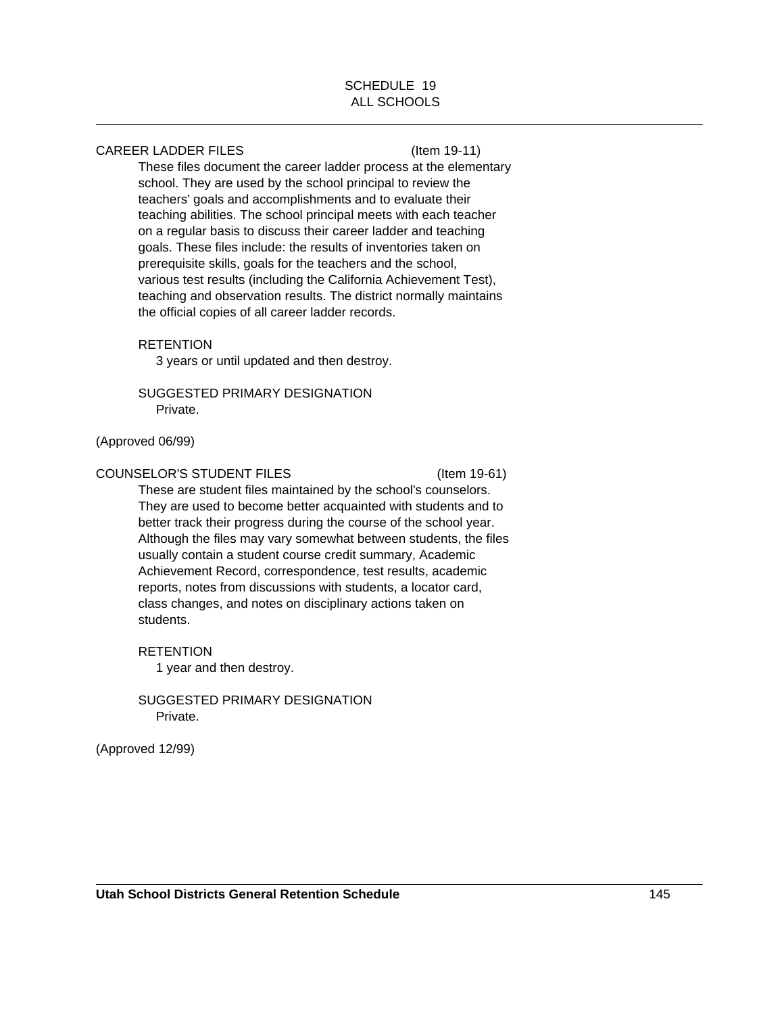## CAREER LADDER FILES (Item 19-11)

 These files document the career ladder process at the elementary school. They are used by the school principal to review the teachers' goals and accomplishments and to evaluate their teaching abilities. The school principal meets with each teacher on a regular basis to discuss their career ladder and teaching goals. These files include: the results of inventories taken on prerequisite skills, goals for the teachers and the school, various test results (including the California Achievement Test), teaching and observation results. The district normally maintains the official copies of all career ladder records.

## **RETENTION**

3 years or until updated and then destroy.

 SUGGESTED PRIMARY DESIGNATION Private.

(Approved 06/99)

# COUNSELOR'S STUDENT FILES (Item 19-61)

 These are student files maintained by the school's counselors. They are used to become better acquainted with students and to better track their progress during the course of the school year. Although the files may vary somewhat between students, the files usually contain a student course credit summary, Academic Achievement Record, correspondence, test results, academic reports, notes from discussions with students, a locator card, class changes, and notes on disciplinary actions taken on students.

### **RETENTION**

1 year and then destroy.

 SUGGESTED PRIMARY DESIGNATION Private.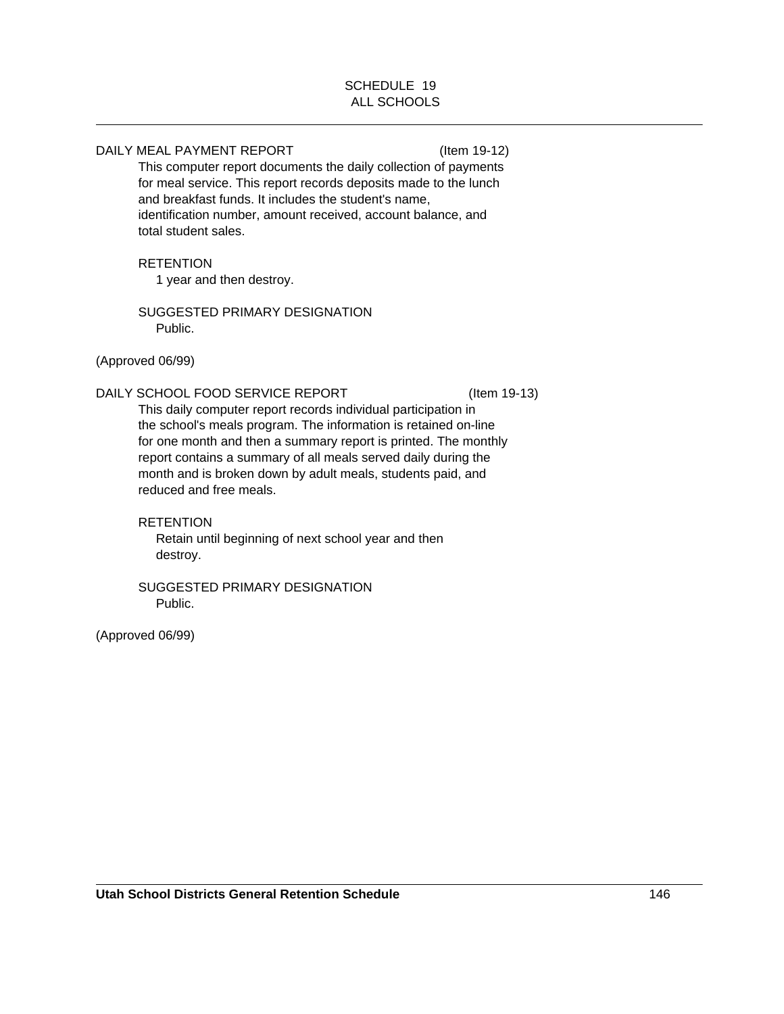#### DAILY MEAL PAYMENT REPORT (Item 19-12)

 This computer report documents the daily collection of payments for meal service. This report records deposits made to the lunch and breakfast funds. It includes the student's name, identification number, amount received, account balance, and total student sales.

## **RETENTION**

1 year and then destroy.

## SUGGESTED PRIMARY DESIGNATION Public.

(Approved 06/99)

## DAILY SCHOOL FOOD SERVICE REPORT (Item 19-13)

 This daily computer report records individual participation in the school's meals program. The information is retained on-line for one month and then a summary report is printed. The monthly report contains a summary of all meals served daily during the month and is broken down by adult meals, students paid, and reduced and free meals.

### RETENTION

 Retain until beginning of next school year and then destroy.

## SUGGESTED PRIMARY DESIGNATION Public.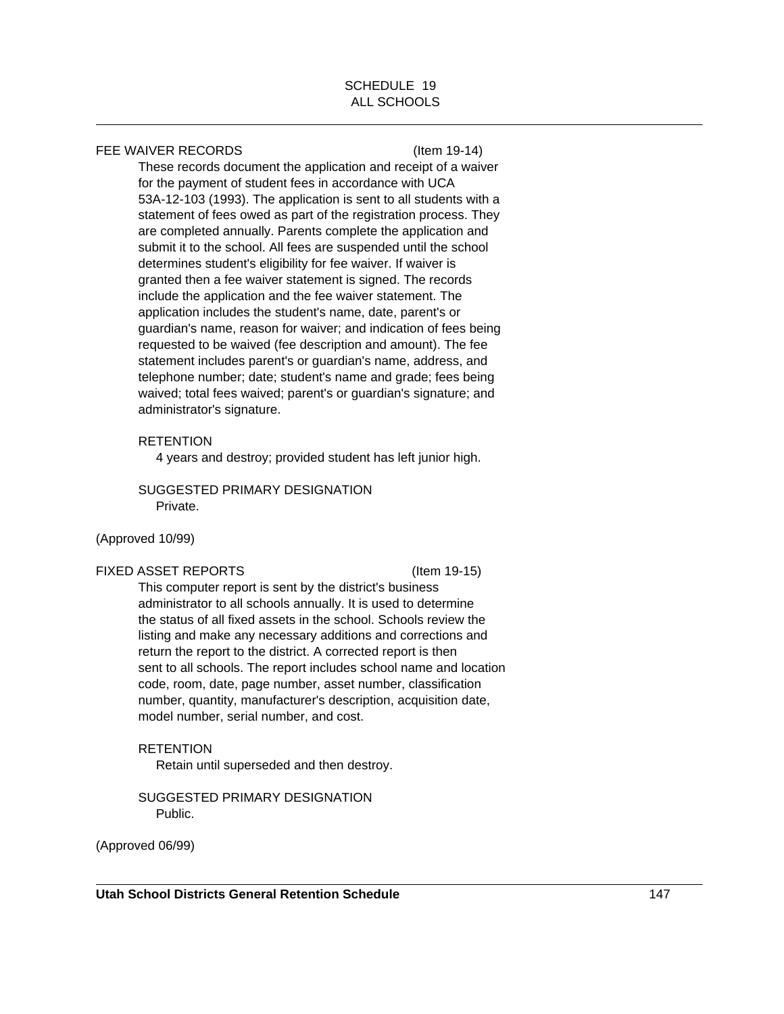## FEE WAIVER RECORDS (Item 19-14)

 These records document the application and receipt of a waiver for the payment of student fees in accordance with UCA 53A-12-103 (1993). The application is sent to all students with a statement of fees owed as part of the registration process. They are completed annually. Parents complete the application and submit it to the school. All fees are suspended until the school determines student's eligibility for fee waiver. If waiver is granted then a fee waiver statement is signed. The records include the application and the fee waiver statement. The application includes the student's name, date, parent's or guardian's name, reason for waiver; and indication of fees being requested to be waived (fee description and amount). The fee statement includes parent's or guardian's name, address, and telephone number; date; student's name and grade; fees being waived; total fees waived; parent's or guardian's signature; and administrator's signature.

### **RETENTION**

4 years and destroy; provided student has left junior high.

 SUGGESTED PRIMARY DESIGNATION Private.

#### (Approved 10/99)

#### FIXED ASSET REPORTS (Item 19-15)

 This computer report is sent by the district's business administrator to all schools annually. It is used to determine the status of all fixed assets in the school. Schools review the listing and make any necessary additions and corrections and return the report to the district. A corrected report is then sent to all schools. The report includes school name and location code, room, date, page number, asset number, classification number, quantity, manufacturer's description, acquisition date, model number, serial number, and cost.

#### RETENTION

Retain until superseded and then destroy.

## SUGGESTED PRIMARY DESIGNATION Public.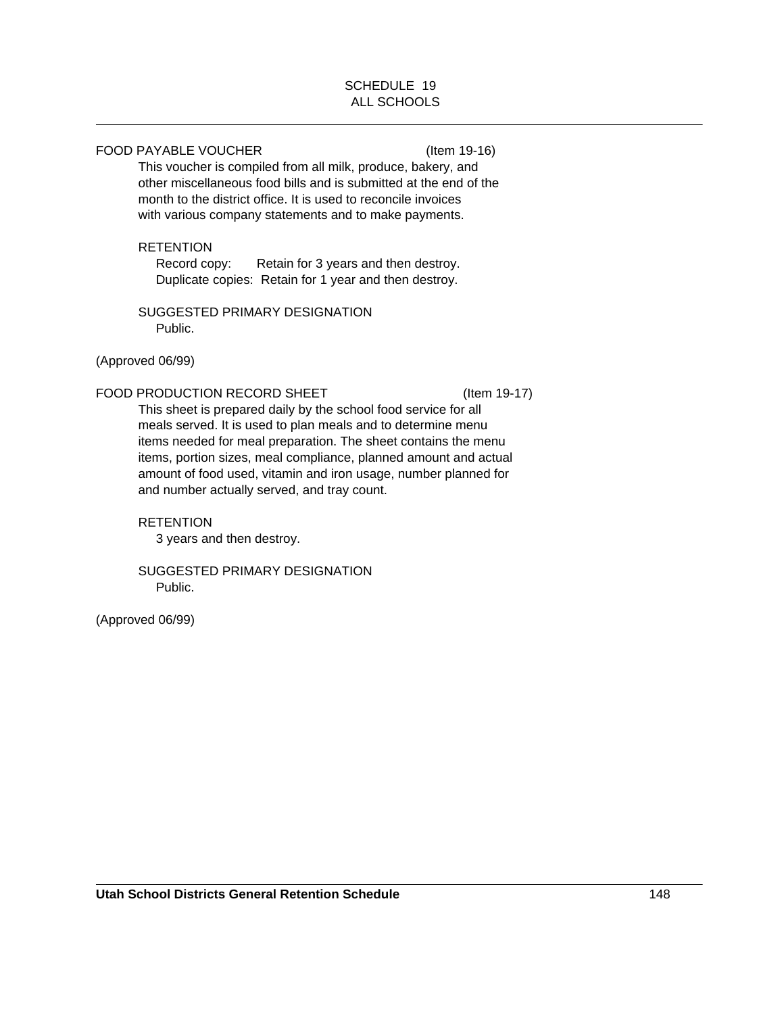### FOOD PAYABLE VOUCHER (Item 19-16)

 This voucher is compiled from all milk, produce, bakery, and other miscellaneous food bills and is submitted at the end of the month to the district office. It is used to reconcile invoices with various company statements and to make payments.

## **RETENTION**

Record copy: Retain for 3 years and then destroy. Duplicate copies: Retain for 1 year and then destroy.

 SUGGESTED PRIMARY DESIGNATION Public.

(Approved 06/99)

## FOOD PRODUCTION RECORD SHEET (Item 19-17)

 This sheet is prepared daily by the school food service for all meals served. It is used to plan meals and to determine menu items needed for meal preparation. The sheet contains the menu items, portion sizes, meal compliance, planned amount and actual amount of food used, vitamin and iron usage, number planned for and number actually served, and tray count.

### RETENTION

3 years and then destroy.

 SUGGESTED PRIMARY DESIGNATION Public.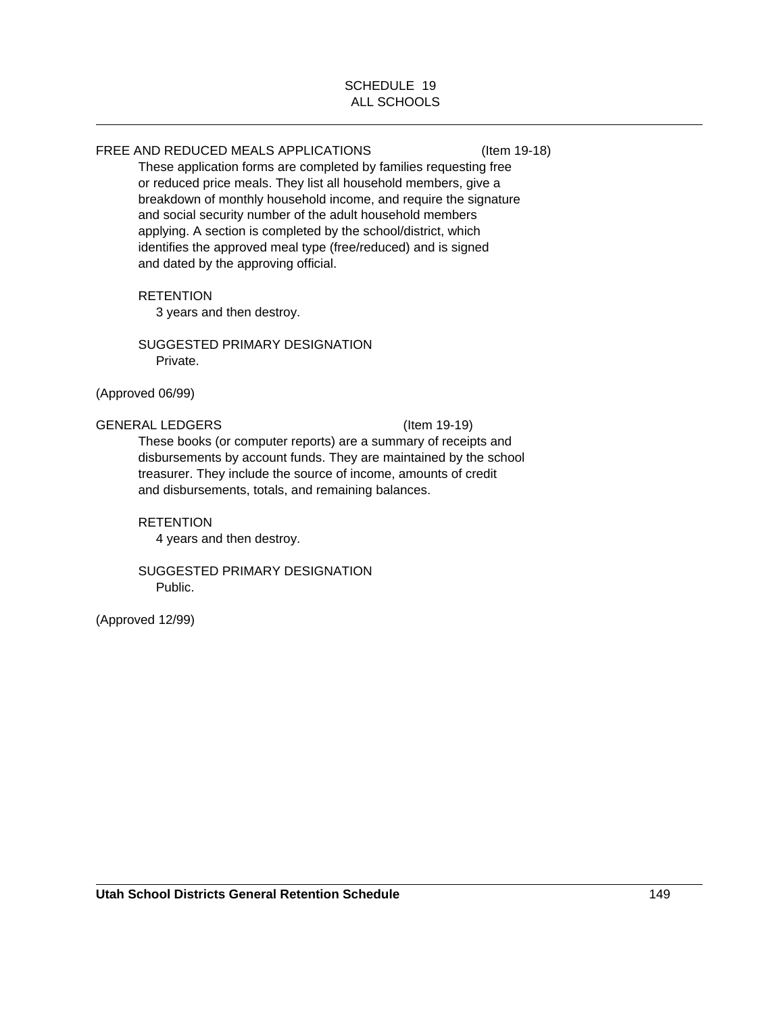## FREE AND REDUCED MEALS APPLICATIONS (Item 19-18)

 These application forms are completed by families requesting free or reduced price meals. They list all household members, give a breakdown of monthly household income, and require the signature and social security number of the adult household members applying. A section is completed by the school/district, which identifies the approved meal type (free/reduced) and is signed and dated by the approving official.

## RETENTION

3 years and then destroy.

 SUGGESTED PRIMARY DESIGNATION Private.

(Approved 06/99)

### GENERAL LEDGERS (Item 19-19)

 These books (or computer reports) are a summary of receipts and disbursements by account funds. They are maintained by the school treasurer. They include the source of income, amounts of credit and disbursements, totals, and remaining balances.

## RETENTION

4 years and then destroy.

## SUGGESTED PRIMARY DESIGNATION Public.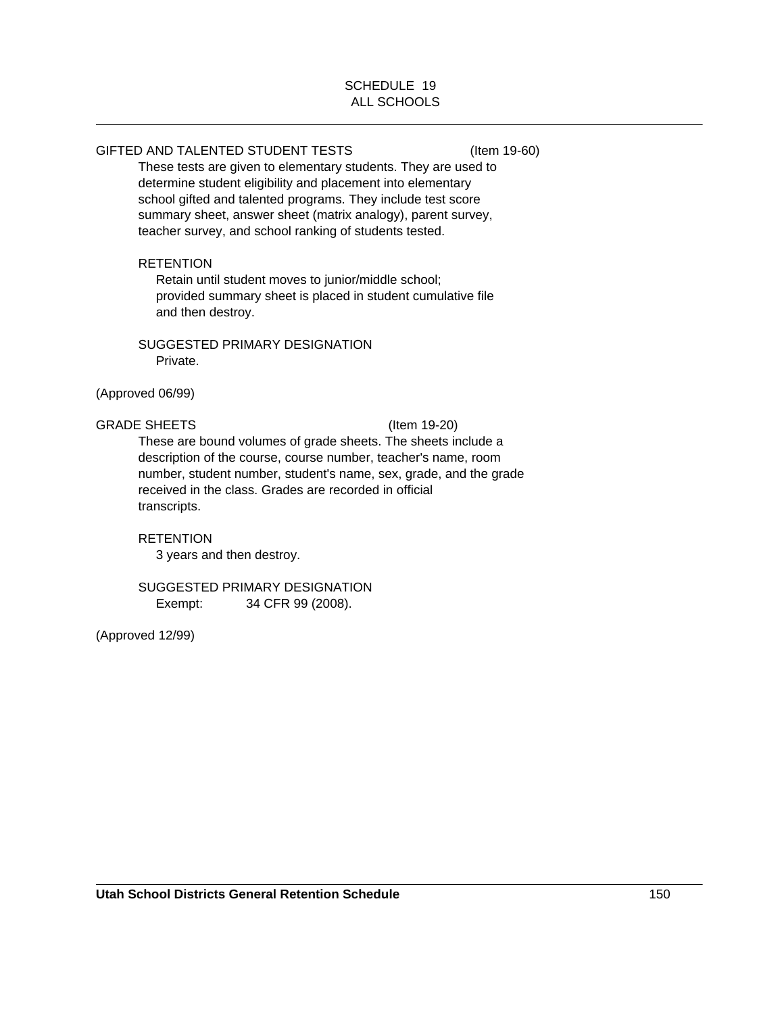## GIFTED AND TALENTED STUDENT TESTS (Item 19-60)

 These tests are given to elementary students. They are used to determine student eligibility and placement into elementary school gifted and talented programs. They include test score summary sheet, answer sheet (matrix analogy), parent survey, teacher survey, and school ranking of students tested.

# **RETENTION**

 Retain until student moves to junior/middle school; provided summary sheet is placed in student cumulative file and then destroy.

 SUGGESTED PRIMARY DESIGNATION Private.

(Approved 06/99)

### GRADE SHEETS (Item 19-20)

 These are bound volumes of grade sheets. The sheets include a description of the course, course number, teacher's name, room number, student number, student's name, sex, grade, and the grade received in the class. Grades are recorded in official transcripts.

 RETENTION 3 years and then destroy.

 SUGGESTED PRIMARY DESIGNATION Exempt: 34 CFR 99 (2008).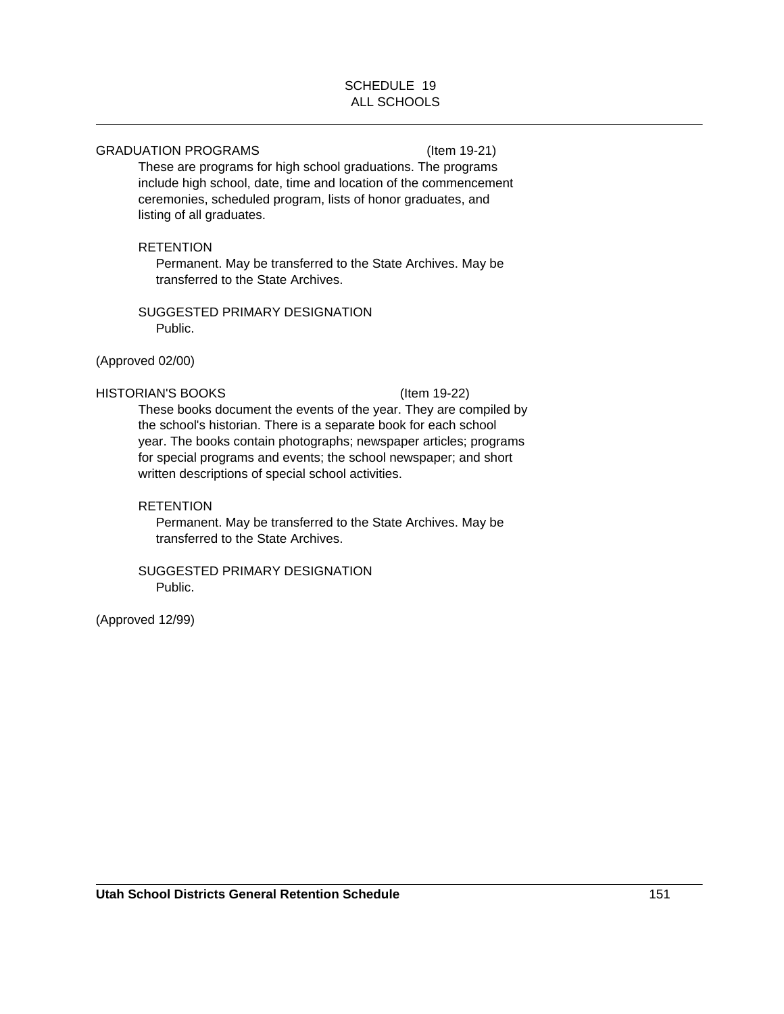### GRADUATION PROGRAMS (Item 19-21)

 These are programs for high school graduations. The programs include high school, date, time and location of the commencement ceremonies, scheduled program, lists of honor graduates, and listing of all graduates.

## **RETENTION**

 Permanent. May be transferred to the State Archives. May be transferred to the State Archives.

## SUGGESTED PRIMARY DESIGNATION Public.

(Approved 02/00)

### HISTORIAN'S BOOKS (Item 19-22)

 These books document the events of the year. They are compiled by the school's historian. There is a separate book for each school year. The books contain photographs; newspaper articles; programs for special programs and events; the school newspaper; and short written descriptions of special school activities.

# **RETENTION**

 Permanent. May be transferred to the State Archives. May be transferred to the State Archives.

### SUGGESTED PRIMARY DESIGNATION Public.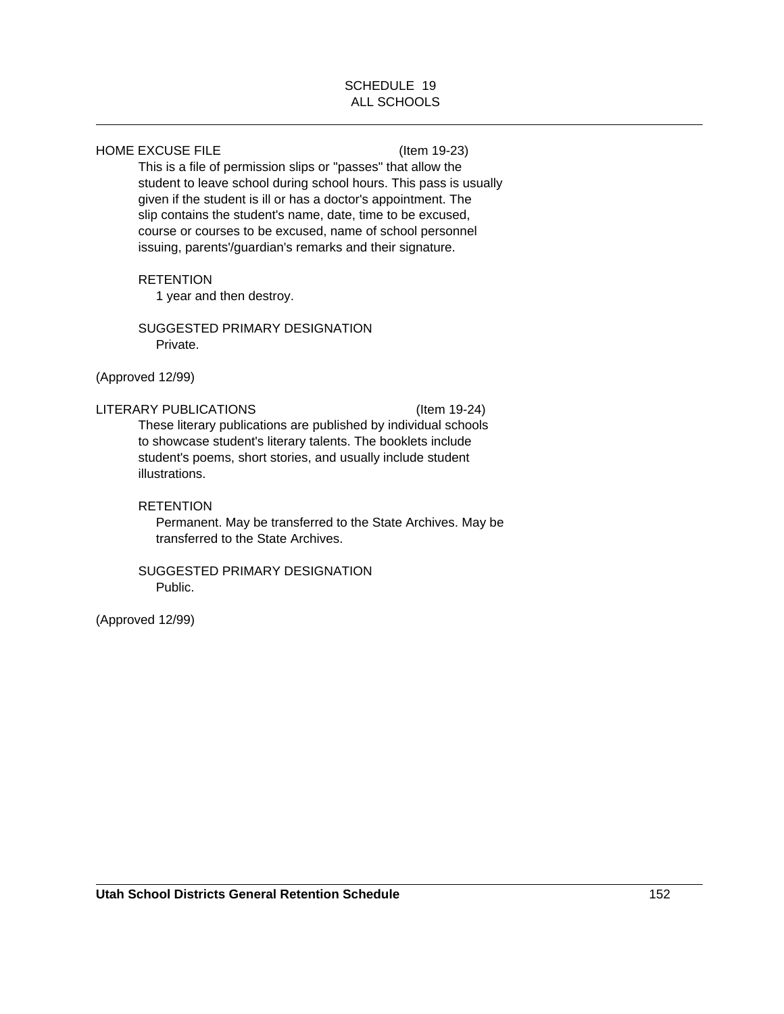## HOME EXCUSE FILE (Item 19-23)

 This is a file of permission slips or "passes" that allow the student to leave school during school hours. This pass is usually given if the student is ill or has a doctor's appointment. The slip contains the student's name, date, time to be excused, course or courses to be excused, name of school personnel issuing, parents'/guardian's remarks and their signature.

## **RETENTION**

1 year and then destroy.

## SUGGESTED PRIMARY DESIGNATION Private.

(Approved 12/99)

# LITERARY PUBLICATIONS (Item 19-24)

 These literary publications are published by individual schools to showcase student's literary talents. The booklets include student's poems, short stories, and usually include student illustrations.

# **RETENTION**

 Permanent. May be transferred to the State Archives. May be transferred to the State Archives.

### SUGGESTED PRIMARY DESIGNATION Public.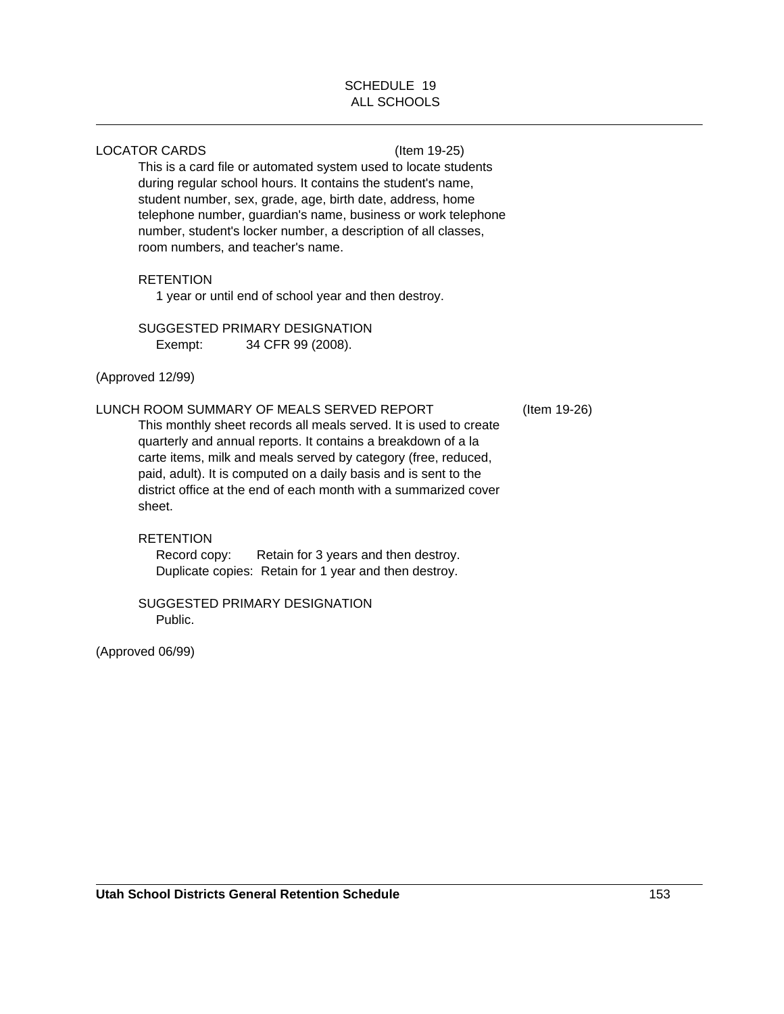## LOCATOR CARDS (Item 19-25)

 This is a card file or automated system used to locate students during regular school hours. It contains the student's name, student number, sex, grade, age, birth date, address, home telephone number, guardian's name, business or work telephone number, student's locker number, a description of all classes, room numbers, and teacher's name.

# **RETENTION**

1 year or until end of school year and then destroy.

 SUGGESTED PRIMARY DESIGNATION Exempt: 34 CFR 99 (2008).

## (Approved 12/99)

## LUNCH ROOM SUMMARY OF MEALS SERVED REPORT (Item 19-26)

 This monthly sheet records all meals served. It is used to create quarterly and annual reports. It contains a breakdown of a la carte items, milk and meals served by category (free, reduced, paid, adult). It is computed on a daily basis and is sent to the district office at the end of each month with a summarized cover sheet.

# **RETENTION**

Record copy: Retain for 3 years and then destroy. Duplicate copies: Retain for 1 year and then destroy.

## SUGGESTED PRIMARY DESIGNATION Public.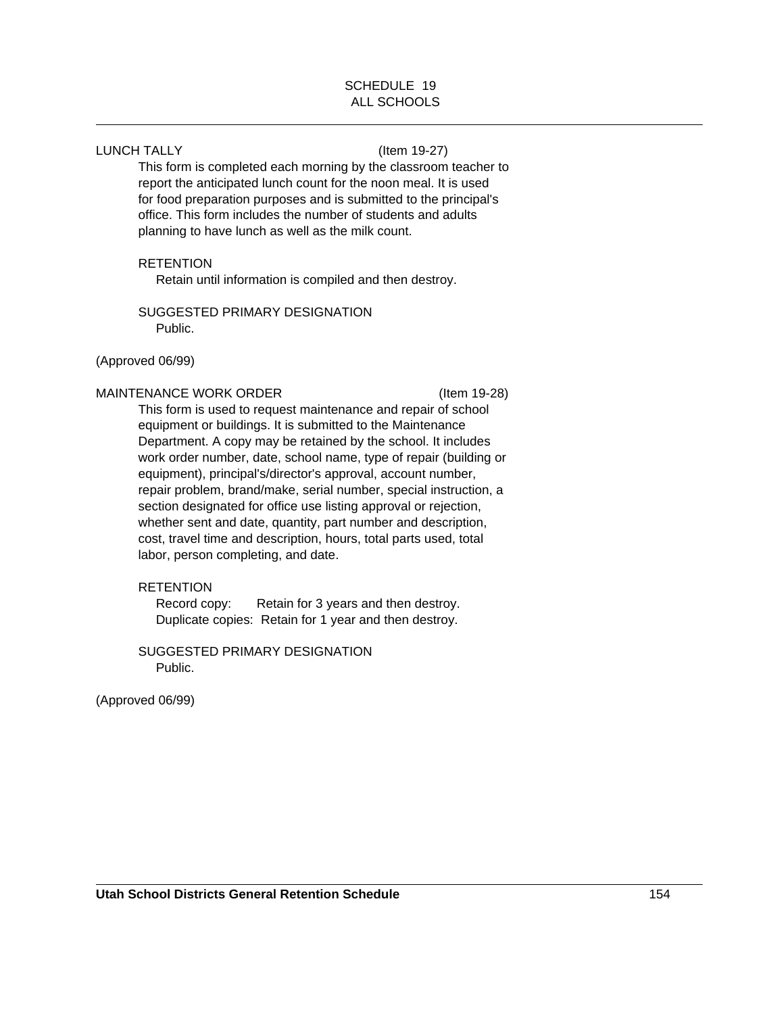## LUNCH TALLY (Item 19-27)

 This form is completed each morning by the classroom teacher to report the anticipated lunch count for the noon meal. It is used for food preparation purposes and is submitted to the principal's office. This form includes the number of students and adults planning to have lunch as well as the milk count.

### **RETENTION**

Retain until information is compiled and then destroy.

## SUGGESTED PRIMARY DESIGNATION Public.

(Approved 06/99)

#### MAINTENANCE WORK ORDER (Item 19-28)

 This form is used to request maintenance and repair of school equipment or buildings. It is submitted to the Maintenance Department. A copy may be retained by the school. It includes work order number, date, school name, type of repair (building or equipment), principal's/director's approval, account number, repair problem, brand/make, serial number, special instruction, a section designated for office use listing approval or rejection, whether sent and date, quantity, part number and description, cost, travel time and description, hours, total parts used, total labor, person completing, and date.

## **RETENTION**

Record copy: Retain for 3 years and then destroy. Duplicate copies: Retain for 1 year and then destroy.

## SUGGESTED PRIMARY DESIGNATION Public.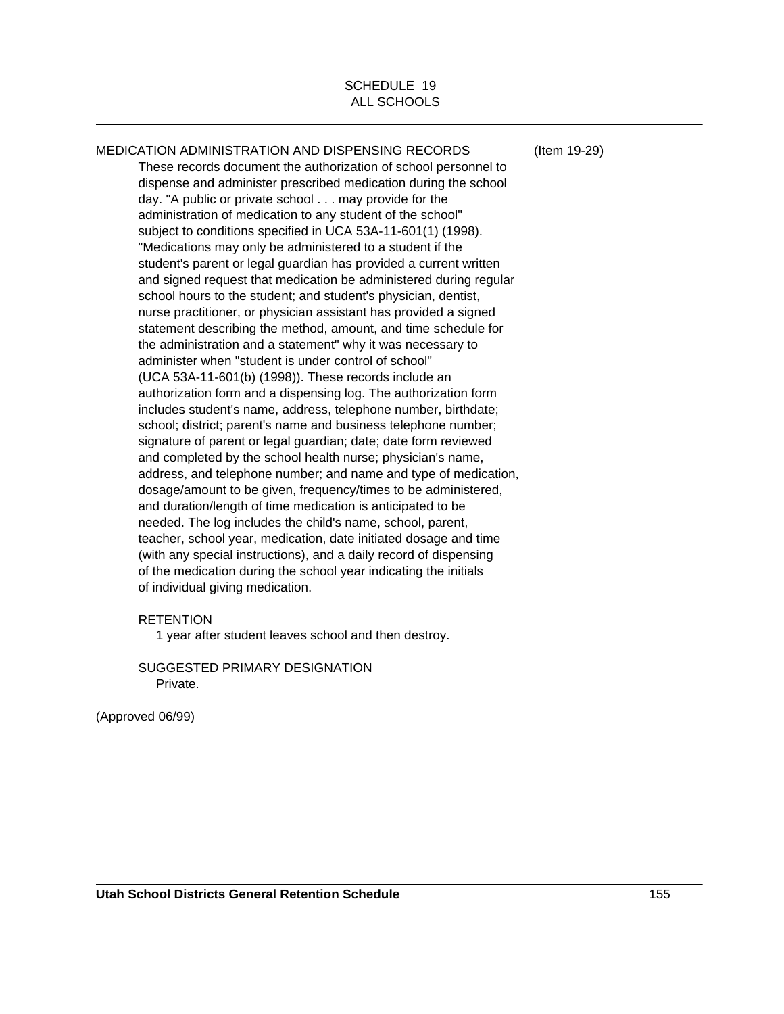MEDICATION ADMINISTRATION AND DISPENSING RECORDS These records document the authorization of school personnel to dispense and administer prescribed medication during the school day. "A public or private school . . . may provide for the administration of medication to any student of the school" subject to conditions specified in UCA 53A-11-601(1) (1998). "Medications may only be administered to a student if the student's parent or legal guardian has provided a current written and signed request that medication be administered during regular school hours to the student; and student's physician, dentist, nurse practitioner, or physician assistant has provided a signed statement describing the method, amount, and time schedule for the administration and a statement" why it was necessary to administer when "student is under control of school" (UCA 53A-11-601(b) (1998)). These records include an authorization form and a dispensing log. The authorization form includes student's name, address, telephone number, birthdate; school; district; parent's name and business telephone number; signature of parent or legal guardian; date; date form reviewed and completed by the school health nurse; physician's name, address, and telephone number; and name and type of medication, dosage/amount to be given, frequency/times to be administered, and duration/length of time medication is anticipated to be needed. The log includes the child's name, school, parent, teacher, school year, medication, date initiated dosage and time (with any special instructions), and a daily record of dispensing of the medication during the school year indicating the initials of individual giving medication.

# **RETENTION**

1 year after student leaves school and then destroy.

 SUGGESTED PRIMARY DESIGNATION Private.

(Approved 06/99)

(Item 19-29)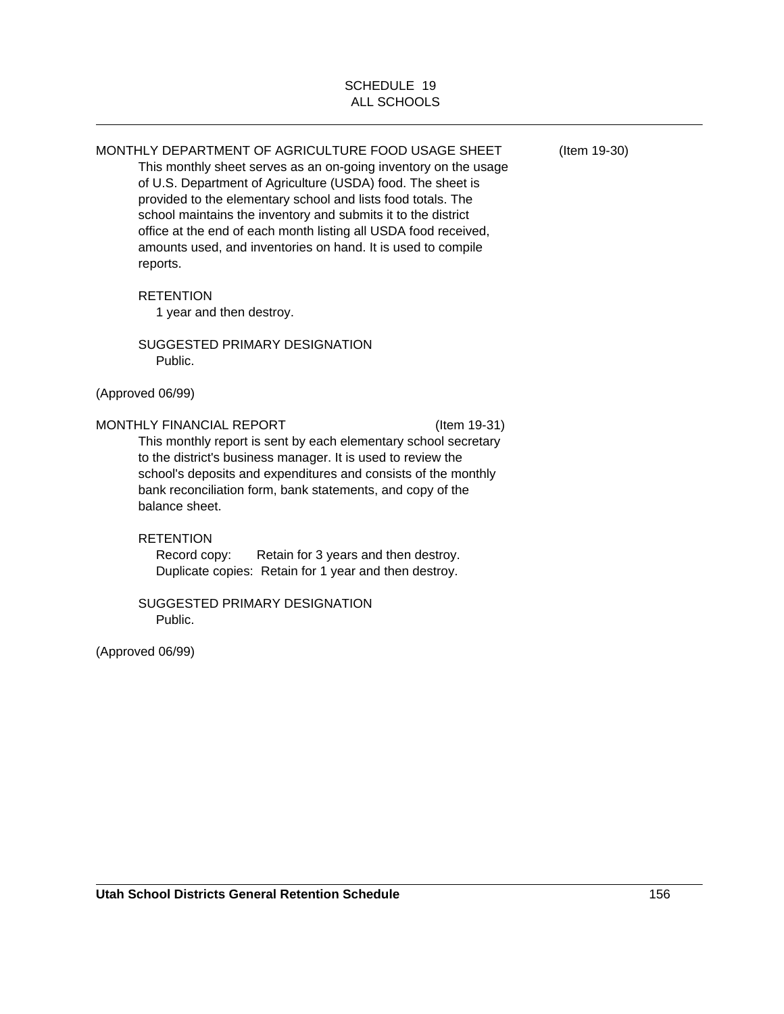MONTHLY DEPARTMENT OF AGRICULTURE FOOD USAGE SHEET (Item 19-30)

 This monthly sheet serves as an on-going inventory on the usage of U.S. Department of Agriculture (USDA) food. The sheet is provided to the elementary school and lists food totals. The school maintains the inventory and submits it to the district office at the end of each month listing all USDA food received, amounts used, and inventories on hand. It is used to compile reports.

# RETENTION

1 year and then destroy.

 SUGGESTED PRIMARY DESIGNATION Public.

(Approved 06/99)

# MONTHLY FINANCIAL REPORT (Item 19-31)

 This monthly report is sent by each elementary school secretary to the district's business manager. It is used to review the school's deposits and expenditures and consists of the monthly bank reconciliation form, bank statements, and copy of the balance sheet.

**RETENTION** 

Record copy: Retain for 3 years and then destroy. Duplicate copies: Retain for 1 year and then destroy.

# SUGGESTED PRIMARY DESIGNATION Public.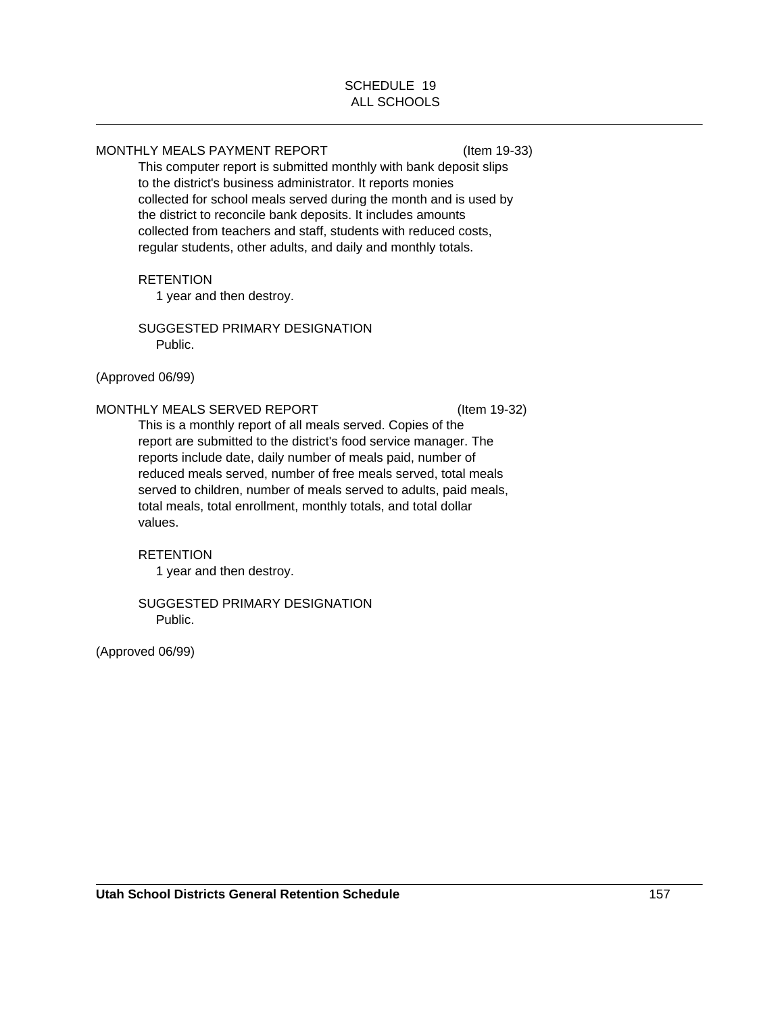## MONTHLY MEALS PAYMENT REPORT (Item 19-33)

 This computer report is submitted monthly with bank deposit slips to the district's business administrator. It reports monies collected for school meals served during the month and is used by the district to reconcile bank deposits. It includes amounts collected from teachers and staff, students with reduced costs, regular students, other adults, and daily and monthly totals.

# **RETENTION**

1 year and then destroy.

 SUGGESTED PRIMARY DESIGNATION Public.

# (Approved 06/99)

# MONTHLY MEALS SERVED REPORT (Item 19-32)

 This is a monthly report of all meals served. Copies of the report are submitted to the district's food service manager. The reports include date, daily number of meals paid, number of reduced meals served, number of free meals served, total meals served to children, number of meals served to adults, paid meals, total meals, total enrollment, monthly totals, and total dollar values.

## **RETENTION**

1 year and then destroy.

# SUGGESTED PRIMARY DESIGNATION Public.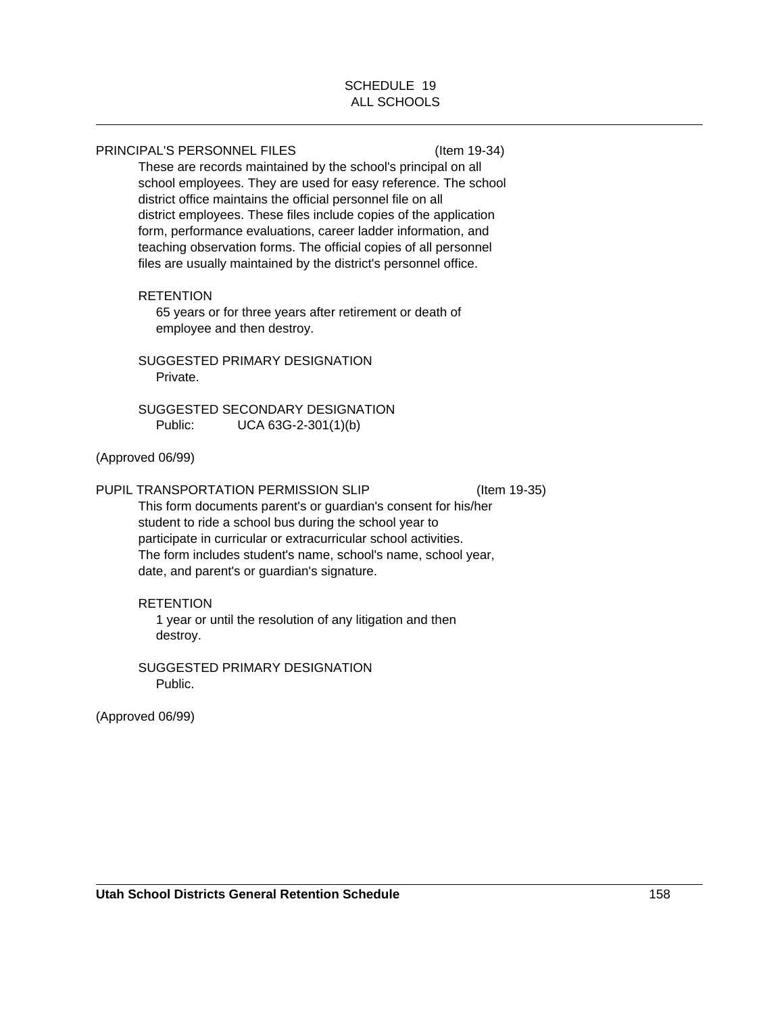PRINCIPAL'S PERSONNEL FILES (Item 19-34) These are records maintained by the school's principal on all school employees. They are used for easy reference. The school district office maintains the official personnel file on all district employees. These files include copies of the application form, performance evaluations, career ladder information, and teaching observation forms. The official copies of all personnel files are usually maintained by the district's personnel office. **RETENTION**  65 years or for three years after retirement or death of employee and then destroy. SUGGESTED PRIMARY DESIGNATION Private. SUGGESTED SECONDARY DESIGNATION Public: UCA 63G-2-301(1)(b) (Approved 06/99) PUPIL TRANSPORTATION PERMISSION SLIP (Item 19-35) This form documents parent's or guardian's consent for his/her student to ride a school bus during the school year to participate in curricular or extracurricular school activities. The form includes student's name, school's name, school year, date, and parent's or guardian's signature. **RETENTION**  1 year or until the resolution of any litigation and then destroy. SUGGESTED PRIMARY DESIGNATION

Public.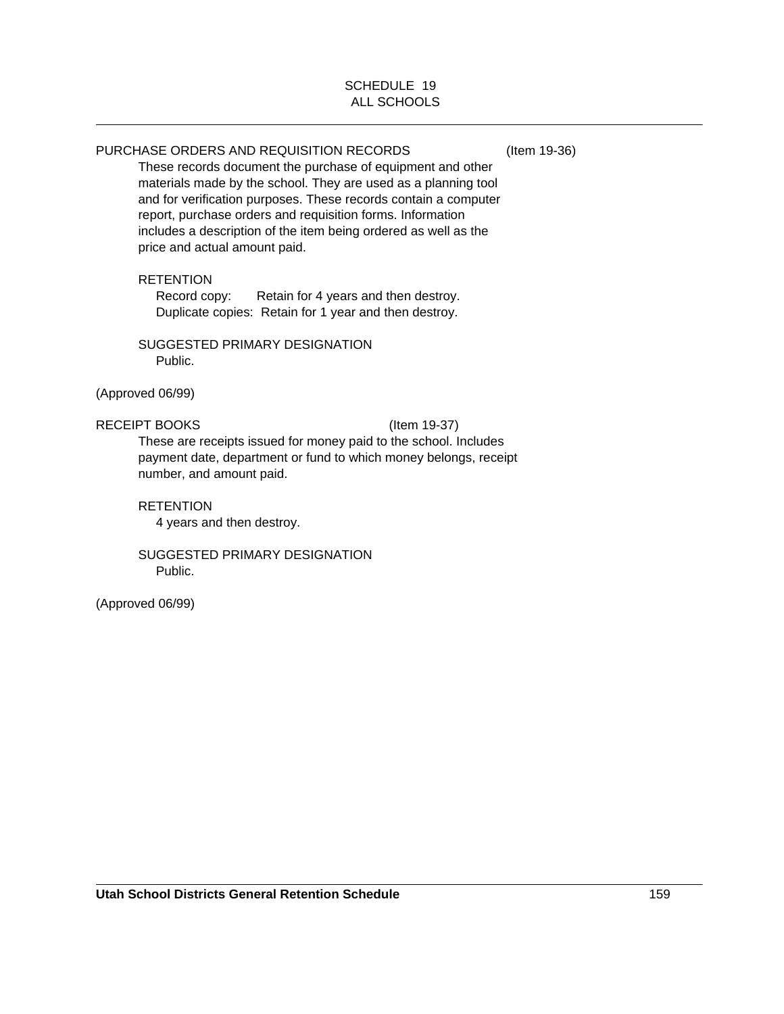# PURCHASE ORDERS AND REQUISITION RECORDS (Item 19-36)

 These records document the purchase of equipment and other materials made by the school. They are used as a planning tool and for verification purposes. These records contain a computer report, purchase orders and requisition forms. Information includes a description of the item being ordered as well as the price and actual amount paid.

## **RETENTION**

Record copy: Retain for 4 years and then destroy. Duplicate copies: Retain for 1 year and then destroy.

 SUGGESTED PRIMARY DESIGNATION Public.

(Approved 06/99)

### RECEIPT BOOKS (Item 19-37)

 These are receipts issued for money paid to the school. Includes payment date, department or fund to which money belongs, receipt number, and amount paid.

# RETENTION

4 years and then destroy.

 SUGGESTED PRIMARY DESIGNATION Public.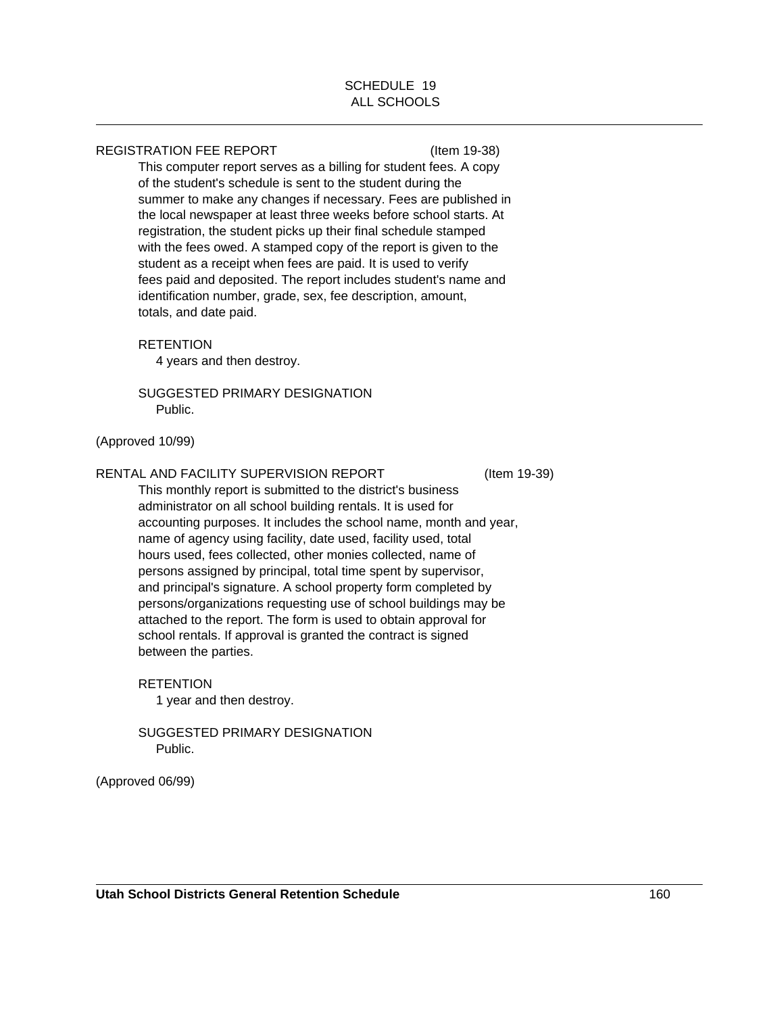# REGISTRATION FEE REPORT (Item 19-38)

 This computer report serves as a billing for student fees. A copy of the student's schedule is sent to the student during the summer to make any changes if necessary. Fees are published in the local newspaper at least three weeks before school starts. At registration, the student picks up their final schedule stamped with the fees owed. A stamped copy of the report is given to the student as a receipt when fees are paid. It is used to verify fees paid and deposited. The report includes student's name and identification number, grade, sex, fee description, amount, totals, and date paid.

### RETENTION

4 years and then destroy.

 SUGGESTED PRIMARY DESIGNATION Public.

## (Approved 10/99)

# RENTAL AND FACILITY SUPERVISION REPORT (Item 19-39)

 This monthly report is submitted to the district's business administrator on all school building rentals. It is used for accounting purposes. It includes the school name, month and year, name of agency using facility, date used, facility used, total hours used, fees collected, other monies collected, name of persons assigned by principal, total time spent by supervisor, and principal's signature. A school property form completed by persons/organizations requesting use of school buildings may be attached to the report. The form is used to obtain approval for school rentals. If approval is granted the contract is signed between the parties.

### **RETENTION**

1 year and then destroy.

## SUGGESTED PRIMARY DESIGNATION Public.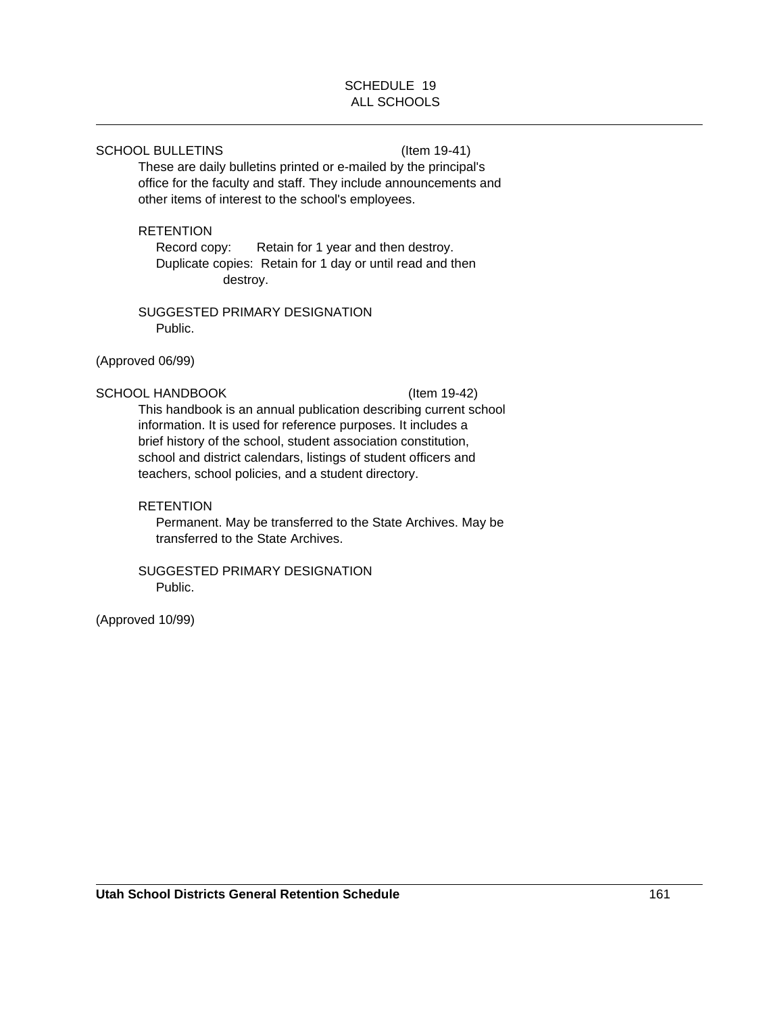## SCHOOL BULLETINS (Item 19-41)

 These are daily bulletins printed or e-mailed by the principal's office for the faculty and staff. They include announcements and other items of interest to the school's employees.

## RETENTION

Record copy: Retain for 1 year and then destroy. Duplicate copies: Retain for 1 day or until read and then destroy.

## SUGGESTED PRIMARY DESIGNATION Public.

(Approved 06/99)

### SCHOOL HANDBOOK (Item 19-42)

 This handbook is an annual publication describing current school information. It is used for reference purposes. It includes a brief history of the school, student association constitution, school and district calendars, listings of student officers and teachers, school policies, and a student directory.

# **RETENTION**

 Permanent. May be transferred to the State Archives. May be transferred to the State Archives.

### SUGGESTED PRIMARY DESIGNATION Public.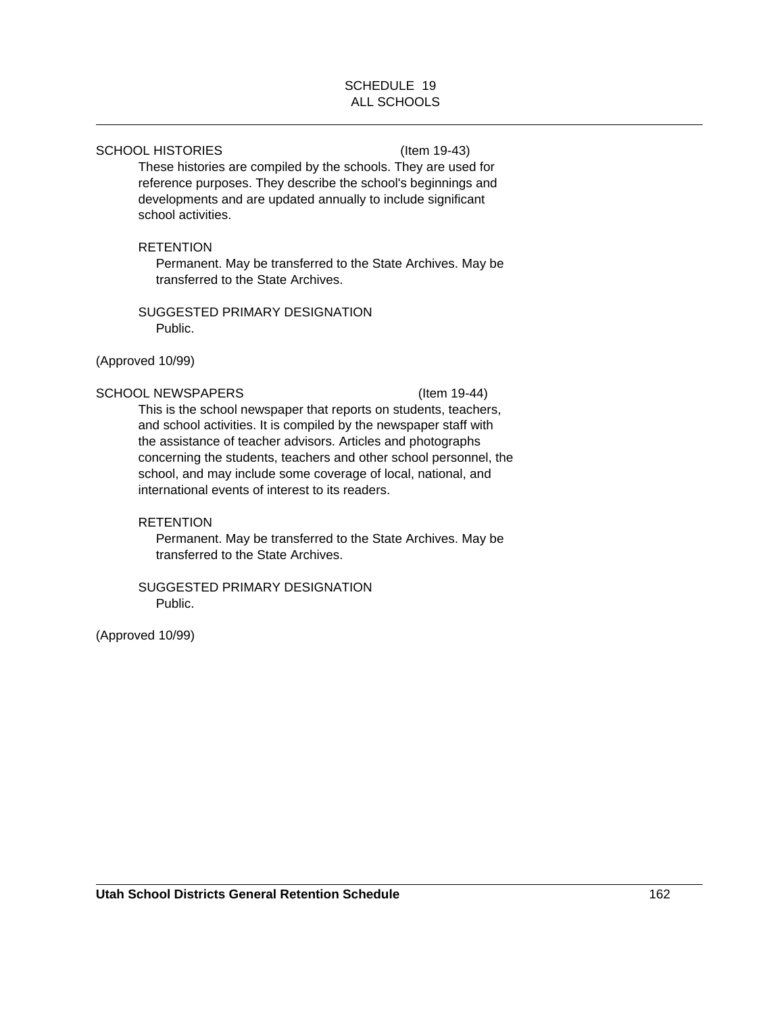## SCHOOL HISTORIES (Item 19-43)

 These histories are compiled by the schools. They are used for reference purposes. They describe the school's beginnings and developments and are updated annually to include significant school activities.

## **RETENTION**

 Permanent. May be transferred to the State Archives. May be transferred to the State Archives.

 SUGGESTED PRIMARY DESIGNATION Public.

(Approved 10/99)

## SCHOOL NEWSPAPERS (Item 19-44)

 This is the school newspaper that reports on students, teachers, and school activities. It is compiled by the newspaper staff with the assistance of teacher advisors. Articles and photographs concerning the students, teachers and other school personnel, the school, and may include some coverage of local, national, and international events of interest to its readers.

## RETENTION

 Permanent. May be transferred to the State Archives. May be transferred to the State Archives.

# SUGGESTED PRIMARY DESIGNATION Public.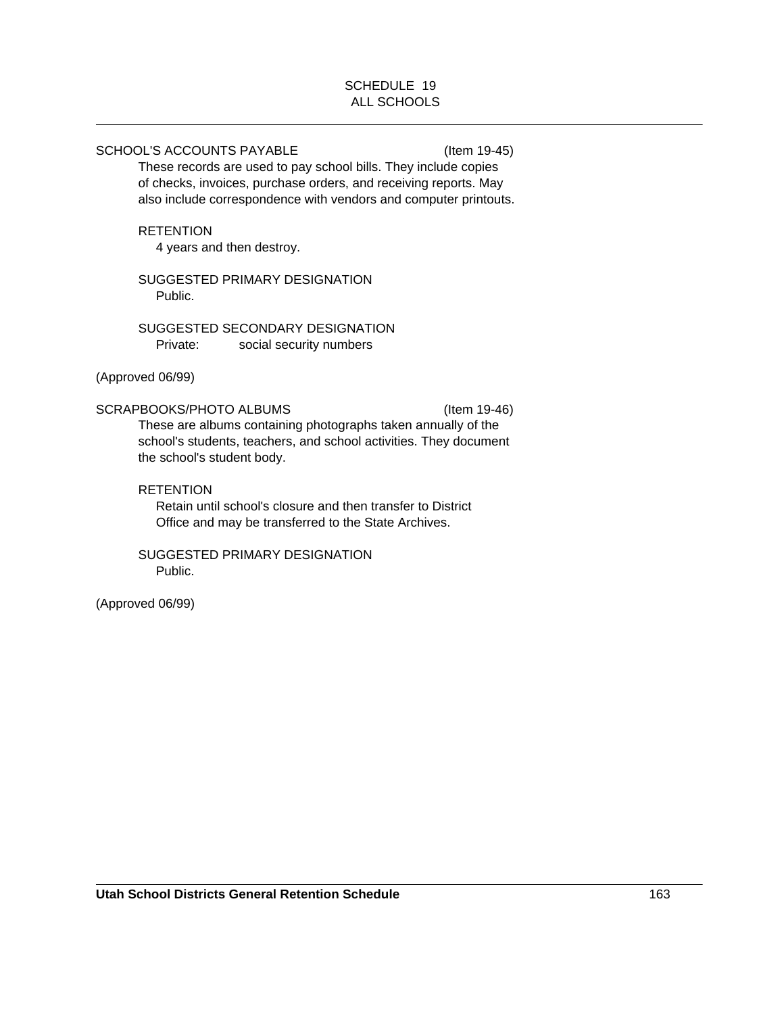#### SCHOOL'S ACCOUNTS PAYABLE (Item 19-45)

 These records are used to pay school bills. They include copies of checks, invoices, purchase orders, and receiving reports. May also include correspondence with vendors and computer printouts.

# RETENTION

4 years and then destroy.

 SUGGESTED PRIMARY DESIGNATION Public.

 SUGGESTED SECONDARY DESIGNATION Private: social security numbers

# (Approved 06/99)

# SCRAPBOOKS/PHOTO ALBUMS (Item 19-46)

 These are albums containing photographs taken annually of the school's students, teachers, and school activities. They document the school's student body.

## **RETENTION**

 Retain until school's closure and then transfer to District Office and may be transferred to the State Archives.

 SUGGESTED PRIMARY DESIGNATION Public.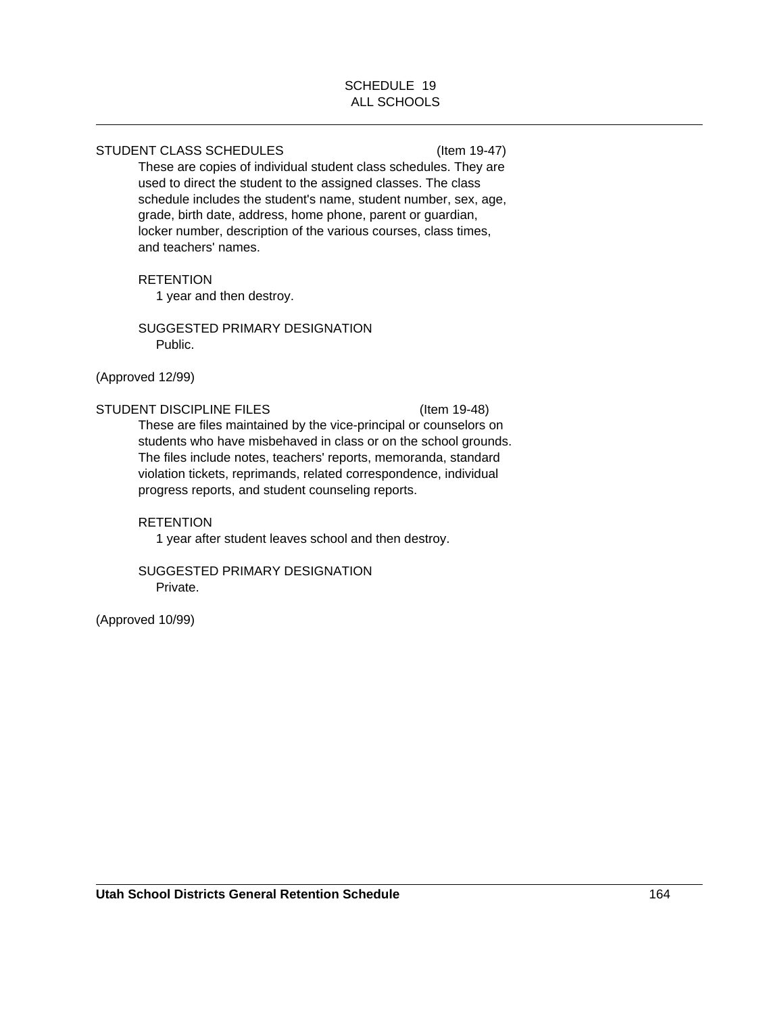### STUDENT CLASS SCHEDULES (Item 19-47)

 These are copies of individual student class schedules. They are used to direct the student to the assigned classes. The class schedule includes the student's name, student number, sex, age, grade, birth date, address, home phone, parent or guardian, locker number, description of the various courses, class times, and teachers' names.

## **RETENTION**

1 year and then destroy.

 SUGGESTED PRIMARY DESIGNATION Public.

(Approved 12/99)

# STUDENT DISCIPLINE FILES (Item 19-48)

 These are files maintained by the vice-principal or counselors on students who have misbehaved in class or on the school grounds. The files include notes, teachers' reports, memoranda, standard violation tickets, reprimands, related correspondence, individual progress reports, and student counseling reports.

### RETENTION

1 year after student leaves school and then destroy.

## SUGGESTED PRIMARY DESIGNATION Private.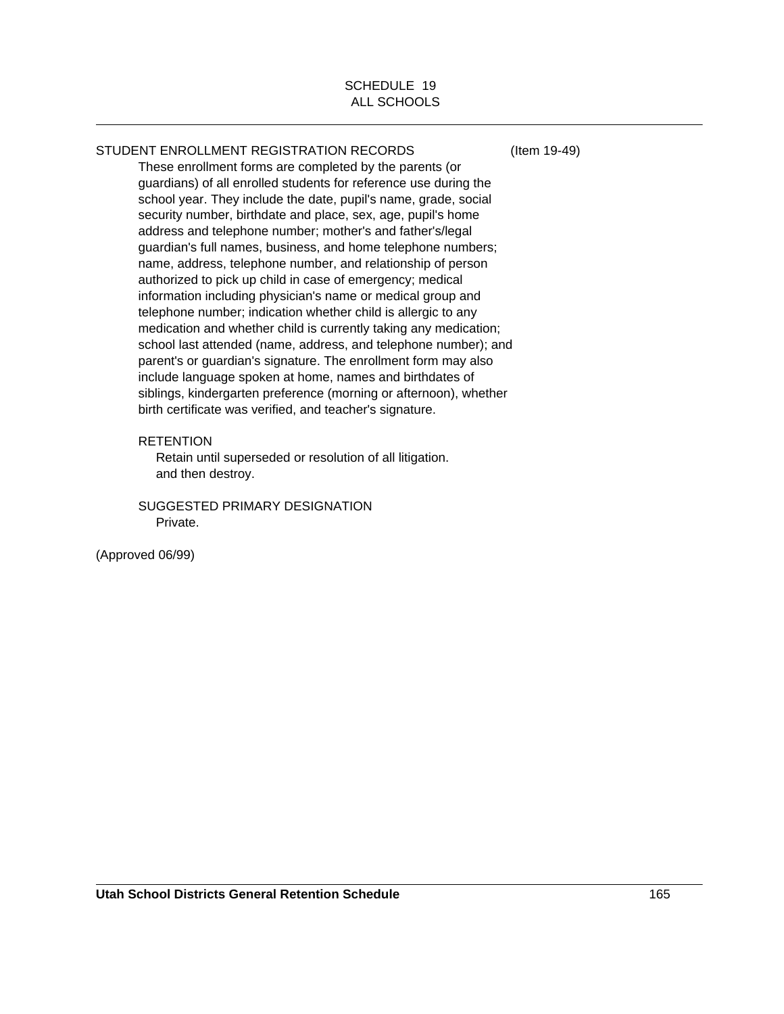# STUDENT ENROLLMENT REGISTRATION RECORDS (Item 19-49)

 These enrollment forms are completed by the parents (or guardians) of all enrolled students for reference use during the school year. They include the date, pupil's name, grade, social security number, birthdate and place, sex, age, pupil's home address and telephone number; mother's and father's/legal guardian's full names, business, and home telephone numbers; name, address, telephone number, and relationship of person authorized to pick up child in case of emergency; medical information including physician's name or medical group and telephone number; indication whether child is allergic to any medication and whether child is currently taking any medication; school last attended (name, address, and telephone number); and parent's or guardian's signature. The enrollment form may also include language spoken at home, names and birthdates of siblings, kindergarten preference (morning or afternoon), whether birth certificate was verified, and teacher's signature.

### **RETENTION**

 Retain until superseded or resolution of all litigation. and then destroy.

 SUGGESTED PRIMARY DESIGNATION Private.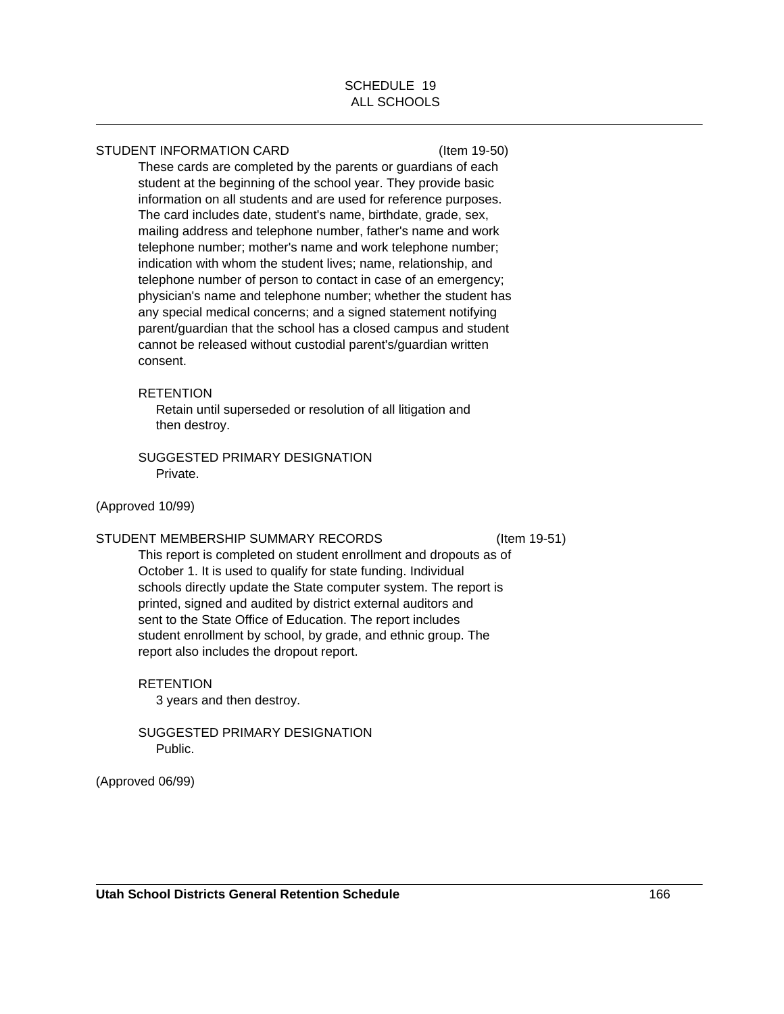#### STUDENT INFORMATION CARD (Item 19-50)

 These cards are completed by the parents or guardians of each student at the beginning of the school year. They provide basic information on all students and are used for reference purposes. The card includes date, student's name, birthdate, grade, sex, mailing address and telephone number, father's name and work telephone number; mother's name and work telephone number; indication with whom the student lives; name, relationship, and telephone number of person to contact in case of an emergency; physician's name and telephone number; whether the student has any special medical concerns; and a signed statement notifying parent/guardian that the school has a closed campus and student cannot be released without custodial parent's/guardian written consent.

### **RETENTION**

 Retain until superseded or resolution of all litigation and then destroy.

 SUGGESTED PRIMARY DESIGNATION Private.

#### (Approved 10/99)

#### STUDENT MEMBERSHIP SUMMARY RECORDS (Item 19-51)

 This report is completed on student enrollment and dropouts as of October 1. It is used to qualify for state funding. Individual schools directly update the State computer system. The report is printed, signed and audited by district external auditors and sent to the State Office of Education. The report includes student enrollment by school, by grade, and ethnic group. The report also includes the dropout report.

### **RETENTION**

3 years and then destroy.

## SUGGESTED PRIMARY DESIGNATION Public.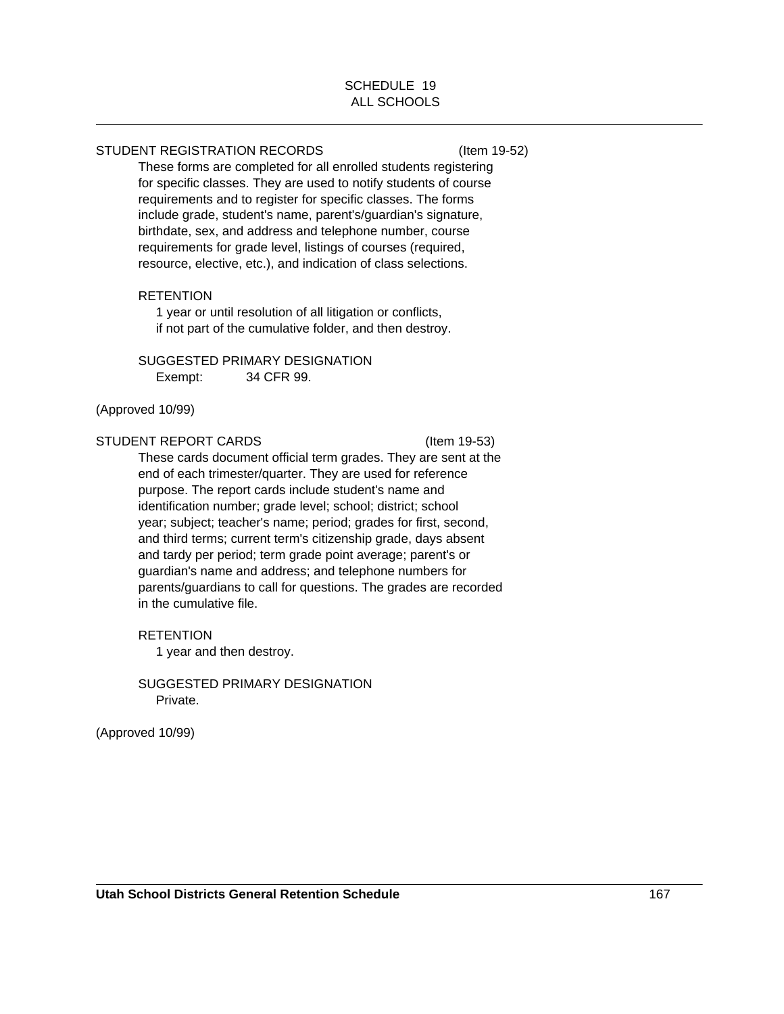#### STUDENT REGISTRATION RECORDS (Item 19-52)

 These forms are completed for all enrolled students registering for specific classes. They are used to notify students of course requirements and to register for specific classes. The forms include grade, student's name, parent's/guardian's signature, birthdate, sex, and address and telephone number, course requirements for grade level, listings of courses (required, resource, elective, etc.), and indication of class selections.

### **RETENTION**

 1 year or until resolution of all litigation or conflicts, if not part of the cumulative folder, and then destroy.

 SUGGESTED PRIMARY DESIGNATION Exempt: 34 CFR 99.

## (Approved 10/99)

## STUDENT REPORT CARDS (Item 19-53)

 These cards document official term grades. They are sent at the end of each trimester/quarter. They are used for reference purpose. The report cards include student's name and identification number; grade level; school; district; school year; subject; teacher's name; period; grades for first, second, and third terms; current term's citizenship grade, days absent and tardy per period; term grade point average; parent's or guardian's name and address; and telephone numbers for parents/guardians to call for questions. The grades are recorded in the cumulative file.

#### RETENTION

1 year and then destroy.

 SUGGESTED PRIMARY DESIGNATION Private.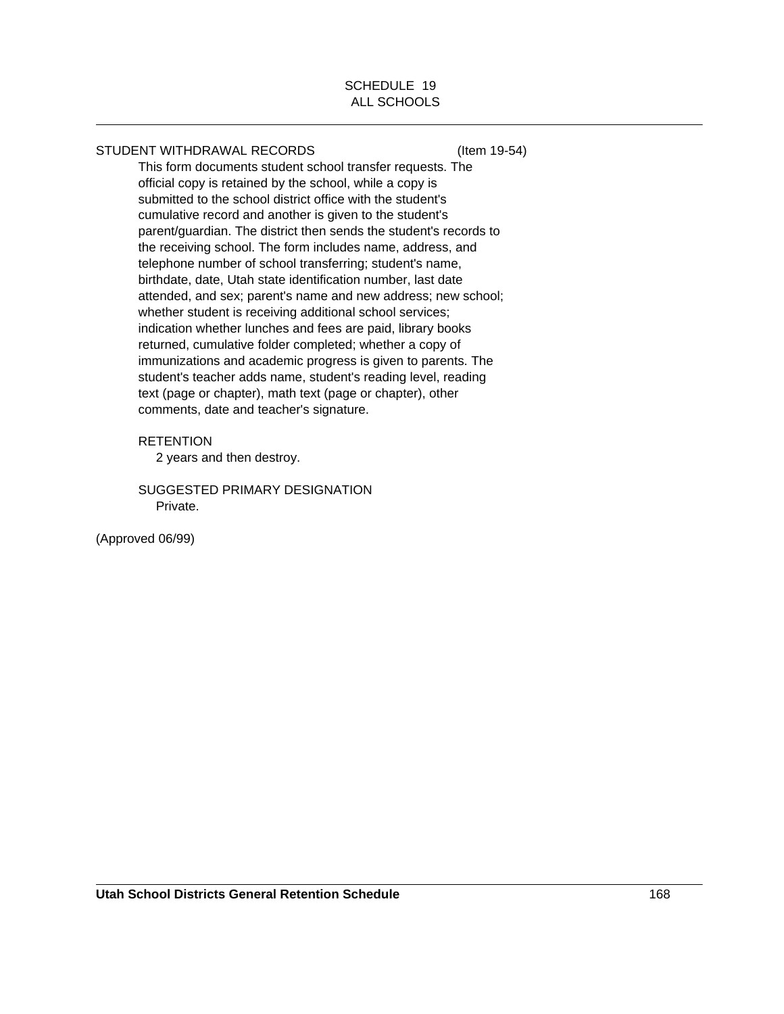#### STUDENT WITHDRAWAL RECORDS (Item 19-54)

 This form documents student school transfer requests. The official copy is retained by the school, while a copy is submitted to the school district office with the student's cumulative record and another is given to the student's parent/guardian. The district then sends the student's records to the receiving school. The form includes name, address, and telephone number of school transferring; student's name, birthdate, date, Utah state identification number, last date attended, and sex; parent's name and new address; new school; whether student is receiving additional school services; indication whether lunches and fees are paid, library books returned, cumulative folder completed; whether a copy of immunizations and academic progress is given to parents. The student's teacher adds name, student's reading level, reading text (page or chapter), math text (page or chapter), other comments, date and teacher's signature.

### RETENTION

2 years and then destroy.

 SUGGESTED PRIMARY DESIGNATION Private.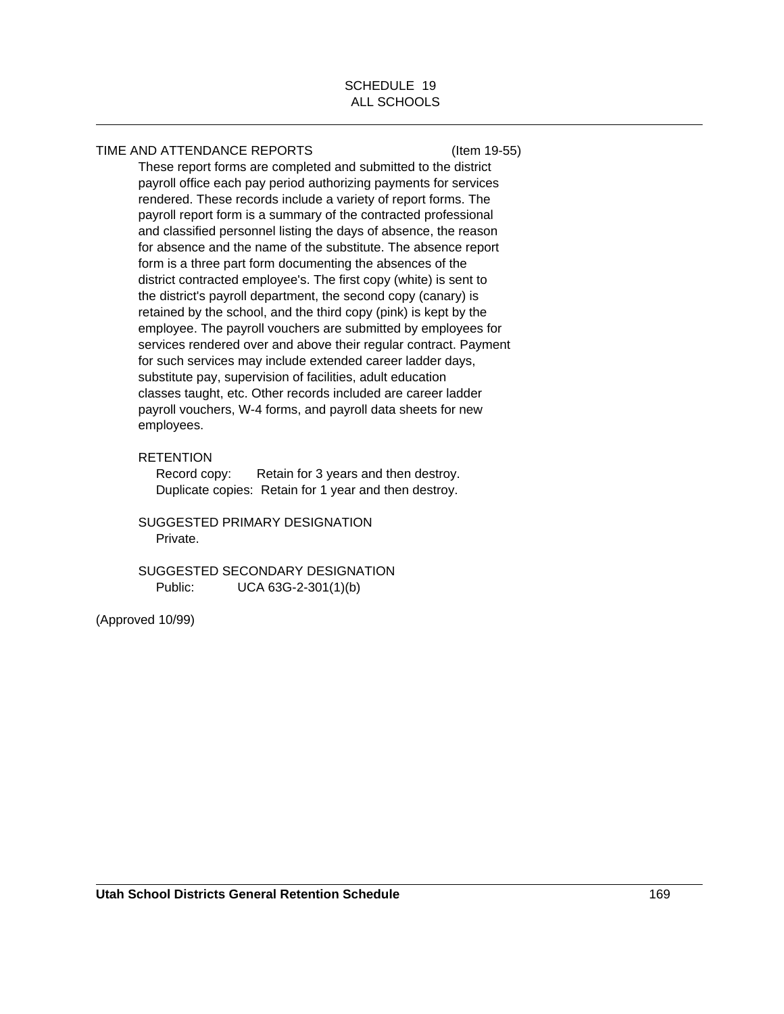#### TIME AND ATTENDANCE REPORTS (Item 19-55)

 These report forms are completed and submitted to the district payroll office each pay period authorizing payments for services rendered. These records include a variety of report forms. The payroll report form is a summary of the contracted professional and classified personnel listing the days of absence, the reason for absence and the name of the substitute. The absence report form is a three part form documenting the absences of the district contracted employee's. The first copy (white) is sent to the district's payroll department, the second copy (canary) is retained by the school, and the third copy (pink) is kept by the employee. The payroll vouchers are submitted by employees for services rendered over and above their regular contract. Payment for such services may include extended career ladder days, substitute pay, supervision of facilities, adult education classes taught, etc. Other records included are career ladder payroll vouchers, W-4 forms, and payroll data sheets for new employees.

# **RETENTION**

 Record copy: Retain for 3 years and then destroy. Duplicate copies: Retain for 1 year and then destroy.

 SUGGESTED PRIMARY DESIGNATION Private.

 SUGGESTED SECONDARY DESIGNATION Public: UCA 63G-2-301(1)(b)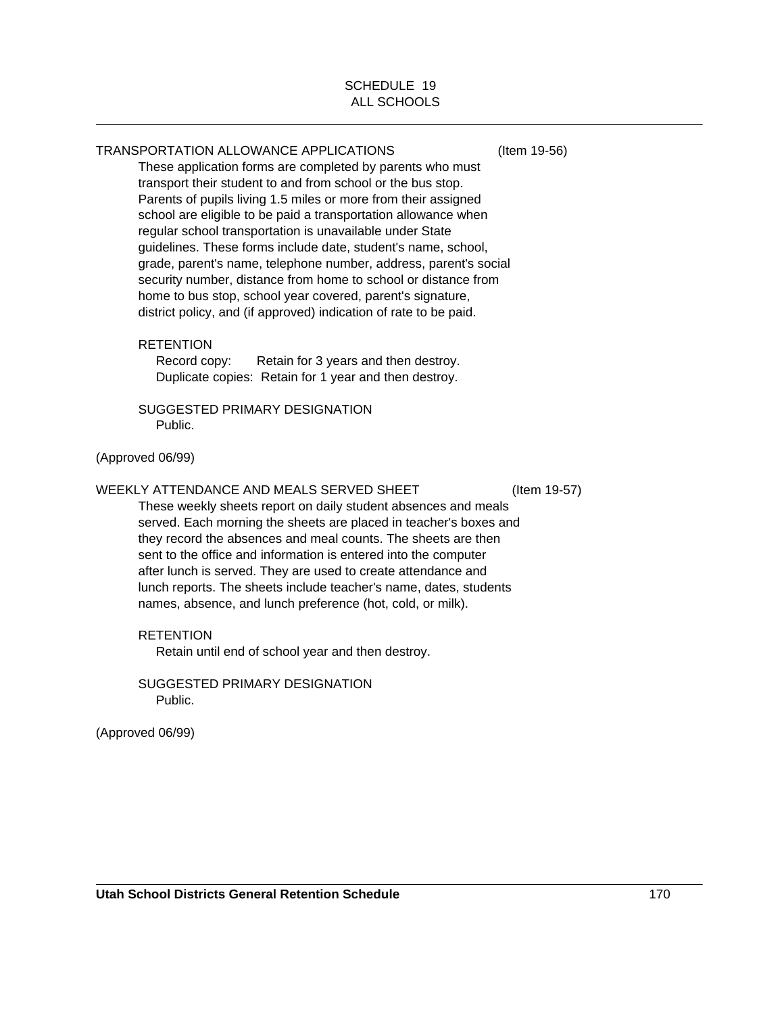# TRANSPORTATION ALLOWANCE APPLICATIONS (Item 19-56)

 These application forms are completed by parents who must transport their student to and from school or the bus stop. Parents of pupils living 1.5 miles or more from their assigned school are eligible to be paid a transportation allowance when regular school transportation is unavailable under State guidelines. These forms include date, student's name, school, grade, parent's name, telephone number, address, parent's social security number, distance from home to school or distance from home to bus stop, school year covered, parent's signature, district policy, and (if approved) indication of rate to be paid.

## **RETENTION**

Record copy: Retain for 3 years and then destroy. Duplicate copies: Retain for 1 year and then destroy.

 SUGGESTED PRIMARY DESIGNATION Public.

# (Approved 06/99)

## WEEKLY ATTENDANCE AND MEALS SERVED SHEET (Item 19-57)

 These weekly sheets report on daily student absences and meals served. Each morning the sheets are placed in teacher's boxes and they record the absences and meal counts. The sheets are then sent to the office and information is entered into the computer after lunch is served. They are used to create attendance and lunch reports. The sheets include teacher's name, dates, students names, absence, and lunch preference (hot, cold, or milk).

#### RETENTION

Retain until end of school year and then destroy.

 SUGGESTED PRIMARY DESIGNATION Public.